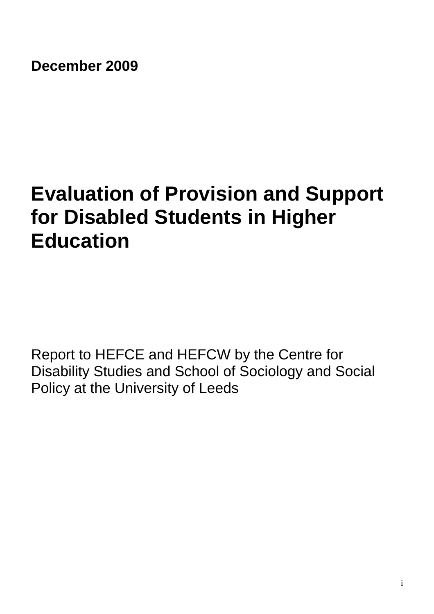**December 2009** 

# **Evaluation of Provision and Support for Disabled Students in Higher Education**

Report to HEFCE and HEFCW by the Centre for Disability Studies and School of Sociology and Social Policy at the University of Leeds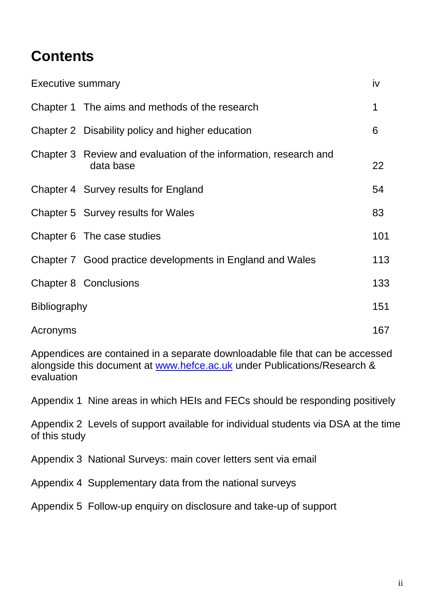## **Contents**

| <b>Executive summary</b> |                                                                               | iv  |
|--------------------------|-------------------------------------------------------------------------------|-----|
|                          | Chapter 1 The aims and methods of the research                                | 1   |
|                          | Chapter 2 Disability policy and higher education                              | 6   |
|                          | Chapter 3 Review and evaluation of the information, research and<br>data base | 22  |
|                          | Chapter 4 Survey results for England                                          | 54  |
|                          | Chapter 5 Survey results for Wales                                            | 83  |
|                          | Chapter 6 The case studies                                                    | 101 |
|                          | Chapter 7 Good practice developments in England and Wales                     | 113 |
|                          | <b>Chapter 8 Conclusions</b>                                                  | 133 |
| <b>Bibliography</b>      |                                                                               | 151 |
| Acronyms                 |                                                                               | 167 |

Appendices are contained in a separate downloadable file that can be accessed alongside this document at www.hefce.ac.uk under Publications/Research & evaluation

Appendix 1 Nine areas in which HEIs and FECs should be responding positively

Appendix 2 Levels of support available for individual students via DSA at the time of this study

Appendix 3 National Surveys: main cover letters sent via email

Appendix 4 Supplementary data from the national surveys

Appendix 5 Follow-up enquiry on disclosure and take-up of support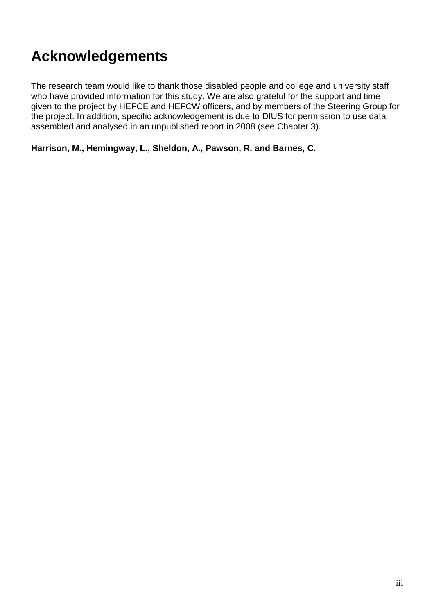## **Acknowledgements**

The research team would like to thank those disabled people and college and university staff who have provided information for this study. We are also grateful for the support and time given to the project by HEFCE and HEFCW officers, and by members of the Steering Group for the project. In addition, specific acknowledgement is due to DIUS for permission to use data assembled and analysed in an unpublished report in 2008 (see Chapter 3).

**Harrison, M., Hemingway, L., Sheldon, A., Pawson, R. and Barnes, C.**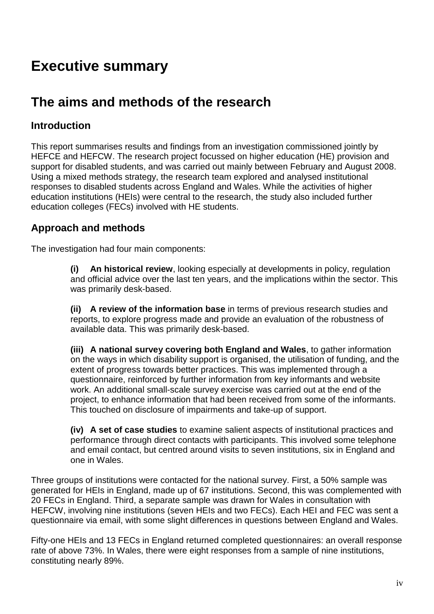## **Executive summary**

## **The aims and methods of the research**

### **Introduction**

This report summarises results and findings from an investigation commissioned jointly by HEFCE and HEFCW. The research project focussed on higher education (HE) provision and support for disabled students, and was carried out mainly between February and August 2008. Using a mixed methods strategy, the research team explored and analysed institutional responses to disabled students across England and Wales. While the activities of higher education institutions (HEIs) were central to the research, the study also included further education colleges (FECs) involved with HE students.

### **Approach and methods**

The investigation had four main components:

**(i) An historical review**, looking especially at developments in policy, regulation and official advice over the last ten years, and the implications within the sector. This was primarily desk-based.

**(ii) A review of the information base** in terms of previous research studies and reports, to explore progress made and provide an evaluation of the robustness of available data. This was primarily desk-based.

**(iii) A national survey covering both England and Wales**, to gather information on the ways in which disability support is organised, the utilisation of funding, and the extent of progress towards better practices. This was implemented through a questionnaire, reinforced by further information from key informants and website work. An additional small-scale survey exercise was carried out at the end of the project, to enhance information that had been received from some of the informants. This touched on disclosure of impairments and take-up of support.

**(iv) A set of case studies** to examine salient aspects of institutional practices and performance through direct contacts with participants. This involved some telephone and email contact, but centred around visits to seven institutions, six in England and one in Wales.

Three groups of institutions were contacted for the national survey. First, a 50% sample was generated for HEIs in England, made up of 67 institutions. Second, this was complemented with 20 FECs in England. Third, a separate sample was drawn for Wales in consultation with HEFCW, involving nine institutions (seven HEIs and two FECs). Each HEI and FEC was sent a questionnaire via email, with some slight differences in questions between England and Wales.

Fifty-one HEIs and 13 FECs in England returned completed questionnaires: an overall response rate of above 73%. In Wales, there were eight responses from a sample of nine institutions, constituting nearly 89%.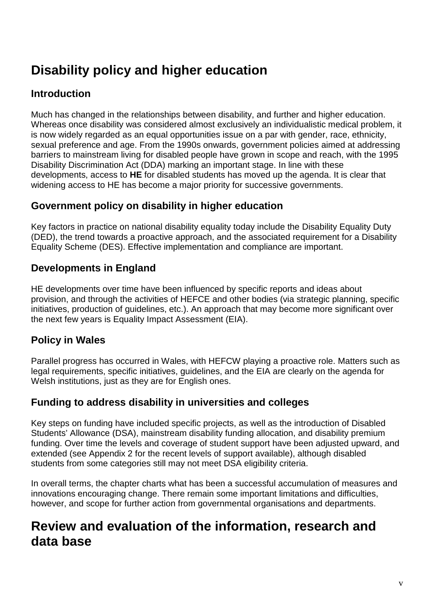## **Disability policy and higher education**

## **Introduction**

Much has changed in the relationships between disability, and further and higher education. Whereas once disability was considered almost exclusively an individualistic medical problem, it is now widely regarded as an equal opportunities issue on a par with gender, race, ethnicity, sexual preference and age. From the 1990s onwards, government policies aimed at addressing barriers to mainstream living for disabled people have grown in scope and reach, with the 1995 Disability Discrimination Act (DDA) marking an important stage. In line with these developments, access to **HE** for disabled students has moved up the agenda. It is clear that widening access to HE has become a major priority for successive governments.

### **Government policy on disability in higher education**

Key factors in practice on national disability equality today include the Disability Equality Duty (DED), the trend towards a proactive approach, and the associated requirement for a Disability Equality Scheme (DES). Effective implementation and compliance are important.

## **Developments in England**

HE developments over time have been influenced by specific reports and ideas about provision, and through the activities of HEFCE and other bodies (via strategic planning, specific initiatives, production of guidelines, etc.). An approach that may become more significant over the next few years is Equality Impact Assessment (EIA).

## **Policy in Wales**

Parallel progress has occurred in Wales, with HEFCW playing a proactive role. Matters such as legal requirements, specific initiatives, guidelines, and the EIA are clearly on the agenda for Welsh institutions, just as they are for English ones.

#### **Funding to address disability in universities and colleges**

Key steps on funding have included specific projects, as well as the introduction of Disabled Students' Allowance (DSA), mainstream disability funding allocation, and disability premium funding. Over time the levels and coverage of student support have been adjusted upward, and extended (see Appendix 2 for the recent levels of support available), although disabled students from some categories still may not meet DSA eligibility criteria.

In overall terms, the chapter charts what has been a successful accumulation of measures and innovations encouraging change. There remain some important limitations and difficulties, however, and scope for further action from governmental organisations and departments.

## **Review and evaluation of the information, research and data base**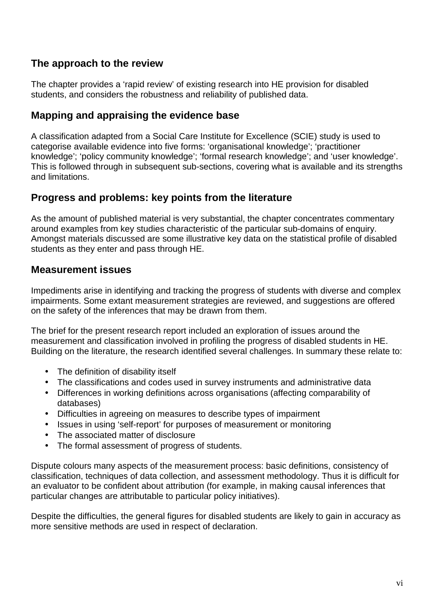### **The approach to the review**

The chapter provides a 'rapid review' of existing research into HE provision for disabled students, and considers the robustness and reliability of published data.

#### **Mapping and appraising the evidence base**

A classification adapted from a Social Care Institute for Excellence (SCIE) study is used to categorise available evidence into five forms: 'organisational knowledge'; 'practitioner knowledge'; 'policy community knowledge'; 'formal research knowledge'; and 'user knowledge'. This is followed through in subsequent sub-sections, covering what is available and its strengths and limitations.

#### **Progress and problems: key points from the literature**

As the amount of published material is very substantial, the chapter concentrates commentary around examples from key studies characteristic of the particular sub-domains of enquiry. Amongst materials discussed are some illustrative key data on the statistical profile of disabled students as they enter and pass through HE.

#### **Measurement issues**

Impediments arise in identifying and tracking the progress of students with diverse and complex impairments. Some extant measurement strategies are reviewed, and suggestions are offered on the safety of the inferences that may be drawn from them.

The brief for the present research report included an exploration of issues around the measurement and classification involved in profiling the progress of disabled students in HE. Building on the literature, the research identified several challenges. In summary these relate to:

- The definition of disability itself
- The classifications and codes used in survey instruments and administrative data
- Differences in working definitions across organisations (affecting comparability of databases)
- Difficulties in agreeing on measures to describe types of impairment
- Issues in using 'self-report' for purposes of measurement or monitoring
- The associated matter of disclosure
- The formal assessment of progress of students.

Dispute colours many aspects of the measurement process: basic definitions, consistency of classification, techniques of data collection, and assessment methodology. Thus it is difficult for an evaluator to be confident about attribution (for example, in making causal inferences that particular changes are attributable to particular policy initiatives).

Despite the difficulties, the general figures for disabled students are likely to gain in accuracy as more sensitive methods are used in respect of declaration.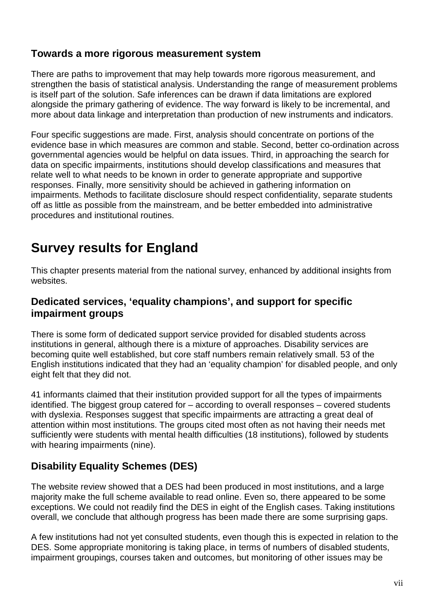#### **Towards a more rigorous measurement system**

There are paths to improvement that may help towards more rigorous measurement, and strengthen the basis of statistical analysis. Understanding the range of measurement problems is itself part of the solution. Safe inferences can be drawn if data limitations are explored alongside the primary gathering of evidence. The way forward is likely to be incremental, and more about data linkage and interpretation than production of new instruments and indicators.

Four specific suggestions are made. First, analysis should concentrate on portions of the evidence base in which measures are common and stable. Second, better co-ordination across governmental agencies would be helpful on data issues. Third, in approaching the search for data on specific impairments, institutions should develop classifications and measures that relate well to what needs to be known in order to generate appropriate and supportive responses. Finally, more sensitivity should be achieved in gathering information on impairments. Methods to facilitate disclosure should respect confidentiality, separate students off as little as possible from the mainstream, and be better embedded into administrative procedures and institutional routines.

## **Survey results for England**

This chapter presents material from the national survey, enhanced by additional insights from websites.

#### **Dedicated services, 'equality champions', and support for specific impairment groups**

There is some form of dedicated support service provided for disabled students across institutions in general, although there is a mixture of approaches. Disability services are becoming quite well established, but core staff numbers remain relatively small. 53 of the English institutions indicated that they had an 'equality champion' for disabled people, and only eight felt that they did not.

41 informants claimed that their institution provided support for all the types of impairments identified. The biggest group catered for – according to overall responses – covered students with dyslexia. Responses suggest that specific impairments are attracting a great deal of attention within most institutions. The groups cited most often as not having their needs met sufficiently were students with mental health difficulties (18 institutions), followed by students with hearing impairments (nine).

## **Disability Equality Schemes (DES)**

The website review showed that a DES had been produced in most institutions, and a large majority make the full scheme available to read online. Even so, there appeared to be some exceptions. We could not readily find the DES in eight of the English cases. Taking institutions overall, we conclude that although progress has been made there are some surprising gaps.

A few institutions had not yet consulted students, even though this is expected in relation to the DES. Some appropriate monitoring is taking place, in terms of numbers of disabled students, impairment groupings, courses taken and outcomes, but monitoring of other issues may be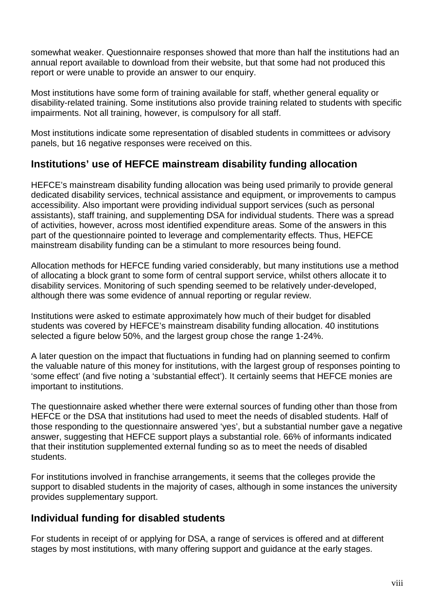somewhat weaker. Questionnaire responses showed that more than half the institutions had an annual report available to download from their website, but that some had not produced this report or were unable to provide an answer to our enquiry.

Most institutions have some form of training available for staff, whether general equality or disability-related training. Some institutions also provide training related to students with specific impairments. Not all training, however, is compulsory for all staff.

Most institutions indicate some representation of disabled students in committees or advisory panels, but 16 negative responses were received on this.

#### **Institutions' use of HEFCE mainstream disability funding allocation**

HEFCE's mainstream disability funding allocation was being used primarily to provide general dedicated disability services, technical assistance and equipment, or improvements to campus accessibility. Also important were providing individual support services (such as personal assistants), staff training, and supplementing DSA for individual students. There was a spread of activities, however, across most identified expenditure areas. Some of the answers in this part of the questionnaire pointed to leverage and complementarity effects. Thus, HEFCE mainstream disability funding can be a stimulant to more resources being found.

Allocation methods for HEFCE funding varied considerably, but many institutions use a method of allocating a block grant to some form of central support service, whilst others allocate it to disability services. Monitoring of such spending seemed to be relatively under-developed, although there was some evidence of annual reporting or regular review.

Institutions were asked to estimate approximately how much of their budget for disabled students was covered by HEFCE's mainstream disability funding allocation. 40 institutions selected a figure below 50%, and the largest group chose the range 1-24%.

A later question on the impact that fluctuations in funding had on planning seemed to confirm the valuable nature of this money for institutions, with the largest group of responses pointing to 'some effect' (and five noting a 'substantial effect'). It certainly seems that HEFCE monies are important to institutions.

The questionnaire asked whether there were external sources of funding other than those from HEFCE or the DSA that institutions had used to meet the needs of disabled students. Half of those responding to the questionnaire answered 'yes', but a substantial number gave a negative answer, suggesting that HEFCE support plays a substantial role. 66% of informants indicated that their institution supplemented external funding so as to meet the needs of disabled students.

For institutions involved in franchise arrangements, it seems that the colleges provide the support to disabled students in the majority of cases, although in some instances the university provides supplementary support.

#### **Individual funding for disabled students**

For students in receipt of or applying for DSA, a range of services is offered and at different stages by most institutions, with many offering support and guidance at the early stages.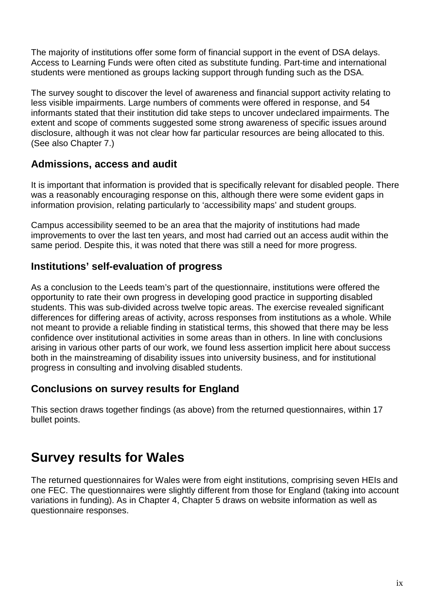The majority of institutions offer some form of financial support in the event of DSA delays. Access to Learning Funds were often cited as substitute funding. Part-time and international students were mentioned as groups lacking support through funding such as the DSA.

The survey sought to discover the level of awareness and financial support activity relating to less visible impairments. Large numbers of comments were offered in response, and 54 informants stated that their institution did take steps to uncover undeclared impairments. The extent and scope of comments suggested some strong awareness of specific issues around disclosure, although it was not clear how far particular resources are being allocated to this. (See also Chapter 7.)

#### **Admissions, access and audit**

It is important that information is provided that is specifically relevant for disabled people. There was a reasonably encouraging response on this, although there were some evident gaps in information provision, relating particularly to 'accessibility maps' and student groups.

Campus accessibility seemed to be an area that the majority of institutions had made improvements to over the last ten years, and most had carried out an access audit within the same period. Despite this, it was noted that there was still a need for more progress.

### **Institutions' self-evaluation of progress**

As a conclusion to the Leeds team's part of the questionnaire, institutions were offered the opportunity to rate their own progress in developing good practice in supporting disabled students. This was sub-divided across twelve topic areas. The exercise revealed significant differences for differing areas of activity, across responses from institutions as a whole. While not meant to provide a reliable finding in statistical terms, this showed that there may be less confidence over institutional activities in some areas than in others. In line with conclusions arising in various other parts of our work, we found less assertion implicit here about success both in the mainstreaming of disability issues into university business, and for institutional progress in consulting and involving disabled students.

### **Conclusions on survey results for England**

This section draws together findings (as above) from the returned questionnaires, within 17 bullet points.

## **Survey results for Wales**

The returned questionnaires for Wales were from eight institutions, comprising seven HEIs and one FEC. The questionnaires were slightly different from those for England (taking into account variations in funding). As in Chapter 4, Chapter 5 draws on website information as well as questionnaire responses.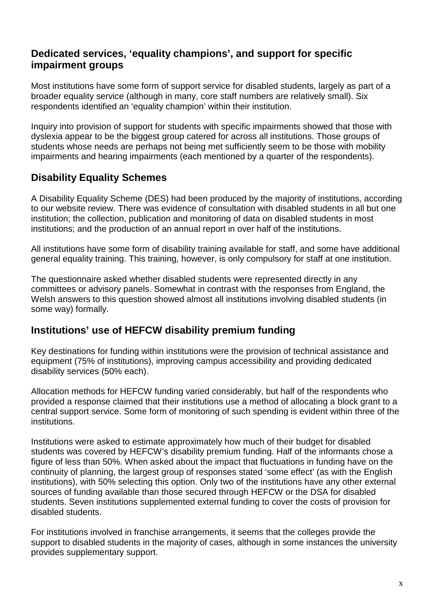### **Dedicated services, 'equality champions', and support for specific impairment groups**

Most institutions have some form of support service for disabled students, largely as part of a broader equality service (although in many, core staff numbers are relatively small). Six respondents identified an 'equality champion' within their institution.

Inquiry into provision of support for students with specific impairments showed that those with dyslexia appear to be the biggest group catered for across all institutions. Those groups of students whose needs are perhaps not being met sufficiently seem to be those with mobility impairments and hearing impairments (each mentioned by a quarter of the respondents).

## **Disability Equality Schemes**

A Disability Equality Scheme (DES) had been produced by the majority of institutions, according to our website review. There was evidence of consultation with disabled students in all but one institution; the collection, publication and monitoring of data on disabled students in most institutions; and the production of an annual report in over half of the institutions.

All institutions have some form of disability training available for staff, and some have additional general equality training. This training, however, is only compulsory for staff at one institution.

The questionnaire asked whether disabled students were represented directly in any committees or advisory panels. Somewhat in contrast with the responses from England, the Welsh answers to this question showed almost all institutions involving disabled students (in some way) formally.

#### **Institutions' use of HEFCW disability premium funding**

Key destinations for funding within institutions were the provision of technical assistance and equipment (75% of institutions), improving campus accessibility and providing dedicated disability services (50% each).

Allocation methods for HEFCW funding varied considerably, but half of the respondents who provided a response claimed that their institutions use a method of allocating a block grant to a central support service. Some form of monitoring of such spending is evident within three of the institutions.

Institutions were asked to estimate approximately how much of their budget for disabled students was covered by HEFCW's disability premium funding. Half of the informants chose a figure of less than 50%. When asked about the impact that fluctuations in funding have on the continuity of planning, the largest group of responses stated 'some effect' (as with the English institutions), with 50% selecting this option. Only two of the institutions have any other external sources of funding available than those secured through HEFCW or the DSA for disabled students. Seven institutions supplemented external funding to cover the costs of provision for disabled students.

For institutions involved in franchise arrangements, it seems that the colleges provide the support to disabled students in the majority of cases, although in some instances the university provides supplementary support.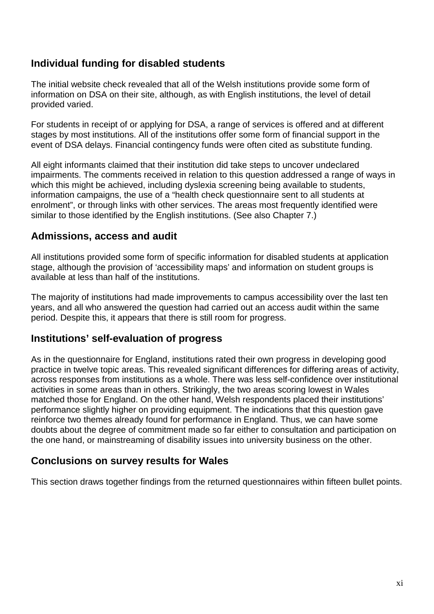### **Individual funding for disabled students**

The initial website check revealed that all of the Welsh institutions provide some form of information on DSA on their site, although, as with English institutions, the level of detail provided varied.

For students in receipt of or applying for DSA, a range of services is offered and at different stages by most institutions. All of the institutions offer some form of financial support in the event of DSA delays. Financial contingency funds were often cited as substitute funding.

All eight informants claimed that their institution did take steps to uncover undeclared impairments. The comments received in relation to this question addressed a range of ways in which this might be achieved, including dyslexia screening being available to students, information campaigns, the use of a "health check questionnaire sent to all students at enrolment", or through links with other services. The areas most frequently identified were similar to those identified by the English institutions. (See also Chapter 7.)

#### **Admissions, access and audit**

All institutions provided some form of specific information for disabled students at application stage, although the provision of 'accessibility maps' and information on student groups is available at less than half of the institutions.

The majority of institutions had made improvements to campus accessibility over the last ten years, and all who answered the question had carried out an access audit within the same period. Despite this, it appears that there is still room for progress.

#### **Institutions' self-evaluation of progress**

As in the questionnaire for England, institutions rated their own progress in developing good practice in twelve topic areas. This revealed significant differences for differing areas of activity, across responses from institutions as a whole. There was less self-confidence over institutional activities in some areas than in others. Strikingly, the two areas scoring lowest in Wales matched those for England. On the other hand, Welsh respondents placed their institutions' performance slightly higher on providing equipment. The indications that this question gave reinforce two themes already found for performance in England. Thus, we can have some doubts about the degree of commitment made so far either to consultation and participation on the one hand, or mainstreaming of disability issues into university business on the other.

#### **Conclusions on survey results for Wales**

This section draws together findings from the returned questionnaires within fifteen bullet points.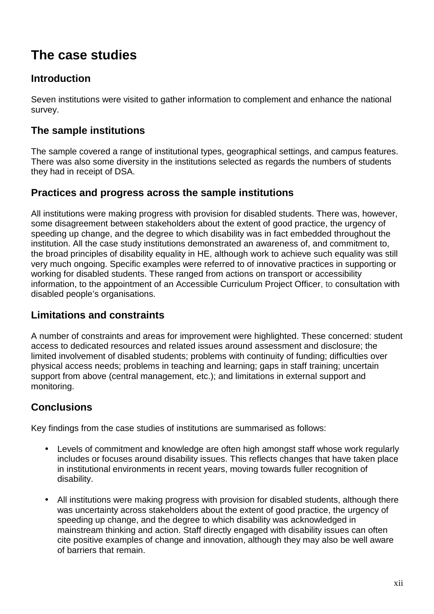## **The case studies**

### **Introduction**

Seven institutions were visited to gather information to complement and enhance the national survey.

### **The sample institutions**

The sample covered a range of institutional types, geographical settings, and campus features. There was also some diversity in the institutions selected as regards the numbers of students they had in receipt of DSA.

#### **Practices and progress across the sample institutions**

All institutions were making progress with provision for disabled students. There was, however, some disagreement between stakeholders about the extent of good practice, the urgency of speeding up change, and the degree to which disability was in fact embedded throughout the institution. All the case study institutions demonstrated an awareness of, and commitment to, the broad principles of disability equality in HE, although work to achieve such equality was still very much ongoing. Specific examples were referred to of innovative practices in supporting or working for disabled students. These ranged from actions on transport or accessibility information, to the appointment of an Accessible Curriculum Project Officer, to consultation with disabled people's organisations.

#### **Limitations and constraints**

A number of constraints and areas for improvement were highlighted. These concerned: student access to dedicated resources and related issues around assessment and disclosure; the limited involvement of disabled students; problems with continuity of funding; difficulties over physical access needs; problems in teaching and learning; gaps in staff training; uncertain support from above (central management, etc.); and limitations in external support and monitoring.

### **Conclusions**

Key findings from the case studies of institutions are summarised as follows:

- Levels of commitment and knowledge are often high amongst staff whose work regularly includes or focuses around disability issues. This reflects changes that have taken place in institutional environments in recent years, moving towards fuller recognition of disability.
- All institutions were making progress with provision for disabled students, although there was uncertainty across stakeholders about the extent of good practice, the urgency of speeding up change, and the degree to which disability was acknowledged in mainstream thinking and action. Staff directly engaged with disability issues can often cite positive examples of change and innovation, although they may also be well aware of barriers that remain.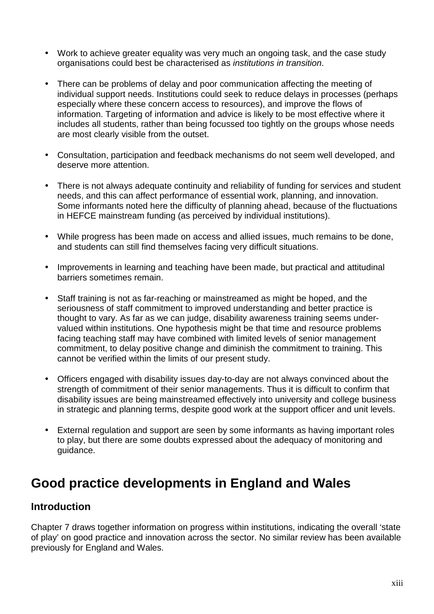- Work to achieve greater equality was very much an ongoing task, and the case study organisations could best be characterised as institutions in transition.
- There can be problems of delay and poor communication affecting the meeting of individual support needs. Institutions could seek to reduce delays in processes (perhaps especially where these concern access to resources), and improve the flows of information. Targeting of information and advice is likely to be most effective where it includes all students, rather than being focussed too tightly on the groups whose needs are most clearly visible from the outset.
- Consultation, participation and feedback mechanisms do not seem well developed, and deserve more attention.
- There is not always adequate continuity and reliability of funding for services and student needs, and this can affect performance of essential work, planning, and innovation. Some informants noted here the difficulty of planning ahead, because of the fluctuations in HEFCE mainstream funding (as perceived by individual institutions).
- While progress has been made on access and allied issues, much remains to be done, and students can still find themselves facing very difficult situations.
- Improvements in learning and teaching have been made, but practical and attitudinal barriers sometimes remain.
- Staff training is not as far-reaching or mainstreamed as might be hoped, and the seriousness of staff commitment to improved understanding and better practice is thought to vary. As far as we can judge, disability awareness training seems undervalued within institutions. One hypothesis might be that time and resource problems facing teaching staff may have combined with limited levels of senior management commitment, to delay positive change and diminish the commitment to training. This cannot be verified within the limits of our present study.
- Officers engaged with disability issues day-to-day are not always convinced about the strength of commitment of their senior managements. Thus it is difficult to confirm that disability issues are being mainstreamed effectively into university and college business in strategic and planning terms, despite good work at the support officer and unit levels.
- External regulation and support are seen by some informants as having important roles to play, but there are some doubts expressed about the adequacy of monitoring and guidance.

## **Good practice developments in England and Wales**

#### **Introduction**

Chapter 7 draws together information on progress within institutions, indicating the overall 'state of play' on good practice and innovation across the sector. No similar review has been available previously for England and Wales.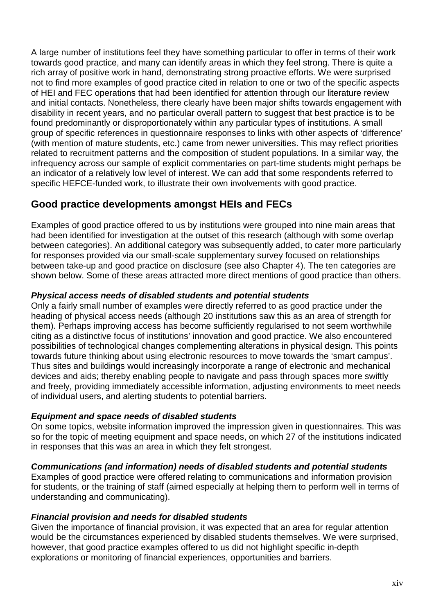A large number of institutions feel they have something particular to offer in terms of their work towards good practice, and many can identify areas in which they feel strong. There is quite a rich array of positive work in hand, demonstrating strong proactive efforts. We were surprised not to find more examples of good practice cited in relation to one or two of the specific aspects of HEI and FEC operations that had been identified for attention through our literature review and initial contacts. Nonetheless, there clearly have been major shifts towards engagement with disability in recent years, and no particular overall pattern to suggest that best practice is to be found predominantly or disproportionately within any particular types of institutions. A small group of specific references in questionnaire responses to links with other aspects of 'difference' (with mention of mature students, etc.) came from newer universities. This may reflect priorities related to recruitment patterns and the composition of student populations. In a similar way, the infrequency across our sample of explicit commentaries on part-time students might perhaps be an indicator of a relatively low level of interest. We can add that some respondents referred to specific HEFCE-funded work, to illustrate their own involvements with good practice.

## **Good practice developments amongst HEIs and FECs**

Examples of good practice offered to us by institutions were grouped into nine main areas that had been identified for investigation at the outset of this research (although with some overlap between categories). An additional category was subsequently added, to cater more particularly for responses provided via our small-scale supplementary survey focused on relationships between take-up and good practice on disclosure (see also Chapter 4). The ten categories are shown below. Some of these areas attracted more direct mentions of good practice than others.

#### **Physical access needs of disabled students and potential students**

Only a fairly small number of examples were directly referred to as good practice under the heading of physical access needs (although 20 institutions saw this as an area of strength for them). Perhaps improving access has become sufficiently regularised to not seem worthwhile citing as a distinctive focus of institutions' innovation and good practice. We also encountered possibilities of technological changes complementing alterations in physical design. This points towards future thinking about using electronic resources to move towards the 'smart campus'. Thus sites and buildings would increasingly incorporate a range of electronic and mechanical devices and aids; thereby enabling people to navigate and pass through spaces more swiftly and freely, providing immediately accessible information, adjusting environments to meet needs of individual users, and alerting students to potential barriers.

#### **Equipment and space needs of disabled students**

On some topics, website information improved the impression given in questionnaires. This was so for the topic of meeting equipment and space needs, on which 27 of the institutions indicated in responses that this was an area in which they felt strongest.

#### **Communications (and information) needs of disabled students and potential students**

Examples of good practice were offered relating to communications and information provision for students, or the training of staff (aimed especially at helping them to perform well in terms of understanding and communicating).

#### **Financial provision and needs for disabled students**

Given the importance of financial provision, it was expected that an area for regular attention would be the circumstances experienced by disabled students themselves. We were surprised, however, that good practice examples offered to us did not highlight specific in-depth explorations or monitoring of financial experiences, opportunities and barriers.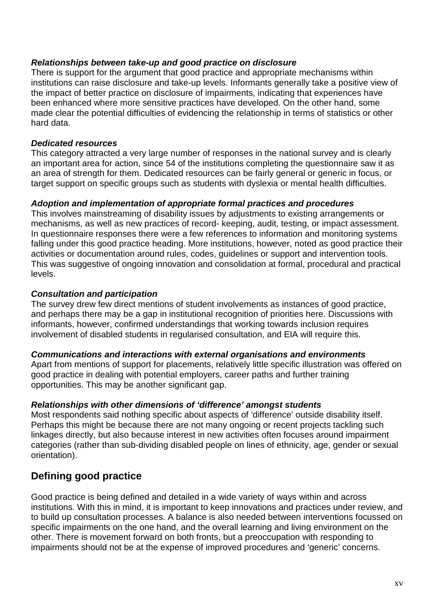#### **Relationships between take-up and good practice on disclosure**

There is support for the argument that good practice and appropriate mechanisms within institutions can raise disclosure and take-up levels. Informants generally take a positive view of the impact of better practice on disclosure of impairments, indicating that experiences have been enhanced where more sensitive practices have developed. On the other hand, some made clear the potential difficulties of evidencing the relationship in terms of statistics or other hard data.

#### **Dedicated resources**

This category attracted a very large number of responses in the national survey and is clearly an important area for action, since 54 of the institutions completing the questionnaire saw it as an area of strength for them. Dedicated resources can be fairly general or generic in focus, or target support on specific groups such as students with dyslexia or mental health difficulties.

#### **Adoption and implementation of appropriate formal practices and procedures**

This involves mainstreaming of disability issues by adjustments to existing arrangements or mechanisms, as well as new practices of record- keeping, audit, testing, or impact assessment. In questionnaire responses there were a few references to information and monitoring systems falling under this good practice heading. More institutions, however, noted as good practice their activities or documentation around rules, codes, guidelines or support and intervention tools. This was suggestive of ongoing innovation and consolidation at formal, procedural and practical levels.

#### **Consultation and participation**

The survey drew few direct mentions of student involvements as instances of good practice, and perhaps there may be a gap in institutional recognition of priorities here. Discussions with informants, however, confirmed understandings that working towards inclusion requires involvement of disabled students in regularised consultation, and EIA will require this.

#### **Communications and interactions with external organisations and environments**

Apart from mentions of support for placements, relatively little specific illustration was offered on good practice in dealing with potential employers, career paths and further training opportunities. This may be another significant gap.

#### **Relationships with other dimensions of 'difference' amongst students**

Most respondents said nothing specific about aspects of 'difference' outside disability itself. Perhaps this might be because there are not many ongoing or recent projects tackling such linkages directly, but also because interest in new activities often focuses around impairment categories (rather than sub-dividing disabled people on lines of ethnicity, age, gender or sexual orientation).

### **Defining good practice**

Good practice is being defined and detailed in a wide variety of ways within and across institutions. With this in mind, it is important to keep innovations and practices under review, and to build up consultation processes. A balance is also needed between interventions focussed on specific impairments on the one hand, and the overall learning and living environment on the other. There is movement forward on both fronts, but a preoccupation with responding to impairments should not be at the expense of improved procedures and 'generic' concerns.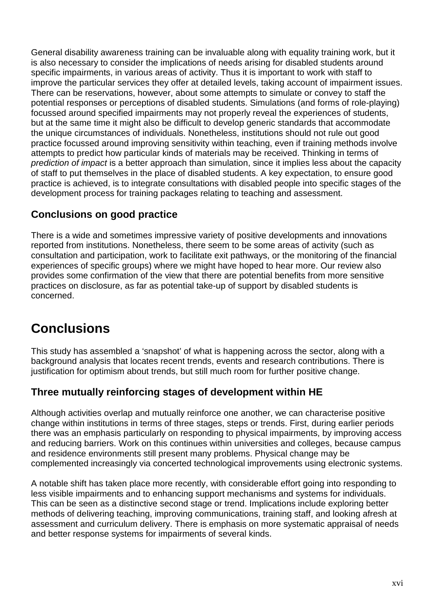General disability awareness training can be invaluable along with equality training work, but it is also necessary to consider the implications of needs arising for disabled students around specific impairments, in various areas of activity. Thus it is important to work with staff to improve the particular services they offer at detailed levels, taking account of impairment issues. There can be reservations, however, about some attempts to simulate or convey to staff the potential responses or perceptions of disabled students. Simulations (and forms of role-playing) focussed around specified impairments may not properly reveal the experiences of students, but at the same time it might also be difficult to develop generic standards that accommodate the unique circumstances of individuals. Nonetheless, institutions should not rule out good practice focussed around improving sensitivity within teaching, even if training methods involve attempts to predict how particular kinds of materials may be received. Thinking in terms of prediction of impact is a better approach than simulation, since it implies less about the capacity of staff to put themselves in the place of disabled students. A key expectation, to ensure good practice is achieved, is to integrate consultations with disabled people into specific stages of the development process for training packages relating to teaching and assessment.

### **Conclusions on good practice**

There is a wide and sometimes impressive variety of positive developments and innovations reported from institutions. Nonetheless, there seem to be some areas of activity (such as consultation and participation, work to facilitate exit pathways, or the monitoring of the financial experiences of specific groups) where we might have hoped to hear more. Our review also provides some confirmation of the view that there are potential benefits from more sensitive practices on disclosure, as far as potential take-up of support by disabled students is concerned.

## **Conclusions**

This study has assembled a 'snapshot' of what is happening across the sector, along with a background analysis that locates recent trends, events and research contributions. There is justification for optimism about trends, but still much room for further positive change.

## **Three mutually reinforcing stages of development within HE**

Although activities overlap and mutually reinforce one another, we can characterise positive change within institutions in terms of three stages, steps or trends. First, during earlier periods there was an emphasis particularly on responding to physical impairments, by improving access and reducing barriers. Work on this continues within universities and colleges, because campus and residence environments still present many problems. Physical change may be complemented increasingly via concerted technological improvements using electronic systems.

A notable shift has taken place more recently, with considerable effort going into responding to less visible impairments and to enhancing support mechanisms and systems for individuals. This can be seen as a distinctive second stage or trend. Implications include exploring better methods of delivering teaching, improving communications, training staff, and looking afresh at assessment and curriculum delivery. There is emphasis on more systematic appraisal of needs and better response systems for impairments of several kinds.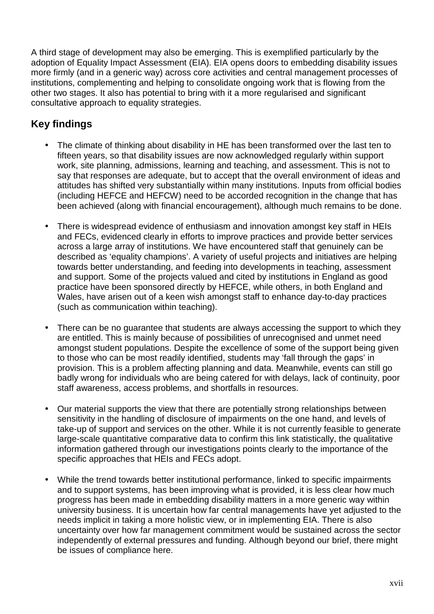A third stage of development may also be emerging. This is exemplified particularly by the adoption of Equality Impact Assessment (EIA). EIA opens doors to embedding disability issues more firmly (and in a generic way) across core activities and central management processes of institutions, complementing and helping to consolidate ongoing work that is flowing from the other two stages. It also has potential to bring with it a more regularised and significant consultative approach to equality strategies.

## **Key findings**

- The climate of thinking about disability in HE has been transformed over the last ten to fifteen years, so that disability issues are now acknowledged regularly within support work, site planning, admissions, learning and teaching, and assessment. This is not to say that responses are adequate, but to accept that the overall environment of ideas and attitudes has shifted very substantially within many institutions. Inputs from official bodies (including HEFCE and HEFCW) need to be accorded recognition in the change that has been achieved (along with financial encouragement), although much remains to be done.
- There is widespread evidence of enthusiasm and innovation amongst key staff in HEIs and FECs, evidenced clearly in efforts to improve practices and provide better services across a large array of institutions. We have encountered staff that genuinely can be described as 'equality champions'. A variety of useful projects and initiatives are helping towards better understanding, and feeding into developments in teaching, assessment and support. Some of the projects valued and cited by institutions in England as good practice have been sponsored directly by HEFCE, while others, in both England and Wales, have arisen out of a keen wish amongst staff to enhance day-to-day practices (such as communication within teaching).
- There can be no guarantee that students are always accessing the support to which they are entitled. This is mainly because of possibilities of unrecognised and unmet need amongst student populations. Despite the excellence of some of the support being given to those who can be most readily identified, students may 'fall through the gaps' in provision. This is a problem affecting planning and data. Meanwhile, events can still go badly wrong for individuals who are being catered for with delays, lack of continuity, poor staff awareness, access problems, and shortfalls in resources.
- Our material supports the view that there are potentially strong relationships between sensitivity in the handling of disclosure of impairments on the one hand, and levels of take-up of support and services on the other. While it is not currently feasible to generate large-scale quantitative comparative data to confirm this link statistically, the qualitative information gathered through our investigations points clearly to the importance of the specific approaches that HEIs and FECs adopt.
- While the trend towards better institutional performance, linked to specific impairments and to support systems, has been improving what is provided, it is less clear how much progress has been made in embedding disability matters in a more generic way within university business. It is uncertain how far central managements have yet adjusted to the needs implicit in taking a more holistic view, or in implementing EIA. There is also uncertainty over how far management commitment would be sustained across the sector independently of external pressures and funding. Although beyond our brief, there might be issues of compliance here.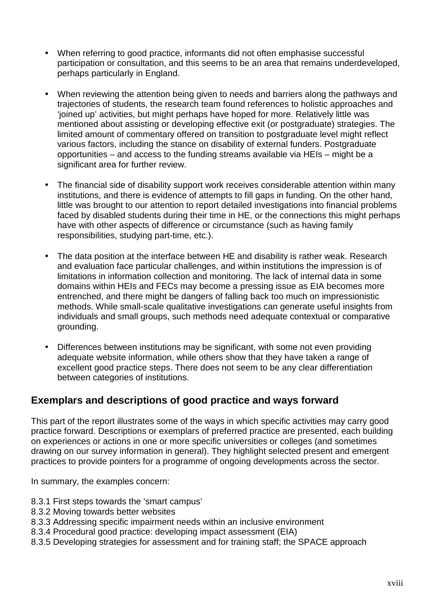- When referring to good practice, informants did not often emphasise successful participation or consultation, and this seems to be an area that remains underdeveloped, perhaps particularly in England.
- When reviewing the attention being given to needs and barriers along the pathways and trajectories of students, the research team found references to holistic approaches and 'joined up' activities, but might perhaps have hoped for more. Relatively little was mentioned about assisting or developing effective exit (or postgraduate) strategies. The limited amount of commentary offered on transition to postgraduate level might reflect various factors, including the stance on disability of external funders. Postgraduate opportunities – and access to the funding streams available via HEIs – might be a significant area for further review.
- The financial side of disability support work receives considerable attention within many institutions, and there is evidence of attempts to fill gaps in funding. On the other hand, little was brought to our attention to report detailed investigations into financial problems faced by disabled students during their time in HE, or the connections this might perhaps have with other aspects of difference or circumstance (such as having family responsibilities, studying part-time, etc.).
- The data position at the interface between HE and disability is rather weak. Research and evaluation face particular challenges, and within institutions the impression is of limitations in information collection and monitoring. The lack of internal data in some domains within HEIs and FECs may become a pressing issue as EIA becomes more entrenched, and there might be dangers of falling back too much on impressionistic methods. While small-scale qualitative investigations can generate useful insights from individuals and small groups, such methods need adequate contextual or comparative grounding.
- Differences between institutions may be significant, with some not even providing adequate website information, while others show that they have taken a range of excellent good practice steps. There does not seem to be any clear differentiation between categories of institutions.

### **Exemplars and descriptions of good practice and ways forward**

This part of the report illustrates some of the ways in which specific activities may carry good practice forward. Descriptions or exemplars of preferred practice are presented, each building on experiences or actions in one or more specific universities or colleges (and sometimes drawing on our survey information in general). They highlight selected present and emergent practices to provide pointers for a programme of ongoing developments across the sector.

In summary, the examples concern:

- 8.3.1 First steps towards the 'smart campus'
- 8.3.2 Moving towards better websites
- 8.3.3 Addressing specific impairment needs within an inclusive environment
- 8.3.4 Procedural good practice: developing impact assessment (EIA)
- 8.3.5 Developing strategies for assessment and for training staff; the SPACE approach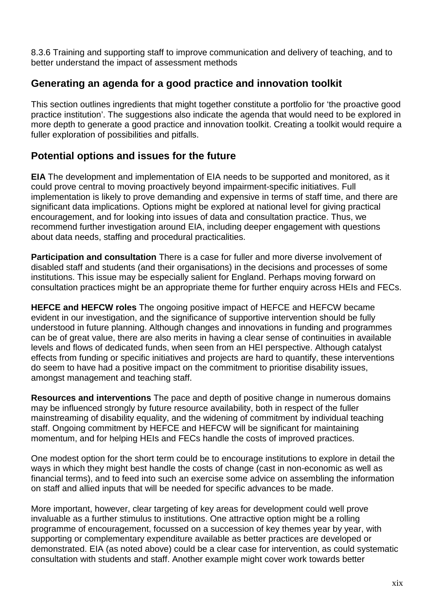8.3.6 Training and supporting staff to improve communication and delivery of teaching, and to better understand the impact of assessment methods

### **Generating an agenda for a good practice and innovation toolkit**

This section outlines ingredients that might together constitute a portfolio for 'the proactive good practice institution'. The suggestions also indicate the agenda that would need to be explored in more depth to generate a good practice and innovation toolkit. Creating a toolkit would require a fuller exploration of possibilities and pitfalls.

### **Potential options and issues for the future**

**EIA** The development and implementation of EIA needs to be supported and monitored, as it could prove central to moving proactively beyond impairment-specific initiatives. Full implementation is likely to prove demanding and expensive in terms of staff time, and there are significant data implications. Options might be explored at national level for giving practical encouragement, and for looking into issues of data and consultation practice. Thus, we recommend further investigation around EIA, including deeper engagement with questions about data needs, staffing and procedural practicalities.

**Participation and consultation** There is a case for fuller and more diverse involvement of disabled staff and students (and their organisations) in the decisions and processes of some institutions. This issue may be especially salient for England. Perhaps moving forward on consultation practices might be an appropriate theme for further enquiry across HEIs and FECs.

**HEFCE and HEFCW roles** The ongoing positive impact of HEFCE and HEFCW became evident in our investigation, and the significance of supportive intervention should be fully understood in future planning. Although changes and innovations in funding and programmes can be of great value, there are also merits in having a clear sense of continuities in available levels and flows of dedicated funds, when seen from an HEI perspective. Although catalyst effects from funding or specific initiatives and projects are hard to quantify, these interventions do seem to have had a positive impact on the commitment to prioritise disability issues, amongst management and teaching staff.

**Resources and interventions** The pace and depth of positive change in numerous domains may be influenced strongly by future resource availability, both in respect of the fuller mainstreaming of disability equality, and the widening of commitment by individual teaching staff. Ongoing commitment by HEFCE and HEFCW will be significant for maintaining momentum, and for helping HEIs and FECs handle the costs of improved practices.

One modest option for the short term could be to encourage institutions to explore in detail the ways in which they might best handle the costs of change (cast in non-economic as well as financial terms), and to feed into such an exercise some advice on assembling the information on staff and allied inputs that will be needed for specific advances to be made.

More important, however, clear targeting of key areas for development could well prove invaluable as a further stimulus to institutions. One attractive option might be a rolling programme of encouragement, focussed on a succession of key themes year by year, with supporting or complementary expenditure available as better practices are developed or demonstrated. EIA (as noted above) could be a clear case for intervention, as could systematic consultation with students and staff. Another example might cover work towards better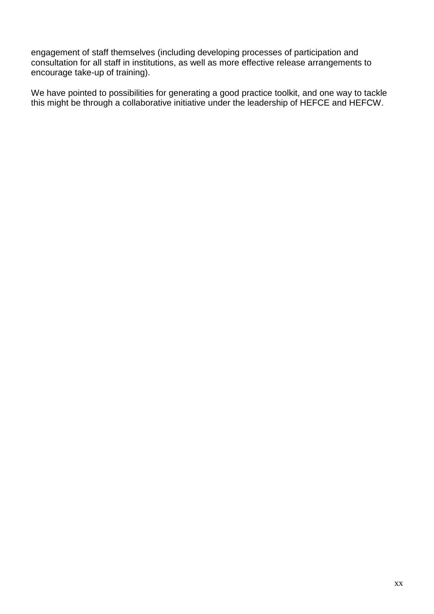engagement of staff themselves (including developing processes of participation and consultation for all staff in institutions, as well as more effective release arrangements to encourage take-up of training).

We have pointed to possibilities for generating a good practice toolkit, and one way to tackle this might be through a collaborative initiative under the leadership of HEFCE and HEFCW.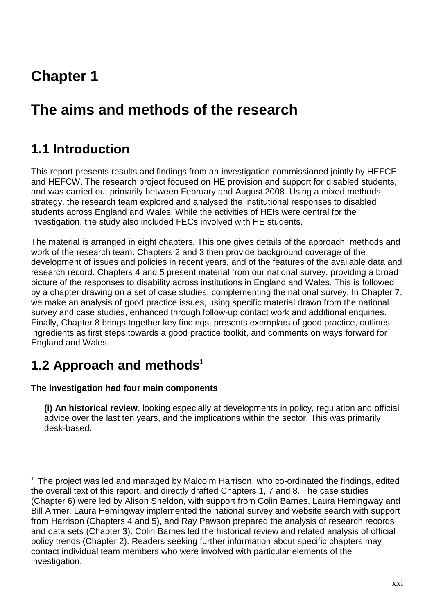## **Chapter 1**

## **The aims and methods of the research**

## **1.1 Introduction**

This report presents results and findings from an investigation commissioned jointly by HEFCE and HEFCW. The research project focused on HE provision and support for disabled students, and was carried out primarily between February and August 2008. Using a mixed methods strategy, the research team explored and analysed the institutional responses to disabled students across England and Wales. While the activities of HEIs were central for the investigation, the study also included FECs involved with HE students.

The material is arranged in eight chapters. This one gives details of the approach, methods and work of the research team. Chapters 2 and 3 then provide background coverage of the development of issues and policies in recent years, and of the features of the available data and research record. Chapters 4 and 5 present material from our national survey, providing a broad picture of the responses to disability across institutions in England and Wales. This is followed by a chapter drawing on a set of case studies, complementing the national survey. In Chapter 7, we make an analysis of good practice issues, using specific material drawn from the national survey and case studies, enhanced through follow-up contact work and additional enquiries. Finally, Chapter 8 brings together key findings, presents exemplars of good practice, outlines ingredients as first steps towards a good practice toolkit, and comments on ways forward for England and Wales.

## **1.2 Approach and methods**<sup>1</sup>

 $\overline{a}$ 

#### **The investigation had four main components**:

**(i) An historical review**, looking especially at developments in policy, regulation and official advice over the last ten years, and the implications within the sector. This was primarily desk-based.

<sup>&</sup>lt;sup>1</sup> The project was led and managed by Malcolm Harrison, who co-ordinated the findings, edited the overall text of this report, and directly drafted Chapters 1, 7 and 8. The case studies (Chapter 6) were led by Alison Sheldon, with support from Colin Barnes, Laura Hemingway and Bill Armer. Laura Hemingway implemented the national survey and website search with support from Harrison (Chapters 4 and 5), and Ray Pawson prepared the analysis of research records and data sets (Chapter 3). Colin Barnes led the historical review and related analysis of official policy trends (Chapter 2). Readers seeking further information about specific chapters may contact individual team members who were involved with particular elements of the investigation.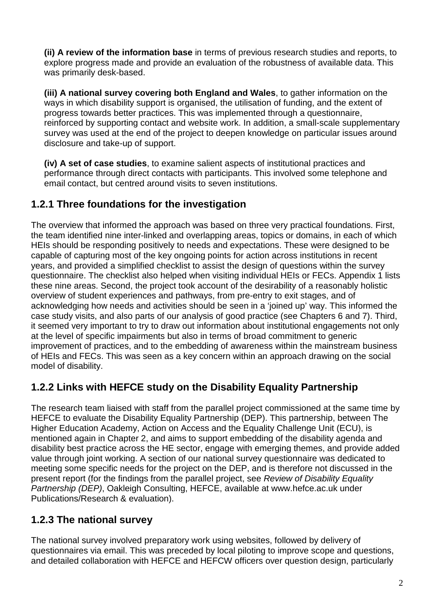**(ii) A review of the information base** in terms of previous research studies and reports, to explore progress made and provide an evaluation of the robustness of available data. This was primarily desk-based.

**(iii) A national survey covering both England and Wales**, to gather information on the ways in which disability support is organised, the utilisation of funding, and the extent of progress towards better practices. This was implemented through a questionnaire, reinforced by supporting contact and website work. In addition, a small-scale supplementary survey was used at the end of the project to deepen knowledge on particular issues around disclosure and take-up of support.

**(iv) A set of case studies**, to examine salient aspects of institutional practices and performance through direct contacts with participants. This involved some telephone and email contact, but centred around visits to seven institutions.

## **1.2.1 Three foundations for the investigation**

The overview that informed the approach was based on three very practical foundations. First, the team identified nine inter-linked and overlapping areas, topics or domains, in each of which HEIs should be responding positively to needs and expectations. These were designed to be capable of capturing most of the key ongoing points for action across institutions in recent years, and provided a simplified checklist to assist the design of questions within the survey questionnaire. The checklist also helped when visiting individual HEIs or FECs. Appendix 1 lists these nine areas. Second, the project took account of the desirability of a reasonably holistic overview of student experiences and pathways, from pre-entry to exit stages, and of acknowledging how needs and activities should be seen in a 'joined up' way. This informed the case study visits, and also parts of our analysis of good practice (see Chapters 6 and 7). Third, it seemed very important to try to draw out information about institutional engagements not only at the level of specific impairments but also in terms of broad commitment to generic improvement of practices, and to the embedding of awareness within the mainstream business of HEIs and FECs. This was seen as a key concern within an approach drawing on the social model of disability.

## **1.2.2 Links with HEFCE study on the Disability Equality Partnership**

The research team liaised with staff from the parallel project commissioned at the same time by HEFCE to evaluate the Disability Equality Partnership (DEP). This partnership, between The Higher Education Academy, Action on Access and the Equality Challenge Unit (ECU), is mentioned again in Chapter 2, and aims to support embedding of the disability agenda and disability best practice across the HE sector, engage with emerging themes, and provide added value through joint working. A section of our national survey questionnaire was dedicated to meeting some specific needs for the project on the DEP, and is therefore not discussed in the present report (for the findings from the parallel project, see Review of Disability Equality Partnership (DEP), Oakleigh Consulting, HEFCE, available at www.hefce.ac.uk under Publications/Research & evaluation).

## **1.2.3 The national survey**

The national survey involved preparatory work using websites, followed by delivery of questionnaires via email. This was preceded by local piloting to improve scope and questions, and detailed collaboration with HEFCE and HEFCW officers over question design, particularly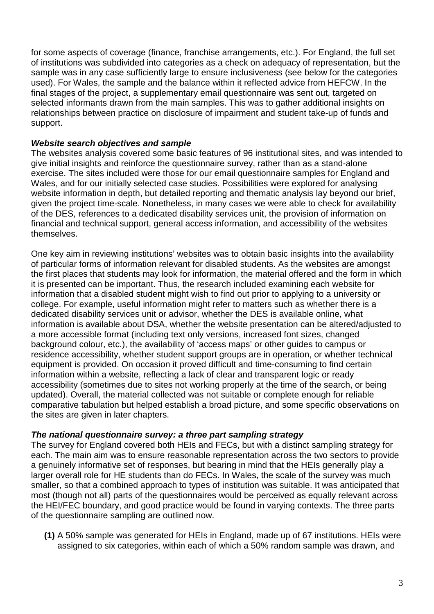for some aspects of coverage (finance, franchise arrangements, etc.). For England, the full set of institutions was subdivided into categories as a check on adequacy of representation, but the sample was in any case sufficiently large to ensure inclusiveness (see below for the categories used). For Wales, the sample and the balance within it reflected advice from HEFCW. In the final stages of the project, a supplementary email questionnaire was sent out, targeted on selected informants drawn from the main samples. This was to gather additional insights on relationships between practice on disclosure of impairment and student take-up of funds and support.

#### **Website search objectives and sample**

The websites analysis covered some basic features of 96 institutional sites, and was intended to give initial insights and reinforce the questionnaire survey, rather than as a stand-alone exercise. The sites included were those for our email questionnaire samples for England and Wales, and for our initially selected case studies. Possibilities were explored for analysing website information in depth, but detailed reporting and thematic analysis lay beyond our brief, given the project time-scale. Nonetheless, in many cases we were able to check for availability of the DES, references to a dedicated disability services unit, the provision of information on financial and technical support, general access information, and accessibility of the websites themselves.

One key aim in reviewing institutions' websites was to obtain basic insights into the availability of particular forms of information relevant for disabled students. As the websites are amongst the first places that students may look for information, the material offered and the form in which it is presented can be important. Thus, the research included examining each website for information that a disabled student might wish to find out prior to applying to a university or college. For example, useful information might refer to matters such as whether there is a dedicated disability services unit or advisor, whether the DES is available online, what information is available about DSA, whether the website presentation can be altered/adjusted to a more accessible format (including text only versions, increased font sizes, changed background colour, etc.), the availability of 'access maps' or other guides to campus or residence accessibility, whether student support groups are in operation, or whether technical equipment is provided. On occasion it proved difficult and time-consuming to find certain information within a website, reflecting a lack of clear and transparent logic or ready accessibility (sometimes due to sites not working properly at the time of the search, or being updated). Overall, the material collected was not suitable or complete enough for reliable comparative tabulation but helped establish a broad picture, and some specific observations on the sites are given in later chapters.

#### **The national questionnaire survey: a three part sampling strategy**

The survey for England covered both HEIs and FECs, but with a distinct sampling strategy for each. The main aim was to ensure reasonable representation across the two sectors to provide a genuinely informative set of responses, but bearing in mind that the HEIs generally play a larger overall role for HE students than do FECs. In Wales, the scale of the survey was much smaller, so that a combined approach to types of institution was suitable. It was anticipated that most (though not all) parts of the questionnaires would be perceived as equally relevant across the HEI/FEC boundary, and good practice would be found in varying contexts. The three parts of the questionnaire sampling are outlined now.

**(1)** A 50% sample was generated for HEIs in England, made up of 67 institutions. HEIs were assigned to six categories, within each of which a 50% random sample was drawn, and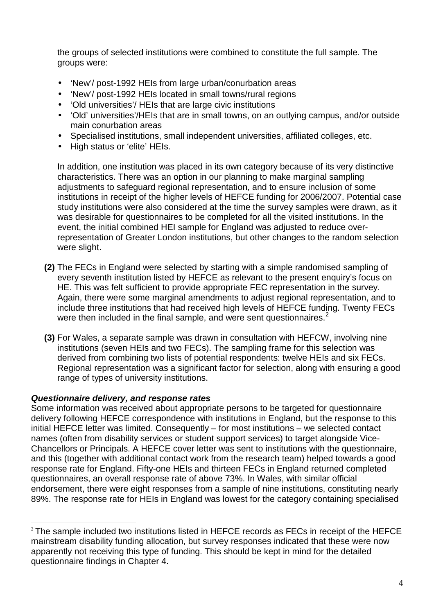the groups of selected institutions were combined to constitute the full sample. The groups were:

- 'New'/ post-1992 HEIs from large urban/conurbation areas
- 'New'/ post-1992 HEIs located in small towns/rural regions
- 'Old universities'/ HEIs that are large civic institutions
- 'Old' universities'/HEIs that are in small towns, on an outlying campus, and/or outside main conurbation areas
- Specialised institutions, small independent universities, affiliated colleges, etc.
- High status or 'elite' HEIs.

In addition, one institution was placed in its own category because of its very distinctive characteristics. There was an option in our planning to make marginal sampling adjustments to safeguard regional representation, and to ensure inclusion of some institutions in receipt of the higher levels of HEFCE funding for 2006/2007. Potential case study institutions were also considered at the time the survey samples were drawn, as it was desirable for questionnaires to be completed for all the visited institutions. In the event, the initial combined HEI sample for England was adjusted to reduce overrepresentation of Greater London institutions, but other changes to the random selection were slight.

- **(2)** The FECs in England were selected by starting with a simple randomised sampling of every seventh institution listed by HEFCE as relevant to the present enquiry's focus on HE. This was felt sufficient to provide appropriate FEC representation in the survey. Again, there were some marginal amendments to adjust regional representation, and to include three institutions that had received high levels of HEFCE funding. Twenty FECs were then included in the final sample, and were sent questionnaires.<sup>2</sup>
- **(3)** For Wales, a separate sample was drawn in consultation with HEFCW, involving nine institutions (seven HEIs and two FECs). The sampling frame for this selection was derived from combining two lists of potential respondents: twelve HEIs and six FECs. Regional representation was a significant factor for selection, along with ensuring a good range of types of university institutions.

#### **Questionnaire delivery, and response rates**

Some information was received about appropriate persons to be targeted for questionnaire delivery following HEFCE correspondence with institutions in England, but the response to this initial HEFCE letter was limited. Consequently – for most institutions – we selected contact names (often from disability services or student support services) to target alongside Vice-Chancellors or Principals. A HEFCE cover letter was sent to institutions with the questionnaire, and this (together with additional contact work from the research team) helped towards a good response rate for England. Fifty-one HEIs and thirteen FECs in England returned completed questionnaires, an overall response rate of above 73%. In Wales, with similar official endorsement, there were eight responses from a sample of nine institutions, constituting nearly 89%. The response rate for HEIs in England was lowest for the category containing specialised

 $\overline{a}$ <sup>2</sup> The sample included two institutions listed in HEFCE records as FECs in receipt of the HEFCE mainstream disability funding allocation, but survey responses indicated that these were now apparently not receiving this type of funding. This should be kept in mind for the detailed questionnaire findings in Chapter 4.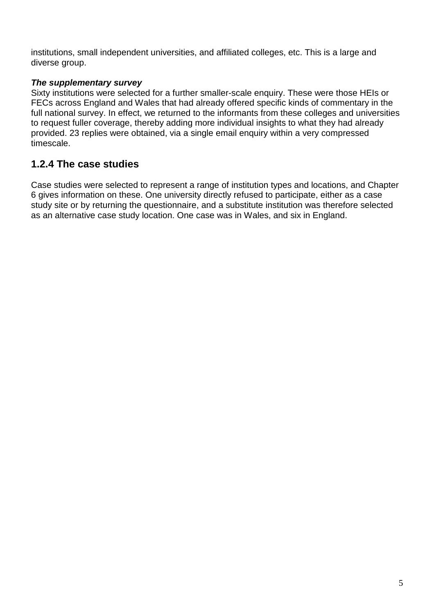institutions, small independent universities, and affiliated colleges, etc. This is a large and diverse group.

#### **The supplementary survey**

Sixty institutions were selected for a further smaller-scale enquiry. These were those HEIs or FECs across England and Wales that had already offered specific kinds of commentary in the full national survey. In effect, we returned to the informants from these colleges and universities to request fuller coverage, thereby adding more individual insights to what they had already provided. 23 replies were obtained, via a single email enquiry within a very compressed timescale.

### **1.2.4 The case studies**

Case studies were selected to represent a range of institution types and locations, and Chapter 6 gives information on these. One university directly refused to participate, either as a case study site or by returning the questionnaire, and a substitute institution was therefore selected as an alternative case study location. One case was in Wales, and six in England.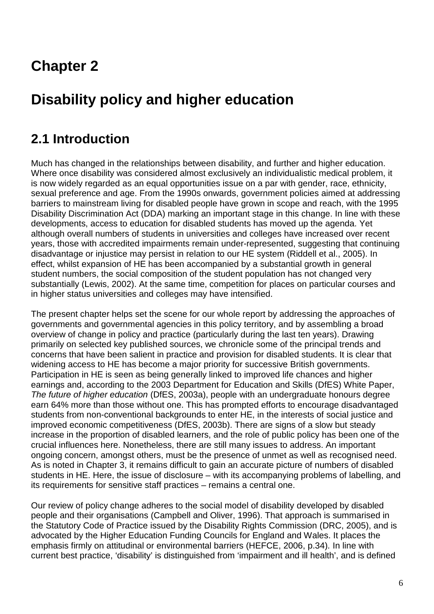## **Chapter 2**

## **Disability policy and higher education**

## **2.1 Introduction**

Much has changed in the relationships between disability, and further and higher education. Where once disability was considered almost exclusively an individualistic medical problem, it is now widely regarded as an equal opportunities issue on a par with gender, race, ethnicity, sexual preference and age. From the 1990s onwards, government policies aimed at addressing barriers to mainstream living for disabled people have grown in scope and reach, with the 1995 Disability Discrimination Act (DDA) marking an important stage in this change. In line with these developments, access to education for disabled students has moved up the agenda. Yet although overall numbers of students in universities and colleges have increased over recent years, those with accredited impairments remain under-represented, suggesting that continuing disadvantage or injustice may persist in relation to our HE system (Riddell et al., 2005). In effect, whilst expansion of HE has been accompanied by a substantial growth in general student numbers, the social composition of the student population has not changed very substantially (Lewis, 2002). At the same time, competition for places on particular courses and in higher status universities and colleges may have intensified.

The present chapter helps set the scene for our whole report by addressing the approaches of governments and governmental agencies in this policy territory, and by assembling a broad overview of change in policy and practice (particularly during the last ten years). Drawing primarily on selected key published sources, we chronicle some of the principal trends and concerns that have been salient in practice and provision for disabled students. It is clear that widening access to HE has become a major priority for successive British governments. Participation in HE is seen as being generally linked to improved life chances and higher earnings and, according to the 2003 Department for Education and Skills (DfES) White Paper, The future of higher education (DfES, 2003a), people with an undergraduate honours degree earn 64% more than those without one. This has prompted efforts to encourage disadvantaged students from non-conventional backgrounds to enter HE, in the interests of social justice and improved economic competitiveness (DfES, 2003b). There are signs of a slow but steady increase in the proportion of disabled learners, and the role of public policy has been one of the crucial influences here. Nonetheless, there are still many issues to address. An important ongoing concern, amongst others, must be the presence of unmet as well as recognised need. As is noted in Chapter 3, it remains difficult to gain an accurate picture of numbers of disabled students in HE. Here, the issue of disclosure – with its accompanying problems of labelling, and its requirements for sensitive staff practices – remains a central one.

Our review of policy change adheres to the social model of disability developed by disabled people and their organisations (Campbell and Oliver, 1996). That approach is summarised in the Statutory Code of Practice issued by the Disability Rights Commission (DRC, 2005), and is advocated by the Higher Education Funding Councils for England and Wales. It places the emphasis firmly on attitudinal or environmental barriers (HEFCE, 2006, p.34). In line with current best practice, 'disability' is distinguished from 'impairment and ill health', and is defined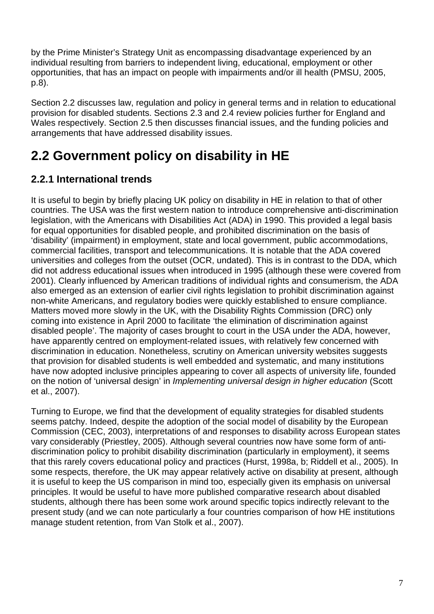by the Prime Minister's Strategy Unit as encompassing disadvantage experienced by an individual resulting from barriers to independent living, educational, employment or other opportunities, that has an impact on people with impairments and/or ill health (PMSU, 2005, p.8).

Section 2.2 discusses law, regulation and policy in general terms and in relation to educational provision for disabled students. Sections 2.3 and 2.4 review policies further for England and Wales respectively. Section 2.5 then discusses financial issues, and the funding policies and arrangements that have addressed disability issues.

## **2.2 Government policy on disability in HE**

## **2.2.1 International trends**

It is useful to begin by briefly placing UK policy on disability in HE in relation to that of other countries. The USA was the first western nation to introduce comprehensive anti-discrimination legislation, with the Americans with Disabilities Act (ADA) in 1990. This provided a legal basis for equal opportunities for disabled people, and prohibited discrimination on the basis of 'disability' (impairment) in employment, state and local government, public accommodations, commercial facilities, transport and telecommunications. It is notable that the ADA covered universities and colleges from the outset (OCR, undated). This is in contrast to the DDA, which did not address educational issues when introduced in 1995 (although these were covered from 2001). Clearly influenced by American traditions of individual rights and consumerism, the ADA also emerged as an extension of earlier civil rights legislation to prohibit discrimination against non-white Americans, and regulatory bodies were quickly established to ensure compliance. Matters moved more slowly in the UK, with the Disability Rights Commission (DRC) only coming into existence in April 2000 to facilitate 'the elimination of discrimination against disabled people'. The majority of cases brought to court in the USA under the ADA, however, have apparently centred on employment-related issues, with relatively few concerned with discrimination in education. Nonetheless, scrutiny on American university websites suggests that provision for disabled students is well embedded and systematic, and many institutions have now adopted inclusive principles appearing to cover all aspects of university life, founded on the notion of 'universal design' in Implementing universal design in higher education (Scott et al., 2007).

Turning to Europe, we find that the development of equality strategies for disabled students seems patchy. Indeed, despite the adoption of the social model of disability by the European Commission (CEC, 2003), interpretations of and responses to disability across European states vary considerably (Priestley, 2005). Although several countries now have some form of antidiscrimination policy to prohibit disability discrimination (particularly in employment), it seems that this rarely covers educational policy and practices (Hurst, 1998a, b; Riddell et al., 2005). In some respects, therefore, the UK may appear relatively active on disability at present, although it is useful to keep the US comparison in mind too, especially given its emphasis on universal principles. It would be useful to have more published comparative research about disabled students, although there has been some work around specific topics indirectly relevant to the present study (and we can note particularly a four countries comparison of how HE institutions manage student retention, from Van Stolk et al., 2007).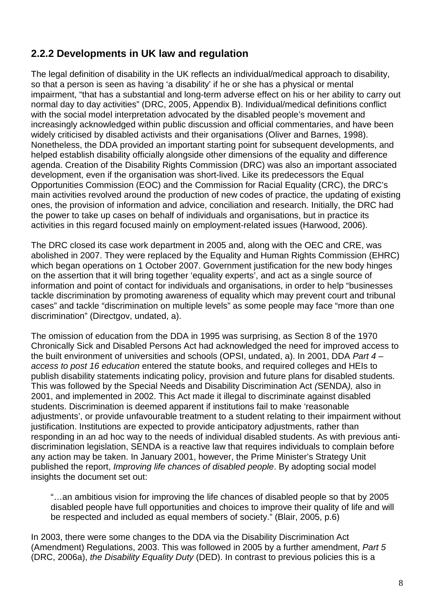### **2.2.2 Developments in UK law and regulation**

The legal definition of disability in the UK reflects an individual/medical approach to disability, so that a person is seen as having 'a disability' if he or she has a physical or mental impairment, "that has a substantial and long-term adverse effect on his or her ability to carry out normal day to day activities" (DRC, 2005, Appendix B). Individual/medical definitions conflict with the social model interpretation advocated by the disabled people's movement and increasingly acknowledged within public discussion and official commentaries, and have been widely criticised by disabled activists and their organisations (Oliver and Barnes, 1998). Nonetheless, the DDA provided an important starting point for subsequent developments, and helped establish disability officially alongside other dimensions of the equality and difference agenda. Creation of the Disability Rights Commission (DRC) was also an important associated development, even if the organisation was short-lived. Like its predecessors the Equal Opportunities Commission (EOC) and the Commission for Racial Equality (CRC), the DRC's main activities revolved around the production of new codes of practice, the updating of existing ones, the provision of information and advice, conciliation and research. Initially, the DRC had the power to take up cases on behalf of individuals and organisations, but in practice its activities in this regard focused mainly on employment-related issues (Harwood, 2006).

The DRC closed its case work department in 2005 and, along with the OEC and CRE, was abolished in 2007. They were replaced by the Equality and Human Rights Commission (EHRC) which began operations on 1 October 2007. Government justification for the new body hinges on the assertion that it will bring together 'equality experts', and act as a single source of information and point of contact for individuals and organisations, in order to help "businesses tackle discrimination by promoting awareness of equality which may prevent court and tribunal cases" and tackle "discrimination on multiple levels" as some people may face "more than one discrimination" (Directgov, undated, a).

The omission of education from the DDA in 1995 was surprising, as Section 8 of the 1970 Chronically Sick and Disabled Persons Act had acknowledged the need for improved access to the built environment of universities and schools (OPSI, undated, a). In 2001, DDA Part 4 – access to post 16 education entered the statute books, and required colleges and HEIs to publish disability statements indicating policy, provision and future plans for disabled students. This was followed by the Special Needs and Disability Discrimination Act (SENDA), also in 2001, and implemented in 2002. This Act made it illegal to discriminate against disabled students. Discrimination is deemed apparent if institutions fail to make 'reasonable adjustments', or provide unfavourable treatment to a student relating to their impairment without justification. Institutions are expected to provide anticipatory adjustments, rather than responding in an ad hoc way to the needs of individual disabled students. As with previous antidiscrimination legislation, SENDA is a reactive law that requires individuals to complain before any action may be taken. In January 2001, however, the Prime Minister's Strategy Unit published the report, Improving life chances of disabled people. By adopting social model insights the document set out:

"…an ambitious vision for improving the life chances of disabled people so that by 2005 disabled people have full opportunities and choices to improve their quality of life and will be respected and included as equal members of society." (Blair, 2005, p.6)

In 2003, there were some changes to the DDA via the Disability Discrimination Act (Amendment) Regulations, 2003. This was followed in 2005 by a further amendment, Part 5 (DRC, 2006a), the Disability Equality Duty (DED). In contrast to previous policies this is a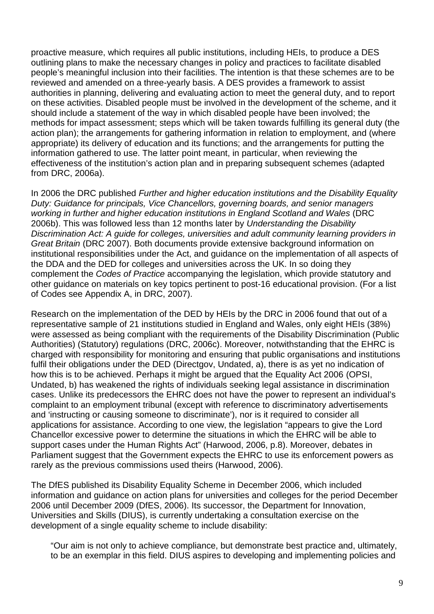proactive measure, which requires all public institutions, including HEIs, to produce a DES outlining plans to make the necessary changes in policy and practices to facilitate disabled people's meaningful inclusion into their facilities. The intention is that these schemes are to be reviewed and amended on a three-yearly basis. A DES provides a framework to assist authorities in planning, delivering and evaluating action to meet the general duty, and to report on these activities. Disabled people must be involved in the development of the scheme, and it should include a statement of the way in which disabled people have been involved; the methods for impact assessment; steps which will be taken towards fulfilling its general duty (the action plan); the arrangements for gathering information in relation to employment, and (where appropriate) its delivery of education and its functions; and the arrangements for putting the information gathered to use. The latter point meant, in particular, when reviewing the effectiveness of the institution's action plan and in preparing subsequent schemes (adapted from DRC, 2006a).

In 2006 the DRC published Further and higher education institutions and the Disability Equality Duty: Guidance for principals, Vice Chancellors, governing boards, and senior managers working in further and higher education institutions in England Scotland and Wales (DRC 2006b). This was followed less than 12 months later by Understanding the Disability Discrimination Act: A guide for colleges, universities and adult community learning providers in Great Britain (DRC 2007). Both documents provide extensive background information on institutional responsibilities under the Act, and guidance on the implementation of all aspects of the DDA and the DED for colleges and universities across the UK. In so doing they complement the Codes of Practice accompanying the legislation, which provide statutory and other guidance on materials on key topics pertinent to post-16 educational provision. (For a list of Codes see Appendix A, in DRC, 2007).

Research on the implementation of the DED by HEIs by the DRC in 2006 found that out of a representative sample of 21 institutions studied in England and Wales, only eight HEIs (38%) were assessed as being compliant with the requirements of the Disability Discrimination (Public Authorities) (Statutory) regulations (DRC, 2006c). Moreover, notwithstanding that the EHRC is charged with responsibility for monitoring and ensuring that public organisations and institutions fulfil their obligations under the DED (Directgov, Undated, a), there is as yet no indication of how this is to be achieved. Perhaps it might be argued that the Equality Act 2006 (OPSI, Undated, b) has weakened the rights of individuals seeking legal assistance in discrimination cases. Unlike its predecessors the EHRC does not have the power to represent an individual's complaint to an employment tribunal (except with reference to discriminatory advertisements and 'instructing or causing someone to discriminate'), nor is it required to consider all applications for assistance. According to one view, the legislation "appears to give the Lord Chancellor excessive power to determine the situations in which the EHRC will be able to support cases under the Human Rights Act" (Harwood, 2006, p.8). Moreover, debates in Parliament suggest that the Government expects the EHRC to use its enforcement powers as rarely as the previous commissions used theirs (Harwood, 2006).

The DfES published its Disability Equality Scheme in December 2006, which included information and guidance on action plans for universities and colleges for the period December 2006 until December 2009 (DfES, 2006). Its successor, the Department for Innovation, Universities and Skills (DIUS), is currently undertaking a consultation exercise on the development of a single equality scheme to include disability:

"Our aim is not only to achieve compliance, but demonstrate best practice and, ultimately, to be an exemplar in this field. DIUS aspires to developing and implementing policies and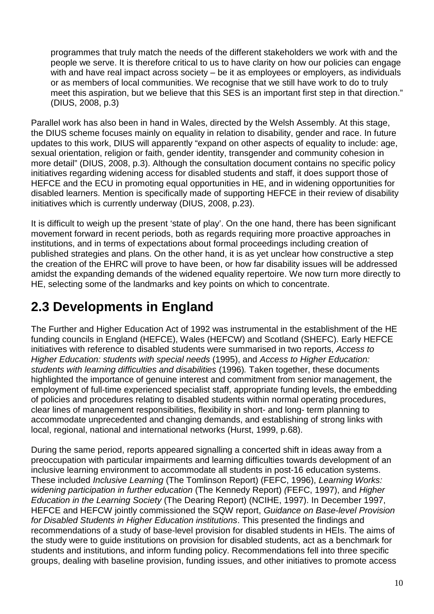programmes that truly match the needs of the different stakeholders we work with and the people we serve. It is therefore critical to us to have clarity on how our policies can engage with and have real impact across society – be it as employees or employers, as individuals or as members of local communities. We recognise that we still have work to do to truly meet this aspiration, but we believe that this SES is an important first step in that direction." (DIUS, 2008, p.3)

Parallel work has also been in hand in Wales, directed by the Welsh Assembly. At this stage, the DIUS scheme focuses mainly on equality in relation to disability, gender and race. In future updates to this work, DIUS will apparently "expand on other aspects of equality to include: age, sexual orientation, religion or faith, gender identity, transgender and community cohesion in more detail" (DIUS, 2008, p.3). Although the consultation document contains no specific policy initiatives regarding widening access for disabled students and staff, it does support those of HEFCE and the ECU in promoting equal opportunities in HE, and in widening opportunities for disabled learners. Mention is specifically made of supporting HEFCE in their review of disability initiatives which is currently underway (DIUS, 2008, p.23).

It is difficult to weigh up the present 'state of play'. On the one hand, there has been significant movement forward in recent periods, both as regards requiring more proactive approaches in institutions, and in terms of expectations about formal proceedings including creation of published strategies and plans. On the other hand, it is as yet unclear how constructive a step the creation of the EHRC will prove to have been, or how far disability issues will be addressed amidst the expanding demands of the widened equality repertoire. We now turn more directly to HE, selecting some of the landmarks and key points on which to concentrate.

## **2.3 Developments in England**

The Further and Higher Education Act of 1992 was instrumental in the establishment of the HE funding councils in England (HEFCE), Wales (HEFCW) and Scotland (SHEFC). Early HEFCE initiatives with reference to disabled students were summarised in two reports, Access to Higher Education: students with special needs (1995), and Access to Higher Education: students with learning difficulties and disabilities (1996). Taken together, these documents highlighted the importance of genuine interest and commitment from senior management, the employment of full-time experienced specialist staff, appropriate funding levels, the embedding of policies and procedures relating to disabled students within normal operating procedures, clear lines of management responsibilities, flexibility in short- and long- term planning to accommodate unprecedented and changing demands, and establishing of strong links with local, regional, national and international networks (Hurst, 1999, p.68).

During the same period, reports appeared signalling a concerted shift in ideas away from a preoccupation with particular impairments and learning difficulties towards development of an inclusive learning environment to accommodate all students in post-16 education systems. These included Inclusive Learning (The Tomlinson Report) (FEFC, 1996), Learning Works: widening participation in further education (The Kennedy Report) (FEFC, 1997), and Higher Education in the Learning Society (The Dearing Report) (NCIHE, 1997). In December 1997, HEFCE and HEFCW jointly commissioned the SQW report, Guidance on Base-level Provision for Disabled Students in Higher Education institutions. This presented the findings and recommendations of a study of base-level provision for disabled students in HEIs. The aims of the study were to guide institutions on provision for disabled students, act as a benchmark for students and institutions, and inform funding policy. Recommendations fell into three specific groups, dealing with baseline provision, funding issues, and other initiatives to promote access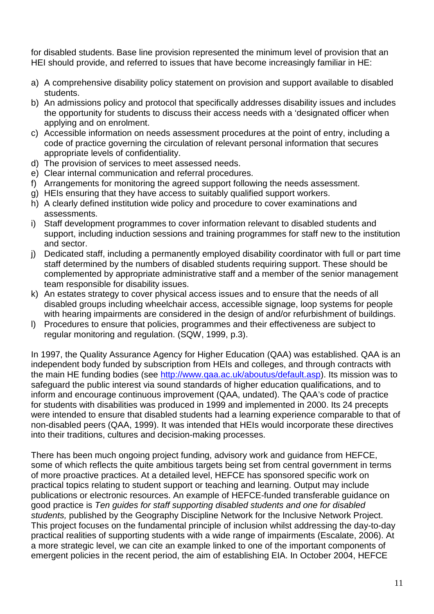for disabled students. Base line provision represented the minimum level of provision that an HEI should provide, and referred to issues that have become increasingly familiar in HE:

- a) A comprehensive disability policy statement on provision and support available to disabled students.
- b) An admissions policy and protocol that specifically addresses disability issues and includes the opportunity for students to discuss their access needs with a 'designated officer when applying and on enrolment.
- c) Accessible information on needs assessment procedures at the point of entry, including a code of practice governing the circulation of relevant personal information that secures appropriate levels of confidentiality.
- d) The provision of services to meet assessed needs.
- e) Clear internal communication and referral procedures.
- f) Arrangements for monitoring the agreed support following the needs assessment.
- g) HEIs ensuring that they have access to suitably qualified support workers.
- h) A clearly defined institution wide policy and procedure to cover examinations and assessments.
- i) Staff development programmes to cover information relevant to disabled students and support, including induction sessions and training programmes for staff new to the institution and sector.
- j) Dedicated staff, including a permanently employed disability coordinator with full or part time staff determined by the numbers of disabled students requiring support. These should be complemented by appropriate administrative staff and a member of the senior management team responsible for disability issues.
- k) An estates strategy to cover physical access issues and to ensure that the needs of all disabled groups including wheelchair access, accessible signage, loop systems for people with hearing impairments are considered in the design of and/or refurbishment of buildings.
- l) Procedures to ensure that policies, programmes and their effectiveness are subject to regular monitoring and regulation. (SQW, 1999, p.3).

In 1997, the Quality Assurance Agency for Higher Education (QAA) was established. QAA is an independent body funded by subscription from HEIs and colleges, and through contracts with the main HE funding bodies (see http://www.qaa.ac.uk/aboutus/default.asp). Its mission was to safeguard the public interest via sound standards of higher education qualifications, and to inform and encourage continuous improvement (QAA, undated). The QAA's code of practice for students with disabilities was produced in 1999 and implemented in 2000. Its 24 precepts were intended to ensure that disabled students had a learning experience comparable to that of non-disabled peers (QAA, 1999). It was intended that HEIs would incorporate these directives into their traditions, cultures and decision-making processes.

There has been much ongoing project funding, advisory work and guidance from HEFCE, some of which reflects the quite ambitious targets being set from central government in terms of more proactive practices. At a detailed level, HEFCE has sponsored specific work on practical topics relating to student support or teaching and learning. Output may include publications or electronic resources. An example of HEFCE-funded transferable guidance on good practice is Ten guides for staff supporting disabled students and one for disabled students, published by the Geography Discipline Network for the Inclusive Network Project. This project focuses on the fundamental principle of inclusion whilst addressing the day-to-day practical realities of supporting students with a wide range of impairments (Escalate, 2006). At a more strategic level, we can cite an example linked to one of the important components of emergent policies in the recent period, the aim of establishing EIA. In October 2004, HEFCE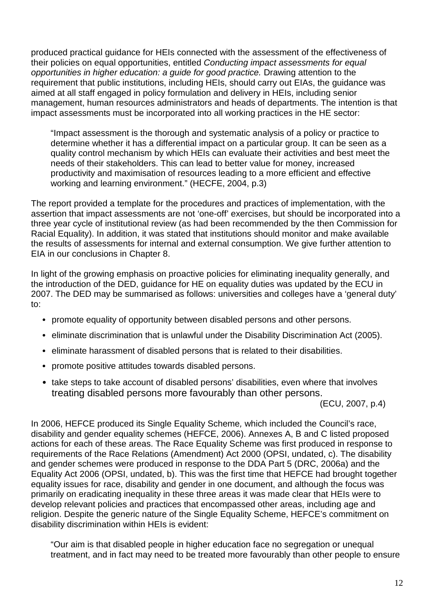produced practical guidance for HEIs connected with the assessment of the effectiveness of their policies on equal opportunities, entitled Conducting impact assessments for equal opportunities in higher education: a guide for good practice. Drawing attention to the requirement that public institutions, including HEIs, should carry out EIAs, the guidance was aimed at all staff engaged in policy formulation and delivery in HEIs, including senior management, human resources administrators and heads of departments. The intention is that impact assessments must be incorporated into all working practices in the HE sector:

"Impact assessment is the thorough and systematic analysis of a policy or practice to determine whether it has a differential impact on a particular group. It can be seen as a quality control mechanism by which HEIs can evaluate their activities and best meet the needs of their stakeholders. This can lead to better value for money, increased productivity and maximisation of resources leading to a more efficient and effective working and learning environment." (HECFE, 2004, p.3)

The report provided a template for the procedures and practices of implementation, with the assertion that impact assessments are not 'one-off' exercises, but should be incorporated into a three year cycle of institutional review (as had been recommended by the then Commission for Racial Equality). In addition, it was stated that institutions should monitor and make available the results of assessments for internal and external consumption. We give further attention to EIA in our conclusions in Chapter 8.

In light of the growing emphasis on proactive policies for eliminating inequality generally, and the introduction of the DED, guidance for HE on equality duties was updated by the ECU in 2007. The DED may be summarised as follows: universities and colleges have a 'general duty' to:

- promote equality of opportunity between disabled persons and other persons.
- eliminate discrimination that is unlawful under the Disability Discrimination Act (2005).
- eliminate harassment of disabled persons that is related to their disabilities.
- promote positive attitudes towards disabled persons.
- take steps to take account of disabled persons' disabilities, even where that involves treating disabled persons more favourably than other persons.

(ECU, 2007, p.4)

In 2006, HEFCE produced its Single Equality Scheme, which included the Council's race, disability and gender equality schemes (HEFCE, 2006). Annexes A, B and C listed proposed actions for each of these areas. The Race Equality Scheme was first produced in response to requirements of the Race Relations (Amendment) Act 2000 (OPSI, undated, c). The disability and gender schemes were produced in response to the DDA Part 5 (DRC, 2006a) and the Equality Act 2006 (OPSI, undated, b). This was the first time that HEFCE had brought together equality issues for race, disability and gender in one document, and although the focus was primarily on eradicating inequality in these three areas it was made clear that HEIs were to develop relevant policies and practices that encompassed other areas, including age and religion. Despite the generic nature of the Single Equality Scheme, HEFCE's commitment on disability discrimination within HEIs is evident:

"Our aim is that disabled people in higher education face no segregation or unequal treatment, and in fact may need to be treated more favourably than other people to ensure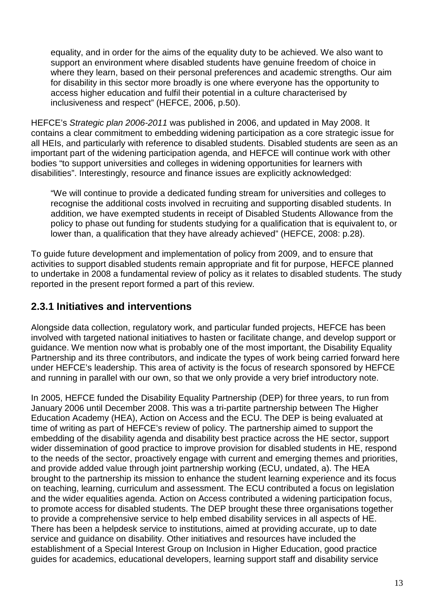equality, and in order for the aims of the equality duty to be achieved. We also want to support an environment where disabled students have genuine freedom of choice in where they learn, based on their personal preferences and academic strengths. Our aim for disability in this sector more broadly is one where everyone has the opportunity to access higher education and fulfil their potential in a culture characterised by inclusiveness and respect" (HEFCE, 2006, p.50).

HEFCE's Strategic plan 2006-2011 was published in 2006, and updated in May 2008. It contains a clear commitment to embedding widening participation as a core strategic issue for all HEIs, and particularly with reference to disabled students. Disabled students are seen as an important part of the widening participation agenda, and HEFCE will continue work with other bodies "to support universities and colleges in widening opportunities for learners with disabilities". Interestingly, resource and finance issues are explicitly acknowledged:

"We will continue to provide a dedicated funding stream for universities and colleges to recognise the additional costs involved in recruiting and supporting disabled students. In addition, we have exempted students in receipt of Disabled Students Allowance from the policy to phase out funding for students studying for a qualification that is equivalent to, or lower than, a qualification that they have already achieved" (HEFCE, 2008: p.28).

To guide future development and implementation of policy from 2009, and to ensure that activities to support disabled students remain appropriate and fit for purpose, HEFCE planned to undertake in 2008 a fundamental review of policy as it relates to disabled students. The study reported in the present report formed a part of this review.

## **2.3.1 Initiatives and interventions**

Alongside data collection, regulatory work, and particular funded projects, HEFCE has been involved with targeted national initiatives to hasten or facilitate change, and develop support or guidance. We mention now what is probably one of the most important, the Disability Equality Partnership and its three contributors, and indicate the types of work being carried forward here under HEFCE's leadership. This area of activity is the focus of research sponsored by HEFCE and running in parallel with our own, so that we only provide a very brief introductory note.

In 2005, HEFCE funded the Disability Equality Partnership (DEP) for three years, to run from January 2006 until December 2008. This was a tri-partite partnership between The Higher Education Academy (HEA), Action on Access and the ECU. The DEP is being evaluated at time of writing as part of HEFCE's review of policy. The partnership aimed to support the embedding of the disability agenda and disability best practice across the HE sector, support wider dissemination of good practice to improve provision for disabled students in HE, respond to the needs of the sector, proactively engage with current and emerging themes and priorities, and provide added value through joint partnership working (ECU, undated, a). The HEA brought to the partnership its mission to enhance the student learning experience and its focus on teaching, learning, curriculum and assessment. The ECU contributed a focus on legislation and the wider equalities agenda. Action on Access contributed a widening participation focus, to promote access for disabled students. The DEP brought these three organisations together to provide a comprehensive service to help embed disability services in all aspects of HE. There has been a helpdesk service to institutions, aimed at providing accurate, up to date service and guidance on disability. Other initiatives and resources have included the establishment of a Special Interest Group on Inclusion in Higher Education, good practice guides for academics, educational developers, learning support staff and disability service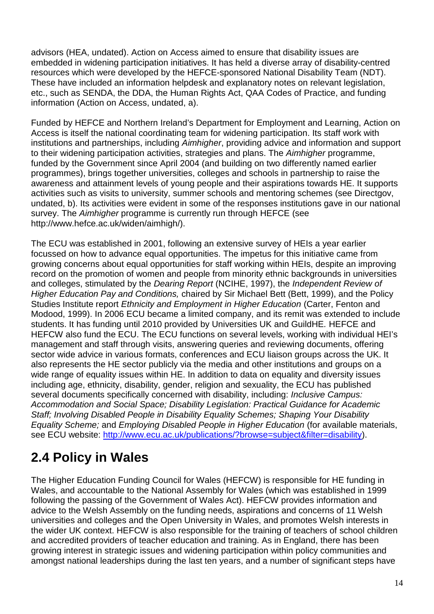advisors (HEA, undated). Action on Access aimed to ensure that disability issues are embedded in widening participation initiatives. It has held a diverse array of disability-centred resources which were developed by the HEFCE-sponsored National Disability Team (NDT). These have included an information helpdesk and explanatory notes on relevant legislation, etc., such as SENDA, the DDA, the Human Rights Act, QAA Codes of Practice, and funding information (Action on Access, undated, a).

Funded by HEFCE and Northern Ireland's Department for Employment and Learning, Action on Access is itself the national coordinating team for widening participation. Its staff work with institutions and partnerships, including Aimhigher, providing advice and information and support to their widening participation activities, strategies and plans. The Aimhigher programme, funded by the Government since April 2004 (and building on two differently named earlier programmes), brings together universities, colleges and schools in partnership to raise the awareness and attainment levels of young people and their aspirations towards HE. It supports activities such as visits to university, summer schools and mentoring schemes (see Directgov, undated, b). Its activities were evident in some of the responses institutions gave in our national survey. The Aimhigher programme is currently run through HEFCE (see http://www.hefce.ac.uk/widen/aimhigh/).

The ECU was established in 2001, following an extensive survey of HEIs a year earlier focussed on how to advance equal opportunities. The impetus for this initiative came from growing concerns about equal opportunities for staff working within HEIs, despite an improving record on the promotion of women and people from minority ethnic backgrounds in universities and colleges, stimulated by the Dearing Report (NCIHE, 1997), the Independent Review of Higher Education Pay and Conditions, chaired by Sir Michael Bett (Bett, 1999), and the Policy Studies Institute report Ethnicity and Employment in Higher Education (Carter, Fenton and Modood, 1999). In 2006 ECU became a limited company, and its remit was extended to include students. It has funding until 2010 provided by Universities UK and GuildHE. HEFCE and HEFCW also fund the ECU. The ECU functions on several levels, working with individual HEI's management and staff through visits, answering queries and reviewing documents, offering sector wide advice in various formats, conferences and ECU liaison groups across the UK. It also represents the HE sector publicly via the media and other institutions and groups on a wide range of equality issues within HE. In addition to data on equality and diversity issues including age, ethnicity, disability, gender, religion and sexuality, the ECU has published several documents specifically concerned with disability, including: *Inclusive Campus:* Accommodation and Social Space; Disability Legislation: Practical Guidance for Academic Staff; Involving Disabled People in Disability Equality Schemes; Shaping Your Disability Equality Scheme; and Employing Disabled People in Higher Education (for available materials, see ECU website: http://www.ecu.ac.uk/publications/?browse=subject&filter=disability).

## **2.4 Policy in Wales**

The Higher Education Funding Council for Wales (HEFCW) is responsible for HE funding in Wales, and accountable to the National Assembly for Wales (which was established in 1999 following the passing of the Government of Wales Act). HEFCW provides information and advice to the Welsh Assembly on the funding needs, aspirations and concerns of 11 Welsh universities and colleges and the Open University in Wales, and promotes Welsh interests in the wider UK context. HEFCW is also responsible for the training of teachers of school children and accredited providers of teacher education and training. As in England, there has been growing interest in strategic issues and widening participation within policy communities and amongst national leaderships during the last ten years, and a number of significant steps have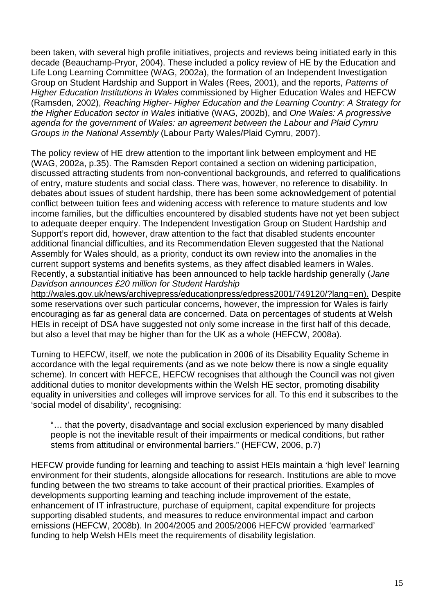been taken, with several high profile initiatives, projects and reviews being initiated early in this decade (Beauchamp-Pryor, 2004). These included a policy review of HE by the Education and Life Long Learning Committee (WAG, 2002a), the formation of an Independent Investigation Group on Student Hardship and Support in Wales (Rees, 2001), and the reports, Patterns of Higher Education Institutions in Wales commissioned by Higher Education Wales and HEFCW (Ramsden, 2002), Reaching Higher- Higher Education and the Learning Country: A Strategy for the Higher Education sector in Wales initiative (WAG, 2002b), and One Wales: A progressive agenda for the government of Wales: an agreement between the Labour and Plaid Cymru Groups in the National Assembly (Labour Party Wales/Plaid Cymru, 2007).

The policy review of HE drew attention to the important link between employment and HE (WAG, 2002a, p.35). The Ramsden Report contained a section on widening participation, discussed attracting students from non-conventional backgrounds, and referred to qualifications of entry, mature students and social class. There was, however, no reference to disability. In debates about issues of student hardship, there has been some acknowledgement of potential conflict between tuition fees and widening access with reference to mature students and low income families, but the difficulties encountered by disabled students have not yet been subject to adequate deeper enquiry. The Independent Investigation Group on Student Hardship and Support's report did, however, draw attention to the fact that disabled students encounter additional financial difficulties, and its Recommendation Eleven suggested that the National Assembly for Wales should, as a priority, conduct its own review into the anomalies in the current support systems and benefits systems, as they affect disabled learners in Wales. Recently, a substantial initiative has been announced to help tackle hardship generally (Jane Davidson announces £20 million for Student Hardship

http://wales.gov.uk/news/archivepress/educationpress/edpress2001/749120/?lang=en). Despite some reservations over such particular concerns, however, the impression for Wales is fairly encouraging as far as general data are concerned. Data on percentages of students at Welsh HEIs in receipt of DSA have suggested not only some increase in the first half of this decade, but also a level that may be higher than for the UK as a whole (HEFCW, 2008a).

Turning to HEFCW, itself, we note the publication in 2006 of its Disability Equality Scheme in accordance with the legal requirements (and as we note below there is now a single equality scheme). In concert with HEFCE, HEFCW recognises that although the Council was not given additional duties to monitor developments within the Welsh HE sector, promoting disability equality in universities and colleges will improve services for all. To this end it subscribes to the 'social model of disability', recognising:

"… that the poverty, disadvantage and social exclusion experienced by many disabled people is not the inevitable result of their impairments or medical conditions, but rather stems from attitudinal or environmental barriers." (HEFCW, 2006, p.7)

HEFCW provide funding for learning and teaching to assist HEIs maintain a 'high level' learning environment for their students, alongside allocations for research. Institutions are able to move funding between the two streams to take account of their practical priorities. Examples of developments supporting learning and teaching include improvement of the estate, enhancement of IT infrastructure, purchase of equipment, capital expenditure for projects supporting disabled students, and measures to reduce environmental impact and carbon emissions (HEFCW, 2008b). In 2004/2005 and 2005/2006 HEFCW provided 'earmarked' funding to help Welsh HEIs meet the requirements of disability legislation.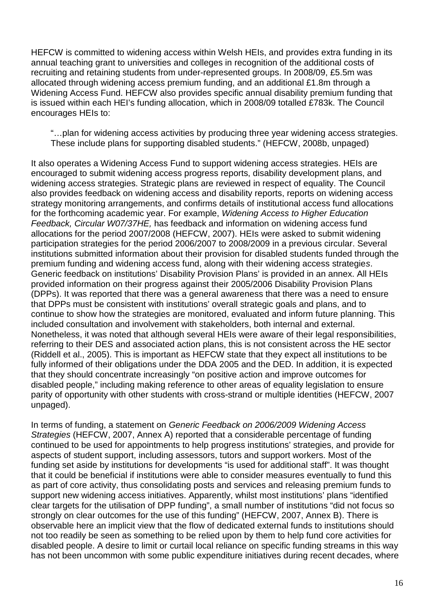HEFCW is committed to widening access within Welsh HEIs, and provides extra funding in its annual teaching grant to universities and colleges in recognition of the additional costs of recruiting and retaining students from under-represented groups. In 2008/09, £5.5m was allocated through widening access premium funding, and an additional £1.8m through a Widening Access Fund. HEFCW also provides specific annual disability premium funding that is issued within each HEI's funding allocation, which in 2008/09 totalled £783k. The Council encourages HEIs to:

"…plan for widening access activities by producing three year widening access strategies. These include plans for supporting disabled students." (HEFCW, 2008b, unpaged)

It also operates a Widening Access Fund to support widening access strategies. HEIs are encouraged to submit widening access progress reports, disability development plans, and widening access strategies. Strategic plans are reviewed in respect of equality. The Council also provides feedback on widening access and disability reports, reports on widening access strategy monitoring arrangements, and confirms details of institutional access fund allocations for the forthcoming academic year. For example, Widening Access to Higher Education Feedback, Circular W07/37HE, has feedback and information on widening access fund allocations for the period 2007/2008 (HEFCW, 2007). HEIs were asked to submit widening participation strategies for the period 2006/2007 to 2008/2009 in a previous circular. Several institutions submitted information about their provision for disabled students funded through the premium funding and widening access fund, along with their widening access strategies. Generic feedback on institutions' Disability Provision Plans' is provided in an annex. All HEIs provided information on their progress against their 2005/2006 Disability Provision Plans (DPPs). It was reported that there was a general awareness that there was a need to ensure that DPPs must be consistent with institutions' overall strategic goals and plans, and to continue to show how the strategies are monitored, evaluated and inform future planning. This included consultation and involvement with stakeholders, both internal and external. Nonetheless, it was noted that although several HEIs were aware of their legal responsibilities, referring to their DES and associated action plans, this is not consistent across the HE sector (Riddell et al., 2005). This is important as HEFCW state that they expect all institutions to be fully informed of their obligations under the DDA 2005 and the DED. In addition, it is expected that they should concentrate increasingly "on positive action and improve outcomes for disabled people," including making reference to other areas of equality legislation to ensure parity of opportunity with other students with cross-strand or multiple identities (HEFCW, 2007 unpaged).

In terms of funding, a statement on Generic Feedback on 2006/2009 Widening Access Strategies (HEFCW, 2007, Annex A) reported that a considerable percentage of funding continued to be used for appointments to help progress institutions' strategies, and provide for aspects of student support, including assessors, tutors and support workers. Most of the funding set aside by institutions for developments "is used for additional staff". It was thought that it could be beneficial if institutions were able to consider measures eventually to fund this as part of core activity, thus consolidating posts and services and releasing premium funds to support new widening access initiatives. Apparently, whilst most institutions' plans "identified clear targets for the utilisation of DPP funding", a small number of institutions "did not focus so strongly on clear outcomes for the use of this funding" (HEFCW, 2007, Annex B). There is observable here an implicit view that the flow of dedicated external funds to institutions should not too readily be seen as something to be relied upon by them to help fund core activities for disabled people. A desire to limit or curtail local reliance on specific funding streams in this way has not been uncommon with some public expenditure initiatives during recent decades, where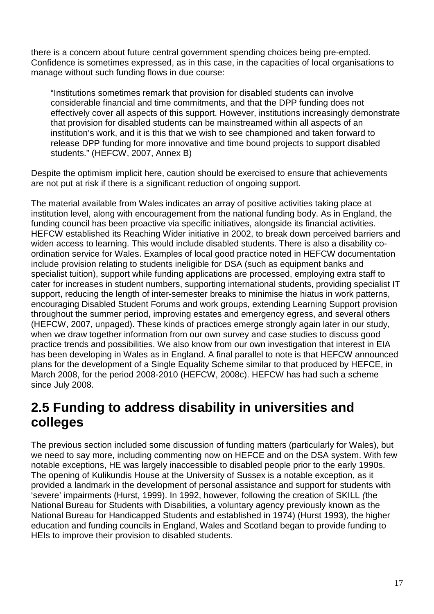there is a concern about future central government spending choices being pre-empted. Confidence is sometimes expressed, as in this case, in the capacities of local organisations to manage without such funding flows in due course:

"Institutions sometimes remark that provision for disabled students can involve considerable financial and time commitments, and that the DPP funding does not effectively cover all aspects of this support. However, institutions increasingly demonstrate that provision for disabled students can be mainstreamed within all aspects of an institution's work, and it is this that we wish to see championed and taken forward to release DPP funding for more innovative and time bound projects to support disabled students." (HEFCW, 2007, Annex B)

Despite the optimism implicit here, caution should be exercised to ensure that achievements are not put at risk if there is a significant reduction of ongoing support.

The material available from Wales indicates an array of positive activities taking place at institution level, along with encouragement from the national funding body. As in England, the funding council has been proactive via specific initiatives, alongside its financial activities. HEFCW established its Reaching Wider initiative in 2002, to break down perceived barriers and widen access to learning. This would include disabled students. There is also a disability coordination service for Wales. Examples of local good practice noted in HEFCW documentation include provision relating to students ineligible for DSA (such as equipment banks and specialist tuition), support while funding applications are processed, employing extra staff to cater for increases in student numbers, supporting international students, providing specialist IT support, reducing the length of inter-semester breaks to minimise the hiatus in work patterns, encouraging Disabled Student Forums and work groups, extending Learning Support provision throughout the summer period, improving estates and emergency egress, and several others (HEFCW, 2007, unpaged). These kinds of practices emerge strongly again later in our study, when we draw together information from our own survey and case studies to discuss good practice trends and possibilities. We also know from our own investigation that interest in EIA has been developing in Wales as in England. A final parallel to note is that HEFCW announced plans for the development of a Single Equality Scheme similar to that produced by HEFCE, in March 2008, for the period 2008-2010 (HEFCW, 2008c). HEFCW has had such a scheme since July 2008.

# **2.5 Funding to address disability in universities and colleges**

The previous section included some discussion of funding matters (particularly for Wales), but we need to say more, including commenting now on HEFCE and on the DSA system. With few notable exceptions, HE was largely inaccessible to disabled people prior to the early 1990s. The opening of Kulikundis House at the University of Sussex is a notable exception, as it provided a landmark in the development of personal assistance and support for students with 'severe' impairments (Hurst, 1999). In 1992, however, following the creation of SKILL (the National Bureau for Students with Disabilities, a voluntary agency previously known as the National Bureau for Handicapped Students and established in 1974) (Hurst 1993), the higher education and funding councils in England, Wales and Scotland began to provide funding to HEIs to improve their provision to disabled students.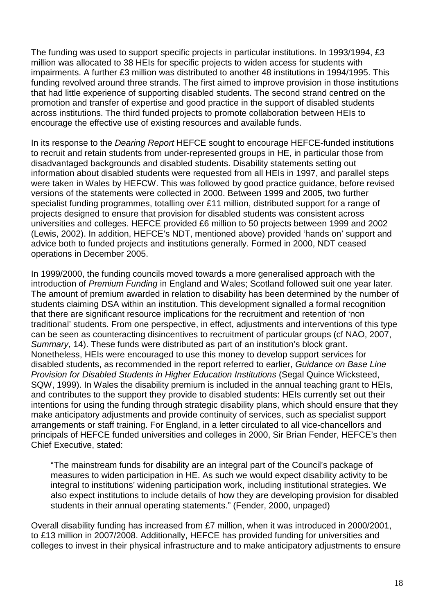The funding was used to support specific projects in particular institutions. In 1993/1994, £3 million was allocated to 38 HEIs for specific projects to widen access for students with impairments. A further £3 million was distributed to another 48 institutions in 1994/1995. This funding revolved around three strands. The first aimed to improve provision in those institutions that had little experience of supporting disabled students. The second strand centred on the promotion and transfer of expertise and good practice in the support of disabled students across institutions. The third funded projects to promote collaboration between HEIs to encourage the effective use of existing resources and available funds.

In its response to the *Dearing Report* HEFCE sought to encourage HEFCE-funded institutions to recruit and retain students from under-represented groups in HE, in particular those from disadvantaged backgrounds and disabled students. Disability statements setting out information about disabled students were requested from all HEIs in 1997, and parallel steps were taken in Wales by HEFCW. This was followed by good practice guidance, before revised versions of the statements were collected in 2000. Between 1999 and 2005, two further specialist funding programmes, totalling over £11 million, distributed support for a range of projects designed to ensure that provision for disabled students was consistent across universities and colleges. HEFCE provided £6 million to 50 projects between 1999 and 2002 (Lewis, 2002). In addition, HEFCE's NDT, mentioned above) provided 'hands on' support and advice both to funded projects and institutions generally. Formed in 2000, NDT ceased operations in December 2005.

In 1999/2000, the funding councils moved towards a more generalised approach with the introduction of Premium Funding in England and Wales; Scotland followed suit one year later. The amount of premium awarded in relation to disability has been determined by the number of students claiming DSA within an institution. This development signalled a formal recognition that there are significant resource implications for the recruitment and retention of 'non traditional' students. From one perspective, in effect, adjustments and interventions of this type can be seen as counteracting disincentives to recruitment of particular groups (cf NAO, 2007, Summary, 14). These funds were distributed as part of an institution's block grant. Nonetheless, HEIs were encouraged to use this money to develop support services for disabled students, as recommended in the report referred to earlier, Guidance on Base Line Provision for Disabled Students in Higher Education Institutions (Segal Quince Wicksteed, SQW, 1999). In Wales the disability premium is included in the annual teaching grant to HEIs, and contributes to the support they provide to disabled students: HEIs currently set out their intentions for using the funding through strategic disability plans, which should ensure that they make anticipatory adjustments and provide continuity of services, such as specialist support arrangements or staff training. For England, in a letter circulated to all vice-chancellors and principals of HEFCE funded universities and colleges in 2000, Sir Brian Fender, HEFCE's then Chief Executive, stated:

"The mainstream funds for disability are an integral part of the Council's package of measures to widen participation in HE. As such we would expect disability activity to be integral to institutions' widening participation work, including institutional strategies. We also expect institutions to include details of how they are developing provision for disabled students in their annual operating statements." (Fender, 2000, unpaged)

Overall disability funding has increased from £7 million, when it was introduced in 2000/2001, to £13 million in 2007/2008. Additionally, HEFCE has provided funding for universities and colleges to invest in their physical infrastructure and to make anticipatory adjustments to ensure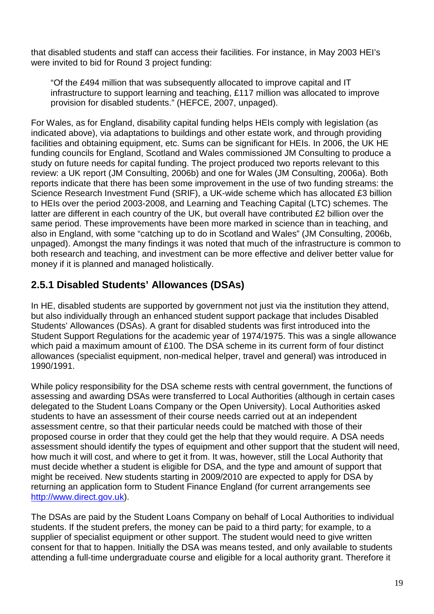that disabled students and staff can access their facilities. For instance, in May 2003 HEI's were invited to bid for Round 3 project funding:

"Of the £494 million that was subsequently allocated to improve capital and IT infrastructure to support learning and teaching, £117 million was allocated to improve provision for disabled students." (HEFCE, 2007, unpaged).

For Wales, as for England, disability capital funding helps HEIs comply with legislation (as indicated above), via adaptations to buildings and other estate work, and through providing facilities and obtaining equipment, etc. Sums can be significant for HEIs. In 2006, the UK HE funding councils for England, Scotland and Wales commissioned JM Consulting to produce a study on future needs for capital funding. The project produced two reports relevant to this review: a UK report (JM Consulting, 2006b) and one for Wales (JM Consulting, 2006a). Both reports indicate that there has been some improvement in the use of two funding streams: the Science Research Investment Fund (SRIF), a UK-wide scheme which has allocated £3 billion to HEIs over the period 2003-2008, and Learning and Teaching Capital (LTC) schemes. The latter are different in each country of the UK, but overall have contributed £2 billion over the same period. These improvements have been more marked in science than in teaching, and also in England, with some "catching up to do in Scotland and Wales" (JM Consulting, 2006b, unpaged). Amongst the many findings it was noted that much of the infrastructure is common to both research and teaching, and investment can be more effective and deliver better value for money if it is planned and managed holistically.

## **2.5.1 Disabled Students' Allowances (DSAs)**

In HE, disabled students are supported by government not just via the institution they attend, but also individually through an enhanced student support package that includes Disabled Students' Allowances (DSAs). A grant for disabled students was first introduced into the Student Support Regulations for the academic year of 1974/1975. This was a single allowance which paid a maximum amount of £100. The DSA scheme in its current form of four distinct allowances (specialist equipment, non-medical helper, travel and general) was introduced in 1990/1991.

While policy responsibility for the DSA scheme rests with central government, the functions of assessing and awarding DSAs were transferred to Local Authorities (although in certain cases delegated to the Student Loans Company or the Open University). Local Authorities asked students to have an assessment of their course needs carried out at an independent assessment centre, so that their particular needs could be matched with those of their proposed course in order that they could get the help that they would require. A DSA needs assessment should identify the types of equipment and other support that the student will need, how much it will cost, and where to get it from. It was, however, still the Local Authority that must decide whether a student is eligible for DSA, and the type and amount of support that might be received. New students starting in 2009/2010 are expected to apply for DSA by returning an application form to Student Finance England (for current arrangements see http://www.direct.gov.uk).

The DSAs are paid by the Student Loans Company on behalf of Local Authorities to individual students. If the student prefers, the money can be paid to a third party; for example, to a supplier of specialist equipment or other support. The student would need to give written consent for that to happen. Initially the DSA was means tested, and only available to students attending a full-time undergraduate course and eligible for a local authority grant. Therefore it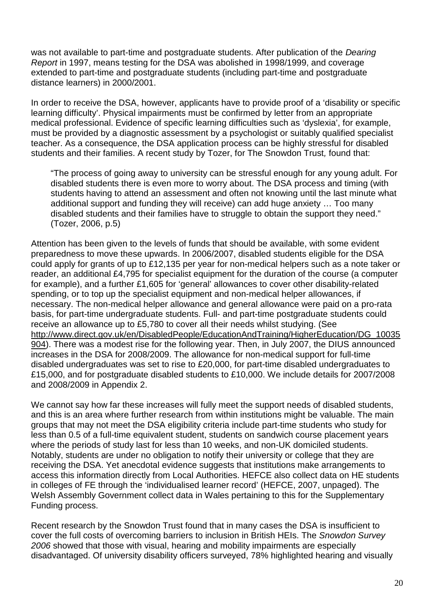was not available to part-time and postgraduate students. After publication of the Dearing Report in 1997, means testing for the DSA was abolished in 1998/1999, and coverage extended to part-time and postgraduate students (including part-time and postgraduate distance learners) in 2000/2001.

In order to receive the DSA, however, applicants have to provide proof of a 'disability or specific learning difficulty'. Physical impairments must be confirmed by letter from an appropriate medical professional. Evidence of specific learning difficulties such as 'dyslexia', for example, must be provided by a diagnostic assessment by a psychologist or suitably qualified specialist teacher. As a consequence, the DSA application process can be highly stressful for disabled students and their families. A recent study by Tozer, for The Snowdon Trust, found that:

"The process of going away to university can be stressful enough for any young adult. For disabled students there is even more to worry about. The DSA process and timing (with students having to attend an assessment and often not knowing until the last minute what additional support and funding they will receive) can add huge anxiety … Too many disabled students and their families have to struggle to obtain the support they need." (Tozer, 2006, p.5)

Attention has been given to the levels of funds that should be available, with some evident preparedness to move these upwards. In 2006/2007, disabled students eligible for the DSA could apply for grants of up to £12,135 per year for non-medical helpers such as a note taker or reader, an additional £4,795 for specialist equipment for the duration of the course (a computer for example), and a further £1,605 for 'general' allowances to cover other disability-related spending, or to top up the specialist equipment and non-medical helper allowances, if necessary. The non-medical helper allowance and general allowance were paid on a pro-rata basis, for part-time undergraduate students. Full- and part-time postgraduate students could receive an allowance up to £5,780 to cover all their needs whilst studying. (See http://www.direct.gov.uk/en/DisabledPeople/EducationAndTraining/HigherEducation/DG\_10035 904). There was a modest rise for the following year. Then, in July 2007, the DIUS announced increases in the DSA for 2008/2009. The allowance for non-medical support for full-time disabled undergraduates was set to rise to £20,000, for part-time disabled undergraduates to £15,000, and for postgraduate disabled students to £10,000. We include details for 2007/2008 and 2008/2009 in Appendix 2.

We cannot say how far these increases will fully meet the support needs of disabled students, and this is an area where further research from within institutions might be valuable. The main groups that may not meet the DSA eligibility criteria include part-time students who study for less than 0.5 of a full-time equivalent student, students on sandwich course placement years where the periods of study last for less than 10 weeks, and non-UK domiciled students. Notably, students are under no obligation to notify their university or college that they are receiving the DSA. Yet anecdotal evidence suggests that institutions make arrangements to access this information directly from Local Authorities. HEFCE also collect data on HE students in colleges of FE through the 'individualised learner record' (HEFCE, 2007, unpaged). The Welsh Assembly Government collect data in Wales pertaining to this for the Supplementary Funding process.

Recent research by the Snowdon Trust found that in many cases the DSA is insufficient to cover the full costs of overcoming barriers to inclusion in British HEIs. The Snowdon Survey 2006 showed that those with visual, hearing and mobility impairments are especially disadvantaged. Of university disability officers surveyed, 78% highlighted hearing and visually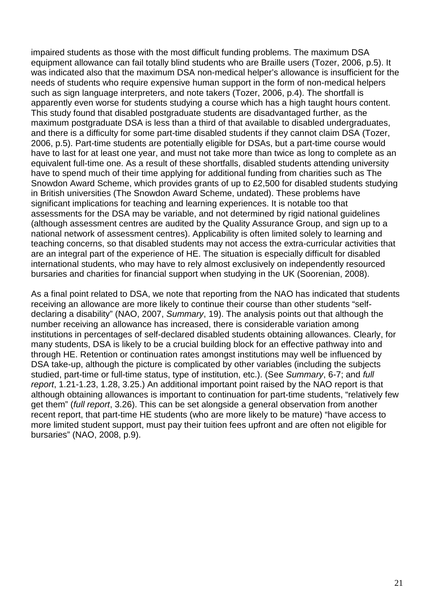impaired students as those with the most difficult funding problems. The maximum DSA equipment allowance can fail totally blind students who are Braille users (Tozer, 2006, p.5). It was indicated also that the maximum DSA non-medical helper's allowance is insufficient for the needs of students who require expensive human support in the form of non-medical helpers such as sign language interpreters, and note takers (Tozer, 2006, p.4). The shortfall is apparently even worse for students studying a course which has a high taught hours content. This study found that disabled postgraduate students are disadvantaged further, as the maximum postgraduate DSA is less than a third of that available to disabled undergraduates, and there is a difficulty for some part-time disabled students if they cannot claim DSA (Tozer, 2006, p.5). Part-time students are potentially eligible for DSAs, but a part-time course would have to last for at least one year, and must not take more than twice as long to complete as an equivalent full-time one. As a result of these shortfalls, disabled students attending university have to spend much of their time applying for additional funding from charities such as The Snowdon Award Scheme, which provides grants of up to £2,500 for disabled students studying in British universities (The Snowdon Award Scheme, undated). These problems have significant implications for teaching and learning experiences. It is notable too that assessments for the DSA may be variable, and not determined by rigid national guidelines (although assessment centres are audited by the Quality Assurance Group, and sign up to a national network of assessment centres). Applicability is often limited solely to learning and teaching concerns, so that disabled students may not access the extra-curricular activities that are an integral part of the experience of HE. The situation is especially difficult for disabled international students, who may have to rely almost exclusively on independently resourced bursaries and charities for financial support when studying in the UK (Soorenian, 2008).

As a final point related to DSA, we note that reporting from the NAO has indicated that students receiving an allowance are more likely to continue their course than other students "selfdeclaring a disability" (NAO, 2007, Summary, 19). The analysis points out that although the number receiving an allowance has increased, there is considerable variation among institutions in percentages of self-declared disabled students obtaining allowances. Clearly, for many students, DSA is likely to be a crucial building block for an effective pathway into and through HE. Retention or continuation rates amongst institutions may well be influenced by DSA take-up, although the picture is complicated by other variables (including the subjects studied, part-time or full-time status, type of institution, etc.). (See Summary, 6-7; and full report, 1.21-1.23, 1.28, 3.25.) An additional important point raised by the NAO report is that although obtaining allowances is important to continuation for part-time students, "relatively few get them" (full report, 3.26). This can be set alongside a general observation from another recent report, that part-time HE students (who are more likely to be mature) "have access to more limited student support, must pay their tuition fees upfront and are often not eligible for bursaries" (NAO, 2008, p.9).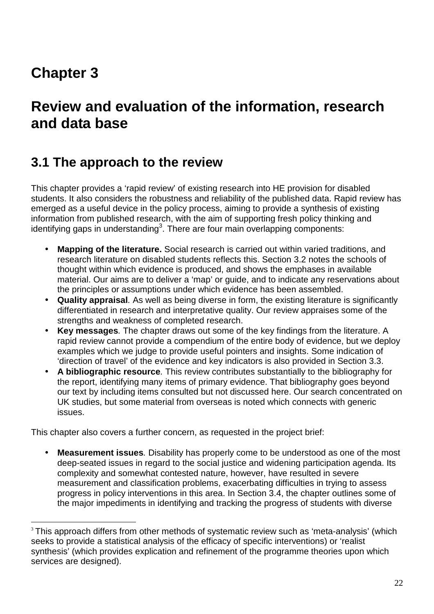# **Chapter 3**

 $\overline{a}$ 

# **Review and evaluation of the information, research and data base**

## **3.1 The approach to the review**

This chapter provides a 'rapid review' of existing research into HE provision for disabled students. It also considers the robustness and reliability of the published data. Rapid review has emerged as a useful device in the policy process, aiming to provide a synthesis of existing information from published research, with the aim of supporting fresh policy thinking and  $i$ dentifying gaps in understanding<sup>3</sup>. There are four main overlapping components:

- **Mapping of the literature.** Social research is carried out within varied traditions, and research literature on disabled students reflects this. Section 3.2 notes the schools of thought within which evidence is produced, and shows the emphases in available material. Our aims are to deliver a 'map' or guide, and to indicate any reservations about the principles or assumptions under which evidence has been assembled.
- **Quality appraisal**. As well as being diverse in form, the existing literature is significantly differentiated in research and interpretative quality. Our review appraises some of the strengths and weakness of completed research.
- **Key messages**. The chapter draws out some of the key findings from the literature. A rapid review cannot provide a compendium of the entire body of evidence, but we deploy examples which we judge to provide useful pointers and insights. Some indication of 'direction of travel' of the evidence and key indicators is also provided in Section 3.3.
- **A bibliographic resource**. This review contributes substantially to the bibliography for the report, identifying many items of primary evidence. That bibliography goes beyond our text by including items consulted but not discussed here. Our search concentrated on UK studies, but some material from overseas is noted which connects with generic issues.

This chapter also covers a further concern, as requested in the project brief:

• **Measurement issues**. Disability has properly come to be understood as one of the most deep-seated issues in regard to the social justice and widening participation agenda. Its complexity and somewhat contested nature, however, have resulted in severe measurement and classification problems, exacerbating difficulties in trying to assess progress in policy interventions in this area. In Section 3.4, the chapter outlines some of the major impediments in identifying and tracking the progress of students with diverse

<sup>&</sup>lt;sup>3</sup> This approach differs from other methods of systematic review such as 'meta-analysis' (which seeks to provide a statistical analysis of the efficacy of specific interventions) or 'realist synthesis' (which provides explication and refinement of the programme theories upon which services are designed).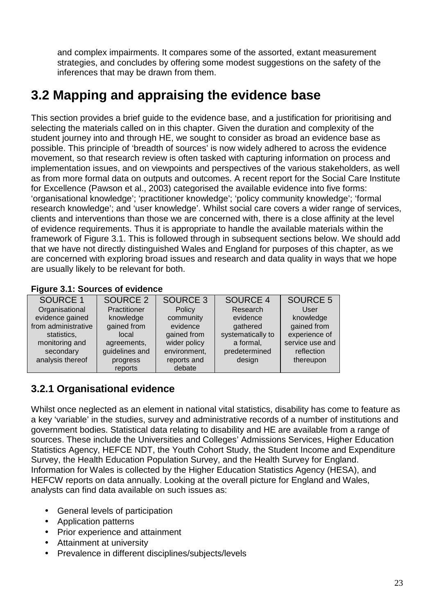and complex impairments. It compares some of the assorted, extant measurement strategies, and concludes by offering some modest suggestions on the safety of the inferences that may be drawn from them.

## **3.2 Mapping and appraising the evidence base**

This section provides a brief guide to the evidence base, and a justification for prioritising and selecting the materials called on in this chapter. Given the duration and complexity of the student journey into and through HE, we sought to consider as broad an evidence base as possible. This principle of 'breadth of sources' is now widely adhered to across the evidence movement, so that research review is often tasked with capturing information on process and implementation issues, and on viewpoints and perspectives of the various stakeholders, as well as from more formal data on outputs and outcomes. A recent report for the Social Care Institute for Excellence (Pawson et al., 2003) categorised the available evidence into five forms: 'organisational knowledge'; 'practitioner knowledge'; 'policy community knowledge'; 'formal research knowledge'; and 'user knowledge'. Whilst social care covers a wider range of services, clients and interventions than those we are concerned with, there is a close affinity at the level of evidence requirements. Thus it is appropriate to handle the available materials within the framework of Figure 3.1. This is followed through in subsequent sections below. We should add that we have not directly distinguished Wales and England for purposes of this chapter, as we are concerned with exploring broad issues and research and data quality in ways that we hope are usually likely to be relevant for both.

### **Figure 3.1: Sources of evidence**

| <b>SOURCE 1</b>     | SOURCE 2       | SOURCE 3     | <b>SOURCE 4</b>   | <b>SOURCE 5</b> |
|---------------------|----------------|--------------|-------------------|-----------------|
| Organisational      | Practitioner   | Policy       | Research          | User            |
| evidence gained     | knowledge      | community    | evidence          | knowledge       |
| from administrative | gained from    | evidence     | gathered          | gained from     |
| statistics,         | local          | gained from  | systematically to | experience of   |
| monitoring and      | agreements,    | wider policy | a formal,         | service use and |
| secondary           | guidelines and | environment, | predetermined     | reflection      |
| analysis thereof    | progress       | reports and  | design            | thereupon       |
|                     | reports        | debate       |                   |                 |

## **3.2.1 Organisational evidence**

Whilst once neglected as an element in national vital statistics, disability has come to feature as a key 'variable' in the studies, survey and administrative records of a number of institutions and government bodies. Statistical data relating to disability and HE are available from a range of sources. These include the Universities and Colleges' Admissions Services, Higher Education Statistics Agency, HEFCE NDT, the Youth Cohort Study, the Student Income and Expenditure Survey, the Health Education Population Survey, and the Health Survey for England. Information for Wales is collected by the Higher Education Statistics Agency (HESA), and HEFCW reports on data annually. Looking at the overall picture for England and Wales, analysts can find data available on such issues as:

- General levels of participation
- Application patterns
- Prior experience and attainment
- Attainment at university
- Prevalence in different disciplines/subjects/levels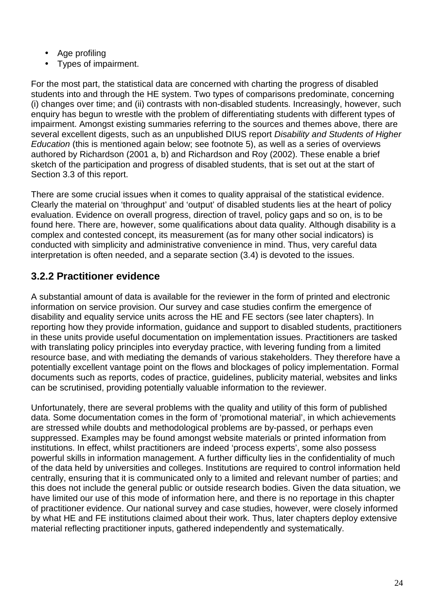- Age profiling
- Types of impairment.

For the most part, the statistical data are concerned with charting the progress of disabled students into and through the HE system. Two types of comparisons predominate, concerning (i) changes over time; and (ii) contrasts with non-disabled students. Increasingly, however, such enquiry has begun to wrestle with the problem of differentiating students with different types of impairment. Amongst existing summaries referring to the sources and themes above, there are several excellent digests, such as an unpublished DIUS report Disability and Students of Higher Education (this is mentioned again below; see footnote 5), as well as a series of overviews authored by Richardson (2001 a, b) and Richardson and Roy (2002). These enable a brief sketch of the participation and progress of disabled students, that is set out at the start of Section 3.3 of this report.

There are some crucial issues when it comes to quality appraisal of the statistical evidence. Clearly the material on 'throughput' and 'output' of disabled students lies at the heart of policy evaluation. Evidence on overall progress, direction of travel, policy gaps and so on, is to be found here. There are, however, some qualifications about data quality. Although disability is a complex and contested concept, its measurement (as for many other social indicators) is conducted with simplicity and administrative convenience in mind. Thus, very careful data interpretation is often needed, and a separate section (3.4) is devoted to the issues.

## **3.2.2 Practitioner evidence**

A substantial amount of data is available for the reviewer in the form of printed and electronic information on service provision. Our survey and case studies confirm the emergence of disability and equality service units across the HE and FE sectors (see later chapters). In reporting how they provide information, guidance and support to disabled students, practitioners in these units provide useful documentation on implementation issues. Practitioners are tasked with translating policy principles into everyday practice, with levering funding from a limited resource base, and with mediating the demands of various stakeholders. They therefore have a potentially excellent vantage point on the flows and blockages of policy implementation. Formal documents such as reports, codes of practice, guidelines, publicity material, websites and links can be scrutinised, providing potentially valuable information to the reviewer.

Unfortunately, there are several problems with the quality and utility of this form of published data. Some documentation comes in the form of 'promotional material', in which achievements are stressed while doubts and methodological problems are by-passed, or perhaps even suppressed. Examples may be found amongst website materials or printed information from institutions. In effect, whilst practitioners are indeed 'process experts', some also possess powerful skills in information management. A further difficulty lies in the confidentiality of much of the data held by universities and colleges. Institutions are required to control information held centrally, ensuring that it is communicated only to a limited and relevant number of parties; and this does not include the general public or outside research bodies. Given the data situation, we have limited our use of this mode of information here, and there is no reportage in this chapter of practitioner evidence. Our national survey and case studies, however, were closely informed by what HE and FE institutions claimed about their work. Thus, later chapters deploy extensive material reflecting practitioner inputs, gathered independently and systematically.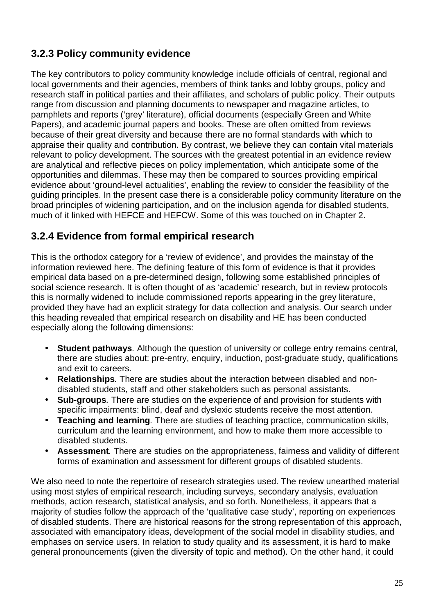## **3.2.3 Policy community evidence**

The key contributors to policy community knowledge include officials of central, regional and local governments and their agencies, members of think tanks and lobby groups, policy and research staff in political parties and their affiliates, and scholars of public policy. Their outputs range from discussion and planning documents to newspaper and magazine articles, to pamphlets and reports ('grey' literature), official documents (especially Green and White Papers), and academic journal papers and books. These are often omitted from reviews because of their great diversity and because there are no formal standards with which to appraise their quality and contribution. By contrast, we believe they can contain vital materials relevant to policy development. The sources with the greatest potential in an evidence review are analytical and reflective pieces on policy implementation, which anticipate some of the opportunities and dilemmas. These may then be compared to sources providing empirical evidence about 'ground-level actualities', enabling the review to consider the feasibility of the guiding principles. In the present case there is a considerable policy community literature on the broad principles of widening participation, and on the inclusion agenda for disabled students, much of it linked with HEFCE and HEFCW. Some of this was touched on in Chapter 2.

## **3.2.4 Evidence from formal empirical research**

This is the orthodox category for a 'review of evidence', and provides the mainstay of the information reviewed here. The defining feature of this form of evidence is that it provides empirical data based on a pre-determined design, following some established principles of social science research. It is often thought of as 'academic' research, but in review protocols this is normally widened to include commissioned reports appearing in the grey literature, provided they have had an explicit strategy for data collection and analysis. Our search under this heading revealed that empirical research on disability and HE has been conducted especially along the following dimensions:

- **Student pathways**. Although the question of university or college entry remains central, there are studies about: pre-entry, enquiry, induction, post-graduate study, qualifications and exit to careers.
- **Relationships**. There are studies about the interaction between disabled and nondisabled students, staff and other stakeholders such as personal assistants.
- **Sub-groups**. There are studies on the experience of and provision for students with specific impairments: blind, deaf and dyslexic students receive the most attention.
- **Teaching and learning**. There are studies of teaching practice, communication skills, curriculum and the learning environment, and how to make them more accessible to disabled students.
- **Assessment**. There are studies on the appropriateness, fairness and validity of different forms of examination and assessment for different groups of disabled students.

We also need to note the repertoire of research strategies used. The review unearthed material using most styles of empirical research, including surveys, secondary analysis, evaluation methods, action research, statistical analysis, and so forth. Nonetheless, it appears that a majority of studies follow the approach of the 'qualitative case study', reporting on experiences of disabled students. There are historical reasons for the strong representation of this approach, associated with emancipatory ideas, development of the social model in disability studies, and emphases on service users. In relation to study quality and its assessment, it is hard to make general pronouncements (given the diversity of topic and method). On the other hand, it could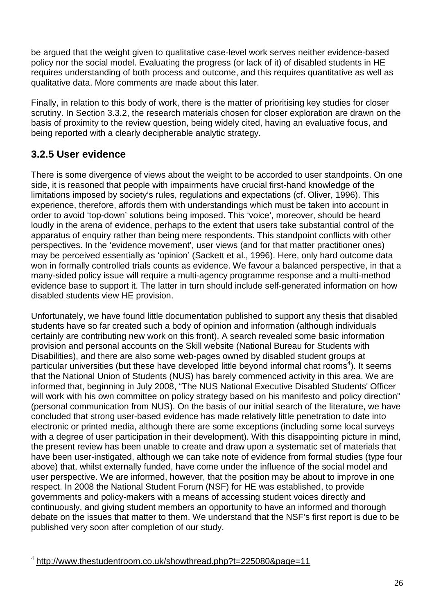be argued that the weight given to qualitative case-level work serves neither evidence-based policy nor the social model. Evaluating the progress (or lack of it) of disabled students in HE requires understanding of both process and outcome, and this requires quantitative as well as qualitative data. More comments are made about this later.

Finally, in relation to this body of work, there is the matter of prioritising key studies for closer scrutiny. In Section 3.3.2, the research materials chosen for closer exploration are drawn on the basis of proximity to the review question, being widely cited, having an evaluative focus, and being reported with a clearly decipherable analytic strategy.

## **3.2.5 User evidence**

There is some divergence of views about the weight to be accorded to user standpoints. On one side, it is reasoned that people with impairments have crucial first-hand knowledge of the limitations imposed by society's rules, regulations and expectations (cf. Oliver, 1996). This experience, therefore, affords them with understandings which must be taken into account in order to avoid 'top-down' solutions being imposed. This 'voice', moreover, should be heard loudly in the arena of evidence, perhaps to the extent that users take substantial control of the apparatus of enquiry rather than being mere respondents. This standpoint conflicts with other perspectives. In the 'evidence movement', user views (and for that matter practitioner ones) may be perceived essentially as 'opinion' (Sackett et al., 1996). Here, only hard outcome data won in formally controlled trials counts as evidence. We favour a balanced perspective, in that a many-sided policy issue will require a multi-agency programme response and a multi-method evidence base to support it. The latter in turn should include self-generated information on how disabled students view HE provision.

Unfortunately, we have found little documentation published to support any thesis that disabled students have so far created such a body of opinion and information (although individuals certainly are contributing new work on this front). A search revealed some basic information provision and personal accounts on the Skill website (National Bureau for Students with Disabilities), and there are also some web-pages owned by disabled student groups at particular universities (but these have developed little beyond informal chat rooms<sup>4</sup>). It seems that the National Union of Students (NUS) has barely commenced activity in this area. We are informed that, beginning in July 2008, "The NUS National Executive Disabled Students' Officer will work with his own committee on policy strategy based on his manifesto and policy direction" (personal communication from NUS). On the basis of our initial search of the literature, we have concluded that strong user-based evidence has made relatively little penetration to date into electronic or printed media, although there are some exceptions (including some local surveys with a degree of user participation in their development). With this disappointing picture in mind, the present review has been unable to create and draw upon a systematic set of materials that have been user-instigated, although we can take note of evidence from formal studies (type four above) that, whilst externally funded, have come under the influence of the social model and user perspective. We are informed, however, that the position may be about to improve in one respect. In 2008 the National Student Forum (NSF) for HE was established, to provide governments and policy-makers with a means of accessing student voices directly and continuously, and giving student members an opportunity to have an informed and thorough debate on the issues that matter to them. We understand that the NSF's first report is due to be published very soon after completion of our study.

 4 http://www.thestudentroom.co.uk/showthread.php?t=225080&page=11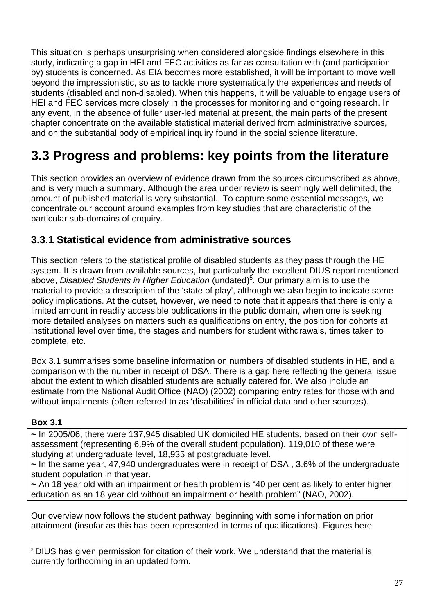This situation is perhaps unsurprising when considered alongside findings elsewhere in this study, indicating a gap in HEI and FEC activities as far as consultation with (and participation by) students is concerned. As EIA becomes more established, it will be important to move well beyond the impressionistic, so as to tackle more systematically the experiences and needs of students (disabled and non-disabled). When this happens, it will be valuable to engage users of HEI and FEC services more closely in the processes for monitoring and ongoing research. In any event, in the absence of fuller user-led material at present, the main parts of the present chapter concentrate on the available statistical material derived from administrative sources, and on the substantial body of empirical inquiry found in the social science literature.

# **3.3 Progress and problems: key points from the literature**

This section provides an overview of evidence drawn from the sources circumscribed as above, and is very much a summary. Although the area under review is seemingly well delimited, the amount of published material is very substantial. To capture some essential messages, we concentrate our account around examples from key studies that are characteristic of the particular sub-domains of enquiry.

## **3.3.1 Statistical evidence from administrative sources**

This section refers to the statistical profile of disabled students as they pass through the HE system. It is drawn from available sources, but particularly the excellent DIUS report mentioned above, *Disabled Students in Higher Education* (undated)<sup>5</sup>. Our primary aim is to use the material to provide a description of the 'state of play', although we also begin to indicate some policy implications. At the outset, however, we need to note that it appears that there is only a limited amount in readily accessible publications in the public domain, when one is seeking more detailed analyses on matters such as qualifications on entry, the position for cohorts at institutional level over time, the stages and numbers for student withdrawals, times taken to complete, etc.

Box 3.1 summarises some baseline information on numbers of disabled students in HE, and a comparison with the number in receipt of DSA. There is a gap here reflecting the general issue about the extent to which disabled students are actually catered for. We also include an estimate from the National Audit Office (NAO) (2002) comparing entry rates for those with and without impairments (often referred to as 'disabilities' in official data and other sources).

#### **Box 3.1**

 $\overline{a}$ 

**~** In 2005/06, there were 137,945 disabled UK domiciled HE students, based on their own selfassessment (representing 6.9% of the overall student population). 119,010 of these were studying at undergraduate level, 18,935 at postgraduate level.

**~** In the same year, 47,940 undergraduates were in receipt of DSA , 3.6% of the undergraduate student population in that year.

**~** An 18 year old with an impairment or health problem is "40 per cent as likely to enter higher education as an 18 year old without an impairment or health problem" (NAO, 2002).

Our overview now follows the student pathway, beginning with some information on prior attainment (insofar as this has been represented in terms of qualifications). Figures here

<sup>&</sup>lt;sup>5</sup> DIUS has given permission for citation of their work. We understand that the material is currently forthcoming in an updated form.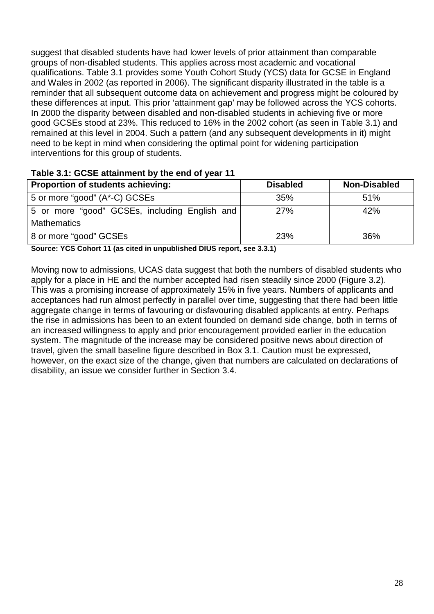suggest that disabled students have had lower levels of prior attainment than comparable groups of non-disabled students. This applies across most academic and vocational qualifications. Table 3.1 provides some Youth Cohort Study (YCS) data for GCSE in England and Wales in 2002 (as reported in 2006). The significant disparity illustrated in the table is a reminder that all subsequent outcome data on achievement and progress might be coloured by these differences at input. This prior 'attainment gap' may be followed across the YCS cohorts. In 2000 the disparity between disabled and non-disabled students in achieving five or more good GCSEs stood at 23%. This reduced to 16% in the 2002 cohort (as seen in Table 3.1) and remained at this level in 2004. Such a pattern (and any subsequent developments in it) might need to be kept in mind when considering the optimal point for widening participation interventions for this group of students.

| Proportion of students achieving:             | <b>Disabled</b> | <b>Non-Disabled</b> |
|-----------------------------------------------|-----------------|---------------------|
| 5 or more "good" (A*-C) GCSEs                 | 35%             | 51%                 |
| 5 or more "good" GCSEs, including English and | 27%             | 42%                 |
| <b>Mathematics</b>                            |                 |                     |
| 8 or more "good" GCSEs                        | 23%             | 36%                 |

#### **Table 3.1: GCSE attainment by the end of year 11**

**Source: YCS Cohort 11 (as cited in unpublished DIUS report, see 3.3.1)** 

Moving now to admissions, UCAS data suggest that both the numbers of disabled students who apply for a place in HE and the number accepted had risen steadily since 2000 (Figure 3.2). This was a promising increase of approximately 15% in five years. Numbers of applicants and acceptances had run almost perfectly in parallel over time, suggesting that there had been little aggregate change in terms of favouring or disfavouring disabled applicants at entry. Perhaps the rise in admissions has been to an extent founded on demand side change, both in terms of an increased willingness to apply and prior encouragement provided earlier in the education system. The magnitude of the increase may be considered positive news about direction of travel, given the small baseline figure described in Box 3.1. Caution must be expressed, however, on the exact size of the change, given that numbers are calculated on declarations of disability, an issue we consider further in Section 3.4.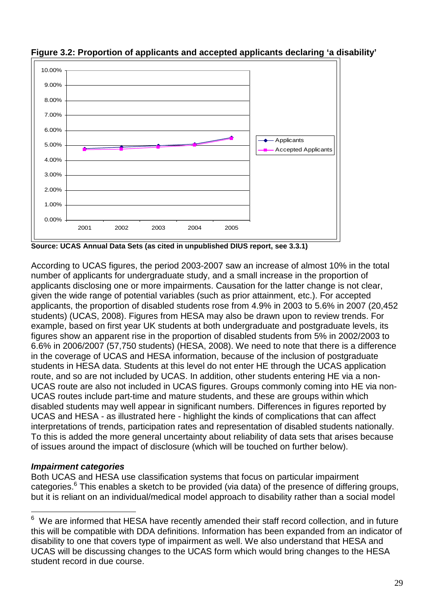

**Figure 3.2: Proportion of applicants and accepted applicants declaring 'a disability'** 

**Source: UCAS Annual Data Sets (as cited in unpublished DIUS report, see 3.3.1)** 

According to UCAS figures, the period 2003-2007 saw an increase of almost 10% in the total number of applicants for undergraduate study, and a small increase in the proportion of applicants disclosing one or more impairments. Causation for the latter change is not clear, given the wide range of potential variables (such as prior attainment, etc.). For accepted applicants, the proportion of disabled students rose from 4.9% in 2003 to 5.6% in 2007 (20,452 students) (UCAS, 2008). Figures from HESA may also be drawn upon to review trends. For example, based on first year UK students at both undergraduate and postgraduate levels, its figures show an apparent rise in the proportion of disabled students from 5% in 2002/2003 to 6.6% in 2006/2007 (57,750 students) (HESA, 2008). We need to note that there is a difference in the coverage of UCAS and HESA information, because of the inclusion of postgraduate students in HESA data. Students at this level do not enter HE through the UCAS application route, and so are not included by UCAS. In addition, other students entering HE via a non-UCAS route are also not included in UCAS figures. Groups commonly coming into HE via non-UCAS routes include part-time and mature students, and these are groups within which disabled students may well appear in significant numbers. Differences in figures reported by UCAS and HESA - as illustrated here - highlight the kinds of complications that can affect interpretations of trends, participation rates and representation of disabled students nationally. To this is added the more general uncertainty about reliability of data sets that arises because of issues around the impact of disclosure (which will be touched on further below).

### **Impairment categories**

Both UCAS and HESA use classification systems that focus on particular impairment categories.<sup>6</sup> This enables a sketch to be provided (via data) of the presence of differing groups, but it is reliant on an individual/medical model approach to disability rather than a social model

 $\frac{1}{6}$  We are informed that HESA have recently amended their staff record collection, and in future this will be compatible with DDA definitions. Information has been expanded from an indicator of disability to one that covers type of impairment as well. We also understand that HESA and UCAS will be discussing changes to the UCAS form which would bring changes to the HESA student record in due course.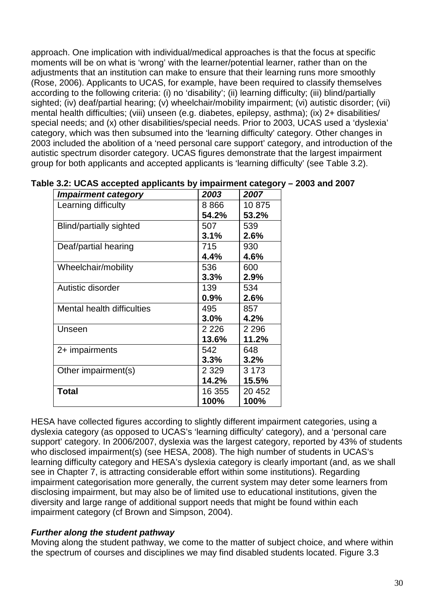approach. One implication with individual/medical approaches is that the focus at specific moments will be on what is 'wrong' with the learner/potential learner, rather than on the adjustments that an institution can make to ensure that their learning runs more smoothly (Rose, 2006). Applicants to UCAS, for example, have been required to classify themselves according to the following criteria: (i) no 'disability'; (ii) learning difficulty; (iii) blind/partially sighted; (iv) deaf/partial hearing; (v) wheelchair/mobility impairment; (vi) autistic disorder; (vii) mental health difficulties; (viii) unseen (e.g. diabetes, epilepsy, asthma); (ix) 2+ disabilities/ special needs; and (x) other disabilities/special needs. Prior to 2003, UCAS used a 'dyslexia' category, which was then subsumed into the 'learning difficulty' category. Other changes in 2003 included the abolition of a 'need personal care support' category, and introduction of the autistic spectrum disorder category. UCAS figures demonstrate that the largest impairment group for both applicants and accepted applicants is 'learning difficulty' (see Table 3.2).

| <b>Impairment category</b> | 2003    | 2007    |
|----------------------------|---------|---------|
| Learning difficulty        | 8866    | 10875   |
|                            | 54.2%   | 53.2%   |
| Blind/partially sighted    | 507     | 539     |
|                            | 3.1%    | 2.6%    |
| Deaf/partial hearing       | 715     | 930     |
|                            | 4.4%    | 4.6%    |
| Wheelchair/mobility        | 536     | 600     |
|                            | 3.3%    | 2.9%    |
| Autistic disorder          | 139     | 534     |
|                            | $0.9\%$ | 2.6%    |
| Mental health difficulties | 495     | 857     |
|                            | 3.0%    | 4.2%    |
| Unseen                     | 2 2 2 6 | 2 2 9 6 |
|                            | 13.6%   | 11.2%   |
| 2+ impairments             | 542     | 648     |
|                            | 3.3%    | 3.2%    |
| Other impairment(s)        | 2 3 2 9 | 3 1 7 3 |
|                            | 14.2%   | 15.5%   |
| <b>Total</b>               | 16 355  | 20 452  |
|                            | 100%    | 100%    |

|  |  | Table 3.2: UCAS accepted applicants by impairment category – 2003 and 2007 |
|--|--|----------------------------------------------------------------------------|
|--|--|----------------------------------------------------------------------------|

HESA have collected figures according to slightly different impairment categories, using a dyslexia category (as opposed to UCAS's 'learning difficulty' category), and a 'personal care support' category. In 2006/2007, dyslexia was the largest category, reported by 43% of students who disclosed impairment(s) (see HESA, 2008). The high number of students in UCAS's learning difficulty category and HESA's dyslexia category is clearly important (and, as we shall see in Chapter 7, is attracting considerable effort within some institutions). Regarding impairment categorisation more generally, the current system may deter some learners from disclosing impairment, but may also be of limited use to educational institutions, given the diversity and large range of additional support needs that might be found within each impairment category (cf Brown and Simpson, 2004).

### **Further along the student pathway**

Moving along the student pathway, we come to the matter of subject choice, and where within the spectrum of courses and disciplines we may find disabled students located. Figure 3.3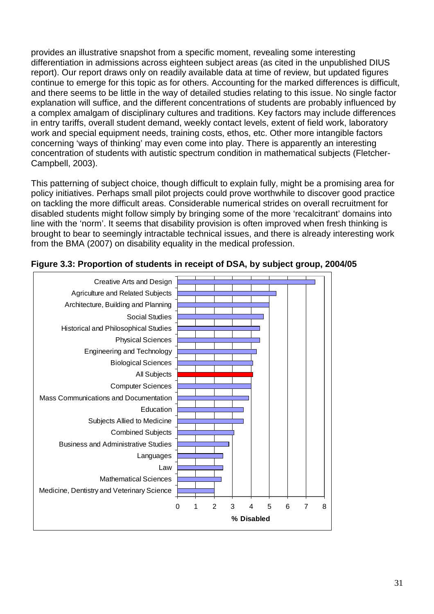provides an illustrative snapshot from a specific moment, revealing some interesting differentiation in admissions across eighteen subject areas (as cited in the unpublished DIUS report). Our report draws only on readily available data at time of review, but updated figures continue to emerge for this topic as for others. Accounting for the marked differences is difficult, and there seems to be little in the way of detailed studies relating to this issue. No single factor explanation will suffice, and the different concentrations of students are probably influenced by a complex amalgam of disciplinary cultures and traditions. Key factors may include differences in entry tariffs, overall student demand, weekly contact levels, extent of field work, laboratory work and special equipment needs, training costs, ethos, etc. Other more intangible factors concerning 'ways of thinking' may even come into play. There is apparently an interesting concentration of students with autistic spectrum condition in mathematical subjects (Fletcher-Campbell, 2003).

This patterning of subject choice, though difficult to explain fully, might be a promising area for policy initiatives. Perhaps small pilot projects could prove worthwhile to discover good practice on tackling the more difficult areas. Considerable numerical strides on overall recruitment for disabled students might follow simply by bringing some of the more 'recalcitrant' domains into line with the 'norm'. It seems that disability provision is often improved when fresh thinking is brought to bear to seemingly intractable technical issues, and there is already interesting work from the BMA (2007) on disability equality in the medical profession.



#### **Figure 3.3: Proportion of students in receipt of DSA, by subject group, 2004/05**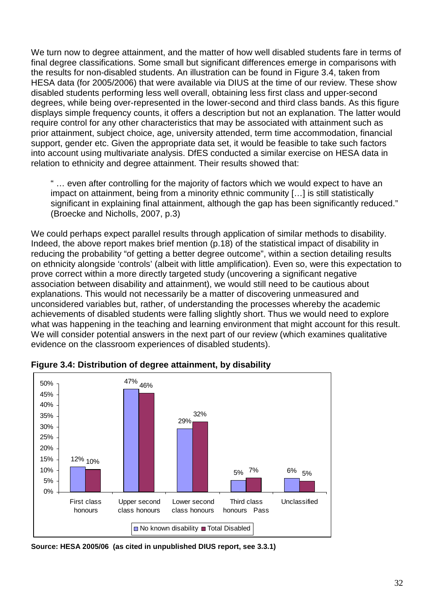We turn now to degree attainment, and the matter of how well disabled students fare in terms of final degree classifications. Some small but significant differences emerge in comparisons with the results for non-disabled students. An illustration can be found in Figure 3.4, taken from HESA data (for 2005/2006) that were available via DIUS at the time of our review. These show disabled students performing less well overall, obtaining less first class and upper-second degrees, while being over-represented in the lower-second and third class bands. As this figure displays simple frequency counts, it offers a description but not an explanation. The latter would require control for any other characteristics that may be associated with attainment such as prior attainment, subject choice, age, university attended, term time accommodation, financial support, gender etc. Given the appropriate data set, it would be feasible to take such factors into account using multivariate analysis. DfES conducted a similar exercise on HESA data in relation to ethnicity and degree attainment. Their results showed that:

" … even after controlling for the majority of factors which we would expect to have an impact on attainment, being from a minority ethnic community […] is still statistically significant in explaining final attainment, although the gap has been significantly reduced." (Broecke and Nicholls, 2007, p.3)

We could perhaps expect parallel results through application of similar methods to disability. Indeed, the above report makes brief mention (p.18) of the statistical impact of disability in reducing the probability "of getting a better degree outcome", within a section detailing results on ethnicity alongside 'controls' (albeit with little amplification). Even so, were this expectation to prove correct within a more directly targeted study (uncovering a significant negative association between disability and attainment), we would still need to be cautious about explanations. This would not necessarily be a matter of discovering unmeasured and unconsidered variables but, rather, of understanding the processes whereby the academic achievements of disabled students were falling slightly short. Thus we would need to explore what was happening in the teaching and learning environment that might account for this result. We will consider potential answers in the next part of our review (which examines qualitative evidence on the classroom experiences of disabled students).



**Figure 3.4: Distribution of degree attainment, by disability** 

**Source: HESA 2005/06 (as cited in unpublished DIUS report, see 3.3.1)**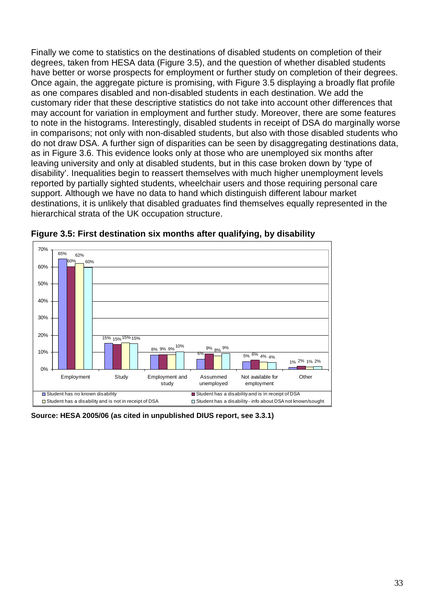Finally we come to statistics on the destinations of disabled students on completion of their degrees, taken from HESA data (Figure 3.5), and the question of whether disabled students have better or worse prospects for employment or further study on completion of their degrees. Once again, the aggregate picture is promising, with Figure 3.5 displaying a broadly flat profile as one compares disabled and non-disabled students in each destination. We add the customary rider that these descriptive statistics do not take into account other differences that may account for variation in employment and further study. Moreover, there are some features to note in the histograms. Interestingly, disabled students in receipt of DSA do marginally worse in comparisons; not only with non-disabled students, but also with those disabled students who do not draw DSA. A further sign of disparities can be seen by disaggregating destinations data, as in Figure 3.6. This evidence looks only at those who are unemployed six months after leaving university and only at disabled students, but in this case broken down by 'type of disability'. Inequalities begin to reassert themselves with much higher unemployment levels reported by partially sighted students, wheelchair users and those requiring personal care support. Although we have no data to hand which distinguish different labour market destinations, it is unlikely that disabled graduates find themselves equally represented in the hierarchical strata of the UK occupation structure.



**Figure 3.5: First destination six months after qualifying, by disability** 

**Source: HESA 2005/06 (as cited in unpublished DIUS report, see 3.3.1)**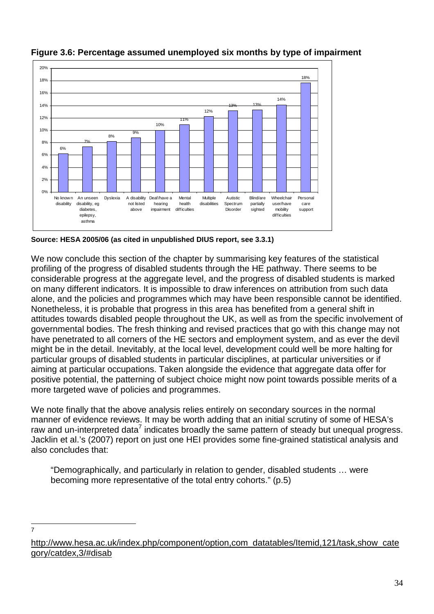

**Figure 3.6: Percentage assumed unemployed six months by type of impairment** 

**Source: HESA 2005/06 (as cited in unpublished DIUS report, see 3.3.1)** 

We now conclude this section of the chapter by summarising key features of the statistical profiling of the progress of disabled students through the HE pathway. There seems to be considerable progress at the aggregate level, and the progress of disabled students is marked on many different indicators. It is impossible to draw inferences on attribution from such data alone, and the policies and programmes which may have been responsible cannot be identified. Nonetheless, it is probable that progress in this area has benefited from a general shift in attitudes towards disabled people throughout the UK, as well as from the specific involvement of governmental bodies. The fresh thinking and revised practices that go with this change may not have penetrated to all corners of the HE sectors and employment system, and as ever the devil might be in the detail. Inevitably, at the local level, development could well be more halting for particular groups of disabled students in particular disciplines, at particular universities or if aiming at particular occupations. Taken alongside the evidence that aggregate data offer for positive potential, the patterning of subject choice might now point towards possible merits of a more targeted wave of policies and programmes.

We note finally that the above analysis relies entirely on secondary sources in the normal manner of evidence reviews. It may be worth adding that an initial scrutiny of some of HESA's raw and un-interpreted data<sup>7</sup> indicates broadly the same pattern of steady but unequal progress. Jacklin et al.'s (2007) report on just one HEI provides some fine-grained statistical analysis and also concludes that:

"Demographically, and particularly in relation to gender, disabled students … were becoming more representative of the total entry cohorts." (p.5)

—<br>7

http://www.hesa.ac.uk/index.php/component/option,com\_datatables/Itemid,121/task,show\_cate gory/catdex,3/#disab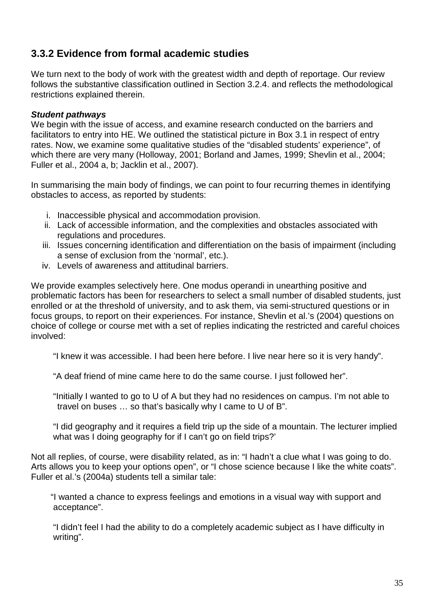## **3.3.2 Evidence from formal academic studies**

We turn next to the body of work with the greatest width and depth of reportage. Our review follows the substantive classification outlined in Section 3.2.4. and reflects the methodological restrictions explained therein.

#### **Student pathways**

We begin with the issue of access, and examine research conducted on the barriers and facilitators to entry into HE. We outlined the statistical picture in Box 3.1 in respect of entry rates. Now, we examine some qualitative studies of the "disabled students' experience", of which there are very many (Holloway, 2001; Borland and James, 1999; Shevlin et al., 2004; Fuller et al., 2004 a, b; Jacklin et al., 2007).

In summarising the main body of findings, we can point to four recurring themes in identifying obstacles to access, as reported by students:

- i. Inaccessible physical and accommodation provision.
- ii. Lack of accessible information, and the complexities and obstacles associated with regulations and procedures.
- iii. Issues concerning identification and differentiation on the basis of impairment (including a sense of exclusion from the 'normal', etc.).
- iv. Levels of awareness and attitudinal barriers.

We provide examples selectively here. One modus operandi in unearthing positive and problematic factors has been for researchers to select a small number of disabled students, just enrolled or at the threshold of university, and to ask them, via semi-structured questions or in focus groups, to report on their experiences. For instance, Shevlin et al.'s (2004) questions on choice of college or course met with a set of replies indicating the restricted and careful choices involved:

"I knew it was accessible. I had been here before. I live near here so it is very handy".

"A deaf friend of mine came here to do the same course. I just followed her".

 "Initially I wanted to go to U of A but they had no residences on campus. I'm not able to travel on buses … so that's basically why I came to U of B".

 "I did geography and it requires a field trip up the side of a mountain. The lecturer implied what was I doing geography for if I can't go on field trips?'

Not all replies, of course, were disability related, as in: "I hadn't a clue what I was going to do. Arts allows you to keep your options open", or "I chose science because I like the white coats". Fuller et al.'s (2004a) students tell a similar tale:

"I wanted a chance to express feelings and emotions in a visual way with support and acceptance".

 "I didn't feel I had the ability to do a completely academic subject as I have difficulty in writing".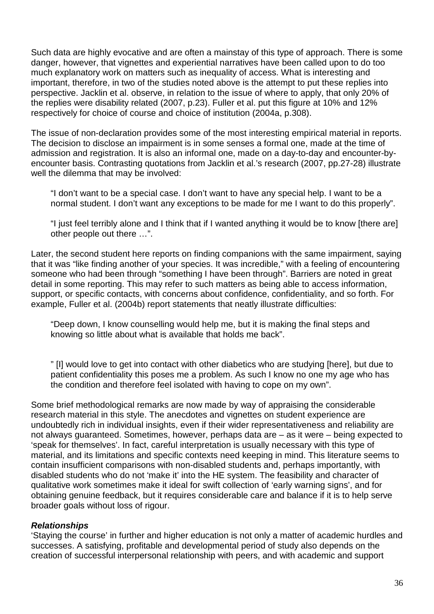Such data are highly evocative and are often a mainstay of this type of approach. There is some danger, however, that vignettes and experiential narratives have been called upon to do too much explanatory work on matters such as inequality of access. What is interesting and important, therefore, in two of the studies noted above is the attempt to put these replies into perspective. Jacklin et al. observe, in relation to the issue of where to apply, that only 20% of the replies were disability related (2007, p.23). Fuller et al. put this figure at 10% and 12% respectively for choice of course and choice of institution (2004a, p.308).

The issue of non-declaration provides some of the most interesting empirical material in reports. The decision to disclose an impairment is in some senses a formal one, made at the time of admission and registration. It is also an informal one, made on a day-to-day and encounter-byencounter basis. Contrasting quotations from Jacklin et al.'s research (2007, pp.27-28) illustrate well the dilemma that may be involved:

"I don't want to be a special case. I don't want to have any special help. I want to be a normal student. I don't want any exceptions to be made for me I want to do this properly".

"I just feel terribly alone and I think that if I wanted anything it would be to know [there are] other people out there …".

Later, the second student here reports on finding companions with the same impairment, saying that it was "like finding another of your species. It was incredible," with a feeling of encountering someone who had been through "something I have been through". Barriers are noted in great detail in some reporting. This may refer to such matters as being able to access information, support, or specific contacts, with concerns about confidence, confidentiality, and so forth. For example, Fuller et al. (2004b) report statements that neatly illustrate difficulties:

"Deep down, I know counselling would help me, but it is making the final steps and knowing so little about what is available that holds me back".

" [I] would love to get into contact with other diabetics who are studying [here], but due to patient confidentiality this poses me a problem. As such I know no one my age who has the condition and therefore feel isolated with having to cope on my own".

Some brief methodological remarks are now made by way of appraising the considerable research material in this style. The anecdotes and vignettes on student experience are undoubtedly rich in individual insights, even if their wider representativeness and reliability are not always guaranteed. Sometimes, however, perhaps data are – as it were – being expected to 'speak for themselves'. In fact, careful interpretation is usually necessary with this type of material, and its limitations and specific contexts need keeping in mind. This literature seems to contain insufficient comparisons with non-disabled students and, perhaps importantly, with disabled students who do not 'make it' into the HE system. The feasibility and character of qualitative work sometimes make it ideal for swift collection of 'early warning signs', and for obtaining genuine feedback, but it requires considerable care and balance if it is to help serve broader goals without loss of rigour.

### **Relationships**

'Staying the course' in further and higher education is not only a matter of academic hurdles and successes. A satisfying, profitable and developmental period of study also depends on the creation of successful interpersonal relationship with peers, and with academic and support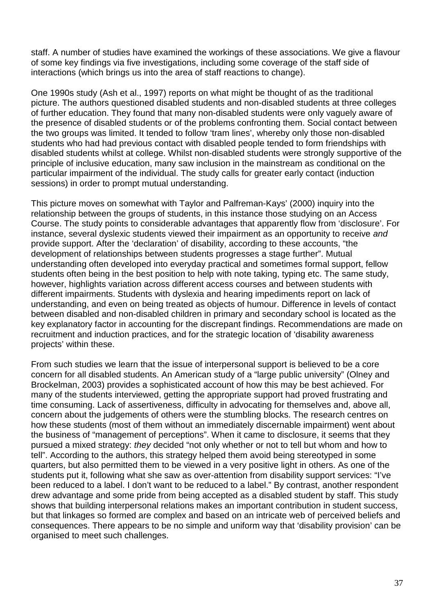staff. A number of studies have examined the workings of these associations. We give a flavour of some key findings via five investigations, including some coverage of the staff side of interactions (which brings us into the area of staff reactions to change).

One 1990s study (Ash et al., 1997) reports on what might be thought of as the traditional picture. The authors questioned disabled students and non-disabled students at three colleges of further education. They found that many non-disabled students were only vaguely aware of the presence of disabled students or of the problems confronting them. Social contact between the two groups was limited. It tended to follow 'tram lines', whereby only those non-disabled students who had had previous contact with disabled people tended to form friendships with disabled students whilst at college. Whilst non-disabled students were strongly supportive of the principle of inclusive education, many saw inclusion in the mainstream as conditional on the particular impairment of the individual. The study calls for greater early contact (induction sessions) in order to prompt mutual understanding.

This picture moves on somewhat with Taylor and Palfreman-Kays' (2000) inquiry into the relationship between the groups of students, in this instance those studying on an Access Course. The study points to considerable advantages that apparently flow from 'disclosure'. For instance, several dyslexic students viewed their impairment as an opportunity to receive and provide support. After the 'declaration' of disability, according to these accounts, "the development of relationships between students progresses a stage further". Mutual understanding often developed into everyday practical and sometimes formal support, fellow students often being in the best position to help with note taking, typing etc. The same study, however, highlights variation across different access courses and between students with different impairments. Students with dyslexia and hearing impediments report on lack of understanding, and even on being treated as objects of humour. Difference in levels of contact between disabled and non-disabled children in primary and secondary school is located as the key explanatory factor in accounting for the discrepant findings. Recommendations are made on recruitment and induction practices, and for the strategic location of 'disability awareness projects' within these.

From such studies we learn that the issue of interpersonal support is believed to be a core concern for all disabled students. An American study of a "large public university" (Olney and Brockelman, 2003) provides a sophisticated account of how this may be best achieved. For many of the students interviewed, getting the appropriate support had proved frustrating and time consuming. Lack of assertiveness, difficulty in advocating for themselves and, above all, concern about the judgements of others were the stumbling blocks. The research centres on how these students (most of them without an immediately discernable impairment) went about the business of "management of perceptions". When it came to disclosure, it seems that they pursued a mixed strategy: they decided "not only whether or not to tell but whom and how to tell". According to the authors, this strategy helped them avoid being stereotyped in some quarters, but also permitted them to be viewed in a very positive light in others. As one of the students put it, following what she saw as over-attention from disability support services: "I've been reduced to a label. I don't want to be reduced to a label." By contrast, another respondent drew advantage and some pride from being accepted as a disabled student by staff. This study shows that building interpersonal relations makes an important contribution in student success, but that linkages so formed are complex and based on an intricate web of perceived beliefs and consequences. There appears to be no simple and uniform way that 'disability provision' can be organised to meet such challenges.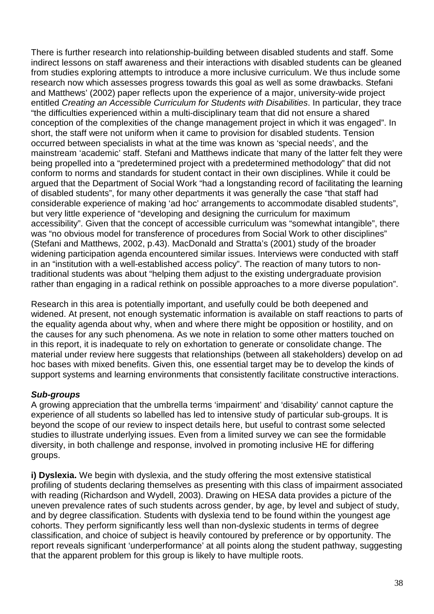There is further research into relationship-building between disabled students and staff. Some indirect lessons on staff awareness and their interactions with disabled students can be gleaned from studies exploring attempts to introduce a more inclusive curriculum. We thus include some research now which assesses progress towards this goal as well as some drawbacks. Stefani and Matthews' (2002) paper reflects upon the experience of a major, university-wide project entitled Creating an Accessible Curriculum for Students with Disabilities. In particular, they trace "the difficulties experienced within a multi-disciplinary team that did not ensure a shared conception of the complexities of the change management project in which it was engaged". In short, the staff were not uniform when it came to provision for disabled students. Tension occurred between specialists in what at the time was known as 'special needs', and the mainstream 'academic' staff. Stefani and Matthews indicate that many of the latter felt they were being propelled into a "predetermined project with a predetermined methodology" that did not conform to norms and standards for student contact in their own disciplines. While it could be argued that the Department of Social Work "had a longstanding record of facilitating the learning of disabled students", for many other departments it was generally the case "that staff had considerable experience of making 'ad hoc' arrangements to accommodate disabled students", but very little experience of "developing and designing the curriculum for maximum accessibility". Given that the concept of accessible curriculum was "somewhat intangible", there was "no obvious model for transference of procedures from Social Work to other disciplines" (Stefani and Matthews, 2002, p.43). MacDonald and Stratta's (2001) study of the broader widening participation agenda encountered similar issues. Interviews were conducted with staff in an "institution with a well-established access policy". The reaction of many tutors to nontraditional students was about "helping them adjust to the existing undergraduate provision rather than engaging in a radical rethink on possible approaches to a more diverse population".

Research in this area is potentially important, and usefully could be both deepened and widened. At present, not enough systematic information is available on staff reactions to parts of the equality agenda about why, when and where there might be opposition or hostility, and on the causes for any such phenomena. As we note in relation to some other matters touched on in this report, it is inadequate to rely on exhortation to generate or consolidate change. The material under review here suggests that relationships (between all stakeholders) develop on ad hoc bases with mixed benefits. Given this, one essential target may be to develop the kinds of support systems and learning environments that consistently facilitate constructive interactions.

### **Sub-groups**

A growing appreciation that the umbrella terms 'impairment' and 'disability' cannot capture the experience of all students so labelled has led to intensive study of particular sub-groups. It is beyond the scope of our review to inspect details here, but useful to contrast some selected studies to illustrate underlying issues. Even from a limited survey we can see the formidable diversity, in both challenge and response, involved in promoting inclusive HE for differing groups.

**i) Dyslexia.** We begin with dyslexia, and the study offering the most extensive statistical profiling of students declaring themselves as presenting with this class of impairment associated with reading (Richardson and Wydell, 2003). Drawing on HESA data provides a picture of the uneven prevalence rates of such students across gender, by age, by level and subject of study, and by degree classification. Students with dyslexia tend to be found within the youngest age cohorts. They perform significantly less well than non-dyslexic students in terms of degree classification, and choice of subject is heavily contoured by preference or by opportunity. The report reveals significant 'underperformance' at all points along the student pathway, suggesting that the apparent problem for this group is likely to have multiple roots.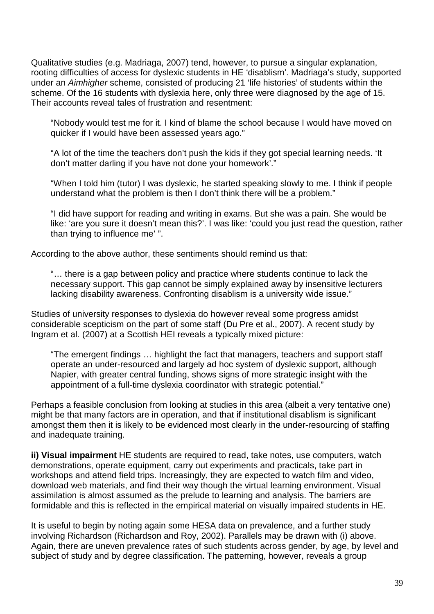Qualitative studies (e.g. Madriaga, 2007) tend, however, to pursue a singular explanation, rooting difficulties of access for dyslexic students in HE 'disablism'. Madriaga's study, supported under an Aimhigher scheme, consisted of producing 21 'life histories' of students within the scheme. Of the 16 students with dyslexia here, only three were diagnosed by the age of 15. Their accounts reveal tales of frustration and resentment:

"Nobody would test me for it. I kind of blame the school because I would have moved on quicker if I would have been assessed years ago."

"A lot of the time the teachers don't push the kids if they got special learning needs. 'It don't matter darling if you have not done your homework'."

"When I told him (tutor) I was dyslexic, he started speaking slowly to me. I think if people understand what the problem is then I don't think there will be a problem."

"I did have support for reading and writing in exams. But she was a pain. She would be like: 'are you sure it doesn't mean this?'. I was like: 'could you just read the question, rather than trying to influence me' ".

According to the above author, these sentiments should remind us that:

"… there is a gap between policy and practice where students continue to lack the necessary support. This gap cannot be simply explained away by insensitive lecturers lacking disability awareness. Confronting disablism is a university wide issue."

Studies of university responses to dyslexia do however reveal some progress amidst considerable scepticism on the part of some staff (Du Pre et al., 2007). A recent study by Ingram et al. (2007) at a Scottish HEI reveals a typically mixed picture:

"The emergent findings … highlight the fact that managers, teachers and support staff operate an under-resourced and largely ad hoc system of dyslexic support, although Napier, with greater central funding, shows signs of more strategic insight with the appointment of a full-time dyslexia coordinator with strategic potential."

Perhaps a feasible conclusion from looking at studies in this area (albeit a very tentative one) might be that many factors are in operation, and that if institutional disablism is significant amongst them then it is likely to be evidenced most clearly in the under-resourcing of staffing and inadequate training.

**ii) Visual impairment** HE students are required to read, take notes, use computers, watch demonstrations, operate equipment, carry out experiments and practicals, take part in workshops and attend field trips. Increasingly, they are expected to watch film and video, download web materials, and find their way though the virtual learning environment. Visual assimilation is almost assumed as the prelude to learning and analysis. The barriers are formidable and this is reflected in the empirical material on visually impaired students in HE.

It is useful to begin by noting again some HESA data on prevalence, and a further study involving Richardson (Richardson and Roy, 2002). Parallels may be drawn with (i) above. Again, there are uneven prevalence rates of such students across gender, by age, by level and subject of study and by degree classification. The patterning, however, reveals a group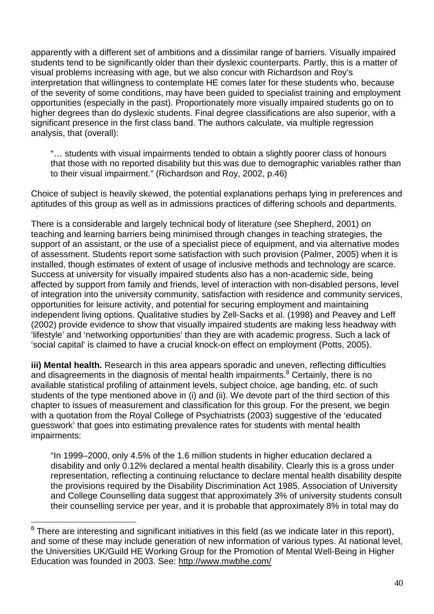apparently with a different set of ambitions and a dissimilar range of barriers. Visually impaired students tend to be significantly older than their dyslexic counterparts. Partly, this is a matter of visual problems increasing with age, but we also concur with Richardson and Roy's interpretation that willingness to contemplate HE comes later for these students who, because of the severity of some conditions, may have been guided to specialist training and employment opportunities (especially in the past). Proportionately more visually impaired students go on to higher degrees than do dyslexic students. Final degree classifications are also superior, with a significant presence in the first class band. The authors calculate, via multiple regression analysis, that (overall):

"… students with visual impairments tended to obtain a slightly poorer class of honours that those with no reported disability but this was due to demographic variables rather than to their visual impairment." (Richardson and Roy, 2002, p.46)

Choice of subject is heavily skewed, the potential explanations perhaps lying in preferences and aptitudes of this group as well as in admissions practices of differing schools and departments.

There is a considerable and largely technical body of literature (see Shepherd, 2001) on teaching and learning barriers being minimised through changes in teaching strategies, the support of an assistant, or the use of a specialist piece of equipment, and via alternative modes of assessment. Students report some satisfaction with such provision (Palmer, 2005) when it is installed, though estimates of extent of usage of inclusive methods and technology are scarce. Success at university for visually impaired students also has a non-academic side, being affected by support from family and friends, level of interaction with non-disabled persons, level of integration into the university community, satisfaction with residence and community services, opportunities for leisure activity, and potential for securing employment and maintaining independent living options. Qualitative studies by Zell-Sacks et al. (1998) and Peavey and Leff (2002) provide evidence to show that visually impaired students are making less headway with 'lifestyle' and 'networking opportunities' than they are with academic progress. Such a lack of 'social capital' is claimed to have a crucial knock-on effect on employment (Potts, 2005).

**iii) Mental health.** Research in this area appears sporadic and uneven, reflecting difficulties and disagreements in the diagnosis of mental health impairments.<sup>8</sup> Certainly, there is no available statistical profiling of attainment levels, subject choice, age banding, etc. of such students of the type mentioned above in (i) and (ii). We devote part of the third section of this chapter to issues of measurement and classification for this group. For the present, we begin with a quotation from the Royal College of Psychiatrists (2003) suggestive of the 'educated guesswork' that goes into estimating prevalence rates for students with mental health impairments:

"In 1999–2000, only 4.5% of the 1.6 million students in higher education declared a disability and only 0.12% declared a mental health disability. Clearly this is a gross under representation, reflecting a continuing reluctance to declare mental health disability despite the provisions required by the Disability Discrimination Act 1985. Association of University and College Counselling data suggest that approximately 3% of university students consult their counselling service per year, and it is probable that approximately 8% in total may do

 $\overline{a}$ 

 $8$  There are interesting and significant initiatives in this field (as we indicate later in this report), and some of these may include generation of new information of various types. At national level, the Universities UK/Guild HE Working Group for the Promotion of Mental Well-Being in Higher Education was founded in 2003. See: http://www.mwbhe.com/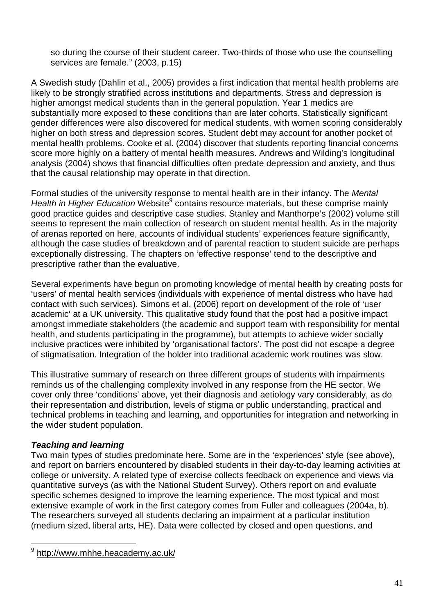so during the course of their student career. Two-thirds of those who use the counselling services are female." (2003, p.15)

A Swedish study (Dahlin et al., 2005) provides a first indication that mental health problems are likely to be strongly stratified across institutions and departments. Stress and depression is higher amongst medical students than in the general population. Year 1 medics are substantially more exposed to these conditions than are later cohorts. Statistically significant gender differences were also discovered for medical students, with women scoring considerably higher on both stress and depression scores. Student debt may account for another pocket of mental health problems. Cooke et al. (2004) discover that students reporting financial concerns score more highly on a battery of mental health measures. Andrews and Wilding's longitudinal analysis (2004) shows that financial difficulties often predate depression and anxiety, and thus that the causal relationship may operate in that direction.

Formal studies of the university response to mental health are in their infancy. The Mental Health in Higher Education Website<sup>9</sup> contains resource materials, but these comprise mainly good practice guides and descriptive case studies. Stanley and Manthorpe's (2002) volume still seems to represent the main collection of research on student mental health. As in the majority of arenas reported on here, accounts of individual students' experiences feature significantly, although the case studies of breakdown and of parental reaction to student suicide are perhaps exceptionally distressing. The chapters on 'effective response' tend to the descriptive and prescriptive rather than the evaluative.

Several experiments have begun on promoting knowledge of mental health by creating posts for 'users' of mental health services (individuals with experience of mental distress who have had contact with such services). Simons et al. (2006) report on development of the role of 'user academic' at a UK university. This qualitative study found that the post had a positive impact amongst immediate stakeholders (the academic and support team with responsibility for mental health, and students participating in the programme), but attempts to achieve wider socially inclusive practices were inhibited by 'organisational factors'. The post did not escape a degree of stigmatisation. Integration of the holder into traditional academic work routines was slow.

This illustrative summary of research on three different groups of students with impairments reminds us of the challenging complexity involved in any response from the HE sector. We cover only three 'conditions' above, yet their diagnosis and aetiology vary considerably, as do their representation and distribution, levels of stigma or public understanding, practical and technical problems in teaching and learning, and opportunities for integration and networking in the wider student population.

### **Teaching and learning**

 $\overline{a}$ 

Two main types of studies predominate here. Some are in the 'experiences' style (see above), and report on barriers encountered by disabled students in their day-to-day learning activities at college or university. A related type of exercise collects feedback on experience and views via quantitative surveys (as with the National Student Survey). Others report on and evaluate specific schemes designed to improve the learning experience. The most typical and most extensive example of work in the first category comes from Fuller and colleagues (2004a, b). The researchers surveyed all students declaring an impairment at a particular institution (medium sized, liberal arts, HE). Data were collected by closed and open questions, and

<sup>&</sup>lt;sup>9</sup> http://www.mhhe.heacademy.ac.uk/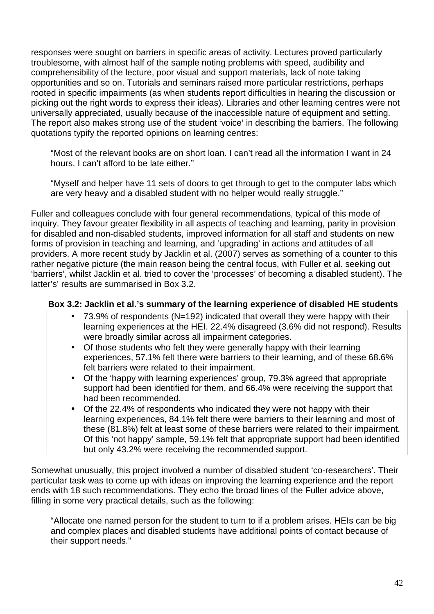responses were sought on barriers in specific areas of activity. Lectures proved particularly troublesome, with almost half of the sample noting problems with speed, audibility and comprehensibility of the lecture, poor visual and support materials, lack of note taking opportunities and so on. Tutorials and seminars raised more particular restrictions, perhaps rooted in specific impairments (as when students report difficulties in hearing the discussion or picking out the right words to express their ideas). Libraries and other learning centres were not universally appreciated, usually because of the inaccessible nature of equipment and setting. The report also makes strong use of the student 'voice' in describing the barriers. The following quotations typify the reported opinions on learning centres:

"Most of the relevant books are on short loan. I can't read all the information I want in 24 hours. I can't afford to be late either."

"Myself and helper have 11 sets of doors to get through to get to the computer labs which are very heavy and a disabled student with no helper would really struggle."

Fuller and colleagues conclude with four general recommendations, typical of this mode of inquiry. They favour greater flexibility in all aspects of teaching and learning, parity in provision for disabled and non-disabled students, improved information for all staff and students on new forms of provision in teaching and learning, and 'upgrading' in actions and attitudes of all providers. A more recent study by Jacklin et al. (2007) serves as something of a counter to this rather negative picture (the main reason being the central focus, with Fuller et al. seeking out 'barriers', whilst Jacklin et al. tried to cover the 'processes' of becoming a disabled student). The latter's' results are summarised in Box 3.2.

### **Box 3.2: Jacklin et al.'s summary of the learning experience of disabled HE students**

- 73.9% of respondents (N=192) indicated that overall they were happy with their learning experiences at the HEI. 22.4% disagreed (3.6% did not respond). Results were broadly similar across all impairment categories.
- Of those students who felt they were generally happy with their learning experiences, 57.1% felt there were barriers to their learning, and of these 68.6% felt barriers were related to their impairment.
- Of the 'happy with learning experiences' group, 79.3% agreed that appropriate support had been identified for them, and 66.4% were receiving the support that had been recommended.
- Of the 22.4% of respondents who indicated they were not happy with their learning experiences, 84.1% felt there were barriers to their learning and most of these (81.8%) felt at least some of these barriers were related to their impairment. Of this 'not happy' sample, 59.1% felt that appropriate support had been identified but only 43.2% were receiving the recommended support.

Somewhat unusually, this project involved a number of disabled student 'co-researchers'. Their particular task was to come up with ideas on improving the learning experience and the report ends with 18 such recommendations. They echo the broad lines of the Fuller advice above, filling in some very practical details, such as the following:

"Allocate one named person for the student to turn to if a problem arises. HEIs can be big and complex places and disabled students have additional points of contact because of their support needs."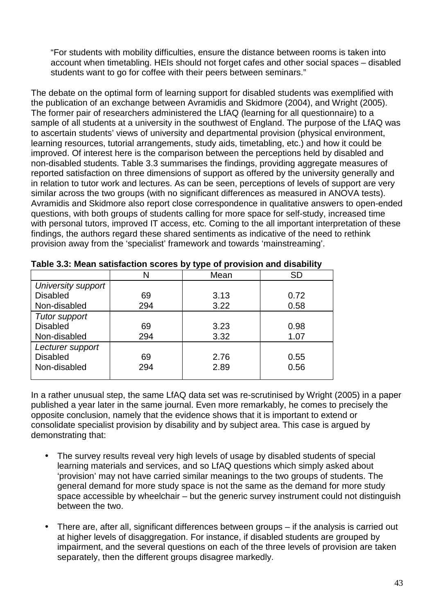"For students with mobility difficulties, ensure the distance between rooms is taken into account when timetabling. HEIs should not forget cafes and other social spaces – disabled students want to go for coffee with their peers between seminars."

The debate on the optimal form of learning support for disabled students was exemplified with the publication of an exchange between Avramidis and Skidmore (2004), and Wright (2005). The former pair of researchers administered the LfAQ (learning for all questionnaire) to a sample of all students at a university in the southwest of England. The purpose of the LfAQ was to ascertain students' views of university and departmental provision (physical environment, learning resources, tutorial arrangements, study aids, timetabling, etc.) and how it could be improved. Of interest here is the comparison between the perceptions held by disabled and non-disabled students. Table 3.3 summarises the findings, providing aggregate measures of reported satisfaction on three dimensions of support as offered by the university generally and in relation to tutor work and lectures. As can be seen, perceptions of levels of support are very similar across the two groups (with no significant differences as measured in ANOVA tests). Avramidis and Skidmore also report close correspondence in qualitative answers to open-ended questions, with both groups of students calling for more space for self-study, increased time with personal tutors, improved IT access, etc. Coming to the all important interpretation of these findings, the authors regard these shared sentiments as indicative of the need to rethink provision away from the 'specialist' framework and towards 'mainstreaming'.

|                      |     | . .  |      |
|----------------------|-----|------|------|
|                      | N   | Mean | SD   |
| University support   |     |      |      |
| <b>Disabled</b>      | 69  | 3.13 | 0.72 |
| Non-disabled         | 294 | 3.22 | 0.58 |
| <b>Tutor support</b> |     |      |      |
| <b>Disabled</b>      | 69  | 3.23 | 0.98 |
| Non-disabled         | 294 | 3.32 | 1.07 |
| Lecturer support     |     |      |      |
| <b>Disabled</b>      | 69  | 2.76 | 0.55 |
| Non-disabled         | 294 | 2.89 | 0.56 |
|                      |     |      |      |

**Table 3.3: Mean satisfaction scores by type of provision and disability** 

In a rather unusual step, the same LfAQ data set was re-scrutinised by Wright (2005) in a paper published a year later in the same journal. Even more remarkably, he comes to precisely the opposite conclusion, namely that the evidence shows that it is important to extend or consolidate specialist provision by disability and by subject area. This case is argued by demonstrating that:

- The survey results reveal very high levels of usage by disabled students of special learning materials and services, and so LfAQ questions which simply asked about 'provision' may not have carried similar meanings to the two groups of students. The general demand for more study space is not the same as the demand for more study space accessible by wheelchair – but the generic survey instrument could not distinguish between the two.
- There are, after all, significant differences between groups if the analysis is carried out at higher levels of disaggregation. For instance, if disabled students are grouped by impairment, and the several questions on each of the three levels of provision are taken separately, then the different groups disagree markedly.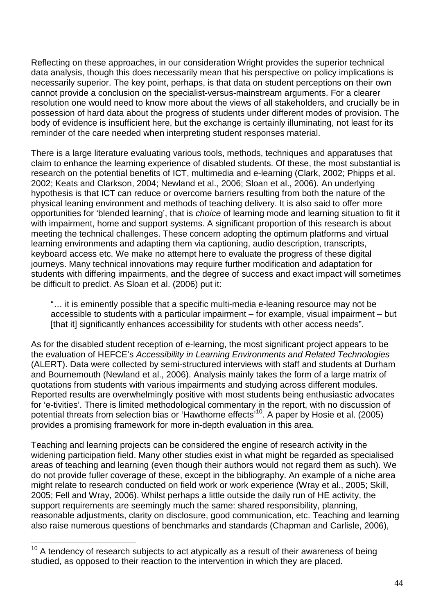Reflecting on these approaches, in our consideration Wright provides the superior technical data analysis, though this does necessarily mean that his perspective on policy implications is necessarily superior. The key point, perhaps, is that data on student perceptions on their own cannot provide a conclusion on the specialist-versus-mainstream arguments. For a clearer resolution one would need to know more about the views of all stakeholders, and crucially be in possession of hard data about the progress of students under different modes of provision. The body of evidence is insufficient here, but the exchange is certainly illuminating, not least for its reminder of the care needed when interpreting student responses material.

There is a large literature evaluating various tools, methods, techniques and apparatuses that claim to enhance the learning experience of disabled students. Of these, the most substantial is research on the potential benefits of ICT, multimedia and e-learning (Clark, 2002; Phipps et al. 2002; Keats and Clarkson, 2004; Newland et al., 2006; Sloan et al., 2006). An underlying hypothesis is that ICT can reduce or overcome barriers resulting from both the nature of the physical leaning environment and methods of teaching delivery. It is also said to offer more opportunities for 'blended learning', that is choice of learning mode and learning situation to fit it with impairment, home and support systems. A significant proportion of this research is about meeting the technical challenges. These concern adopting the optimum platforms and virtual learning environments and adapting them via captioning, audio description, transcripts, keyboard access etc. We make no attempt here to evaluate the progress of these digital journeys. Many technical innovations may require further modification and adaptation for students with differing impairments, and the degree of success and exact impact will sometimes be difficult to predict. As Sloan et al. (2006) put it:

"… it is eminently possible that a specific multi-media e-leaning resource may not be accessible to students with a particular impairment – for example, visual impairment – but [that it] significantly enhances accessibility for students with other access needs".

As for the disabled student reception of e-learning, the most significant project appears to be the evaluation of HEFCE's Accessibility in Learning Environments and Related Technologies (ALERT). Data were collected by semi-structured interviews with staff and students at Durham and Bournemouth (Newland et al., 2006). Analysis mainly takes the form of a large matrix of quotations from students with various impairments and studying across different modules. Reported results are overwhelmingly positive with most students being enthusiastic advocates for 'e-tivities'. There is limited methodological commentary in the report, with no discussion of potential threats from selection bias or 'Hawthorne effects'<sup>10</sup>. A paper by Hosie et al. (2005) provides a promising framework for more in-depth evaluation in this area.

Teaching and learning projects can be considered the engine of research activity in the widening participation field. Many other studies exist in what might be regarded as specialised areas of teaching and learning (even though their authors would not regard them as such). We do not provide fuller coverage of these, except in the bibliography. An example of a niche area might relate to research conducted on field work or work experience (Wray et al., 2005; Skill, 2005; Fell and Wray, 2006). Whilst perhaps a little outside the daily run of HE activity, the support requirements are seemingly much the same: shared responsibility, planning, reasonable adjustments, clarity on disclosure, good communication, etc. Teaching and learning also raise numerous questions of benchmarks and standards (Chapman and Carlisle, 2006),

 $\overline{a}$ 

 $10$  A tendency of research subjects to act atypically as a result of their awareness of being studied, as opposed to their reaction to the intervention in which they are placed.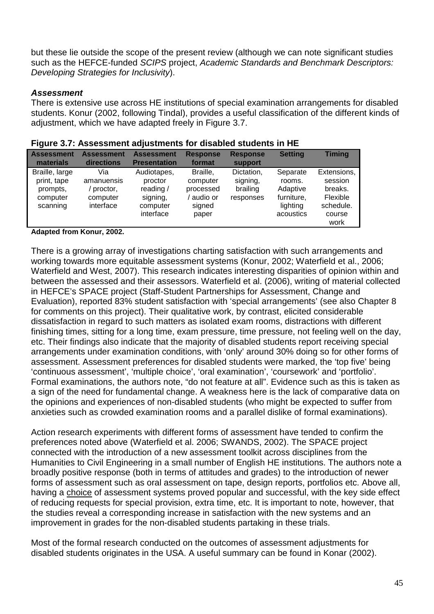but these lie outside the scope of the present review (although we can note significant studies such as the HEFCE-funded SCIPS project, Academic Standards and Benchmark Descriptors: Developing Strategies for Inclusivity).

#### **Assessment**

There is extensive use across HE institutions of special examination arrangements for disabled students. Konur (2002, following Tindal), provides a useful classification of the different kinds of adjustment, which we have adapted freely in Figure 3.7.

| <b>Assessment</b><br>materials                                    | <b>Assessment</b><br>directions                        | <b>Assessment</b><br><b>Presentation</b>                                   | <b>Response</b><br>format                                        | <b>Response</b><br>support                      | <b>Setting</b>                                                        | <b>Timing</b>                                                                |
|-------------------------------------------------------------------|--------------------------------------------------------|----------------------------------------------------------------------------|------------------------------------------------------------------|-------------------------------------------------|-----------------------------------------------------------------------|------------------------------------------------------------------------------|
| Braille, large<br>print, tape<br>prompts.<br>computer<br>scanning | Via<br>amanuensis<br>proctor,<br>computer<br>interface | Audiotapes,<br>proctor<br>reading $/$<br>signing,<br>computer<br>interface | Braille.<br>computer<br>processed<br>audio or<br>signed<br>paper | Dictation,<br>signing,<br>brailing<br>responses | Separate<br>rooms.<br>Adaptive<br>furniture,<br>lighting<br>acoustics | Extensions,<br>session<br>breaks.<br>Flexible<br>schedule.<br>course<br>work |

#### **Figure 3.7: Assessment adjustments for disabled students in HE**

**Adapted from Konur, 2002.** 

There is a growing array of investigations charting satisfaction with such arrangements and working towards more equitable assessment systems (Konur, 2002; Waterfield et al., 2006; Waterfield and West, 2007). This research indicates interesting disparities of opinion within and between the assessed and their assessors. Waterfield et al. (2006), writing of material collected in HEFCE's SPACE project (Staff-Student Partnerships for Assessment, Change and Evaluation), reported 83% student satisfaction with 'special arrangements' (see also Chapter 8 for comments on this project). Their qualitative work, by contrast, elicited considerable dissatisfaction in regard to such matters as isolated exam rooms, distractions with different finishing times, sitting for a long time, exam pressure, time pressure, not feeling well on the day, etc. Their findings also indicate that the majority of disabled students report receiving special arrangements under examination conditions, with 'only' around 30% doing so for other forms of assessment. Assessment preferences for disabled students were marked, the 'top five' being 'continuous assessment', 'multiple choice', 'oral examination', 'coursework' and 'portfolio'. Formal examinations, the authors note, "do not feature at all". Evidence such as this is taken as a sign of the need for fundamental change. A weakness here is the lack of comparative data on the opinions and experiences of non-disabled students (who might be expected to suffer from anxieties such as crowded examination rooms and a parallel dislike of formal examinations).

Action research experiments with different forms of assessment have tended to confirm the preferences noted above (Waterfield et al. 2006; SWANDS, 2002). The SPACE project connected with the introduction of a new assessment toolkit across disciplines from the Humanities to Civil Engineering in a small number of English HE institutions. The authors note a broadly positive response (both in terms of attitudes and grades) to the introduction of newer forms of assessment such as oral assessment on tape, design reports, portfolios etc. Above all, having a choice of assessment systems proved popular and successful, with the key side effect of reducing requests for special provision, extra time, etc. It is important to note, however, that the studies reveal a corresponding increase in satisfaction with the new systems and an improvement in grades for the non-disabled students partaking in these trials.

Most of the formal research conducted on the outcomes of assessment adjustments for disabled students originates in the USA. A useful summary can be found in Konar (2002).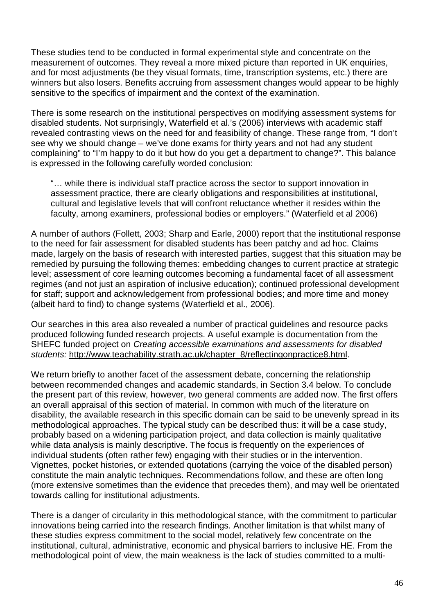These studies tend to be conducted in formal experimental style and concentrate on the measurement of outcomes. They reveal a more mixed picture than reported in UK enquiries, and for most adjustments (be they visual formats, time, transcription systems, etc.) there are winners but also losers. Benefits accruing from assessment changes would appear to be highly sensitive to the specifics of impairment and the context of the examination.

There is some research on the institutional perspectives on modifying assessment systems for disabled students. Not surprisingly, Waterfield et al.'s (2006) interviews with academic staff revealed contrasting views on the need for and feasibility of change. These range from, "I don't see why we should change – we've done exams for thirty years and not had any student complaining" to "I'm happy to do it but how do you get a department to change?". This balance is expressed in the following carefully worded conclusion:

"… while there is individual staff practice across the sector to support innovation in assessment practice, there are clearly obligations and responsibilities at institutional, cultural and legislative levels that will confront reluctance whether it resides within the faculty, among examiners, professional bodies or employers." (Waterfield et al 2006)

A number of authors (Follett, 2003; Sharp and Earle, 2000) report that the institutional response to the need for fair assessment for disabled students has been patchy and ad hoc. Claims made, largely on the basis of research with interested parties, suggest that this situation may be remedied by pursuing the following themes: embedding changes to current practice at strategic level; assessment of core learning outcomes becoming a fundamental facet of all assessment regimes (and not just an aspiration of inclusive education); continued professional development for staff; support and acknowledgement from professional bodies; and more time and money (albeit hard to find) to change systems (Waterfield et al., 2006).

Our searches in this area also revealed a number of practical guidelines and resource packs produced following funded research projects. A useful example is documentation from the SHEFC funded project on Creating accessible examinations and assessments for disabled students: http://www.teachability.strath.ac.uk/chapter\_8/reflectingonpractice8.html.

We return briefly to another facet of the assessment debate, concerning the relationship between recommended changes and academic standards, in Section 3.4 below. To conclude the present part of this review, however, two general comments are added now. The first offers an overall appraisal of this section of material. In common with much of the literature on disability, the available research in this specific domain can be said to be unevenly spread in its methodological approaches. The typical study can be described thus: it will be a case study, probably based on a widening participation project, and data collection is mainly qualitative while data analysis is mainly descriptive. The focus is frequently on the experiences of individual students (often rather few) engaging with their studies or in the intervention. Vignettes, pocket histories, or extended quotations (carrying the voice of the disabled person) constitute the main analytic techniques. Recommendations follow, and these are often long (more extensive sometimes than the evidence that precedes them), and may well be orientated towards calling for institutional adjustments.

There is a danger of circularity in this methodological stance, with the commitment to particular innovations being carried into the research findings. Another limitation is that whilst many of these studies express commitment to the social model, relatively few concentrate on the institutional, cultural, administrative, economic and physical barriers to inclusive HE. From the methodological point of view, the main weakness is the lack of studies committed to a multi-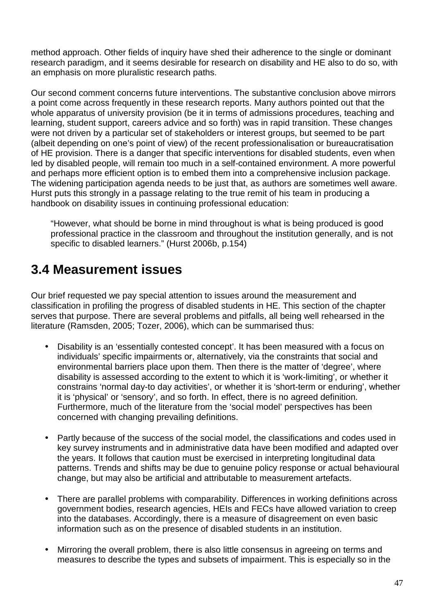method approach. Other fields of inquiry have shed their adherence to the single or dominant research paradigm, and it seems desirable for research on disability and HE also to do so, with an emphasis on more pluralistic research paths.

Our second comment concerns future interventions. The substantive conclusion above mirrors a point come across frequently in these research reports. Many authors pointed out that the whole apparatus of university provision (be it in terms of admissions procedures, teaching and learning, student support, careers advice and so forth) was in rapid transition. These changes were not driven by a particular set of stakeholders or interest groups, but seemed to be part (albeit depending on one's point of view) of the recent professionalisation or bureaucratisation of HE provision. There is a danger that specific interventions for disabled students, even when led by disabled people, will remain too much in a self-contained environment. A more powerful and perhaps more efficient option is to embed them into a comprehensive inclusion package. The widening participation agenda needs to be just that, as authors are sometimes well aware. Hurst puts this strongly in a passage relating to the true remit of his team in producing a handbook on disability issues in continuing professional education:

"However, what should be borne in mind throughout is what is being produced is good professional practice in the classroom and throughout the institution generally, and is not specific to disabled learners." (Hurst 2006b, p.154)

## **3.4 Measurement issues**

Our brief requested we pay special attention to issues around the measurement and classification in profiling the progress of disabled students in HE. This section of the chapter serves that purpose. There are several problems and pitfalls, all being well rehearsed in the literature (Ramsden, 2005; Tozer, 2006), which can be summarised thus:

- Disability is an 'essentially contested concept'. It has been measured with a focus on individuals' specific impairments or, alternatively, via the constraints that social and environmental barriers place upon them. Then there is the matter of 'degree', where disability is assessed according to the extent to which it is 'work-limiting', or whether it constrains 'normal day-to day activities', or whether it is 'short-term or enduring', whether it is 'physical' or 'sensory', and so forth. In effect, there is no agreed definition. Furthermore, much of the literature from the 'social model' perspectives has been concerned with changing prevailing definitions.
- Partly because of the success of the social model, the classifications and codes used in key survey instruments and in administrative data have been modified and adapted over the years. It follows that caution must be exercised in interpreting longitudinal data patterns. Trends and shifts may be due to genuine policy response or actual behavioural change, but may also be artificial and attributable to measurement artefacts.
- There are parallel problems with comparability. Differences in working definitions across government bodies, research agencies, HEIs and FECs have allowed variation to creep into the databases. Accordingly, there is a measure of disagreement on even basic information such as on the presence of disabled students in an institution.
- Mirroring the overall problem, there is also little consensus in agreeing on terms and measures to describe the types and subsets of impairment. This is especially so in the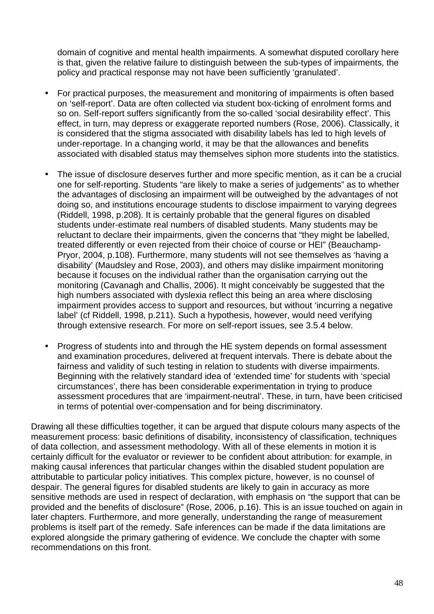domain of cognitive and mental health impairments. A somewhat disputed corollary here is that, given the relative failure to distinguish between the sub-types of impairments, the policy and practical response may not have been sufficiently 'granulated'.

- For practical purposes, the measurement and monitoring of impairments is often based on 'self-report'. Data are often collected via student box-ticking of enrolment forms and so on. Self-report suffers significantly from the so-called 'social desirability effect'. This effect, in turn, may depress or exaggerate reported numbers (Rose, 2006). Classically, it is considered that the stigma associated with disability labels has led to high levels of under-reportage. In a changing world, it may be that the allowances and benefits associated with disabled status may themselves siphon more students into the statistics.
- The issue of disclosure deserves further and more specific mention, as it can be a crucial one for self-reporting. Students "are likely to make a series of judgements" as to whether the advantages of disclosing an impairment will be outweighed by the advantages of not doing so, and institutions encourage students to disclose impairment to varying degrees (Riddell, 1998, p.208). It is certainly probable that the general figures on disabled students under-estimate real numbers of disabled students. Many students may be reluctant to declare their impairments, given the concerns that "they might be labelled, treated differently or even rejected from their choice of course or HEI" (Beauchamp-Pryor, 2004, p.108). Furthermore, many students will not see themselves as 'having a disability' (Maudsley and Rose, 2003), and others may dislike impairment monitoring because it focuses on the individual rather than the organisation carrying out the monitoring (Cavanagh and Challis, 2006). It might conceivably be suggested that the high numbers associated with dyslexia reflect this being an area where disclosing impairment provides access to support and resources, but without 'incurring a negative label' (cf Riddell, 1998, p.211). Such a hypothesis, however, would need verifying through extensive research. For more on self-report issues, see 3.5.4 below.
- Progress of students into and through the HE system depends on formal assessment and examination procedures, delivered at frequent intervals. There is debate about the fairness and validity of such testing in relation to students with diverse impairments. Beginning with the relatively standard idea of 'extended time' for students with 'special circumstances', there has been considerable experimentation in trying to produce assessment procedures that are 'impairment-neutral'. These, in turn, have been criticised in terms of potential over-compensation and for being discriminatory.

Drawing all these difficulties together, it can be argued that dispute colours many aspects of the measurement process: basic definitions of disability, inconsistency of classification, techniques of data collection, and assessment methodology. With all of these elements in motion it is certainly difficult for the evaluator or reviewer to be confident about attribution: for example, in making causal inferences that particular changes within the disabled student population are attributable to particular policy initiatives. This complex picture, however, is no counsel of despair. The general figures for disabled students are likely to gain in accuracy as more sensitive methods are used in respect of declaration, with emphasis on "the support that can be provided and the benefits of disclosure" (Rose, 2006, p.16). This is an issue touched on again in later chapters. Furthermore, and more generally, understanding the range of measurement problems is itself part of the remedy. Safe inferences can be made if the data limitations are explored alongside the primary gathering of evidence. We conclude the chapter with some recommendations on this front.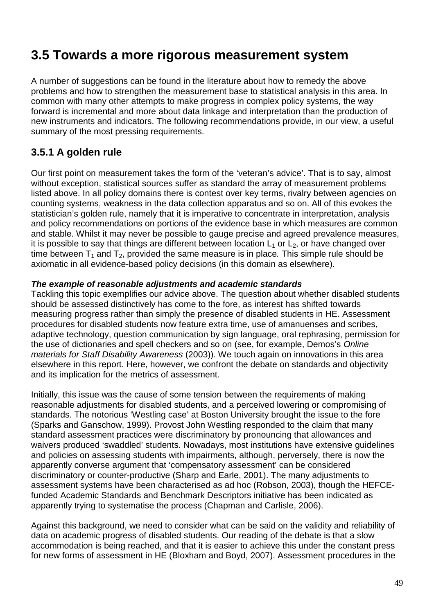# **3.5 Towards a more rigorous measurement system**

A number of suggestions can be found in the literature about how to remedy the above problems and how to strengthen the measurement base to statistical analysis in this area. In common with many other attempts to make progress in complex policy systems, the way forward is incremental and more about data linkage and interpretation than the production of new instruments and indicators. The following recommendations provide, in our view, a useful summary of the most pressing requirements.

## **3.5.1 A golden rule**

Our first point on measurement takes the form of the 'veteran's advice'. That is to say, almost without exception, statistical sources suffer as standard the array of measurement problems listed above. In all policy domains there is contest over key terms, rivalry between agencies on counting systems, weakness in the data collection apparatus and so on. All of this evokes the statistician's golden rule, namely that it is imperative to concentrate in interpretation, analysis and policy recommendations on portions of the evidence base in which measures are common and stable. Whilst it may never be possible to gauge precise and agreed prevalence measures, it is possible to say that things are different between location  $L_1$  or  $L_2$ , or have changed over time between  $T_1$  and  $T_2$ , provided the same measure is in place. This simple rule should be axiomatic in all evidence-based policy decisions (in this domain as elsewhere).

#### **The example of reasonable adjustments and academic standards**

Tackling this topic exemplifies our advice above. The question about whether disabled students should be assessed distinctively has come to the fore, as interest has shifted towards measuring progress rather than simply the presence of disabled students in HE. Assessment procedures for disabled students now feature extra time, use of amanuenses and scribes, adaptive technology, question communication by sign language, oral rephrasing, permission for the use of dictionaries and spell checkers and so on (see, for example, Demos's Online materials for Staff Disability Awareness (2003)). We touch again on innovations in this area elsewhere in this report. Here, however, we confront the debate on standards and objectivity and its implication for the metrics of assessment.

Initially, this issue was the cause of some tension between the requirements of making reasonable adjustments for disabled students, and a perceived lowering or compromising of standards. The notorious 'Westling case' at Boston University brought the issue to the fore (Sparks and Ganschow, 1999). Provost John Westling responded to the claim that many standard assessment practices were discriminatory by pronouncing that allowances and waivers produced 'swaddled' students. Nowadays, most institutions have extensive guidelines and policies on assessing students with impairments, although, perversely, there is now the apparently converse argument that 'compensatory assessment' can be considered discriminatory or counter-productive (Sharp and Earle, 2001). The many adjustments to assessment systems have been characterised as ad hoc (Robson, 2003), though the HEFCEfunded Academic Standards and Benchmark Descriptors initiative has been indicated as apparently trying to systematise the process (Chapman and Carlisle, 2006).

Against this background, we need to consider what can be said on the validity and reliability of data on academic progress of disabled students. Our reading of the debate is that a slow accommodation is being reached, and that it is easier to achieve this under the constant press for new forms of assessment in HE (Bloxham and Boyd, 2007). Assessment procedures in the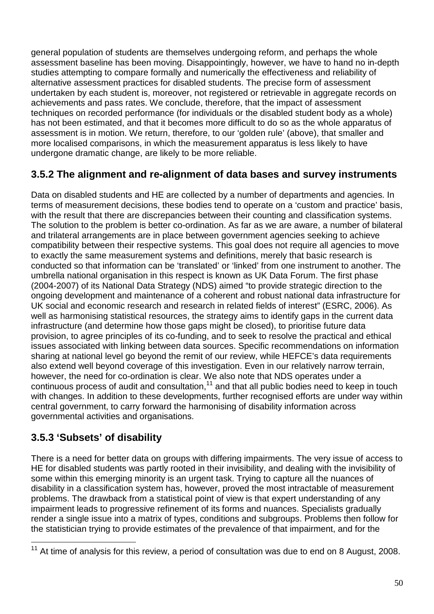general population of students are themselves undergoing reform, and perhaps the whole assessment baseline has been moving. Disappointingly, however, we have to hand no in-depth studies attempting to compare formally and numerically the effectiveness and reliability of alternative assessment practices for disabled students. The precise form of assessment undertaken by each student is, moreover, not registered or retrievable in aggregate records on achievements and pass rates. We conclude, therefore, that the impact of assessment techniques on recorded performance (for individuals or the disabled student body as a whole) has not been estimated, and that it becomes more difficult to do so as the whole apparatus of assessment is in motion. We return, therefore, to our 'golden rule' (above), that smaller and more localised comparisons, in which the measurement apparatus is less likely to have undergone dramatic change, are likely to be more reliable.

## **3.5.2 The alignment and re-alignment of data bases and survey instruments**

Data on disabled students and HE are collected by a number of departments and agencies. In terms of measurement decisions, these bodies tend to operate on a 'custom and practice' basis, with the result that there are discrepancies between their counting and classification systems. The solution to the problem is better co-ordination. As far as we are aware, a number of bilateral and trilateral arrangements are in place between government agencies seeking to achieve compatibility between their respective systems. This goal does not require all agencies to move to exactly the same measurement systems and definitions, merely that basic research is conducted so that information can be 'translated' or 'linked' from one instrument to another. The umbrella national organisation in this respect is known as UK Data Forum. The first phase (2004-2007) of its National Data Strategy (NDS) aimed "to provide strategic direction to the ongoing development and maintenance of a coherent and robust national data infrastructure for UK social and economic research and research in related fields of interest" (ESRC, 2006). As well as harmonising statistical resources, the strategy aims to identify gaps in the current data infrastructure (and determine how those gaps might be closed), to prioritise future data provision, to agree principles of its co-funding, and to seek to resolve the practical and ethical issues associated with linking between data sources. Specific recommendations on information sharing at national level go beyond the remit of our review, while HEFCE's data requirements also extend well beyond coverage of this investigation. Even in our relatively narrow terrain, however, the need for co-ordination is clear. We also note that NDS operates under a continuous process of audit and consultation,<sup>11</sup> and that all public bodies need to keep in touch with changes. In addition to these developments, further recognised efforts are under way within central government, to carry forward the harmonising of disability information across governmental activities and organisations.

## **3.5.3 'Subsets' of disability**

There is a need for better data on groups with differing impairments. The very issue of access to HE for disabled students was partly rooted in their invisibility, and dealing with the invisibility of some within this emerging minority is an urgent task. Trying to capture all the nuances of disability in a classification system has, however, proved the most intractable of measurement problems. The drawback from a statistical point of view is that expert understanding of any impairment leads to progressive refinement of its forms and nuances. Specialists gradually render a single issue into a matrix of types, conditions and subgroups. Problems then follow for the statistician trying to provide estimates of the prevalence of that impairment, and for the

 $\overline{a}$  $11$  At time of analysis for this review, a period of consultation was due to end on 8 August, 2008.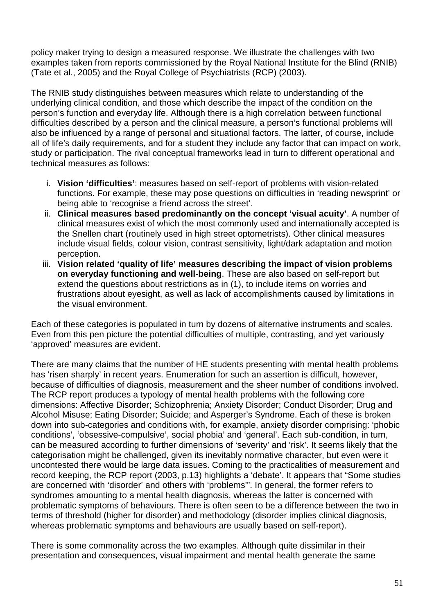policy maker trying to design a measured response. We illustrate the challenges with two examples taken from reports commissioned by the Royal National Institute for the Blind (RNIB) (Tate et al., 2005) and the Royal College of Psychiatrists (RCP) (2003).

The RNIB study distinguishes between measures which relate to understanding of the underlying clinical condition, and those which describe the impact of the condition on the person's function and everyday life. Although there is a high correlation between functional difficulties described by a person and the clinical measure, a person's functional problems will also be influenced by a range of personal and situational factors. The latter, of course, include all of life's daily requirements, and for a student they include any factor that can impact on work, study or participation. The rival conceptual frameworks lead in turn to different operational and technical measures as follows:

- i. **Vision 'difficulties'**: measures based on self-report of problems with vision-related functions. For example, these may pose questions on difficulties in 'reading newsprint' or being able to 'recognise a friend across the street'.
- ii. **Clinical measures based predominantly on the concept 'visual acuity'**. A number of clinical measures exist of which the most commonly used and internationally accepted is the Snellen chart (routinely used in high street optometrists). Other clinical measures include visual fields, colour vision, contrast sensitivity, light/dark adaptation and motion perception.
- iii. **Vision related 'quality of life' measures describing the impact of vision problems on everyday functioning and well-being**. These are also based on self-report but extend the questions about restrictions as in (1), to include items on worries and frustrations about eyesight, as well as lack of accomplishments caused by limitations in the visual environment.

Each of these categories is populated in turn by dozens of alternative instruments and scales. Even from this pen picture the potential difficulties of multiple, contrasting, and yet variously 'approved' measures are evident.

There are many claims that the number of HE students presenting with mental health problems has 'risen sharply' in recent years. Enumeration for such an assertion is difficult, however, because of difficulties of diagnosis, measurement and the sheer number of conditions involved. The RCP report produces a typology of mental health problems with the following core dimensions: Affective Disorder; Schizophrenia; Anxiety Disorder; Conduct Disorder; Drug and Alcohol Misuse; Eating Disorder; Suicide; and Asperger's Syndrome. Each of these is broken down into sub-categories and conditions with, for example, anxiety disorder comprising: 'phobic conditions', 'obsessive-compulsive', social phobia' and 'general'. Each sub-condition, in turn, can be measured according to further dimensions of 'severity' and 'risk'. It seems likely that the categorisation might be challenged, given its inevitably normative character, but even were it uncontested there would be large data issues. Coming to the practicalities of measurement and record keeping, the RCP report (2003, p.13) highlights a 'debate'. It appears that "Some studies are concerned with 'disorder' and others with 'problems'". In general, the former refers to syndromes amounting to a mental health diagnosis, whereas the latter is concerned with problematic symptoms of behaviours. There is often seen to be a difference between the two in terms of threshold (higher for disorder) and methodology (disorder implies clinical diagnosis, whereas problematic symptoms and behaviours are usually based on self-report).

There is some commonality across the two examples. Although quite dissimilar in their presentation and consequences, visual impairment and mental health generate the same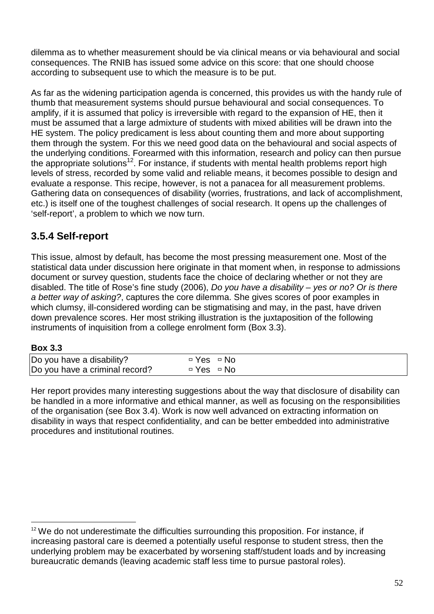dilemma as to whether measurement should be via clinical means or via behavioural and social consequences. The RNIB has issued some advice on this score: that one should choose according to subsequent use to which the measure is to be put.

As far as the widening participation agenda is concerned, this provides us with the handy rule of thumb that measurement systems should pursue behavioural and social consequences. To amplify, if it is assumed that policy is irreversible with regard to the expansion of HE, then it must be assumed that a large admixture of students with mixed abilities will be drawn into the HE system. The policy predicament is less about counting them and more about supporting them through the system. For this we need good data on the behavioural and social aspects of the underlying conditions. Forearmed with this information, research and policy can then pursue the appropriate solutions<sup>12</sup>. For instance, if students with mental health problems report high levels of stress, recorded by some valid and reliable means, it becomes possible to design and evaluate a response. This recipe, however, is not a panacea for all measurement problems. Gathering data on consequences of disability (worries, frustrations, and lack of accomplishment, etc.) is itself one of the toughest challenges of social research. It opens up the challenges of 'self-report', a problem to which we now turn.

## **3.5.4 Self-report**

This issue, almost by default, has become the most pressing measurement one. Most of the statistical data under discussion here originate in that moment when, in response to admissions document or survey question, students face the choice of declaring whether or not they are disabled. The title of Rose's fine study (2006), Do you have a disability – yes or no? Or is there a better way of asking?, captures the core dilemma. She gives scores of poor examples in which clumsy, ill-considered wording can be stigmatising and may, in the past, have driven down prevalence scores. Her most striking illustration is the juxtaposition of the following instruments of inquisition from a college enrolment form (Box 3.3).

### **Box 3.3**

 $\overline{a}$ 

| Do you have a disability?      | □ Yes □ No |  |  |  |
|--------------------------------|------------|--|--|--|
| Do you have a criminal record? | □ Yes □ No |  |  |  |

Her report provides many interesting suggestions about the way that disclosure of disability can be handled in a more informative and ethical manner, as well as focusing on the responsibilities of the organisation (see Box 3.4). Work is now well advanced on extracting information on disability in ways that respect confidentiality, and can be better embedded into administrative procedures and institutional routines.

 $12$  We do not underestimate the difficulties surrounding this proposition. For instance, if increasing pastoral care is deemed a potentially useful response to student stress, then the underlying problem may be exacerbated by worsening staff/student loads and by increasing bureaucratic demands (leaving academic staff less time to pursue pastoral roles).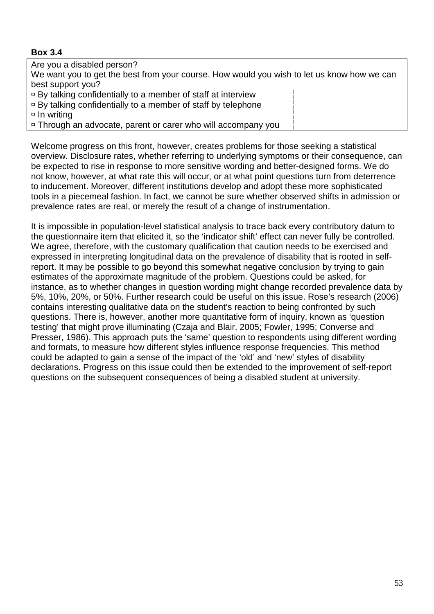## **Box 3.4**

Are you a disabled person?

We want you to get the best from your course. How would you wish to let us know how we can best support you?

 $\overline{P}$  By talking confidentially to a member of staff at interview

 $\overline{P}$  By talking confidentially to a member of staff by telephone

 $\overline{\phantom{a}}$  In writing

□ Through an advocate, parent or carer who will accompany you

Welcome progress on this front, however, creates problems for those seeking a statistical overview. Disclosure rates, whether referring to underlying symptoms or their consequence, can be expected to rise in response to more sensitive wording and better-designed forms. We do not know, however, at what rate this will occur, or at what point questions turn from deterrence to inducement. Moreover, different institutions develop and adopt these more sophisticated tools in a piecemeal fashion. In fact, we cannot be sure whether observed shifts in admission or prevalence rates are real, or merely the result of a change of instrumentation.

It is impossible in population-level statistical analysis to trace back every contributory datum to the questionnaire item that elicited it, so the 'indicator shift' effect can never fully be controlled. We agree, therefore, with the customary qualification that caution needs to be exercised and expressed in interpreting longitudinal data on the prevalence of disability that is rooted in selfreport. It may be possible to go beyond this somewhat negative conclusion by trying to gain estimates of the approximate magnitude of the problem. Questions could be asked, for instance, as to whether changes in question wording might change recorded prevalence data by 5%, 10%, 20%, or 50%. Further research could be useful on this issue. Rose's research (2006) contains interesting qualitative data on the student's reaction to being confronted by such questions. There is, however, another more quantitative form of inquiry, known as 'question testing' that might prove illuminating (Czaja and Blair, 2005; Fowler, 1995; Converse and Presser, 1986). This approach puts the 'same' question to respondents using different wording and formats, to measure how different styles influence response frequencies. This method could be adapted to gain a sense of the impact of the 'old' and 'new' styles of disability declarations. Progress on this issue could then be extended to the improvement of self-report questions on the subsequent consequences of being a disabled student at university.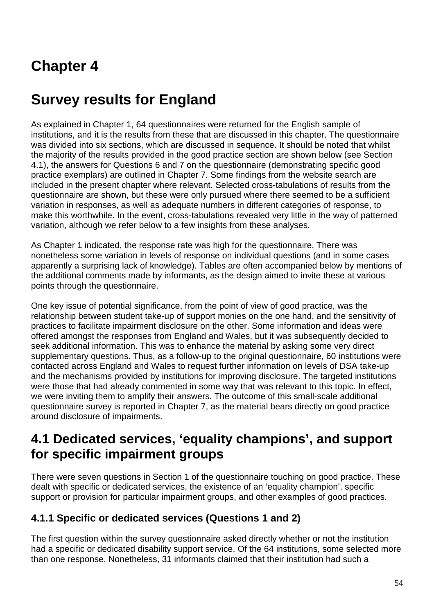# **Chapter 4**

# **Survey results for England**

As explained in Chapter 1, 64 questionnaires were returned for the English sample of institutions, and it is the results from these that are discussed in this chapter. The questionnaire was divided into six sections, which are discussed in sequence. It should be noted that whilst the majority of the results provided in the good practice section are shown below (see Section 4.1), the answers for Questions 6 and 7 on the questionnaire (demonstrating specific good practice exemplars) are outlined in Chapter 7. Some findings from the website search are included in the present chapter where relevant. Selected cross-tabulations of results from the questionnaire are shown, but these were only pursued where there seemed to be a sufficient variation in responses, as well as adequate numbers in different categories of response, to make this worthwhile. In the event, cross-tabulations revealed very little in the way of patterned variation, although we refer below to a few insights from these analyses.

As Chapter 1 indicated, the response rate was high for the questionnaire. There was nonetheless some variation in levels of response on individual questions (and in some cases apparently a surprising lack of knowledge). Tables are often accompanied below by mentions of the additional comments made by informants, as the design aimed to invite these at various points through the questionnaire.

One key issue of potential significance, from the point of view of good practice, was the relationship between student take-up of support monies on the one hand, and the sensitivity of practices to facilitate impairment disclosure on the other. Some information and ideas were offered amongst the responses from England and Wales, but it was subsequently decided to seek additional information. This was to enhance the material by asking some very direct supplementary questions. Thus, as a follow-up to the original questionnaire, 60 institutions were contacted across England and Wales to request further information on levels of DSA take-up and the mechanisms provided by institutions for improving disclosure. The targeted institutions were those that had already commented in some way that was relevant to this topic. In effect, we were inviting them to amplify their answers. The outcome of this small-scale additional questionnaire survey is reported in Chapter 7, as the material bears directly on good practice around disclosure of impairments.

# **4.1 Dedicated services, 'equality champions', and support for specific impairment groups**

There were seven questions in Section 1 of the questionnaire touching on good practice. These dealt with specific or dedicated services, the existence of an 'equality champion', specific support or provision for particular impairment groups, and other examples of good practices.

## **4.1.1 Specific or dedicated services (Questions 1 and 2)**

The first question within the survey questionnaire asked directly whether or not the institution had a specific or dedicated disability support service. Of the 64 institutions, some selected more than one response. Nonetheless, 31 informants claimed that their institution had such a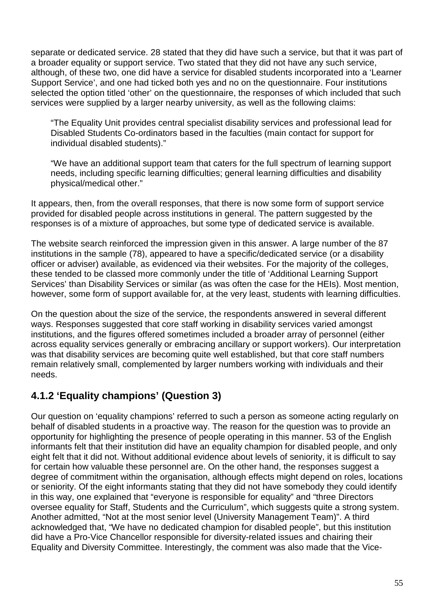separate or dedicated service. 28 stated that they did have such a service, but that it was part of a broader equality or support service. Two stated that they did not have any such service, although, of these two, one did have a service for disabled students incorporated into a 'Learner Support Service', and one had ticked both yes and no on the questionnaire. Four institutions selected the option titled 'other' on the questionnaire, the responses of which included that such services were supplied by a larger nearby university, as well as the following claims:

"The Equality Unit provides central specialist disability services and professional lead for Disabled Students Co-ordinators based in the faculties (main contact for support for individual disabled students)."

"We have an additional support team that caters for the full spectrum of learning support needs, including specific learning difficulties; general learning difficulties and disability physical/medical other."

It appears, then, from the overall responses, that there is now some form of support service provided for disabled people across institutions in general. The pattern suggested by the responses is of a mixture of approaches, but some type of dedicated service is available.

The website search reinforced the impression given in this answer. A large number of the 87 institutions in the sample (78), appeared to have a specific/dedicated service (or a disability officer or adviser) available, as evidenced via their websites. For the majority of the colleges, these tended to be classed more commonly under the title of 'Additional Learning Support Services' than Disability Services or similar (as was often the case for the HEIs). Most mention, however, some form of support available for, at the very least, students with learning difficulties.

On the question about the size of the service, the respondents answered in several different ways. Responses suggested that core staff working in disability services varied amongst institutions, and the figures offered sometimes included a broader array of personnel (either across equality services generally or embracing ancillary or support workers). Our interpretation was that disability services are becoming quite well established, but that core staff numbers remain relatively small, complemented by larger numbers working with individuals and their needs.

# **4.1.2 'Equality champions' (Question 3)**

Our question on 'equality champions' referred to such a person as someone acting regularly on behalf of disabled students in a proactive way. The reason for the question was to provide an opportunity for highlighting the presence of people operating in this manner. 53 of the English informants felt that their institution did have an equality champion for disabled people, and only eight felt that it did not. Without additional evidence about levels of seniority, it is difficult to say for certain how valuable these personnel are. On the other hand, the responses suggest a degree of commitment within the organisation, although effects might depend on roles, locations or seniority. Of the eight informants stating that they did not have somebody they could identify in this way, one explained that "everyone is responsible for equality" and "three Directors oversee equality for Staff, Students and the Curriculum", which suggests quite a strong system. Another admitted, "Not at the most senior level (University Management Team)". A third acknowledged that, "We have no dedicated champion for disabled people", but this institution did have a Pro-Vice Chancellor responsible for diversity-related issues and chairing their Equality and Diversity Committee. Interestingly, the comment was also made that the Vice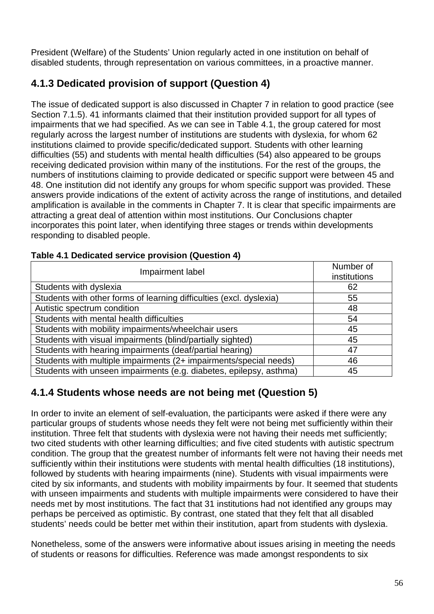President (Welfare) of the Students' Union regularly acted in one institution on behalf of disabled students, through representation on various committees, in a proactive manner.

# **4.1.3 Dedicated provision of support (Question 4)**

The issue of dedicated support is also discussed in Chapter 7 in relation to good practice (see Section 7.1.5). 41 informants claimed that their institution provided support for all types of impairments that we had specified. As we can see in Table 4.1, the group catered for most regularly across the largest number of institutions are students with dyslexia, for whom 62 institutions claimed to provide specific/dedicated support. Students with other learning difficulties (55) and students with mental health difficulties (54) also appeared to be groups receiving dedicated provision within many of the institutions. For the rest of the groups, the numbers of institutions claiming to provide dedicated or specific support were between 45 and 48. One institution did not identify any groups for whom specific support was provided. These answers provide indications of the extent of activity across the range of institutions, and detailed amplification is available in the comments in Chapter 7. It is clear that specific impairments are attracting a great deal of attention within most institutions. Our Conclusions chapter incorporates this point later, when identifying three stages or trends within developments responding to disabled people.

| Impairment label                                                    | Number of<br>institutions |
|---------------------------------------------------------------------|---------------------------|
| Students with dyslexia                                              | 62                        |
| Students with other forms of learning difficulties (excl. dyslexia) | 55                        |
| Autistic spectrum condition                                         | 48                        |
| Students with mental health difficulties                            | 54                        |
| Students with mobility impairments/wheelchair users                 | 45                        |
| Students with visual impairments (blind/partially sighted)          | 45                        |
| Students with hearing impairments (deaf/partial hearing)            | 47                        |
| Students with multiple impairments (2+ impairments/special needs)   | 46                        |
| Students with unseen impairments (e.g. diabetes, epilepsy, asthma)  | 45                        |

### **Table 4.1 Dedicated service provision (Question 4)**

## **4.1.4 Students whose needs are not being met (Question 5)**

In order to invite an element of self-evaluation, the participants were asked if there were any particular groups of students whose needs they felt were not being met sufficiently within their institution. Three felt that students with dyslexia were not having their needs met sufficiently; two cited students with other learning difficulties; and five cited students with autistic spectrum condition. The group that the greatest number of informants felt were not having their needs met sufficiently within their institutions were students with mental health difficulties (18 institutions), followed by students with hearing impairments (nine). Students with visual impairments were cited by six informants, and students with mobility impairments by four. It seemed that students with unseen impairments and students with multiple impairments were considered to have their needs met by most institutions. The fact that 31 institutions had not identified any groups may perhaps be perceived as optimistic. By contrast, one stated that they felt that all disabled students' needs could be better met within their institution, apart from students with dyslexia.

Nonetheless, some of the answers were informative about issues arising in meeting the needs of students or reasons for difficulties. Reference was made amongst respondents to six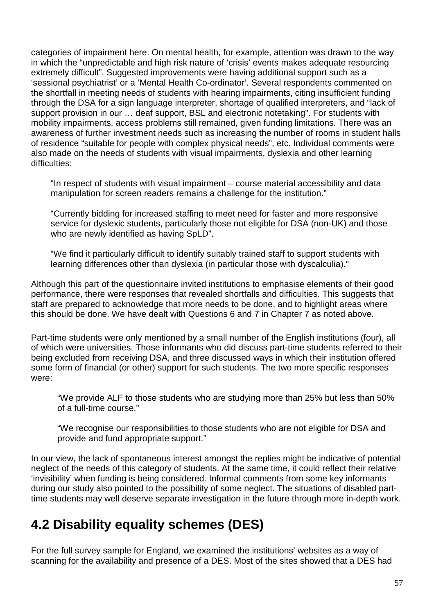categories of impairment here. On mental health, for example, attention was drawn to the way in which the "unpredictable and high risk nature of 'crisis' events makes adequate resourcing extremely difficult". Suggested improvements were having additional support such as a 'sessional psychiatrist' or a 'Mental Health Co-ordinator'. Several respondents commented on the shortfall in meeting needs of students with hearing impairments, citing insufficient funding through the DSA for a sign language interpreter, shortage of qualified interpreters, and "lack of support provision in our … deaf support, BSL and electronic notetaking". For students with mobility impairments, access problems still remained, given funding limitations. There was an awareness of further investment needs such as increasing the number of rooms in student halls of residence "suitable for people with complex physical needs", etc. Individual comments were also made on the needs of students with visual impairments, dyslexia and other learning difficulties:

"In respect of students with visual impairment – course material accessibility and data manipulation for screen readers remains a challenge for the institution."

"Currently bidding for increased staffing to meet need for faster and more responsive service for dyslexic students, particularly those not eligible for DSA (non-UK) and those who are newly identified as having SpLD".

"We find it particularly difficult to identify suitably trained staff to support students with learning differences other than dyslexia (in particular those with dyscalculia)."

Although this part of the questionnaire invited institutions to emphasise elements of their good performance, there were responses that revealed shortfalls and difficulties. This suggests that staff are prepared to acknowledge that more needs to be done, and to highlight areas where this should be done. We have dealt with Questions 6 and 7 in Chapter 7 as noted above.

Part-time students were only mentioned by a small number of the English institutions (four), all of which were universities. Those informants who did discuss part-time students referred to their being excluded from receiving DSA, and three discussed ways in which their institution offered some form of financial (or other) support for such students. The two more specific responses were:

"We provide ALF to those students who are studying more than 25% but less than 50% of a full-time course."

"We recognise our responsibilities to those students who are not eligible for DSA and provide and fund appropriate support."

In our view, the lack of spontaneous interest amongst the replies might be indicative of potential neglect of the needs of this category of students. At the same time, it could reflect their relative 'invisibility' when funding is being considered. Informal comments from some key informants during our study also pointed to the possibility of some neglect. The situations of disabled parttime students may well deserve separate investigation in the future through more in-depth work.

# **4.2 Disability equality schemes (DES)**

For the full survey sample for England, we examined the institutions' websites as a way of scanning for the availability and presence of a DES. Most of the sites showed that a DES had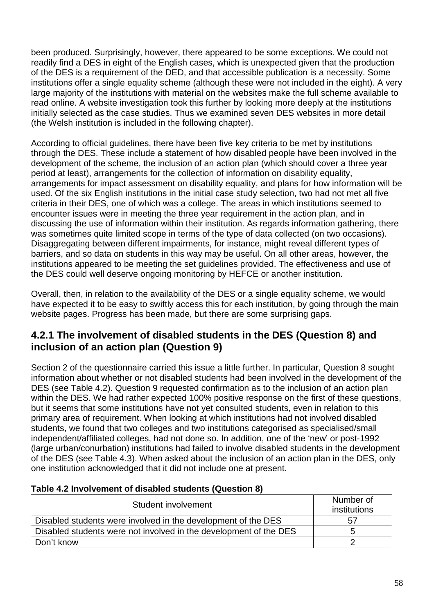been produced. Surprisingly, however, there appeared to be some exceptions. We could not readily find a DES in eight of the English cases, which is unexpected given that the production of the DES is a requirement of the DED, and that accessible publication is a necessity. Some institutions offer a single equality scheme (although these were not included in the eight). A very large majority of the institutions with material on the websites make the full scheme available to read online. A website investigation took this further by looking more deeply at the institutions initially selected as the case studies. Thus we examined seven DES websites in more detail (the Welsh institution is included in the following chapter).

According to official guidelines, there have been five key criteria to be met by institutions through the DES. These include a statement of how disabled people have been involved in the development of the scheme, the inclusion of an action plan (which should cover a three year period at least), arrangements for the collection of information on disability equality, arrangements for impact assessment on disability equality, and plans for how information will be used. Of the six English institutions in the initial case study selection, two had not met all five criteria in their DES, one of which was a college. The areas in which institutions seemed to encounter issues were in meeting the three year requirement in the action plan, and in discussing the use of information within their institution. As regards information gathering, there was sometimes quite limited scope in terms of the type of data collected (on two occasions). Disaggregating between different impairments, for instance, might reveal different types of barriers, and so data on students in this way may be useful. On all other areas, however, the institutions appeared to be meeting the set guidelines provided. The effectiveness and use of the DES could well deserve ongoing monitoring by HEFCE or another institution.

Overall, then, in relation to the availability of the DES or a single equality scheme, we would have expected it to be easy to swiftly access this for each institution, by going through the main website pages. Progress has been made, but there are some surprising gaps.

## **4.2.1 The involvement of disabled students in the DES (Question 8) and inclusion of an action plan (Question 9)**

Section 2 of the questionnaire carried this issue a little further. In particular, Question 8 sought information about whether or not disabled students had been involved in the development of the DES (see Table 4.2). Question 9 requested confirmation as to the inclusion of an action plan within the DES. We had rather expected 100% positive response on the first of these questions, but it seems that some institutions have not yet consulted students, even in relation to this primary area of requirement. When looking at which institutions had not involved disabled students, we found that two colleges and two institutions categorised as specialised/small independent/affiliated colleges, had not done so. In addition, one of the 'new' or post-1992 (large urban/conurbation) institutions had failed to involve disabled students in the development of the DES (see Table 4.3). When asked about the inclusion of an action plan in the DES, only one institution acknowledged that it did not include one at present.

| Lavic 4.2 Illvolvenient of disabled students (Question 0)         |                           |  |  |
|-------------------------------------------------------------------|---------------------------|--|--|
| Student involvement                                               | Number of<br>institutions |  |  |
| Disabled students were involved in the development of the DES     | 57                        |  |  |
| Disabled students were not involved in the development of the DES | 5                         |  |  |
| Don't know                                                        |                           |  |  |

### **Table 4.2 Involvement of disabled students (Question 8)**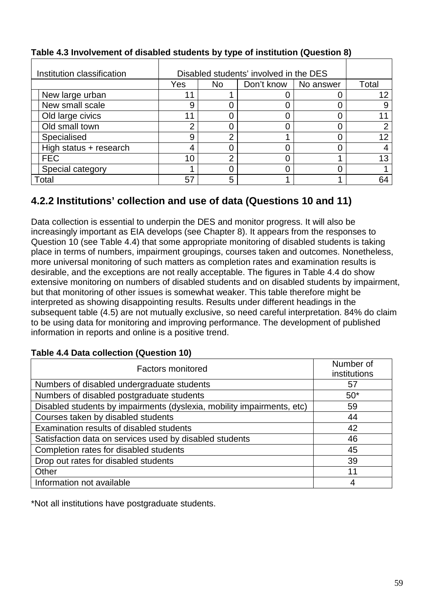| Institution classification | Disabled students' involved in the DES |                                           |  |  |    |
|----------------------------|----------------------------------------|-------------------------------------------|--|--|----|
|                            | Yes                                    | Don't know<br>No answer<br>N <sub>o</sub> |  |  |    |
| New large urban            | 11                                     |                                           |  |  | 12 |
| New small scale            | 9                                      |                                           |  |  |    |
| Old large civics           | 11                                     |                                           |  |  |    |
| Old small town             | ⌒                                      |                                           |  |  |    |
| Specialised                | 9                                      | ົ                                         |  |  | 12 |
| High status + research     | 4                                      |                                           |  |  |    |
| <b>FEC</b>                 | 10                                     | ◠                                         |  |  | 13 |
| Special category           |                                        |                                           |  |  |    |
| Total                      | 57                                     | 5                                         |  |  | 64 |

## **Table 4.3 Involvement of disabled students by type of institution (Question 8)**

## **4.2.2 Institutions' collection and use of data (Questions 10 and 11)**

Data collection is essential to underpin the DES and monitor progress. It will also be increasingly important as EIA develops (see Chapter 8). It appears from the responses to Question 10 (see Table 4.4) that some appropriate monitoring of disabled students is taking place in terms of numbers, impairment groupings, courses taken and outcomes. Nonetheless, more universal monitoring of such matters as completion rates and examination results is desirable, and the exceptions are not really acceptable. The figures in Table 4.4 do show extensive monitoring on numbers of disabled students and on disabled students by impairment, but that monitoring of other issues is somewhat weaker. This table therefore might be interpreted as showing disappointing results. Results under different headings in the subsequent table (4.5) are not mutually exclusive, so need careful interpretation. 84% do claim to be using data for monitoring and improving performance. The development of published information in reports and online is a positive trend.

| <b>Factors monitored</b>                                               | Number of<br>institutions |
|------------------------------------------------------------------------|---------------------------|
| Numbers of disabled undergraduate students                             | 57                        |
| Numbers of disabled postgraduate students                              | $50*$                     |
| Disabled students by impairments (dyslexia, mobility impairments, etc) | 59                        |
| Courses taken by disabled students                                     | 44                        |
| Examination results of disabled students                               | 42                        |
| Satisfaction data on services used by disabled students                | 46                        |
| Completion rates for disabled students                                 | 45                        |
| Drop out rates for disabled students                                   | 39                        |
| Other                                                                  | 11                        |
| Information not available                                              | 4                         |

### **Table 4.4 Data collection (Question 10)**

\*Not all institutions have postgraduate students.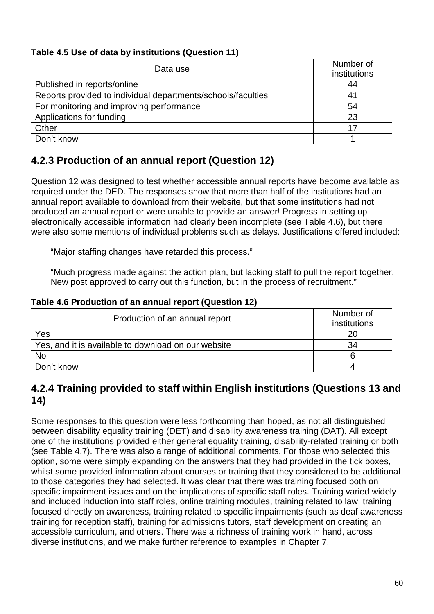## **Table 4.5 Use of data by institutions (Question 11)**

| Data use                                                     | Number of<br>institutions |
|--------------------------------------------------------------|---------------------------|
| Published in reports/online                                  | 44                        |
| Reports provided to individual departments/schools/faculties | 41                        |
| For monitoring and improving performance                     | 54                        |
| Applications for funding                                     | 23                        |
| Other                                                        | 17                        |
| Don't know                                                   |                           |

# **4.2.3 Production of an annual report (Question 12)**

Question 12 was designed to test whether accessible annual reports have become available as required under the DED. The responses show that more than half of the institutions had an annual report available to download from their website, but that some institutions had not produced an annual report or were unable to provide an answer! Progress in setting up electronically accessible information had clearly been incomplete (see Table 4.6), but there were also some mentions of individual problems such as delays. Justifications offered included:

"Major staffing changes have retarded this process."

"Much progress made against the action plan, but lacking staff to pull the report together. New post approved to carry out this function, but in the process of recruitment."

#### **Table 4.6 Production of an annual report (Question 12)**

| Production of an annual report                      | Number of    |
|-----------------------------------------------------|--------------|
|                                                     | institutions |
| Yes                                                 | 20           |
| Yes, and it is available to download on our website | 34           |
| <b>No</b>                                           |              |
| Don't know                                          |              |

## **4.2.4 Training provided to staff within English institutions (Questions 13 and 14)**

Some responses to this question were less forthcoming than hoped, as not all distinguished between disability equality training (DET) and disability awareness training (DAT). All except one of the institutions provided either general equality training, disability-related training or both (see Table 4.7). There was also a range of additional comments. For those who selected this option, some were simply expanding on the answers that they had provided in the tick boxes, whilst some provided information about courses or training that they considered to be additional to those categories they had selected. It was clear that there was training focused both on specific impairment issues and on the implications of specific staff roles. Training varied widely and included induction into staff roles, online training modules, training related to law, training focused directly on awareness, training related to specific impairments (such as deaf awareness training for reception staff), training for admissions tutors, staff development on creating an accessible curriculum, and others. There was a richness of training work in hand, across diverse institutions, and we make further reference to examples in Chapter 7.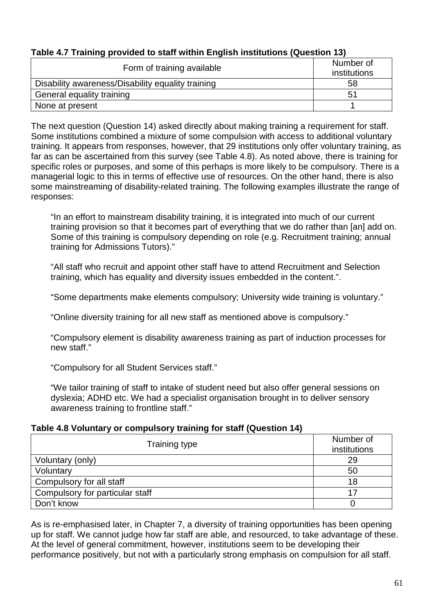| Form of training available                        | Number of<br>institutions |
|---------------------------------------------------|---------------------------|
| Disability awareness/Disability equality training | 58                        |
| General equality training                         | 51                        |
| None at present                                   |                           |

### **Table 4.7 Training provided to staff within English institutions (Question 13)**

The next question (Question 14) asked directly about making training a requirement for staff. Some institutions combined a mixture of some compulsion with access to additional voluntary training. It appears from responses, however, that 29 institutions only offer voluntary training, as far as can be ascertained from this survey (see Table 4.8). As noted above, there is training for specific roles or purposes, and some of this perhaps is more likely to be compulsory. There is a managerial logic to this in terms of effective use of resources. On the other hand, there is also some mainstreaming of disability-related training. The following examples illustrate the range of responses:

"In an effort to mainstream disability training, it is integrated into much of our current training provision so that it becomes part of everything that we do rather than [an] add on. Some of this training is compulsory depending on role (e.g. Recruitment training; annual training for Admissions Tutors)."

"All staff who recruit and appoint other staff have to attend Recruitment and Selection training, which has equality and diversity issues embedded in the content.".

"Some departments make elements compulsory; University wide training is voluntary."

"Online diversity training for all new staff as mentioned above is compulsory."

"Compulsory element is disability awareness training as part of induction processes for new staff."

"Compulsory for all Student Services staff."

"We tailor training of staff to intake of student need but also offer general sessions on dyslexia; ADHD etc. We had a specialist organisation brought in to deliver sensory awareness training to frontline staff."

### **Table 4.8 Voluntary or compulsory training for staff (Question 14)**

| <b>Training type</b>            | Number of<br>institutions |  |
|---------------------------------|---------------------------|--|
| Voluntary (only)                | 29                        |  |
| Voluntary                       | 50                        |  |
| Compulsory for all staff        | 18                        |  |
| Compulsory for particular staff | 17                        |  |
| Don't know                      |                           |  |

As is re-emphasised later, in Chapter 7, a diversity of training opportunities has been opening up for staff. We cannot judge how far staff are able, and resourced, to take advantage of these. At the level of general commitment, however, institutions seem to be developing their performance positively, but not with a particularly strong emphasis on compulsion for all staff.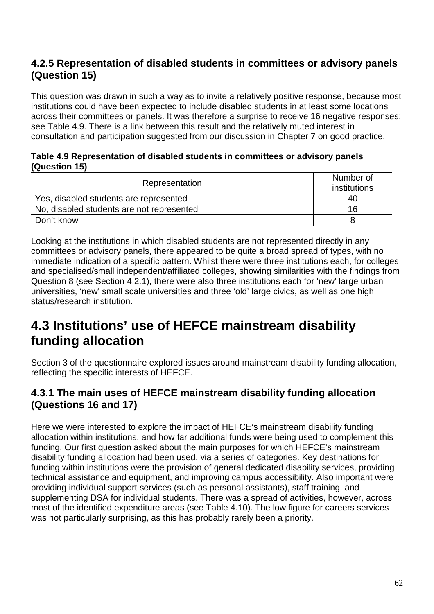## **4.2.5 Representation of disabled students in committees or advisory panels (Question 15)**

This question was drawn in such a way as to invite a relatively positive response, because most institutions could have been expected to include disabled students in at least some locations across their committees or panels. It was therefore a surprise to receive 16 negative responses: see Table 4.9. There is a link between this result and the relatively muted interest in consultation and participation suggested from our discussion in Chapter 7 on good practice.

#### **Table 4.9 Representation of disabled students in committees or advisory panels (Question 15)**

| Representation                            | Number of<br>institutions |
|-------------------------------------------|---------------------------|
| Yes, disabled students are represented    | 40                        |
| No, disabled students are not represented | 16                        |
| Don't know                                |                           |

Looking at the institutions in which disabled students are not represented directly in any committees or advisory panels, there appeared to be quite a broad spread of types, with no immediate indication of a specific pattern. Whilst there were three institutions each, for colleges and specialised/small independent/affiliated colleges, showing similarities with the findings from Question 8 (see Section 4.2.1), there were also three institutions each for 'new' large urban universities, 'new' small scale universities and three 'old' large civics, as well as one high status/research institution.

# **4.3 Institutions' use of HEFCE mainstream disability funding allocation**

Section 3 of the questionnaire explored issues around mainstream disability funding allocation, reflecting the specific interests of HEFCE.

## **4.3.1 The main uses of HEFCE mainstream disability funding allocation (Questions 16 and 17)**

Here we were interested to explore the impact of HEFCE's mainstream disability funding allocation within institutions, and how far additional funds were being used to complement this funding. Our first question asked about the main purposes for which HEFCE's mainstream disability funding allocation had been used, via a series of categories. Key destinations for funding within institutions were the provision of general dedicated disability services, providing technical assistance and equipment, and improving campus accessibility. Also important were providing individual support services (such as personal assistants), staff training, and supplementing DSA for individual students. There was a spread of activities, however, across most of the identified expenditure areas (see Table 4.10). The low figure for careers services was not particularly surprising, as this has probably rarely been a priority.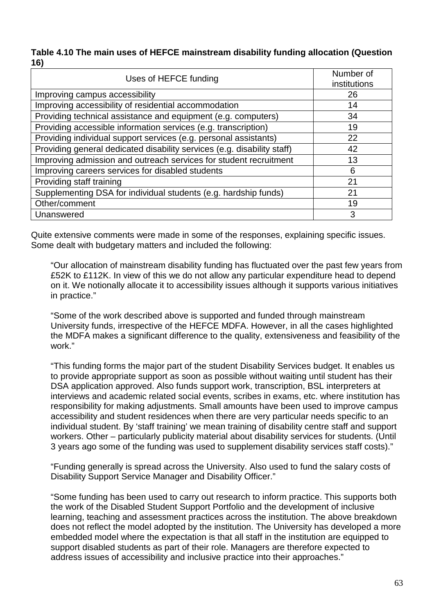#### **Table 4.10 The main uses of HEFCE mainstream disability funding allocation (Question 16)**

| Uses of HEFCE funding                                                   | Number of<br>institutions |
|-------------------------------------------------------------------------|---------------------------|
|                                                                         |                           |
| Improving campus accessibility                                          | 26                        |
| Improving accessibility of residential accommodation                    | 14                        |
| Providing technical assistance and equipment (e.g. computers)           | 34                        |
| Providing accessible information services (e.g. transcription)          | 19                        |
| Providing individual support services (e.g. personal assistants)        | 22                        |
| Providing general dedicated disability services (e.g. disability staff) | 42                        |
| Improving admission and outreach services for student recruitment       | 13                        |
| Improving careers services for disabled students                        | 6                         |
| Providing staff training                                                | 21                        |
| Supplementing DSA for individual students (e.g. hardship funds)         | 21                        |
| Other/comment                                                           | 19                        |
| Unanswered                                                              | 3                         |

Quite extensive comments were made in some of the responses, explaining specific issues. Some dealt with budgetary matters and included the following:

"Our allocation of mainstream disability funding has fluctuated over the past few years from £52K to £112K. In view of this we do not allow any particular expenditure head to depend on it. We notionally allocate it to accessibility issues although it supports various initiatives in practice."

"Some of the work described above is supported and funded through mainstream University funds, irrespective of the HEFCE MDFA. However, in all the cases highlighted the MDFA makes a significant difference to the quality, extensiveness and feasibility of the work."

"This funding forms the major part of the student Disability Services budget. It enables us to provide appropriate support as soon as possible without waiting until student has their DSA application approved. Also funds support work, transcription, BSL interpreters at interviews and academic related social events, scribes in exams, etc. where institution has responsibility for making adjustments. Small amounts have been used to improve campus accessibility and student residences when there are very particular needs specific to an individual student. By 'staff training' we mean training of disability centre staff and support workers. Other – particularly publicity material about disability services for students. (Until 3 years ago some of the funding was used to supplement disability services staff costs)."

"Funding generally is spread across the University. Also used to fund the salary costs of Disability Support Service Manager and Disability Officer."

"Some funding has been used to carry out research to inform practice. This supports both the work of the Disabled Student Support Portfolio and the development of inclusive learning, teaching and assessment practices across the institution. The above breakdown does not reflect the model adopted by the institution. The University has developed a more embedded model where the expectation is that all staff in the institution are equipped to support disabled students as part of their role. Managers are therefore expected to address issues of accessibility and inclusive practice into their approaches."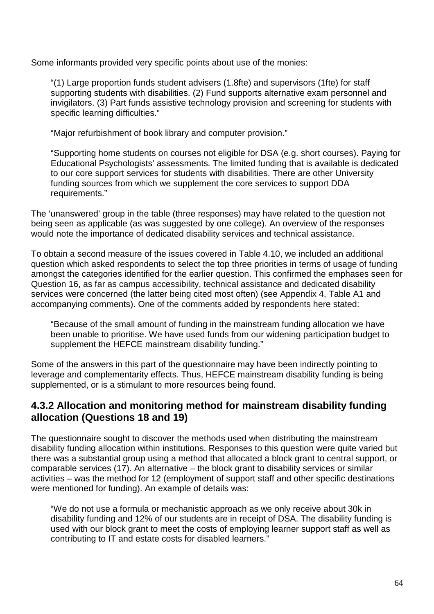Some informants provided very specific points about use of the monies:

"(1) Large proportion funds student advisers (1.8fte) and supervisors (1fte) for staff supporting students with disabilities. (2) Fund supports alternative exam personnel and invigilators. (3) Part funds assistive technology provision and screening for students with specific learning difficulties."

"Major refurbishment of book library and computer provision."

"Supporting home students on courses not eligible for DSA (e.g. short courses). Paying for Educational Psychologists' assessments. The limited funding that is available is dedicated to our core support services for students with disabilities. There are other University funding sources from which we supplement the core services to support DDA requirements."

The 'unanswered' group in the table (three responses) may have related to the question not being seen as applicable (as was suggested by one college). An overview of the responses would note the importance of dedicated disability services and technical assistance.

To obtain a second measure of the issues covered in Table 4.10, we included an additional question which asked respondents to select the top three priorities in terms of usage of funding amongst the categories identified for the earlier question. This confirmed the emphases seen for Question 16, as far as campus accessibility, technical assistance and dedicated disability services were concerned (the latter being cited most often) (see Appendix 4, Table A1 and accompanying comments). One of the comments added by respondents here stated:

"Because of the small amount of funding in the mainstream funding allocation we have been unable to prioritise. We have used funds from our widening participation budget to supplement the HEFCE mainstream disability funding."

Some of the answers in this part of the questionnaire may have been indirectly pointing to leverage and complementarity effects. Thus, HEFCE mainstream disability funding is being supplemented, or is a stimulant to more resources being found.

## **4.3.2 Allocation and monitoring method for mainstream disability funding allocation (Questions 18 and 19)**

The questionnaire sought to discover the methods used when distributing the mainstream disability funding allocation within institutions. Responses to this question were quite varied but there was a substantial group using a method that allocated a block grant to central support, or comparable services (17). An alternative – the block grant to disability services or similar activities – was the method for 12 (employment of support staff and other specific destinations were mentioned for funding). An example of details was:

"We do not use a formula or mechanistic approach as we only receive about 30k in disability funding and 12% of our students are in receipt of DSA. The disability funding is used with our block grant to meet the costs of employing learner support staff as well as contributing to IT and estate costs for disabled learners."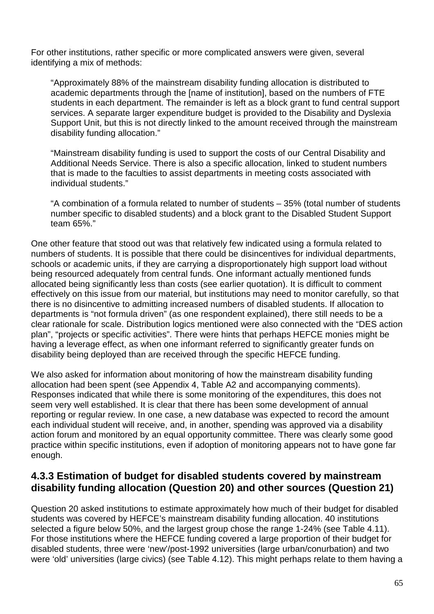For other institutions, rather specific or more complicated answers were given, several identifying a mix of methods:

"Approximately 88% of the mainstream disability funding allocation is distributed to academic departments through the [name of institution], based on the numbers of FTE students in each department. The remainder is left as a block grant to fund central support services. A separate larger expenditure budget is provided to the Disability and Dyslexia Support Unit, but this is not directly linked to the amount received through the mainstream disability funding allocation."

"Mainstream disability funding is used to support the costs of our Central Disability and Additional Needs Service. There is also a specific allocation, linked to student numbers that is made to the faculties to assist departments in meeting costs associated with individual students."

"A combination of a formula related to number of students – 35% (total number of students number specific to disabled students) and a block grant to the Disabled Student Support team 65%."

One other feature that stood out was that relatively few indicated using a formula related to numbers of students. It is possible that there could be disincentives for individual departments, schools or academic units, if they are carrying a disproportionately high support load without being resourced adequately from central funds. One informant actually mentioned funds allocated being significantly less than costs (see earlier quotation). It is difficult to comment effectively on this issue from our material, but institutions may need to monitor carefully, so that there is no disincentive to admitting increased numbers of disabled students. If allocation to departments is "not formula driven" (as one respondent explained), there still needs to be a clear rationale for scale. Distribution logics mentioned were also connected with the "DES action plan", "projects or specific activities". There were hints that perhaps HEFCE monies might be having a leverage effect, as when one informant referred to significantly greater funds on disability being deployed than are received through the specific HEFCE funding.

We also asked for information about monitoring of how the mainstream disability funding allocation had been spent (see Appendix 4, Table A2 and accompanying comments). Responses indicated that while there is some monitoring of the expenditures, this does not seem very well established. It is clear that there has been some development of annual reporting or regular review. In one case, a new database was expected to record the amount each individual student will receive, and, in another, spending was approved via a disability action forum and monitored by an equal opportunity committee. There was clearly some good practice within specific institutions, even if adoption of monitoring appears not to have gone far enough.

## **4.3.3 Estimation of budget for disabled students covered by mainstream disability funding allocation (Question 20) and other sources (Question 21)**

Question 20 asked institutions to estimate approximately how much of their budget for disabled students was covered by HEFCE's mainstream disability funding allocation. 40 institutions selected a figure below 50%, and the largest group chose the range 1-24% (see Table 4.11). For those institutions where the HEFCE funding covered a large proportion of their budget for disabled students, three were 'new'/post-1992 universities (large urban/conurbation) and two were 'old' universities (large civics) (see Table 4.12). This might perhaps relate to them having a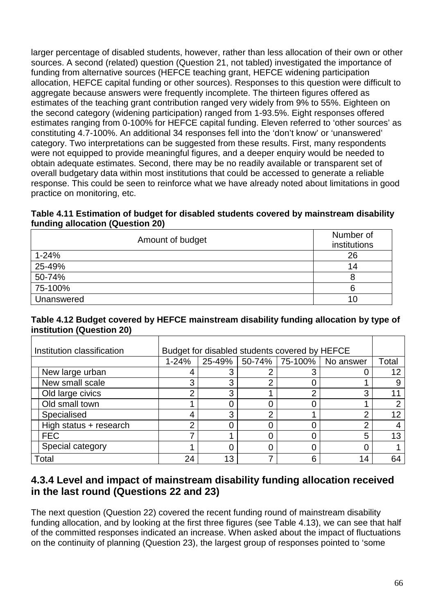larger percentage of disabled students, however, rather than less allocation of their own or other sources. A second (related) question (Question 21, not tabled) investigated the importance of funding from alternative sources (HEFCE teaching grant, HEFCE widening participation allocation, HEFCE capital funding or other sources). Responses to this question were difficult to aggregate because answers were frequently incomplete. The thirteen figures offered as estimates of the teaching grant contribution ranged very widely from 9% to 55%. Eighteen on the second category (widening participation) ranged from 1-93.5%. Eight responses offered estimates ranging from 0-100% for HEFCE capital funding. Eleven referred to 'other sources' as constituting 4.7-100%. An additional 34 responses fell into the 'don't know' or 'unanswered' category. Two interpretations can be suggested from these results. First, many respondents were not equipped to provide meaningful figures, and a deeper enquiry would be needed to obtain adequate estimates. Second, there may be no readily available or transparent set of overall budgetary data within most institutions that could be accessed to generate a reliable response. This could be seen to reinforce what we have already noted about limitations in good practice on monitoring, etc.

#### **Table 4.11 Estimation of budget for disabled students covered by mainstream disability funding allocation (Question 20)**

| Amount of budget | Number of<br>institutions |
|------------------|---------------------------|
| $1 - 24%$        | 26                        |
| 25-49%           | 14                        |
| 50-74%           |                           |
| 75-100%          | 6                         |
| Unanswered       | 10                        |

#### **Table 4.12 Budget covered by HEFCE mainstream disability funding allocation by type of institution (Question 20)**

| Institution classification | Budget for disabled students covered by HEFCE |        |   |   |                          |       |
|----------------------------|-----------------------------------------------|--------|---|---|--------------------------|-------|
|                            | $1 - 24%$                                     | 25-49% |   |   | 50-74% 75-100% No answer | Total |
| New large urban            | 4                                             | 3      |   |   |                          | 12    |
| New small scale            | 3                                             | 3      | ◠ |   |                          |       |
| Old large civics           | ⌒                                             | 3      |   | റ | ⌒                        |       |
| Old small town             |                                               |        |   |   |                          |       |
| Specialised                | 4                                             | 3      | ⌒ |   | ⌒                        | 12    |
| High status + research     | ⌒                                             |        |   |   | n                        |       |
| <b>FEC</b>                 |                                               |        |   |   |                          | 13    |
| Special category           |                                               | 0      |   |   |                          |       |
| Total                      | 24                                            | 13     |   | 6 | 14                       | 64    |

## **4.3.4 Level and impact of mainstream disability funding allocation received in the last round (Questions 22 and 23)**

The next question (Question 22) covered the recent funding round of mainstream disability funding allocation, and by looking at the first three figures (see Table 4.13), we can see that half of the committed responses indicated an increase. When asked about the impact of fluctuations on the continuity of planning (Question 23), the largest group of responses pointed to 'some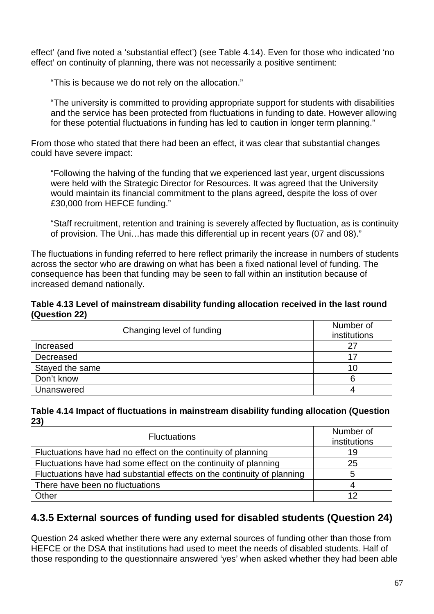effect' (and five noted a 'substantial effect') (see Table 4.14). Even for those who indicated 'no effect' on continuity of planning, there was not necessarily a positive sentiment:

"This is because we do not rely on the allocation."

"The university is committed to providing appropriate support for students with disabilities and the service has been protected from fluctuations in funding to date. However allowing for these potential fluctuations in funding has led to caution in longer term planning."

From those who stated that there had been an effect, it was clear that substantial changes could have severe impact:

"Following the halving of the funding that we experienced last year, urgent discussions were held with the Strategic Director for Resources. It was agreed that the University would maintain its financial commitment to the plans agreed, despite the loss of over £30,000 from HEFCE funding."

"Staff recruitment, retention and training is severely affected by fluctuation, as is continuity of provision. The Uni…has made this differential up in recent years (07 and 08)."

The fluctuations in funding referred to here reflect primarily the increase in numbers of students across the sector who are drawing on what has been a fixed national level of funding. The consequence has been that funding may be seen to fall within an institution because of increased demand nationally.

#### **Table 4.13 Level of mainstream disability funding allocation received in the last round (Question 22)**

| Changing level of funding | Number of<br>institutions |
|---------------------------|---------------------------|
| Increased                 | 27                        |
| Decreased                 | 17                        |
| Stayed the same           | 10                        |
| Don't know                |                           |
| Unanswered                |                           |

#### **Table 4.14 Impact of fluctuations in mainstream disability funding allocation (Question 23)**

| <b>Fluctuations</b>                                                     | Number of<br>institutions |
|-------------------------------------------------------------------------|---------------------------|
| Fluctuations have had no effect on the continuity of planning           | 19                        |
| Fluctuations have had some effect on the continuity of planning         | 25                        |
| Fluctuations have had substantial effects on the continuity of planning |                           |
| There have been no fluctuations                                         |                           |
| Other                                                                   | 12                        |

## **4.3.5 External sources of funding used for disabled students (Question 24)**

Question 24 asked whether there were any external sources of funding other than those from HEFCE or the DSA that institutions had used to meet the needs of disabled students. Half of those responding to the questionnaire answered 'yes' when asked whether they had been able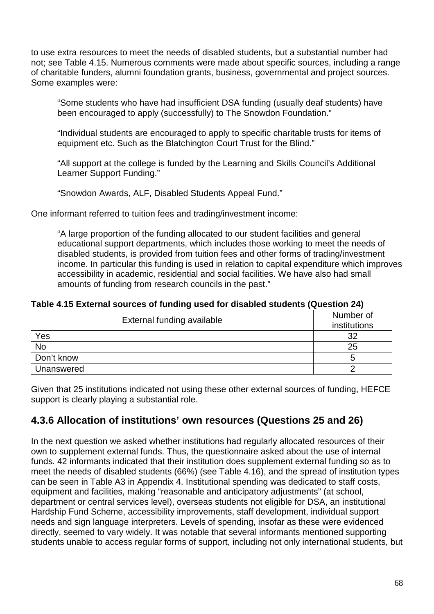to use extra resources to meet the needs of disabled students, but a substantial number had not; see Table 4.15. Numerous comments were made about specific sources, including a range of charitable funders, alumni foundation grants, business, governmental and project sources. Some examples were:

"Some students who have had insufficient DSA funding (usually deaf students) have been encouraged to apply (successfully) to The Snowdon Foundation."

"Individual students are encouraged to apply to specific charitable trusts for items of equipment etc. Such as the Blatchington Court Trust for the Blind."

"All support at the college is funded by the Learning and Skills Council's Additional Learner Support Funding."

"Snowdon Awards, ALF, Disabled Students Appeal Fund."

One informant referred to tuition fees and trading/investment income:

"A large proportion of the funding allocated to our student facilities and general educational support departments, which includes those working to meet the needs of disabled students, is provided from tuition fees and other forms of trading/investment income. In particular this funding is used in relation to capital expenditure which improves accessibility in academic, residential and social facilities. We have also had small amounts of funding from research councils in the past."

**Table 4.15 External sources of funding used for disabled students (Question 24)** 

| External funding available | Number of<br>institutions |
|----------------------------|---------------------------|
| Yes                        | 32                        |
| <b>No</b>                  | 25                        |
| Don't know                 |                           |
| Unanswered                 |                           |

Given that 25 institutions indicated not using these other external sources of funding, HEFCE support is clearly playing a substantial role.

## **4.3.6 Allocation of institutions' own resources (Questions 25 and 26)**

In the next question we asked whether institutions had regularly allocated resources of their own to supplement external funds. Thus, the questionnaire asked about the use of internal funds. 42 informants indicated that their institution does supplement external funding so as to meet the needs of disabled students (66%) (see Table 4.16), and the spread of institution types can be seen in Table A3 in Appendix 4. Institutional spending was dedicated to staff costs, equipment and facilities, making "reasonable and anticipatory adjustments" (at school, department or central services level), overseas students not eligible for DSA, an institutional Hardship Fund Scheme, accessibility improvements, staff development, individual support needs and sign language interpreters. Levels of spending, insofar as these were evidenced directly, seemed to vary widely. It was notable that several informants mentioned supporting students unable to access regular forms of support, including not only international students, but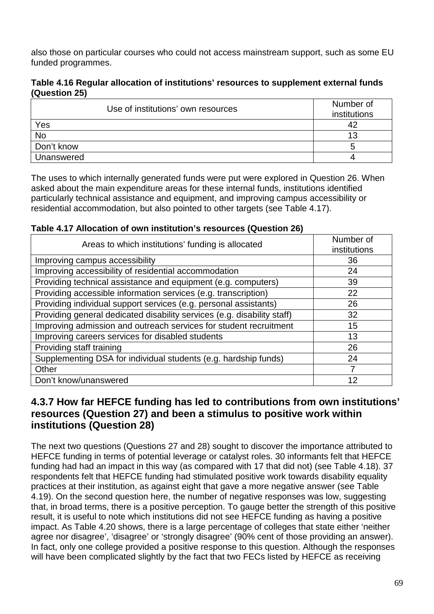also those on particular courses who could not access mainstream support, such as some EU funded programmes.

#### **Table 4.16 Regular allocation of institutions' resources to supplement external funds (Question 25)**

| Use of institutions' own resources | Number of<br>institutions |
|------------------------------------|---------------------------|
| Yes                                |                           |
| <b>No</b>                          | 1 ว                       |
| Don't know                         |                           |
| Unanswered                         |                           |

The uses to which internally generated funds were put were explored in Question 26. When asked about the main expenditure areas for these internal funds, institutions identified particularly technical assistance and equipment, and improving campus accessibility or residential accommodation, but also pointed to other targets (see Table 4.17).

**Table 4.17 Allocation of own institution's resources (Question 26)** 

| Areas to which institutions' funding is allocated                       | Number of<br>institutions |
|-------------------------------------------------------------------------|---------------------------|
| Improving campus accessibility                                          | 36                        |
| Improving accessibility of residential accommodation                    | 24                        |
| Providing technical assistance and equipment (e.g. computers)           | 39                        |
| Providing accessible information services (e.g. transcription)          | 22                        |
| Providing individual support services (e.g. personal assistants)        | 26                        |
| Providing general dedicated disability services (e.g. disability staff) | 32                        |
| Improving admission and outreach services for student recruitment       | 15                        |
| Improving careers services for disabled students                        | 13                        |
| Providing staff training                                                | 26                        |
| Supplementing DSA for individual students (e.g. hardship funds)         | 24                        |
| Other                                                                   |                           |
| Don't know/unanswered                                                   | 12                        |

## **4.3.7 How far HEFCE funding has led to contributions from own institutions' resources (Question 27) and been a stimulus to positive work within institutions (Question 28)**

The next two questions (Questions 27 and 28) sought to discover the importance attributed to HEFCE funding in terms of potential leverage or catalyst roles. 30 informants felt that HEFCE funding had had an impact in this way (as compared with 17 that did not) (see Table 4.18). 37 respondents felt that HEFCE funding had stimulated positive work towards disability equality practices at their institution, as against eight that gave a more negative answer (see Table 4.19). On the second question here, the number of negative responses was low, suggesting that, in broad terms, there is a positive perception. To gauge better the strength of this positive result, it is useful to note which institutions did not see HEFCE funding as having a positive impact. As Table 4.20 shows, there is a large percentage of colleges that state either 'neither agree nor disagree', 'disagree' or 'strongly disagree' (90% cent of those providing an answer). In fact, only one college provided a positive response to this question. Although the responses will have been complicated slightly by the fact that two FECs listed by HEFCE as receiving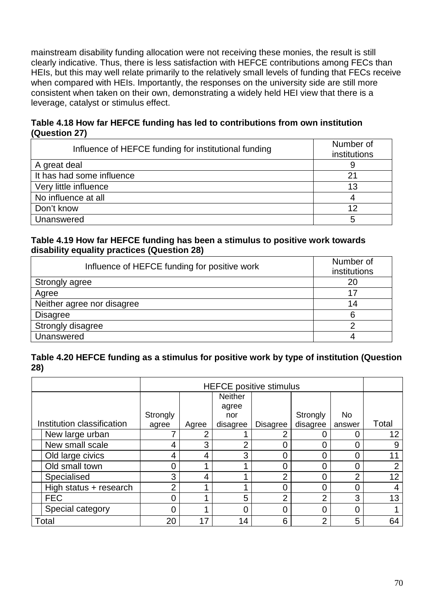mainstream disability funding allocation were not receiving these monies, the result is still clearly indicative. Thus, there is less satisfaction with HEFCE contributions among FECs than HEIs, but this may well relate primarily to the relatively small levels of funding that FECs receive when compared with HEIs. Importantly, the responses on the university side are still more consistent when taken on their own, demonstrating a widely held HEI view that there is a leverage, catalyst or stimulus effect.

### **Table 4.18 How far HEFCE funding has led to contributions from own institution (Question 27)**

| Influence of HEFCE funding for institutional funding | Number of<br>institutions |
|------------------------------------------------------|---------------------------|
| A great deal                                         |                           |
| It has had some influence                            | 21                        |
| Very little influence                                | 13                        |
| No influence at all                                  |                           |
| Don't know                                           | 12                        |
| Unanswered                                           | 5                         |

#### **Table 4.19 How far HEFCE funding has been a stimulus to positive work towards disability equality practices (Question 28)**

| Influence of HEFCE funding for positive work | Number of<br>institutions |
|----------------------------------------------|---------------------------|
| Strongly agree                               | 20                        |
| Agree                                        | 17                        |
| Neither agree nor disagree                   | 14                        |
| <b>Disagree</b>                              | 6                         |
| Strongly disagree                            |                           |
| Unanswered                                   | 4                         |

### **Table 4.20 HEFCE funding as a stimulus for positive work by type of institution (Question 28)**

|                            | <b>HEFCE positive stimulus</b> |       |                |                 |          |        |       |
|----------------------------|--------------------------------|-------|----------------|-----------------|----------|--------|-------|
|                            |                                |       | <b>Neither</b> |                 |          |        |       |
|                            |                                |       | agree          |                 |          |        |       |
|                            | Strongly                       |       | nor            |                 | Strongly | No     |       |
| Institution classification | agree                          | Agree | disagree       | <b>Disagree</b> | disagree | answer | Total |
| New large urban            |                                | າ     |                |                 |          |        | 12    |
| New small scale            | 4                              | 3     | ⌒              |                 |          |        | 9     |
| Old large civics           | 4                              | 4     | 3              |                 |          |        |       |
| Old small town             | C                              |       |                |                 |          | ი      | 2     |
| Specialised                | 3                              | 4     |                | ⌒               |          | ⌒      | 12    |
| High status + research     | ∩                              |       |                |                 |          |        | 4     |
| <b>FEC</b>                 | C                              |       | 5              | ⌒               | ⌒        | 3      | 13    |
| Special category           | 0                              |       | ი              | 0               | 0        | 0      |       |
| Total                      | 20                             | 17    | 14             | 6               | ⌒        | 5      | 64    |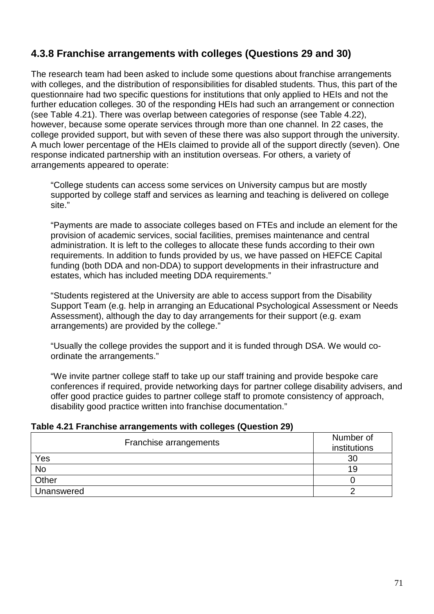# **4.3.8 Franchise arrangements with colleges (Questions 29 and 30)**

The research team had been asked to include some questions about franchise arrangements with colleges, and the distribution of responsibilities for disabled students. Thus, this part of the questionnaire had two specific questions for institutions that only applied to HEIs and not the further education colleges. 30 of the responding HEIs had such an arrangement or connection (see Table 4.21). There was overlap between categories of response (see Table 4.22), however, because some operate services through more than one channel. In 22 cases, the college provided support, but with seven of these there was also support through the university. A much lower percentage of the HEIs claimed to provide all of the support directly (seven). One response indicated partnership with an institution overseas. For others, a variety of arrangements appeared to operate:

"College students can access some services on University campus but are mostly supported by college staff and services as learning and teaching is delivered on college site."

"Payments are made to associate colleges based on FTEs and include an element for the provision of academic services, social facilities, premises maintenance and central administration. It is left to the colleges to allocate these funds according to their own requirements. In addition to funds provided by us, we have passed on HEFCE Capital funding (both DDA and non-DDA) to support developments in their infrastructure and estates, which has included meeting DDA requirements."

"Students registered at the University are able to access support from the Disability Support Team (e.g. help in arranging an Educational Psychological Assessment or Needs Assessment), although the day to day arrangements for their support (e.g. exam arrangements) are provided by the college."

"Usually the college provides the support and it is funded through DSA. We would coordinate the arrangements."

"We invite partner college staff to take up our staff training and provide bespoke care conferences if required, provide networking days for partner college disability advisers, and offer good practice guides to partner college staff to promote consistency of approach, disability good practice written into franchise documentation."

| Table 4.21 Franchise arrangements with colleges (Question 29) |  |  |
|---------------------------------------------------------------|--|--|
|---------------------------------------------------------------|--|--|

| Franchise arrangements | Number of<br>institutions |
|------------------------|---------------------------|
| Yes                    | 30                        |
| <b>No</b>              | 19                        |
| Other                  |                           |
| Unanswered             |                           |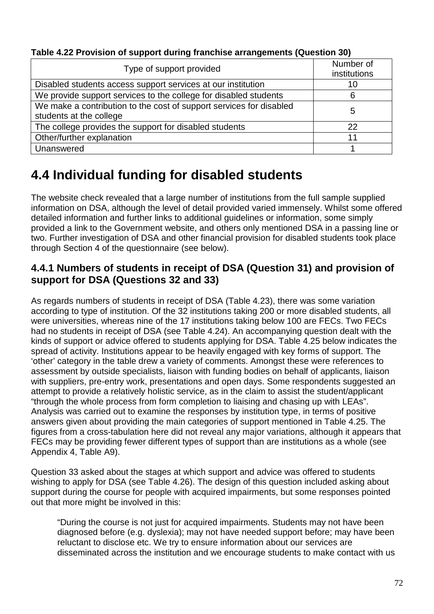| Type of support provided                                                                       | Number of<br>institutions |
|------------------------------------------------------------------------------------------------|---------------------------|
| Disabled students access support services at our institution                                   | 10                        |
| We provide support services to the college for disabled students                               | 6                         |
| We make a contribution to the cost of support services for disabled<br>students at the college | 5                         |
| The college provides the support for disabled students                                         | 22                        |
| Other/further explanation                                                                      | 11                        |
| Unanswered                                                                                     |                           |

**Table 4.22 Provision of support during franchise arrangements (Question 30)** 

# **4.4 Individual funding for disabled students**

The website check revealed that a large number of institutions from the full sample supplied information on DSA, although the level of detail provided varied immensely. Whilst some offered detailed information and further links to additional guidelines or information, some simply provided a link to the Government website, and others only mentioned DSA in a passing line or two. Further investigation of DSA and other financial provision for disabled students took place through Section 4 of the questionnaire (see below).

## **4.4.1 Numbers of students in receipt of DSA (Question 31) and provision of support for DSA (Questions 32 and 33)**

As regards numbers of students in receipt of DSA (Table 4.23), there was some variation according to type of institution. Of the 32 institutions taking 200 or more disabled students, all were universities, whereas nine of the 17 institutions taking below 100 are FECs. Two FECs had no students in receipt of DSA (see Table 4.24). An accompanying question dealt with the kinds of support or advice offered to students applying for DSA. Table 4.25 below indicates the spread of activity. Institutions appear to be heavily engaged with key forms of support. The 'other' category in the table drew a variety of comments. Amongst these were references to assessment by outside specialists, liaison with funding bodies on behalf of applicants, liaison with suppliers, pre-entry work, presentations and open days. Some respondents suggested an attempt to provide a relatively holistic service, as in the claim to assist the student/applicant "through the whole process from form completion to liaising and chasing up with LEAs". Analysis was carried out to examine the responses by institution type, in terms of positive answers given about providing the main categories of support mentioned in Table 4.25. The figures from a cross-tabulation here did not reveal any major variations, although it appears that FECs may be providing fewer different types of support than are institutions as a whole (see Appendix 4, Table A9).

Question 33 asked about the stages at which support and advice was offered to students wishing to apply for DSA (see Table 4.26). The design of this question included asking about support during the course for people with acquired impairments, but some responses pointed out that more might be involved in this:

"During the course is not just for acquired impairments. Students may not have been diagnosed before (e.g. dyslexia); may not have needed support before; may have been reluctant to disclose etc. We try to ensure information about our services are disseminated across the institution and we encourage students to make contact with us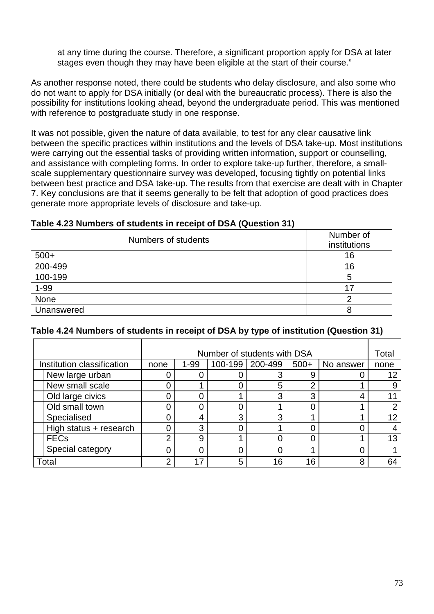at any time during the course. Therefore, a significant proportion apply for DSA at later stages even though they may have been eligible at the start of their course."

As another response noted, there could be students who delay disclosure, and also some who do not want to apply for DSA initially (or deal with the bureaucratic process). There is also the possibility for institutions looking ahead, beyond the undergraduate period. This was mentioned with reference to postgraduate study in one response.

It was not possible, given the nature of data available, to test for any clear causative link between the specific practices within institutions and the levels of DSA take-up. Most institutions were carrying out the essential tasks of providing written information, support or counselling, and assistance with completing forms. In order to explore take-up further, therefore, a smallscale supplementary questionnaire survey was developed, focusing tightly on potential links between best practice and DSA take-up. The results from that exercise are dealt with in Chapter 7. Key conclusions are that it seems generally to be felt that adoption of good practices does generate more appropriate levels of disclosure and take-up.

| Numbers of students | Number of<br>institutions |
|---------------------|---------------------------|
| $500+$              | 16                        |
| 200-499             | 16                        |
| 100-199             | 5                         |
| $1 - 99$            | 17                        |
| None                | o                         |
| Unanswered          |                           |

#### **Table 4.23 Numbers of students in receipt of DSA (Question 31)**

| Table 4.24 Numbers of students in receipt of DSA by type of institution (Question 31) |  |  |
|---------------------------------------------------------------------------------------|--|--|

|                            | Number of students with DSA |          |         | Total   |          |           |      |
|----------------------------|-----------------------------|----------|---------|---------|----------|-----------|------|
| Institution classification | none                        | $1 - 99$ | 100-199 | 200-499 | $500+$   | No answer | none |
| New large urban            |                             |          |         | 3       |          |           |      |
| New small scale            |                             |          | 0       | 5       |          |           |      |
| Old large civics           |                             |          |         | 3       | $\Omega$ |           |      |
| Old small town             |                             |          | 0       |         |          |           |      |
| Specialised                |                             | 4        | 3       | 3       |          |           | 12   |
| High status + research     |                             | 3        | 0       |         |          |           |      |
| <b>FECs</b>                | ◠                           | 9        |         | 0       |          |           | 13   |
| Special category           |                             |          |         | 0       |          |           |      |
| Total                      | ◠                           | 17       | 5       | 16      | 16       | я         | 64   |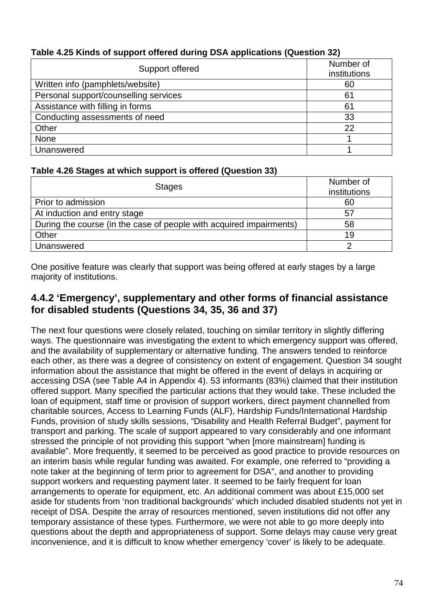| Support offered                       | Number of<br>institutions |
|---------------------------------------|---------------------------|
| Written info (pamphlets/website)      | 60                        |
| Personal support/counselling services | 61                        |
| Assistance with filling in forms      | 61                        |
| Conducting assessments of need        | 33                        |
| Other                                 | 22                        |
| None                                  |                           |
| Unanswered                            |                           |

## **Table 4.25 Kinds of support offered during DSA applications (Question 32)**

### **Table 4.26 Stages at which support is offered (Question 33)**

| <b>Stages</b>                                                       | Number of<br>institutions |
|---------------------------------------------------------------------|---------------------------|
| Prior to admission                                                  | 60                        |
| At induction and entry stage                                        | 57                        |
| During the course (in the case of people with acquired impairments) | 58                        |
| Other                                                               | 19                        |
| Unanswered                                                          |                           |

One positive feature was clearly that support was being offered at early stages by a large majority of institutions.

## **4.4.2 'Emergency', supplementary and other forms of financial assistance for disabled students (Questions 34, 35, 36 and 37)**

The next four questions were closely related, touching on similar territory in slightly differing ways. The questionnaire was investigating the extent to which emergency support was offered, and the availability of supplementary or alternative funding. The answers tended to reinforce each other, as there was a degree of consistency on extent of engagement. Question 34 sought information about the assistance that might be offered in the event of delays in acquiring or accessing DSA (see Table A4 in Appendix 4). 53 informants (83%) claimed that their institution offered support. Many specified the particular actions that they would take. These included the loan of equipment, staff time or provision of support workers, direct payment channelled from charitable sources, Access to Learning Funds (ALF), Hardship Funds/International Hardship Funds, provision of study skills sessions, "Disability and Health Referral Budget", payment for transport and parking. The scale of support appeared to vary considerably and one informant stressed the principle of not providing this support "when [more mainstream] funding is available". More frequently, it seemed to be perceived as good practice to provide resources on an interim basis while regular funding was awaited. For example, one referred to "providing a note taker at the beginning of term prior to agreement for DSA", and another to providing support workers and requesting payment later. It seemed to be fairly frequent for loan arrangements to operate for equipment, etc. An additional comment was about £15,000 set aside for students from 'non traditional backgrounds' which included disabled students not yet in receipt of DSA. Despite the array of resources mentioned, seven institutions did not offer any temporary assistance of these types. Furthermore, we were not able to go more deeply into questions about the depth and appropriateness of support. Some delays may cause very great inconvenience, and it is difficult to know whether emergency 'cover' is likely to be adequate.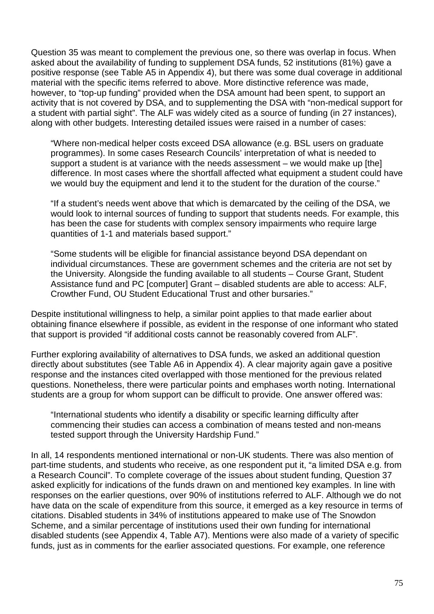Question 35 was meant to complement the previous one, so there was overlap in focus. When asked about the availability of funding to supplement DSA funds, 52 institutions (81%) gave a positive response (see Table A5 in Appendix 4), but there was some dual coverage in additional material with the specific items referred to above. More distinctive reference was made, however, to "top-up funding" provided when the DSA amount had been spent, to support an activity that is not covered by DSA, and to supplementing the DSA with "non-medical support for a student with partial sight". The ALF was widely cited as a source of funding (in 27 instances), along with other budgets. Interesting detailed issues were raised in a number of cases:

"Where non-medical helper costs exceed DSA allowance (e.g. BSL users on graduate programmes). In some cases Research Councils' interpretation of what is needed to support a student is at variance with the needs assessment – we would make up [the] difference. In most cases where the shortfall affected what equipment a student could have we would buy the equipment and lend it to the student for the duration of the course."

"If a student's needs went above that which is demarcated by the ceiling of the DSA, we would look to internal sources of funding to support that students needs. For example, this has been the case for students with complex sensory impairments who require large quantities of 1-1 and materials based support."

"Some students will be eligible for financial assistance beyond DSA dependant on individual circumstances. These are government schemes and the criteria are not set by the University. Alongside the funding available to all students – Course Grant, Student Assistance fund and PC [computer] Grant – disabled students are able to access: ALF. Crowther Fund, OU Student Educational Trust and other bursaries."

Despite institutional willingness to help, a similar point applies to that made earlier about obtaining finance elsewhere if possible, as evident in the response of one informant who stated that support is provided "if additional costs cannot be reasonably covered from ALF".

Further exploring availability of alternatives to DSA funds, we asked an additional question directly about substitutes (see Table A6 in Appendix 4). A clear majority again gave a positive response and the instances cited overlapped with those mentioned for the previous related questions. Nonetheless, there were particular points and emphases worth noting. International students are a group for whom support can be difficult to provide. One answer offered was:

"International students who identify a disability or specific learning difficulty after commencing their studies can access a combination of means tested and non-means tested support through the University Hardship Fund."

In all, 14 respondents mentioned international or non-UK students. There was also mention of part-time students, and students who receive, as one respondent put it, "a limited DSA e.g. from a Research Council". To complete coverage of the issues about student funding, Question 37 asked explicitly for indications of the funds drawn on and mentioned key examples. In line with responses on the earlier questions, over 90% of institutions referred to ALF. Although we do not have data on the scale of expenditure from this source, it emerged as a key resource in terms of citations. Disabled students in 34% of institutions appeared to make use of The Snowdon Scheme, and a similar percentage of institutions used their own funding for international disabled students (see Appendix 4, Table A7). Mentions were also made of a variety of specific funds, just as in comments for the earlier associated questions. For example, one reference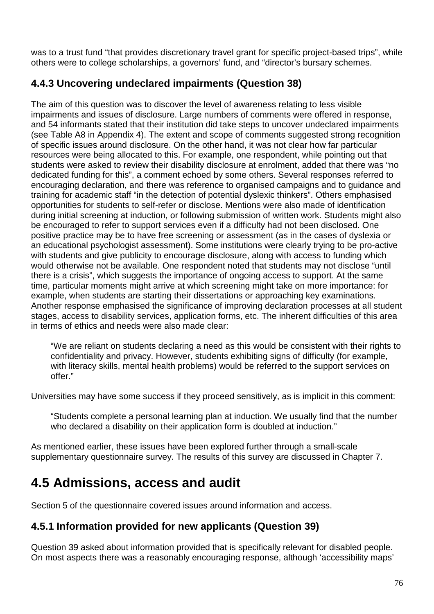was to a trust fund "that provides discretionary travel grant for specific project-based trips", while others were to college scholarships, a governors' fund, and "director's bursary schemes.

## **4.4.3 Uncovering undeclared impairments (Question 38)**

The aim of this question was to discover the level of awareness relating to less visible impairments and issues of disclosure. Large numbers of comments were offered in response, and 54 informants stated that their institution did take steps to uncover undeclared impairments (see Table A8 in Appendix 4). The extent and scope of comments suggested strong recognition of specific issues around disclosure. On the other hand, it was not clear how far particular resources were being allocated to this. For example, one respondent, while pointing out that students were asked to review their disability disclosure at enrolment, added that there was "no dedicated funding for this", a comment echoed by some others. Several responses referred to encouraging declaration, and there was reference to organised campaigns and to guidance and training for academic staff "in the detection of potential dyslexic thinkers". Others emphasised opportunities for students to self-refer or disclose. Mentions were also made of identification during initial screening at induction, or following submission of written work. Students might also be encouraged to refer to support services even if a difficulty had not been disclosed. One positive practice may be to have free screening or assessment (as in the cases of dyslexia or an educational psychologist assessment). Some institutions were clearly trying to be pro-active with students and give publicity to encourage disclosure, along with access to funding which would otherwise not be available. One respondent noted that students may not disclose "until there is a crisis", which suggests the importance of ongoing access to support. At the same time, particular moments might arrive at which screening might take on more importance: for example, when students are starting their dissertations or approaching key examinations. Another response emphasised the significance of improving declaration processes at all student stages, access to disability services, application forms, etc. The inherent difficulties of this area in terms of ethics and needs were also made clear:

"We are reliant on students declaring a need as this would be consistent with their rights to confidentiality and privacy. However, students exhibiting signs of difficulty (for example, with literacy skills, mental health problems) would be referred to the support services on offer."

Universities may have some success if they proceed sensitively, as is implicit in this comment:

"Students complete a personal learning plan at induction. We usually find that the number who declared a disability on their application form is doubled at induction."

As mentioned earlier, these issues have been explored further through a small-scale supplementary questionnaire survey. The results of this survey are discussed in Chapter 7.

# **4.5 Admissions, access and audit**

Section 5 of the questionnaire covered issues around information and access.

## **4.5.1 Information provided for new applicants (Question 39)**

Question 39 asked about information provided that is specifically relevant for disabled people. On most aspects there was a reasonably encouraging response, although 'accessibility maps'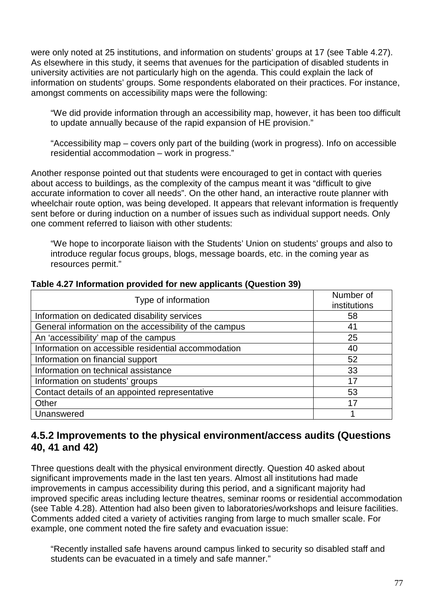were only noted at 25 institutions, and information on students' groups at 17 (see Table 4.27). As elsewhere in this study, it seems that avenues for the participation of disabled students in university activities are not particularly high on the agenda. This could explain the lack of information on students' groups. Some respondents elaborated on their practices. For instance, amongst comments on accessibility maps were the following:

"We did provide information through an accessibility map, however, it has been too difficult to update annually because of the rapid expansion of HE provision."

"Accessibility map – covers only part of the building (work in progress). Info on accessible residential accommodation – work in progress."

Another response pointed out that students were encouraged to get in contact with queries about access to buildings, as the complexity of the campus meant it was "difficult to give accurate information to cover all needs". On the other hand, an interactive route planner with wheelchair route option, was being developed. It appears that relevant information is frequently sent before or during induction on a number of issues such as individual support needs. Only one comment referred to liaison with other students:

"We hope to incorporate liaison with the Students' Union on students' groups and also to introduce regular focus groups, blogs, message boards, etc. in the coming year as resources permit."

| Type of information                                    | Number of<br>institutions |
|--------------------------------------------------------|---------------------------|
| Information on dedicated disability services           | 58                        |
| General information on the accessibility of the campus | 41                        |
| An 'accessibility' map of the campus                   | 25                        |
| Information on accessible residential accommodation    | 40                        |
| Information on financial support                       | 52                        |
| Information on technical assistance                    | 33                        |
| Information on students' groups                        | 17                        |
| Contact details of an appointed representative         | 53                        |
| Other                                                  | 17                        |
| Unanswered                                             |                           |

#### **Table 4.27 Information provided for new applicants (Question 39)**

## **4.5.2 Improvements to the physical environment/access audits (Questions 40, 41 and 42)**

Three questions dealt with the physical environment directly. Question 40 asked about significant improvements made in the last ten years. Almost all institutions had made improvements in campus accessibility during this period, and a significant majority had improved specific areas including lecture theatres, seminar rooms or residential accommodation (see Table 4.28). Attention had also been given to laboratories/workshops and leisure facilities. Comments added cited a variety of activities ranging from large to much smaller scale. For example, one comment noted the fire safety and evacuation issue:

"Recently installed safe havens around campus linked to security so disabled staff and students can be evacuated in a timely and safe manner."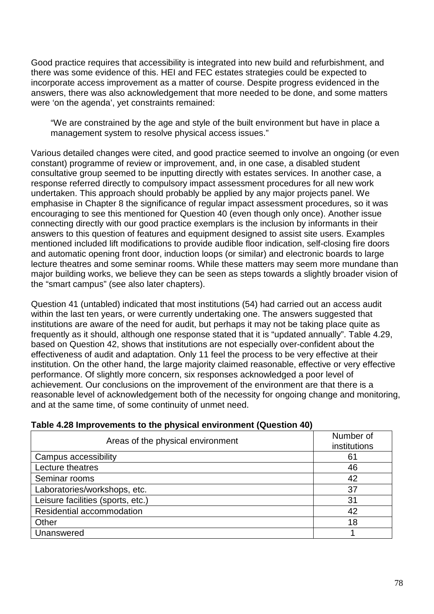Good practice requires that accessibility is integrated into new build and refurbishment, and there was some evidence of this. HEI and FEC estates strategies could be expected to incorporate access improvement as a matter of course. Despite progress evidenced in the answers, there was also acknowledgement that more needed to be done, and some matters were 'on the agenda', yet constraints remained:

"We are constrained by the age and style of the built environment but have in place a management system to resolve physical access issues."

Various detailed changes were cited, and good practice seemed to involve an ongoing (or even constant) programme of review or improvement, and, in one case, a disabled student consultative group seemed to be inputting directly with estates services. In another case, a response referred directly to compulsory impact assessment procedures for all new work undertaken. This approach should probably be applied by any major projects panel. We emphasise in Chapter 8 the significance of regular impact assessment procedures, so it was encouraging to see this mentioned for Question 40 (even though only once). Another issue connecting directly with our good practice exemplars is the inclusion by informants in their answers to this question of features and equipment designed to assist site users. Examples mentioned included lift modifications to provide audible floor indication, self-closing fire doors and automatic opening front door, induction loops (or similar) and electronic boards to large lecture theatres and some seminar rooms. While these matters may seem more mundane than major building works, we believe they can be seen as steps towards a slightly broader vision of the "smart campus" (see also later chapters).

Question 41 (untabled) indicated that most institutions (54) had carried out an access audit within the last ten years, or were currently undertaking one. The answers suggested that institutions are aware of the need for audit, but perhaps it may not be taking place quite as frequently as it should, although one response stated that it is "updated annually". Table 4.29, based on Question 42, shows that institutions are not especially over-confident about the effectiveness of audit and adaptation. Only 11 feel the process to be very effective at their institution. On the other hand, the large majority claimed reasonable, effective or very effective performance. Of slightly more concern, six responses acknowledged a poor level of achievement. Our conclusions on the improvement of the environment are that there is a reasonable level of acknowledgement both of the necessity for ongoing change and monitoring, and at the same time, of some continuity of unmet need.

| Areas of the physical environment | Number of<br>institutions |
|-----------------------------------|---------------------------|
| Campus accessibility              | 61                        |
| Lecture theatres                  | 46                        |
| Seminar rooms                     | 42                        |
| Laboratories/workshops, etc.      | 37                        |
| Leisure facilities (sports, etc.) | 31                        |
| Residential accommodation         | 42                        |
| Other                             | 18                        |
| Unanswered                        |                           |

### **Table 4.28 Improvements to the physical environment (Question 40)**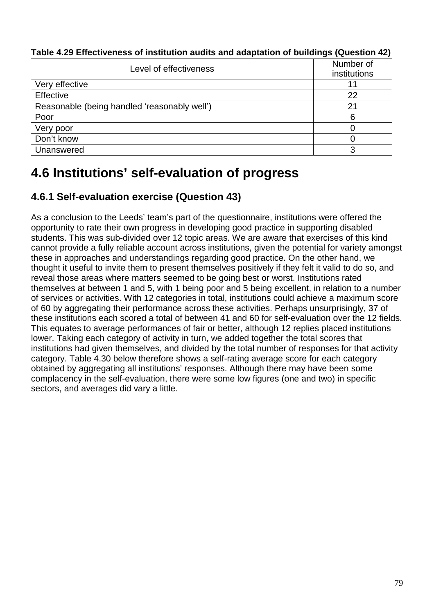| Level of effectiveness                       | Number of<br>institutions |
|----------------------------------------------|---------------------------|
| Very effective                               | 11                        |
| Effective                                    | 22                        |
| Reasonable (being handled 'reasonably well') | 21                        |
| Poor                                         | 6                         |
| Very poor                                    |                           |
| Don't know                                   |                           |
| Unanswered                                   | 3                         |

**Table 4.29 Effectiveness of institution audits and adaptation of buildings (Question 42)** 

# **4.6 Institutions' self-evaluation of progress**

# **4.6.1 Self-evaluation exercise (Question 43)**

As a conclusion to the Leeds' team's part of the questionnaire, institutions were offered the opportunity to rate their own progress in developing good practice in supporting disabled students. This was sub-divided over 12 topic areas. We are aware that exercises of this kind cannot provide a fully reliable account across institutions, given the potential for variety amongst these in approaches and understandings regarding good practice. On the other hand, we thought it useful to invite them to present themselves positively if they felt it valid to do so, and reveal those areas where matters seemed to be going best or worst. Institutions rated themselves at between 1 and 5, with 1 being poor and 5 being excellent, in relation to a number of services or activities. With 12 categories in total, institutions could achieve a maximum score of 60 by aggregating their performance across these activities. Perhaps unsurprisingly, 37 of these institutions each scored a total of between 41 and 60 for self-evaluation over the 12 fields. This equates to average performances of fair or better, although 12 replies placed institutions lower. Taking each category of activity in turn, we added together the total scores that institutions had given themselves, and divided by the total number of responses for that activity category. Table 4.30 below therefore shows a self-rating average score for each category obtained by aggregating all institutions' responses. Although there may have been some complacency in the self-evaluation, there were some low figures (one and two) in specific sectors, and averages did vary a little.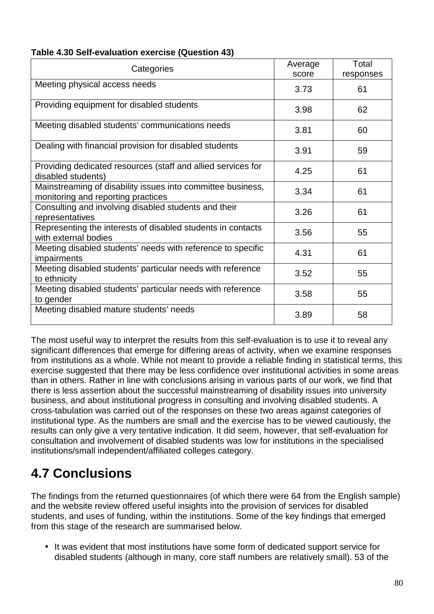| Table 4.30 Self-evaluation exercise (Question 43) |  |
|---------------------------------------------------|--|
|---------------------------------------------------|--|

| Categories                                                                                        | Average<br>score | Total<br>responses |
|---------------------------------------------------------------------------------------------------|------------------|--------------------|
| Meeting physical access needs                                                                     | 3.73             | 61                 |
| Providing equipment for disabled students                                                         | 3.98             | 62                 |
| Meeting disabled students' communications needs                                                   | 3.81             | 60                 |
| Dealing with financial provision for disabled students                                            | 3.91             | 59                 |
| Providing dedicated resources (staff and allied services for<br>disabled students)                | 4.25             | 61                 |
| Mainstreaming of disability issues into committee business,<br>monitoring and reporting practices | 3.34             | 61                 |
| Consulting and involving disabled students and their<br>representatives                           | 3.26             | 61                 |
| Representing the interests of disabled students in contacts<br>with external bodies               | 3.56             | 55                 |
| Meeting disabled students' needs with reference to specific<br><i>impairments</i>                 | 4.31             | 61                 |
| Meeting disabled students' particular needs with reference<br>to ethnicity                        | 3.52             | 55                 |
| Meeting disabled students' particular needs with reference<br>to gender                           | 3.58             | 55                 |
| Meeting disabled mature students' needs                                                           | 3.89             | 58                 |

The most useful way to interpret the results from this self-evaluation is to use it to reveal any significant differences that emerge for differing areas of activity, when we examine responses from institutions as a whole. While not meant to provide a reliable finding in statistical terms, this exercise suggested that there may be less confidence over institutional activities in some areas than in others. Rather in line with conclusions arising in various parts of our work, we find that there is less assertion about the successful mainstreaming of disability issues into university business, and about institutional progress in consulting and involving disabled students. A cross-tabulation was carried out of the responses on these two areas against categories of institutional type. As the numbers are small and the exercise has to be viewed cautiously, the results can only give a very tentative indication. It did seem, however, that self-evaluation for consultation and involvement of disabled students was low for institutions in the specialised institutions/small independent/affiliated colleges category.

# **4.7 Conclusions**

The findings from the returned questionnaires (of which there were 64 from the English sample) and the website review offered useful insights into the provision of services for disabled students, and uses of funding, within the institutions. Some of the key findings that emerged from this stage of the research are summarised below.

• It was evident that most institutions have some form of dedicated support service for disabled students (although in many, core staff numbers are relatively small). 53 of the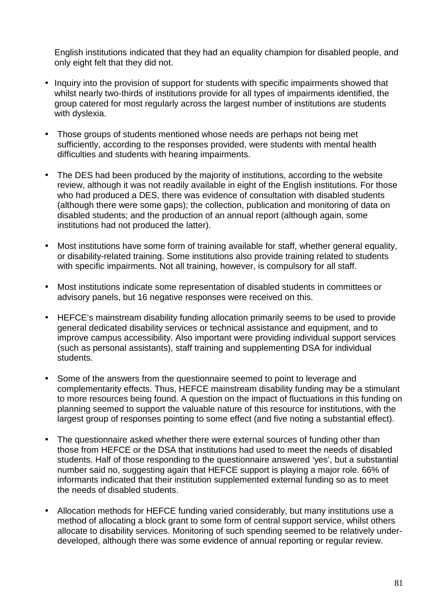English institutions indicated that they had an equality champion for disabled people, and only eight felt that they did not.

- Inquiry into the provision of support for students with specific impairments showed that whilst nearly two-thirds of institutions provide for all types of impairments identified, the group catered for most regularly across the largest number of institutions are students with dyslexia.
- Those groups of students mentioned whose needs are perhaps not being met sufficiently, according to the responses provided, were students with mental health difficulties and students with hearing impairments.
- The DES had been produced by the majority of institutions, according to the website review, although it was not readily available in eight of the English institutions. For those who had produced a DES, there was evidence of consultation with disabled students (although there were some gaps); the collection, publication and monitoring of data on disabled students; and the production of an annual report (although again, some institutions had not produced the latter).
- Most institutions have some form of training available for staff, whether general equality, or disability-related training. Some institutions also provide training related to students with specific impairments. Not all training, however, is compulsory for all staff.
- Most institutions indicate some representation of disabled students in committees or advisory panels, but 16 negative responses were received on this.
- HEFCE's mainstream disability funding allocation primarily seems to be used to provide general dedicated disability services or technical assistance and equipment, and to improve campus accessibility. Also important were providing individual support services (such as personal assistants), staff training and supplementing DSA for individual students.
- Some of the answers from the questionnaire seemed to point to leverage and complementarity effects. Thus, HEFCE mainstream disability funding may be a stimulant to more resources being found. A question on the impact of fluctuations in this funding on planning seemed to support the valuable nature of this resource for institutions, with the largest group of responses pointing to some effect (and five noting a substantial effect).
- The questionnaire asked whether there were external sources of funding other than those from HEFCE or the DSA that institutions had used to meet the needs of disabled students. Half of those responding to the questionnaire answered 'yes', but a substantial number said no, suggesting again that HEFCE support is playing a major role. 66% of informants indicated that their institution supplemented external funding so as to meet the needs of disabled students.
- Allocation methods for HEFCE funding varied considerably, but many institutions use a method of allocating a block grant to some form of central support service, whilst others allocate to disability services. Monitoring of such spending seemed to be relatively underdeveloped, although there was some evidence of annual reporting or regular review.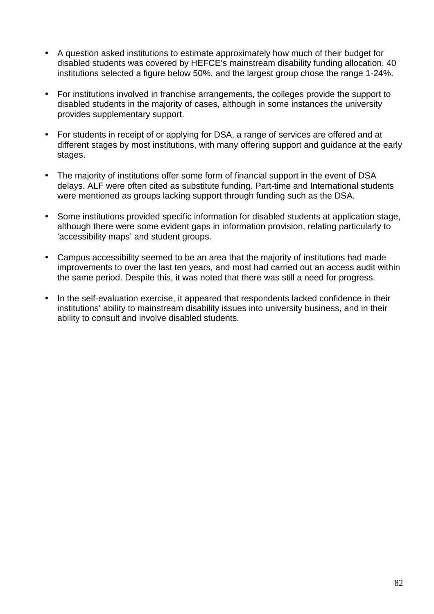- A question asked institutions to estimate approximately how much of their budget for disabled students was covered by HEFCE's mainstream disability funding allocation. 40 institutions selected a figure below 50%, and the largest group chose the range 1-24%.
- For institutions involved in franchise arrangements, the colleges provide the support to disabled students in the majority of cases, although in some instances the university provides supplementary support.
- For students in receipt of or applying for DSA, a range of services are offered and at different stages by most institutions, with many offering support and guidance at the early stages.
- The majority of institutions offer some form of financial support in the event of DSA delays. ALF were often cited as substitute funding. Part-time and International students were mentioned as groups lacking support through funding such as the DSA.
- Some institutions provided specific information for disabled students at application stage, although there were some evident gaps in information provision, relating particularly to 'accessibility maps' and student groups.
- Campus accessibility seemed to be an area that the majority of institutions had made improvements to over the last ten years, and most had carried out an access audit within the same period. Despite this, it was noted that there was still a need for progress.
- In the self-evaluation exercise, it appeared that respondents lacked confidence in their institutions' ability to mainstream disability issues into university business, and in their ability to consult and involve disabled students.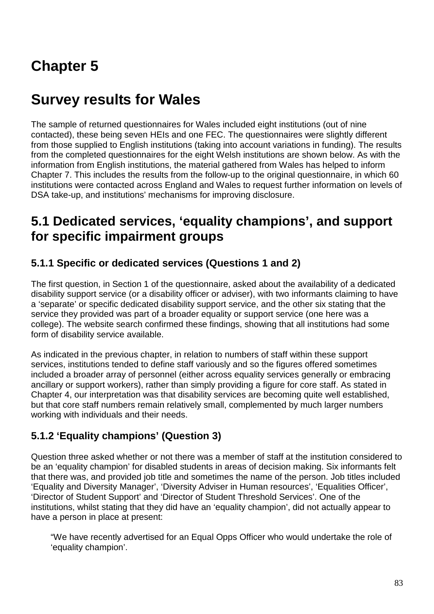# **Chapter 5**

# **Survey results for Wales**

The sample of returned questionnaires for Wales included eight institutions (out of nine contacted), these being seven HEIs and one FEC. The questionnaires were slightly different from those supplied to English institutions (taking into account variations in funding). The results from the completed questionnaires for the eight Welsh institutions are shown below. As with the information from English institutions, the material gathered from Wales has helped to inform Chapter 7. This includes the results from the follow-up to the original questionnaire, in which 60 institutions were contacted across England and Wales to request further information on levels of DSA take-up, and institutions' mechanisms for improving disclosure.

# **5.1 Dedicated services, 'equality champions', and support for specific impairment groups**

## **5.1.1 Specific or dedicated services (Questions 1 and 2)**

The first question, in Section 1 of the questionnaire, asked about the availability of a dedicated disability support service (or a disability officer or adviser), with two informants claiming to have a 'separate' or specific dedicated disability support service, and the other six stating that the service they provided was part of a broader equality or support service (one here was a college). The website search confirmed these findings, showing that all institutions had some form of disability service available.

As indicated in the previous chapter, in relation to numbers of staff within these support services, institutions tended to define staff variously and so the figures offered sometimes included a broader array of personnel (either across equality services generally or embracing ancillary or support workers), rather than simply providing a figure for core staff. As stated in Chapter 4, our interpretation was that disability services are becoming quite well established, but that core staff numbers remain relatively small, complemented by much larger numbers working with individuals and their needs.

# **5.1.2 'Equality champions' (Question 3)**

Question three asked whether or not there was a member of staff at the institution considered to be an 'equality champion' for disabled students in areas of decision making. Six informants felt that there was, and provided job title and sometimes the name of the person. Job titles included 'Equality and Diversity Manager', 'Diversity Adviser in Human resources', 'Equalities Officer', 'Director of Student Support' and 'Director of Student Threshold Services'. One of the institutions, whilst stating that they did have an 'equality champion', did not actually appear to have a person in place at present:

"We have recently advertised for an Equal Opps Officer who would undertake the role of 'equality champion'.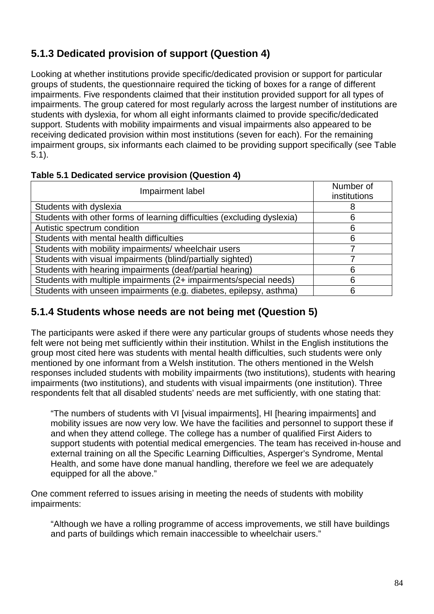# **5.1.3 Dedicated provision of support (Question 4)**

Looking at whether institutions provide specific/dedicated provision or support for particular groups of students, the questionnaire required the ticking of boxes for a range of different impairments. Five respondents claimed that their institution provided support for all types of impairments. The group catered for most regularly across the largest number of institutions are students with dyslexia, for whom all eight informants claimed to provide specific/dedicated support. Students with mobility impairments and visual impairments also appeared to be receiving dedicated provision within most institutions (seven for each). For the remaining impairment groups, six informants each claimed to be providing support specifically (see Table 5.1).

| Impairment label                                                        | Number of<br>institutions |
|-------------------------------------------------------------------------|---------------------------|
| Students with dyslexia                                                  | 8                         |
| Students with other forms of learning difficulties (excluding dyslexia) | 6                         |
| Autistic spectrum condition                                             | 6                         |
| Students with mental health difficulties                                | 6                         |
| Students with mobility impairments/ wheelchair users                    |                           |
| Students with visual impairments (blind/partially sighted)              |                           |
| Students with hearing impairments (deaf/partial hearing)                | 6                         |
| Students with multiple impairments (2+ impairments/special needs)       | 6                         |
| Students with unseen impairments (e.g. diabetes, epilepsy, asthma)      | 6                         |

### **Table 5.1 Dedicated service provision (Question 4)**

## **5.1.4 Students whose needs are not being met (Question 5)**

The participants were asked if there were any particular groups of students whose needs they felt were not being met sufficiently within their institution. Whilst in the English institutions the group most cited here was students with mental health difficulties, such students were only mentioned by one informant from a Welsh institution. The others mentioned in the Welsh responses included students with mobility impairments (two institutions), students with hearing impairments (two institutions), and students with visual impairments (one institution). Three respondents felt that all disabled students' needs are met sufficiently, with one stating that:

"The numbers of students with VI [visual impairments], HI [hearing impairments] and mobility issues are now very low. We have the facilities and personnel to support these if and when they attend college. The college has a number of qualified First Aiders to support students with potential medical emergencies. The team has received in-house and external training on all the Specific Learning Difficulties, Asperger's Syndrome, Mental Health, and some have done manual handling, therefore we feel we are adequately equipped for all the above."

One comment referred to issues arising in meeting the needs of students with mobility impairments:

"Although we have a rolling programme of access improvements, we still have buildings and parts of buildings which remain inaccessible to wheelchair users."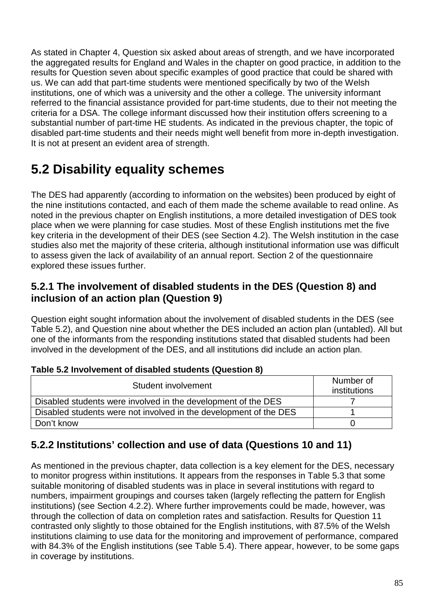As stated in Chapter 4, Question six asked about areas of strength, and we have incorporated the aggregated results for England and Wales in the chapter on good practice, in addition to the results for Question seven about specific examples of good practice that could be shared with us. We can add that part-time students were mentioned specifically by two of the Welsh institutions, one of which was a university and the other a college. The university informant referred to the financial assistance provided for part-time students, due to their not meeting the criteria for a DSA. The college informant discussed how their institution offers screening to a substantial number of part-time HE students. As indicated in the previous chapter, the topic of disabled part-time students and their needs might well benefit from more in-depth investigation. It is not at present an evident area of strength.

# **5.2 Disability equality schemes**

The DES had apparently (according to information on the websites) been produced by eight of the nine institutions contacted, and each of them made the scheme available to read online. As noted in the previous chapter on English institutions, a more detailed investigation of DES took place when we were planning for case studies. Most of these English institutions met the five key criteria in the development of their DES (see Section 4.2). The Welsh institution in the case studies also met the majority of these criteria, although institutional information use was difficult to assess given the lack of availability of an annual report. Section 2 of the questionnaire explored these issues further.

## **5.2.1 The involvement of disabled students in the DES (Question 8) and inclusion of an action plan (Question 9)**

Question eight sought information about the involvement of disabled students in the DES (see Table 5.2), and Question nine about whether the DES included an action plan (untabled). All but one of the informants from the responding institutions stated that disabled students had been involved in the development of the DES, and all institutions did include an action plan.

| Table 5.2 Illyofvellielit of disabled students (Question 0)       |                           |  |
|-------------------------------------------------------------------|---------------------------|--|
| Student involvement                                               | Number of<br>institutions |  |
| Disabled students were involved in the development of the DES     |                           |  |
| Disabled students were not involved in the development of the DES |                           |  |
| Don't know                                                        |                           |  |

## **Table 5.2 Involvement of disabled students (Question 8)**

## **5.2.2 Institutions' collection and use of data (Questions 10 and 11)**

As mentioned in the previous chapter, data collection is a key element for the DES, necessary to monitor progress within institutions. It appears from the responses in Table 5.3 that some suitable monitoring of disabled students was in place in several institutions with regard to numbers, impairment groupings and courses taken (largely reflecting the pattern for English institutions) (see Section 4.2.2). Where further improvements could be made, however, was through the collection of data on completion rates and satisfaction. Results for Question 11 contrasted only slightly to those obtained for the English institutions, with 87.5% of the Welsh institutions claiming to use data for the monitoring and improvement of performance, compared with 84.3% of the English institutions (see Table 5.4). There appear, however, to be some gaps in coverage by institutions.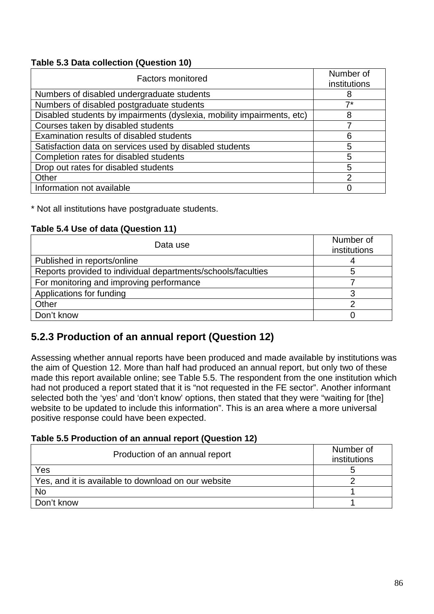### **Table 5.3 Data collection (Question 10)**

| <b>Factors monitored</b>                                               | Number of<br>institutions |
|------------------------------------------------------------------------|---------------------------|
| Numbers of disabled undergraduate students                             | 8                         |
| Numbers of disabled postgraduate students                              | –7*                       |
| Disabled students by impairments (dyslexia, mobility impairments, etc) | 8                         |
| Courses taken by disabled students                                     |                           |
| Examination results of disabled students                               | 6                         |
| Satisfaction data on services used by disabled students                | 5                         |
| Completion rates for disabled students                                 | 5                         |
| Drop out rates for disabled students                                   | 5                         |
| Other                                                                  | $\mathcal{P}$             |
| Information not available                                              |                           |

\* Not all institutions have postgraduate students.

### **Table 5.4 Use of data (Question 11)**

| Data use                                                     | Number of<br>institutions |
|--------------------------------------------------------------|---------------------------|
| Published in reports/online                                  |                           |
| Reports provided to individual departments/schools/faculties |                           |
| For monitoring and improving performance                     |                           |
| Applications for funding                                     |                           |
| Other                                                        | ⌒                         |
| Don't know                                                   |                           |

## **5.2.3 Production of an annual report (Question 12)**

Assessing whether annual reports have been produced and made available by institutions was the aim of Question 12. More than half had produced an annual report, but only two of these made this report available online; see Table 5.5. The respondent from the one institution which had not produced a report stated that it is "not requested in the FE sector". Another informant selected both the 'yes' and 'don't know' options, then stated that they were "waiting for [the] website to be updated to include this information". This is an area where a more universal positive response could have been expected.

### **Table 5.5 Production of an annual report (Question 12)**

| Production of an annual report                      | Number of<br>institutions |
|-----------------------------------------------------|---------------------------|
| Yes                                                 |                           |
| Yes, and it is available to download on our website |                           |
| <b>No</b>                                           |                           |
| Don't know                                          |                           |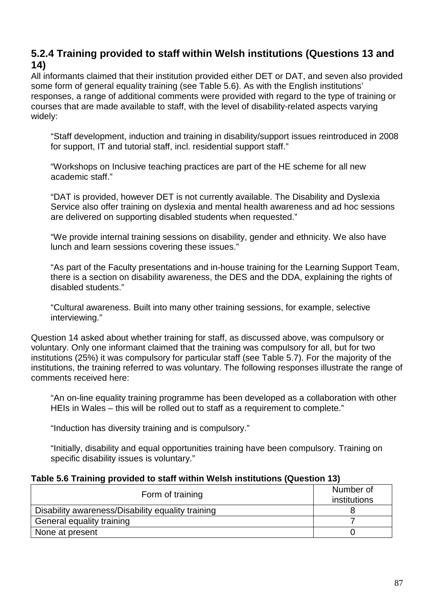## **5.2.4 Training provided to staff within Welsh institutions (Questions 13 and 14)**

All informants claimed that their institution provided either DET or DAT, and seven also provided some form of general equality training (see Table 5.6). As with the English institutions' responses, a range of additional comments were provided with regard to the type of training or courses that are made available to staff, with the level of disability-related aspects varying widely:

"Staff development, induction and training in disability/support issues reintroduced in 2008 for support, IT and tutorial staff, incl. residential support staff."

"Workshops on Inclusive teaching practices are part of the HE scheme for all new academic staff."

"DAT is provided, however DET is not currently available. The Disability and Dyslexia Service also offer training on dyslexia and mental health awareness and ad hoc sessions are delivered on supporting disabled students when requested."

"We provide internal training sessions on disability, gender and ethnicity. We also have lunch and learn sessions covering these issues."

"As part of the Faculty presentations and in-house training for the Learning Support Team, there is a section on disability awareness, the DES and the DDA, explaining the rights of disabled students."

"Cultural awareness. Built into many other training sessions, for example, selective interviewing."

Question 14 asked about whether training for staff, as discussed above, was compulsory or voluntary. Only one informant claimed that the training was compulsory for all, but for two institutions (25%) it was compulsory for particular staff (see Table 5.7). For the majority of the institutions, the training referred to was voluntary. The following responses illustrate the range of comments received here:

"An on-line equality training programme has been developed as a collaboration with other HEIs in Wales – this will be rolled out to staff as a requirement to complete."

"Induction has diversity training and is compulsory."

"Initially, disability and equal opportunities training have been compulsory. Training on specific disability issues is voluntary."

#### **Table 5.6 Training provided to staff within Welsh institutions (Question 13)**

| Form of training                                  | Number of    |
|---------------------------------------------------|--------------|
|                                                   | institutions |
| Disability awareness/Disability equality training |              |
| General equality training                         |              |
| None at present                                   |              |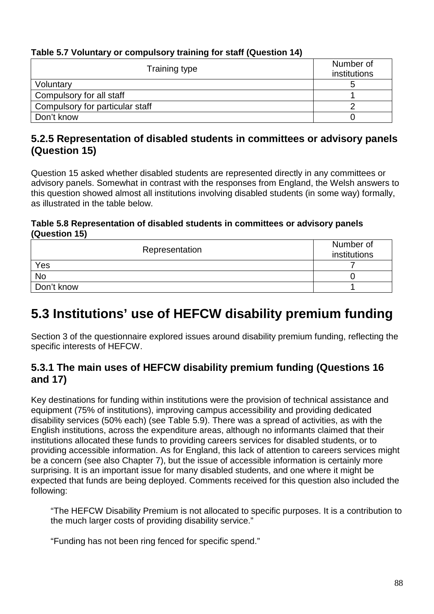## **Table 5.7 Voluntary or compulsory training for staff (Question 14)**

| Training type                   | Number of<br>institutions |
|---------------------------------|---------------------------|
| Voluntary                       |                           |
| Compulsory for all staff        |                           |
| Compulsory for particular staff |                           |
| Don't know                      |                           |

## **5.2.5 Representation of disabled students in committees or advisory panels (Question 15)**

Question 15 asked whether disabled students are represented directly in any committees or advisory panels. Somewhat in contrast with the responses from England, the Welsh answers to this question showed almost all institutions involving disabled students (in some way) formally, as illustrated in the table below.

### **Table 5.8 Representation of disabled students in committees or advisory panels (Question 15)**

| Representation | Number of<br>institutions |
|----------------|---------------------------|
| Yes            |                           |
| <b>No</b>      |                           |
| Don't know     |                           |

# **5.3 Institutions' use of HEFCW disability premium funding**

Section 3 of the questionnaire explored issues around disability premium funding, reflecting the specific interests of HEFCW.

## **5.3.1 The main uses of HEFCW disability premium funding (Questions 16 and 17)**

Key destinations for funding within institutions were the provision of technical assistance and equipment (75% of institutions), improving campus accessibility and providing dedicated disability services (50% each) (see Table 5.9). There was a spread of activities, as with the English institutions, across the expenditure areas, although no informants claimed that their institutions allocated these funds to providing careers services for disabled students, or to providing accessible information. As for England, this lack of attention to careers services might be a concern (see also Chapter 7), but the issue of accessible information is certainly more surprising. It is an important issue for many disabled students, and one where it might be expected that funds are being deployed. Comments received for this question also included the following:

"The HEFCW Disability Premium is not allocated to specific purposes. It is a contribution to the much larger costs of providing disability service."

"Funding has not been ring fenced for specific spend."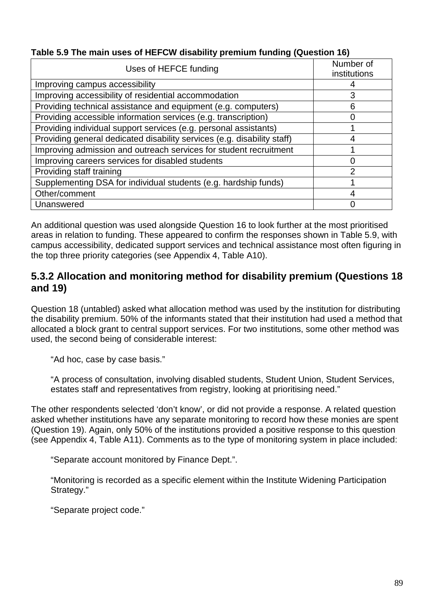| Table 5.9 The main uses of HEFCW disability premium funding (Question 16) |  |  |  |
|---------------------------------------------------------------------------|--|--|--|
|                                                                           |  |  |  |

| Uses of HEFCE funding                                                   | Number of<br>institutions |
|-------------------------------------------------------------------------|---------------------------|
| Improving campus accessibility                                          |                           |
| Improving accessibility of residential accommodation                    | 3                         |
|                                                                         |                           |
| Providing technical assistance and equipment (e.g. computers)           | 6                         |
| Providing accessible information services (e.g. transcription)          |                           |
| Providing individual support services (e.g. personal assistants)        |                           |
| Providing general dedicated disability services (e.g. disability staff) | 4                         |
| Improving admission and outreach services for student recruitment       |                           |
| Improving careers services for disabled students                        |                           |
| Providing staff training                                                |                           |
| Supplementing DSA for individual students (e.g. hardship funds)         |                           |
| Other/comment                                                           | 4                         |
| Unanswered                                                              |                           |

An additional question was used alongside Question 16 to look further at the most prioritised areas in relation to funding. These appeared to confirm the responses shown in Table 5.9, with campus accessibility, dedicated support services and technical assistance most often figuring in the top three priority categories (see Appendix 4, Table A10).

## **5.3.2 Allocation and monitoring method for disability premium (Questions 18 and 19)**

Question 18 (untabled) asked what allocation method was used by the institution for distributing the disability premium. 50% of the informants stated that their institution had used a method that allocated a block grant to central support services. For two institutions, some other method was used, the second being of considerable interest:

"Ad hoc, case by case basis."

"A process of consultation, involving disabled students, Student Union, Student Services, estates staff and representatives from registry, looking at prioritising need."

The other respondents selected 'don't know', or did not provide a response. A related question asked whether institutions have any separate monitoring to record how these monies are spent (Question 19). Again, only 50% of the institutions provided a positive response to this question (see Appendix 4, Table A11). Comments as to the type of monitoring system in place included:

"Separate account monitored by Finance Dept.".

"Monitoring is recorded as a specific element within the Institute Widening Participation Strategy."

"Separate project code."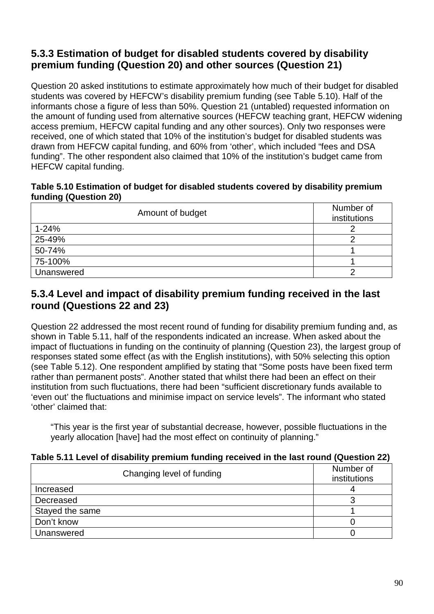# **5.3.3 Estimation of budget for disabled students covered by disability premium funding (Question 20) and other sources (Question 21)**

Question 20 asked institutions to estimate approximately how much of their budget for disabled students was covered by HEFCW's disability premium funding (see Table 5.10). Half of the informants chose a figure of less than 50%. Question 21 (untabled) requested information on the amount of funding used from alternative sources (HEFCW teaching grant, HEFCW widening access premium, HEFCW capital funding and any other sources). Only two responses were received, one of which stated that 10% of the institution's budget for disabled students was drawn from HEFCW capital funding, and 60% from 'other', which included "fees and DSA funding". The other respondent also claimed that 10% of the institution's budget came from HEFCW capital funding.

#### **Table 5.10 Estimation of budget for disabled students covered by disability premium funding (Question 20)**

| Amount of budget | Number of<br>institutions |
|------------------|---------------------------|
| $1 - 24%$        |                           |
| 25-49%           |                           |
| 50-74%           |                           |
| 75-100%          |                           |
| Unanswered       |                           |

## **5.3.4 Level and impact of disability premium funding received in the last round (Questions 22 and 23)**

Question 22 addressed the most recent round of funding for disability premium funding and, as shown in Table 5.11, half of the respondents indicated an increase. When asked about the impact of fluctuations in funding on the continuity of planning (Question 23), the largest group of responses stated some effect (as with the English institutions), with 50% selecting this option (see Table 5.12). One respondent amplified by stating that "Some posts have been fixed term rather than permanent posts". Another stated that whilst there had been an effect on their institution from such fluctuations, there had been "sufficient discretionary funds available to 'even out' the fluctuations and minimise impact on service levels". The informant who stated 'other' claimed that:

"This year is the first year of substantial decrease, however, possible fluctuations in the yearly allocation [have] had the most effect on continuity of planning."

| Changing level of funding | Number of<br>institutions |
|---------------------------|---------------------------|
| Increased                 |                           |
| Decreased                 |                           |
| Stayed the same           |                           |
| Don't know                |                           |
| Unanswered                |                           |

### **Table 5.11 Level of disability premium funding received in the last round (Question 22)**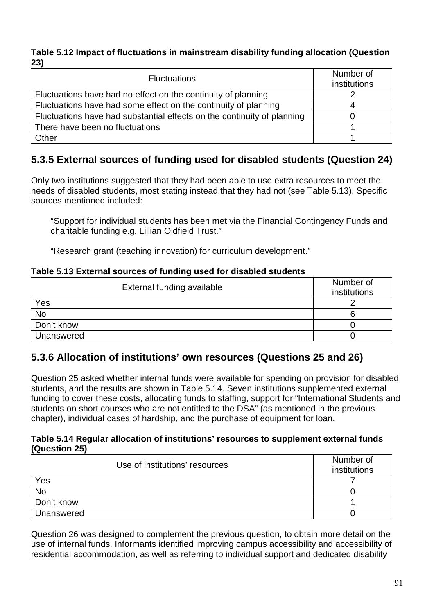#### **Table 5.12 Impact of fluctuations in mainstream disability funding allocation (Question 23)**

| <b>Fluctuations</b>                                                     | Number of<br>institutions |
|-------------------------------------------------------------------------|---------------------------|
| Fluctuations have had no effect on the continuity of planning           |                           |
| Fluctuations have had some effect on the continuity of planning         |                           |
| Fluctuations have had substantial effects on the continuity of planning |                           |
| There have been no fluctuations                                         |                           |
| Other                                                                   |                           |

# **5.3.5 External sources of funding used for disabled students (Question 24)**

Only two institutions suggested that they had been able to use extra resources to meet the needs of disabled students, most stating instead that they had not (see Table 5.13). Specific sources mentioned included:

"Support for individual students has been met via the Financial Contingency Funds and charitable funding e.g. Lillian Oldfield Trust."

"Research grant (teaching innovation) for curriculum development."

### **Table 5.13 External sources of funding used for disabled students**

| External funding available | Number of<br>institutions |
|----------------------------|---------------------------|
| Yes                        |                           |
| <b>No</b>                  |                           |
| Don't know                 |                           |
| Unanswered                 |                           |

## **5.3.6 Allocation of institutions' own resources (Questions 25 and 26)**

Question 25 asked whether internal funds were available for spending on provision for disabled students, and the results are shown in Table 5.14. Seven institutions supplemented external funding to cover these costs, allocating funds to staffing, support for "International Students and students on short courses who are not entitled to the DSA" (as mentioned in the previous chapter), individual cases of hardship, and the purchase of equipment for loan.

#### **Table 5.14 Regular allocation of institutions' resources to supplement external funds (Question 25)**

| Use of institutions' resources | Number of<br>institutions |
|--------------------------------|---------------------------|
| Yes                            |                           |
| <b>No</b>                      |                           |
| Don't know                     |                           |
| Unanswered                     |                           |

Question 26 was designed to complement the previous question, to obtain more detail on the use of internal funds. Informants identified improving campus accessibility and accessibility of residential accommodation, as well as referring to individual support and dedicated disability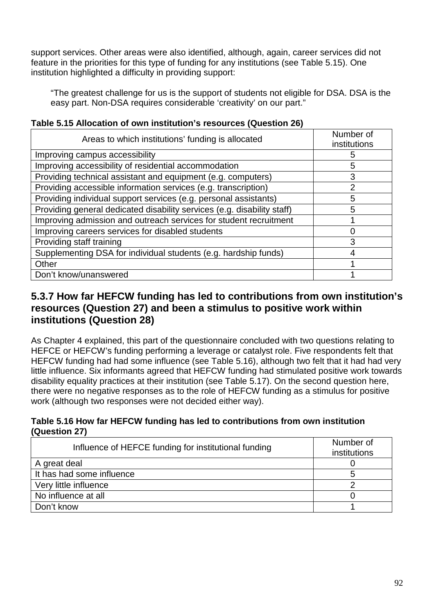support services. Other areas were also identified, although, again, career services did not feature in the priorities for this type of funding for any institutions (see Table 5.15). One institution highlighted a difficulty in providing support:

"The greatest challenge for us is the support of students not eligible for DSA. DSA is the easy part. Non-DSA requires considerable 'creativity' on our part."

| Areas to which institutions' funding is allocated                       | Number of<br>institutions |
|-------------------------------------------------------------------------|---------------------------|
| Improving campus accessibility                                          | 5                         |
| Improving accessibility of residential accommodation                    | 5                         |
| Providing technical assistant and equipment (e.g. computers)            | 3                         |
| Providing accessible information services (e.g. transcription)          | $\overline{2}$            |
| Providing individual support services (e.g. personal assistants)        | 5                         |
| Providing general dedicated disability services (e.g. disability staff) | 5                         |
| Improving admission and outreach services for student recruitment       |                           |
| Improving careers services for disabled students                        | O                         |
| Providing staff training                                                | 3                         |
| Supplementing DSA for individual students (e.g. hardship funds)         | 4                         |
| Other                                                                   |                           |
| Don't know/unanswered                                                   |                           |

### **Table 5.15 Allocation of own institution's resources (Question 26)**

### **5.3.7 How far HEFCW funding has led to contributions from own institution's resources (Question 27) and been a stimulus to positive work within institutions (Question 28)**

As Chapter 4 explained, this part of the questionnaire concluded with two questions relating to HEFCE or HEFCW's funding performing a leverage or catalyst role. Five respondents felt that HEFCW funding had had some influence (see Table 5.16), although two felt that it had had very little influence. Six informants agreed that HEFCW funding had stimulated positive work towards disability equality practices at their institution (see Table 5.17). On the second question here, there were no negative responses as to the role of HEFCW funding as a stimulus for positive work (although two responses were not decided either way).

### **Table 5.16 How far HEFCW funding has led to contributions from own institution (Question 27)**

| Influence of HEFCE funding for institutional funding | Number of<br>institutions |
|------------------------------------------------------|---------------------------|
| A great deal                                         |                           |
| It has had some influence                            |                           |
| Very little influence                                |                           |
| No influence at all                                  |                           |
| Don't know                                           |                           |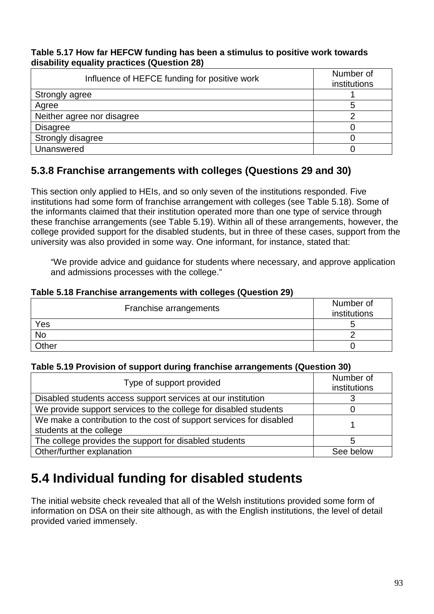#### **Table 5.17 How far HEFCW funding has been a stimulus to positive work towards disability equality practices (Question 28)**

| Influence of HEFCE funding for positive work | Number of<br>institutions |
|----------------------------------------------|---------------------------|
| Strongly agree                               |                           |
| Agree                                        | 5                         |
| Neither agree nor disagree                   |                           |
| <b>Disagree</b>                              |                           |
| Strongly disagree                            |                           |
| Unanswered                                   |                           |

# **5.3.8 Franchise arrangements with colleges (Questions 29 and 30)**

This section only applied to HEIs, and so only seven of the institutions responded. Five institutions had some form of franchise arrangement with colleges (see Table 5.18). Some of the informants claimed that their institution operated more than one type of service through these franchise arrangements (see Table 5.19). Within all of these arrangements, however, the college provided support for the disabled students, but in three of these cases, support from the university was also provided in some way. One informant, for instance, stated that:

"We provide advice and guidance for students where necessary, and approve application and admissions processes with the college."

| Table 5.18 Franchise arrangements with colleges (Question 29) |  |  |  |  |
|---------------------------------------------------------------|--|--|--|--|
|---------------------------------------------------------------|--|--|--|--|

| Franchise arrangements | Number of<br>institutions |
|------------------------|---------------------------|
| Yes                    |                           |
| <b>No</b>              |                           |
| Other                  |                           |

#### **Table 5.19 Provision of support during franchise arrangements (Question 30)**

| Type of support provided                                                                       | Number of<br>institutions |
|------------------------------------------------------------------------------------------------|---------------------------|
| Disabled students access support services at our institution                                   |                           |
| We provide support services to the college for disabled students                               |                           |
| We make a contribution to the cost of support services for disabled<br>students at the college |                           |
| The college provides the support for disabled students                                         | 5                         |
| Other/further explanation                                                                      | See below                 |

# **5.4 Individual funding for disabled students**

The initial website check revealed that all of the Welsh institutions provided some form of information on DSA on their site although, as with the English institutions, the level of detail provided varied immensely.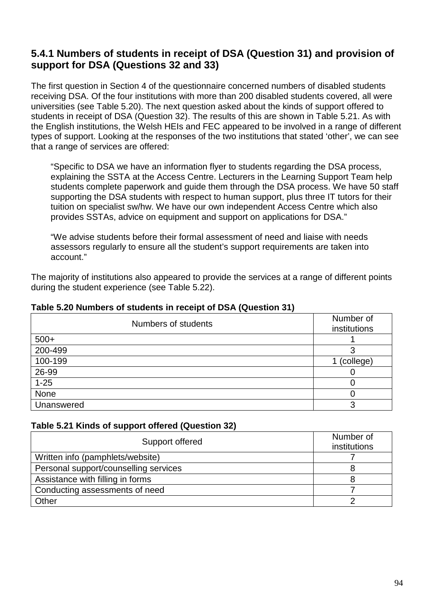## **5.4.1 Numbers of students in receipt of DSA (Question 31) and provision of support for DSA (Questions 32 and 33)**

The first question in Section 4 of the questionnaire concerned numbers of disabled students receiving DSA. Of the four institutions with more than 200 disabled students covered, all were universities (see Table 5.20). The next question asked about the kinds of support offered to students in receipt of DSA (Question 32). The results of this are shown in Table 5.21. As with the English institutions, the Welsh HEIs and FEC appeared to be involved in a range of different types of support. Looking at the responses of the two institutions that stated 'other', we can see that a range of services are offered:

"Specific to DSA we have an information flyer to students regarding the DSA process, explaining the SSTA at the Access Centre. Lecturers in the Learning Support Team help students complete paperwork and guide them through the DSA process. We have 50 staff supporting the DSA students with respect to human support, plus three IT tutors for their tuition on specialist sw/hw. We have our own independent Access Centre which also provides SSTAs, advice on equipment and support on applications for DSA."

"We advise students before their formal assessment of need and liaise with needs assessors regularly to ensure all the student's support requirements are taken into account."

The majority of institutions also appeared to provide the services at a range of different points during the student experience (see Table 5.22).

| Numbers of students | Number of<br>institutions |
|---------------------|---------------------------|
| $500+$              |                           |
| 200-499             | ◠                         |
| 100-199             | (college)                 |
| 26-99               |                           |
| $1 - 25$            |                           |
| None                |                           |
| Unanswered          | ◠                         |

### **Table 5.20 Numbers of students in receipt of DSA (Question 31)**

### **Table 5.21 Kinds of support offered (Question 32)**

| Support offered                       | Number of<br>institutions |
|---------------------------------------|---------------------------|
| Written info (pamphlets/website)      |                           |
| Personal support/counselling services |                           |
| Assistance with filling in forms      |                           |
| Conducting assessments of need        |                           |
| Other                                 |                           |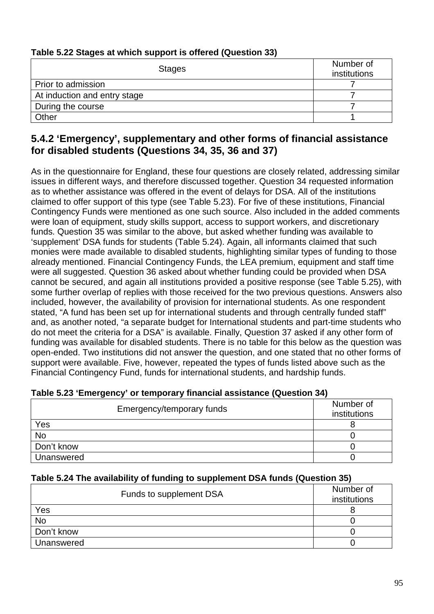| Table bis played at miller dappert to birding (wavolion bo) |                           |  |
|-------------------------------------------------------------|---------------------------|--|
| <b>Stages</b>                                               | Number of<br>institutions |  |
| Prior to admission                                          |                           |  |
| At induction and entry stage                                |                           |  |
| During the course                                           |                           |  |
| Other                                                       |                           |  |

### **Table 5.22 Stages at which support is offered (Question 33)**

## **5.4.2 'Emergency', supplementary and other forms of financial assistance for disabled students (Questions 34, 35, 36 and 37)**

As in the questionnaire for England, these four questions are closely related, addressing similar issues in different ways, and therefore discussed together. Question 34 requested information as to whether assistance was offered in the event of delays for DSA. All of the institutions claimed to offer support of this type (see Table 5.23). For five of these institutions, Financial Contingency Funds were mentioned as one such source. Also included in the added comments were loan of equipment, study skills support, access to support workers, and discretionary funds. Question 35 was similar to the above, but asked whether funding was available to 'supplement' DSA funds for students (Table 5.24). Again, all informants claimed that such monies were made available to disabled students, highlighting similar types of funding to those already mentioned. Financial Contingency Funds, the LEA premium, equipment and staff time were all suggested. Question 36 asked about whether funding could be provided when DSA cannot be secured, and again all institutions provided a positive response (see Table 5.25), with some further overlap of replies with those received for the two previous questions. Answers also included, however, the availability of provision for international students. As one respondent stated, "A fund has been set up for international students and through centrally funded staff" and, as another noted, "a separate budget for International students and part-time students who do not meet the criteria for a DSA" is available. Finally, Question 37 asked if any other form of funding was available for disabled students. There is no table for this below as the question was open-ended. Two institutions did not answer the question, and one stated that no other forms of support were available. Five, however, repeated the types of funds listed above such as the Financial Contingency Fund, funds for international students, and hardship funds.

| Emergency/temporary funds | Number of<br>institutions |
|---------------------------|---------------------------|
| Yes                       |                           |
| <b>No</b>                 |                           |
| Don't know                |                           |
| Unanswered                |                           |

### **Table 5.23 'Emergency' or temporary financial assistance (Question 34)**

### **Table 5.24 The availability of funding to supplement DSA funds (Question 35)**

| Funds to supplement DSA | Number of<br>institutions |
|-------------------------|---------------------------|
| Yes                     |                           |
| No                      |                           |
| Don't know              |                           |
| Unanswered              |                           |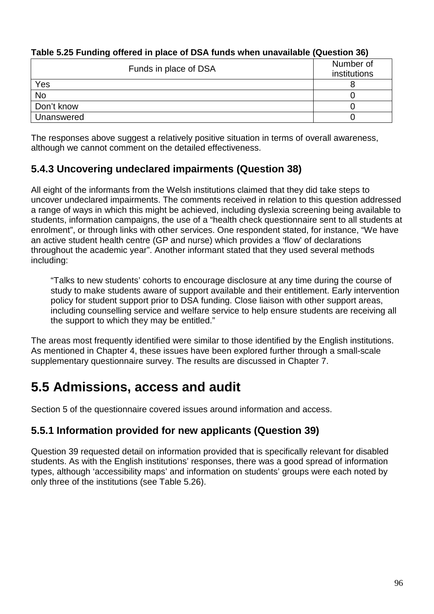| Funds in place of DSA | Number of<br>institutions |
|-----------------------|---------------------------|
| Yes                   |                           |
| <b>No</b>             |                           |
| Don't know            |                           |
| Unanswered            |                           |

### **Table 5.25 Funding offered in place of DSA funds when unavailable (Question 36)**

The responses above suggest a relatively positive situation in terms of overall awareness, although we cannot comment on the detailed effectiveness.

# **5.4.3 Uncovering undeclared impairments (Question 38)**

All eight of the informants from the Welsh institutions claimed that they did take steps to uncover undeclared impairments. The comments received in relation to this question addressed a range of ways in which this might be achieved, including dyslexia screening being available to students, information campaigns, the use of a "health check questionnaire sent to all students at enrolment", or through links with other services. One respondent stated, for instance, "We have an active student health centre (GP and nurse) which provides a 'flow' of declarations throughout the academic year". Another informant stated that they used several methods including:

"Talks to new students' cohorts to encourage disclosure at any time during the course of study to make students aware of support available and their entitlement. Early intervention policy for student support prior to DSA funding. Close liaison with other support areas, including counselling service and welfare service to help ensure students are receiving all the support to which they may be entitled."

The areas most frequently identified were similar to those identified by the English institutions. As mentioned in Chapter 4, these issues have been explored further through a small-scale supplementary questionnaire survey. The results are discussed in Chapter 7.

# **5.5 Admissions, access and audit**

Section 5 of the questionnaire covered issues around information and access.

## **5.5.1 Information provided for new applicants (Question 39)**

Question 39 requested detail on information provided that is specifically relevant for disabled students. As with the English institutions' responses, there was a good spread of information types, although 'accessibility maps' and information on students' groups were each noted by only three of the institutions (see Table 5.26).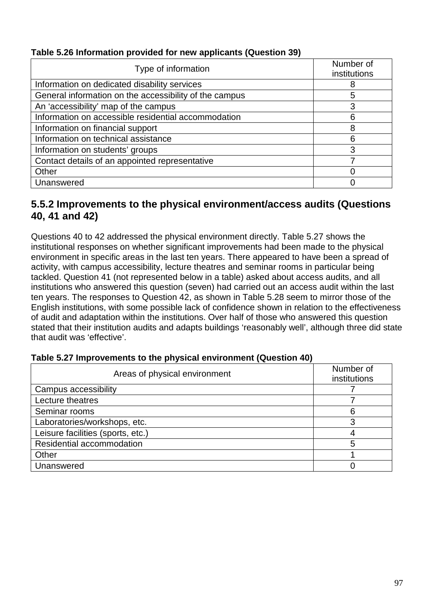### **Table 5.26 Information provided for new applicants (Question 39)**

| Type of information                                    | Number of<br>institutions |
|--------------------------------------------------------|---------------------------|
| Information on dedicated disability services           | 8                         |
| General information on the accessibility of the campus | 5                         |
| An 'accessibility' map of the campus                   | 3                         |
| Information on accessible residential accommodation    | 6                         |
| Information on financial support                       | 8                         |
| Information on technical assistance                    | 6                         |
| Information on students' groups                        | 3                         |
| Contact details of an appointed representative         |                           |
| Other                                                  | 0                         |
| Unanswered                                             |                           |

### **5.5.2 Improvements to the physical environment/access audits (Questions 40, 41 and 42)**

Questions 40 to 42 addressed the physical environment directly. Table 5.27 shows the institutional responses on whether significant improvements had been made to the physical environment in specific areas in the last ten years. There appeared to have been a spread of activity, with campus accessibility, lecture theatres and seminar rooms in particular being tackled. Question 41 (not represented below in a table) asked about access audits, and all institutions who answered this question (seven) had carried out an access audit within the last ten years. The responses to Question 42, as shown in Table 5.28 seem to mirror those of the English institutions, with some possible lack of confidence shown in relation to the effectiveness of audit and adaptation within the institutions. Over half of those who answered this question stated that their institution audits and adapts buildings 'reasonably well', although three did state that audit was 'effective'.

| Areas of physical environment     | Number of<br>institutions |
|-----------------------------------|---------------------------|
| Campus accessibility              |                           |
| Lecture theatres                  |                           |
| Seminar rooms                     | 6                         |
| Laboratories/workshops, etc.      | 3                         |
| Leisure facilities (sports, etc.) |                           |
| Residential accommodation         | 5                         |
| Other                             |                           |
| Unanswered                        |                           |

#### **Table 5.27 Improvements to the physical environment (Question 40)**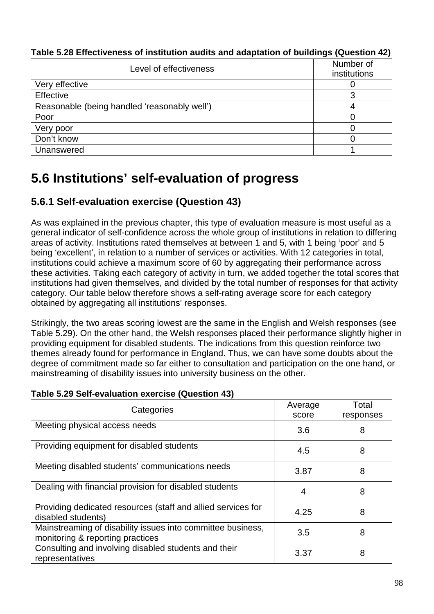| Level of effectiveness                       | Number of<br>institutions |
|----------------------------------------------|---------------------------|
| Very effective                               |                           |
| Effective                                    |                           |
| Reasonable (being handled 'reasonably well') |                           |
| Poor                                         |                           |
| Very poor                                    |                           |
| Don't know                                   |                           |
| Unanswered                                   |                           |

**Table 5.28 Effectiveness of institution audits and adaptation of buildings (Question 42)** 

# **5.6 Institutions' self-evaluation of progress**

# **5.6.1 Self-evaluation exercise (Question 43)**

As was explained in the previous chapter, this type of evaluation measure is most useful as a general indicator of self-confidence across the whole group of institutions in relation to differing areas of activity. Institutions rated themselves at between 1 and 5, with 1 being 'poor' and 5 being 'excellent', in relation to a number of services or activities. With 12 categories in total, institutions could achieve a maximum score of 60 by aggregating their performance across these activities. Taking each category of activity in turn, we added together the total scores that institutions had given themselves, and divided by the total number of responses for that activity category. Our table below therefore shows a self-rating average score for each category obtained by aggregating all institutions' responses.

Strikingly, the two areas scoring lowest are the same in the English and Welsh responses (see Table 5.29). On the other hand, the Welsh responses placed their performance slightly higher in providing equipment for disabled students. The indications from this question reinforce two themes already found for performance in England. Thus, we can have some doubts about the degree of commitment made so far either to consultation and participation on the one hand, or mainstreaming of disability issues into university business on the other.

| Categories                                                                                      | Average<br>score | Total<br>responses |
|-------------------------------------------------------------------------------------------------|------------------|--------------------|
| Meeting physical access needs                                                                   | 3.6              | 8                  |
| Providing equipment for disabled students                                                       | 4.5              | 8                  |
| Meeting disabled students' communications needs                                                 | 3.87             | 8                  |
| Dealing with financial provision for disabled students                                          | 4                | 8                  |
| Providing dedicated resources (staff and allied services for<br>disabled students)              | 4.25             | 8                  |
| Mainstreaming of disability issues into committee business,<br>monitoring & reporting practices | 3.5              | 8                  |
| Consulting and involving disabled students and their<br>representatives                         | 3.37             | 8                  |

### **Table 5.29 Self-evaluation exercise (Question 43)**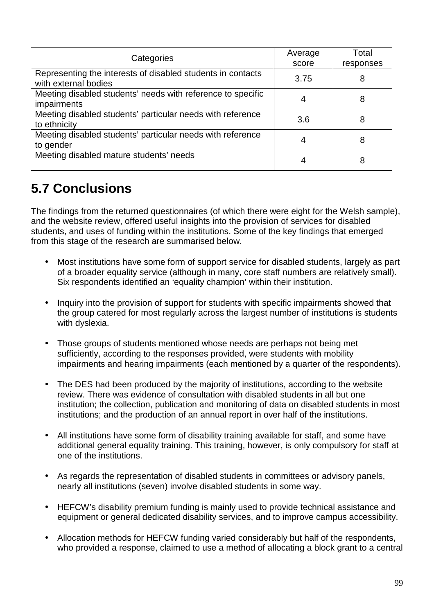| Categories                                                                          | Average<br>score | Total<br>responses |
|-------------------------------------------------------------------------------------|------------------|--------------------|
| Representing the interests of disabled students in contacts<br>with external bodies | 3.75             | 8                  |
| Meeting disabled students' needs with reference to specific<br><i>impairments</i>   | 4                | 8                  |
| Meeting disabled students' particular needs with reference<br>to ethnicity          | 3.6              | 8                  |
| Meeting disabled students' particular needs with reference<br>to gender             | 4                | 8                  |
| Meeting disabled mature students' needs                                             | 4                | 8                  |

# **5.7 Conclusions**

The findings from the returned questionnaires (of which there were eight for the Welsh sample), and the website review, offered useful insights into the provision of services for disabled students, and uses of funding within the institutions. Some of the key findings that emerged from this stage of the research are summarised below.

- Most institutions have some form of support service for disabled students, largely as part of a broader equality service (although in many, core staff numbers are relatively small). Six respondents identified an 'equality champion' within their institution.
- Inquiry into the provision of support for students with specific impairments showed that the group catered for most regularly across the largest number of institutions is students with dyslexia.
- Those groups of students mentioned whose needs are perhaps not being met sufficiently, according to the responses provided, were students with mobility impairments and hearing impairments (each mentioned by a quarter of the respondents).
- The DES had been produced by the majority of institutions, according to the website review. There was evidence of consultation with disabled students in all but one institution; the collection, publication and monitoring of data on disabled students in most institutions; and the production of an annual report in over half of the institutions.
- All institutions have some form of disability training available for staff, and some have additional general equality training. This training, however, is only compulsory for staff at one of the institutions.
- As regards the representation of disabled students in committees or advisory panels, nearly all institutions (seven) involve disabled students in some way.
- HEFCW's disability premium funding is mainly used to provide technical assistance and equipment or general dedicated disability services, and to improve campus accessibility.
- Allocation methods for HEFCW funding varied considerably but half of the respondents, who provided a response, claimed to use a method of allocating a block grant to a central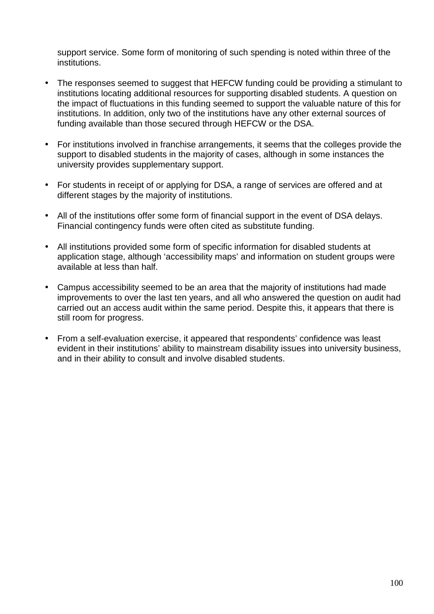support service. Some form of monitoring of such spending is noted within three of the institutions.

- The responses seemed to suggest that HEFCW funding could be providing a stimulant to institutions locating additional resources for supporting disabled students. A question on the impact of fluctuations in this funding seemed to support the valuable nature of this for institutions. In addition, only two of the institutions have any other external sources of funding available than those secured through HEFCW or the DSA.
- For institutions involved in franchise arrangements, it seems that the colleges provide the support to disabled students in the majority of cases, although in some instances the university provides supplementary support.
- For students in receipt of or applying for DSA, a range of services are offered and at different stages by the majority of institutions.
- All of the institutions offer some form of financial support in the event of DSA delays. Financial contingency funds were often cited as substitute funding.
- All institutions provided some form of specific information for disabled students at application stage, although 'accessibility maps' and information on student groups were available at less than half.
- Campus accessibility seemed to be an area that the majority of institutions had made improvements to over the last ten years, and all who answered the question on audit had carried out an access audit within the same period. Despite this, it appears that there is still room for progress.
- From a self-evaluation exercise, it appeared that respondents' confidence was least evident in their institutions' ability to mainstream disability issues into university business, and in their ability to consult and involve disabled students.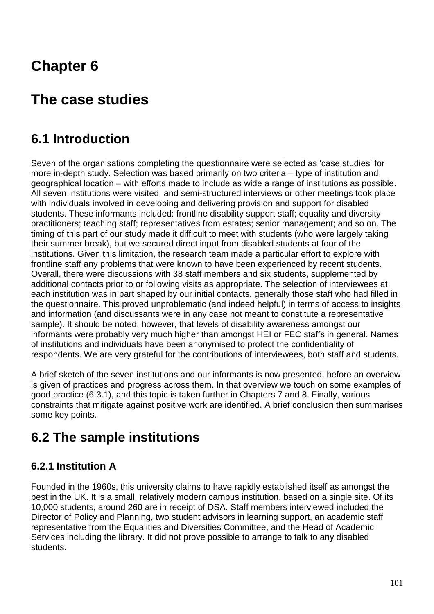# **Chapter 6**

# **The case studies**

# **6.1 Introduction**

Seven of the organisations completing the questionnaire were selected as 'case studies' for more in-depth study. Selection was based primarily on two criteria – type of institution and geographical location – with efforts made to include as wide a range of institutions as possible. All seven institutions were visited, and semi-structured interviews or other meetings took place with individuals involved in developing and delivering provision and support for disabled students. These informants included: frontline disability support staff; equality and diversity practitioners; teaching staff; representatives from estates; senior management; and so on. The timing of this part of our study made it difficult to meet with students (who were largely taking their summer break), but we secured direct input from disabled students at four of the institutions. Given this limitation, the research team made a particular effort to explore with frontline staff any problems that were known to have been experienced by recent students. Overall, there were discussions with 38 staff members and six students, supplemented by additional contacts prior to or following visits as appropriate. The selection of interviewees at each institution was in part shaped by our initial contacts, generally those staff who had filled in the questionnaire. This proved unproblematic (and indeed helpful) in terms of access to insights and information (and discussants were in any case not meant to constitute a representative sample). It should be noted, however, that levels of disability awareness amongst our informants were probably very much higher than amongst HEI or FEC staffs in general. Names of institutions and individuals have been anonymised to protect the confidentiality of respondents. We are very grateful for the contributions of interviewees, both staff and students.

A brief sketch of the seven institutions and our informants is now presented, before an overview is given of practices and progress across them. In that overview we touch on some examples of good practice (6.3.1), and this topic is taken further in Chapters 7 and 8. Finally, various constraints that mitigate against positive work are identified. A brief conclusion then summarises some key points.

# **6.2 The sample institutions**

# **6.2.1 Institution A**

Founded in the 1960s, this university claims to have rapidly established itself as amongst the best in the UK. It is a small, relatively modern campus institution, based on a single site. Of its 10,000 students, around 260 are in receipt of DSA. Staff members interviewed included the Director of Policy and Planning, two student advisors in learning support, an academic staff representative from the Equalities and Diversities Committee, and the Head of Academic Services including the library. It did not prove possible to arrange to talk to any disabled students.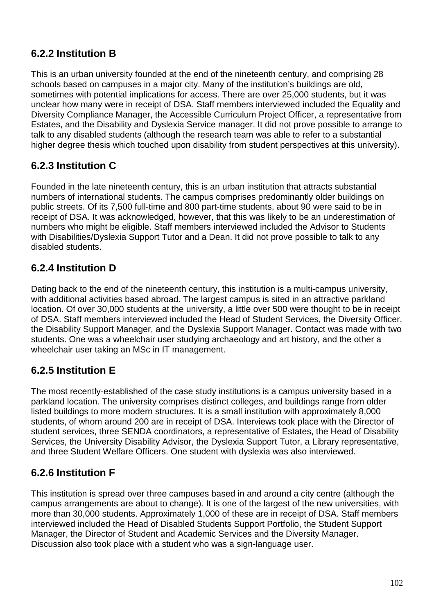# **6.2.2 Institution B**

This is an urban university founded at the end of the nineteenth century, and comprising 28 schools based on campuses in a major city. Many of the institution's buildings are old, sometimes with potential implications for access. There are over 25,000 students, but it was unclear how many were in receipt of DSA. Staff members interviewed included the Equality and Diversity Compliance Manager, the Accessible Curriculum Project Officer, a representative from Estates, and the Disability and Dyslexia Service manager. It did not prove possible to arrange to talk to any disabled students (although the research team was able to refer to a substantial higher degree thesis which touched upon disability from student perspectives at this university).

# **6.2.3 Institution C**

Founded in the late nineteenth century, this is an urban institution that attracts substantial numbers of international students. The campus comprises predominantly older buildings on public streets. Of its 7,500 full-time and 800 part-time students, about 90 were said to be in receipt of DSA. It was acknowledged, however, that this was likely to be an underestimation of numbers who might be eligible. Staff members interviewed included the Advisor to Students with Disabilities/Dyslexia Support Tutor and a Dean. It did not prove possible to talk to any disabled students.

## **6.2.4 Institution D**

Dating back to the end of the nineteenth century, this institution is a multi-campus university, with additional activities based abroad. The largest campus is sited in an attractive parkland location. Of over 30,000 students at the university, a little over 500 were thought to be in receipt of DSA. Staff members interviewed included the Head of Student Services, the Diversity Officer, the Disability Support Manager, and the Dyslexia Support Manager. Contact was made with two students. One was a wheelchair user studying archaeology and art history, and the other a wheelchair user taking an MSc in IT management.

# **6.2.5 Institution E**

The most recently-established of the case study institutions is a campus university based in a parkland location. The university comprises distinct colleges, and buildings range from older listed buildings to more modern structures. It is a small institution with approximately 8,000 students, of whom around 200 are in receipt of DSA. Interviews took place with the Director of student services, three SENDA coordinators, a representative of Estates, the Head of Disability Services, the University Disability Advisor, the Dyslexia Support Tutor, a Library representative, and three Student Welfare Officers. One student with dyslexia was also interviewed.

## **6.2.6 Institution F**

This institution is spread over three campuses based in and around a city centre (although the campus arrangements are about to change). It is one of the largest of the new universities, with more than 30,000 students. Approximately 1,000 of these are in receipt of DSA. Staff members interviewed included the Head of Disabled Students Support Portfolio, the Student Support Manager, the Director of Student and Academic Services and the Diversity Manager. Discussion also took place with a student who was a sign-language user.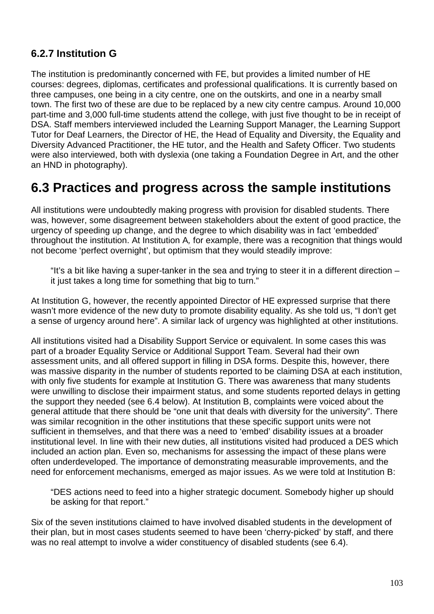# **6.2.7 Institution G**

The institution is predominantly concerned with FE, but provides a limited number of HE courses: degrees, diplomas, certificates and professional qualifications. It is currently based on three campuses, one being in a city centre, one on the outskirts, and one in a nearby small town. The first two of these are due to be replaced by a new city centre campus. Around 10,000 part-time and 3,000 full-time students attend the college, with just five thought to be in receipt of DSA. Staff members interviewed included the Learning Support Manager, the Learning Support Tutor for Deaf Learners, the Director of HE, the Head of Equality and Diversity, the Equality and Diversity Advanced Practitioner, the HE tutor, and the Health and Safety Officer. Two students were also interviewed, both with dyslexia (one taking a Foundation Degree in Art, and the other an HND in photography).

# **6.3 Practices and progress across the sample institutions**

All institutions were undoubtedly making progress with provision for disabled students. There was, however, some disagreement between stakeholders about the extent of good practice, the urgency of speeding up change, and the degree to which disability was in fact 'embedded' throughout the institution. At Institution A, for example, there was a recognition that things would not become 'perfect overnight', but optimism that they would steadily improve:

"It's a bit like having a super-tanker in the sea and trying to steer it in a different direction – it just takes a long time for something that big to turn."

At Institution G, however, the recently appointed Director of HE expressed surprise that there wasn't more evidence of the new duty to promote disability equality. As she told us, "I don't get a sense of urgency around here". A similar lack of urgency was highlighted at other institutions.

All institutions visited had a Disability Support Service or equivalent. In some cases this was part of a broader Equality Service or Additional Support Team. Several had their own assessment units, and all offered support in filling in DSA forms. Despite this, however, there was massive disparity in the number of students reported to be claiming DSA at each institution, with only five students for example at Institution G. There was awareness that many students were unwilling to disclose their impairment status, and some students reported delays in getting the support they needed (see 6.4 below). At Institution B, complaints were voiced about the general attitude that there should be "one unit that deals with diversity for the university". There was similar recognition in the other institutions that these specific support units were not sufficient in themselves, and that there was a need to 'embed' disability issues at a broader institutional level. In line with their new duties, all institutions visited had produced a DES which included an action plan. Even so, mechanisms for assessing the impact of these plans were often underdeveloped. The importance of demonstrating measurable improvements, and the need for enforcement mechanisms, emerged as major issues. As we were told at Institution B:

"DES actions need to feed into a higher strategic document. Somebody higher up should be asking for that report."

Six of the seven institutions claimed to have involved disabled students in the development of their plan, but in most cases students seemed to have been 'cherry-picked' by staff, and there was no real attempt to involve a wider constituency of disabled students (see 6.4).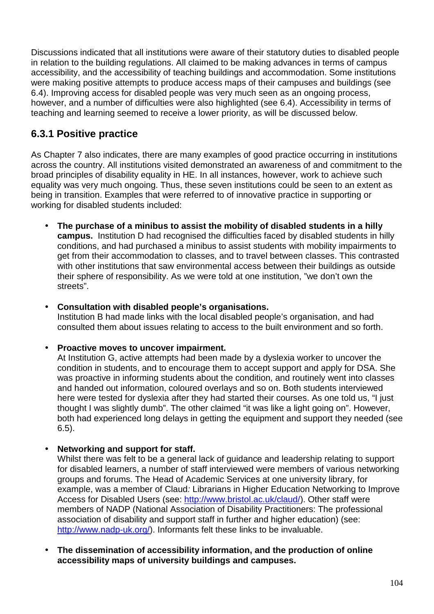Discussions indicated that all institutions were aware of their statutory duties to disabled people in relation to the building regulations. All claimed to be making advances in terms of campus accessibility, and the accessibility of teaching buildings and accommodation. Some institutions were making positive attempts to produce access maps of their campuses and buildings (see 6.4). Improving access for disabled people was very much seen as an ongoing process, however, and a number of difficulties were also highlighted (see 6.4). Accessibility in terms of teaching and learning seemed to receive a lower priority, as will be discussed below.

# **6.3.1 Positive practice**

As Chapter 7 also indicates, there are many examples of good practice occurring in institutions across the country. All institutions visited demonstrated an awareness of and commitment to the broad principles of disability equality in HE. In all instances, however, work to achieve such equality was very much ongoing. Thus, these seven institutions could be seen to an extent as being in transition. Examples that were referred to of innovative practice in supporting or working for disabled students included:

• **The purchase of a minibus to assist the mobility of disabled students in a hilly campus.** Institution D had recognised the difficulties faced by disabled students in hilly conditions, and had purchased a minibus to assist students with mobility impairments to get from their accommodation to classes, and to travel between classes. This contrasted with other institutions that saw environmental access between their buildings as outside their sphere of responsibility. As we were told at one institution, "we don't own the streets".

#### • **Consultation with disabled people's organisations.**  Institution B had made links with the local disabled people's organisation, and had

consulted them about issues relating to access to the built environment and so forth.

### • **Proactive moves to uncover impairment.**

At Institution G, active attempts had been made by a dyslexia worker to uncover the condition in students, and to encourage them to accept support and apply for DSA. She was proactive in informing students about the condition, and routinely went into classes and handed out information, coloured overlays and so on. Both students interviewed here were tested for dyslexia after they had started their courses. As one told us, "I just thought I was slightly dumb". The other claimed "it was like a light going on". However, both had experienced long delays in getting the equipment and support they needed (see 6.5).

### • **Networking and support for staff.**

Whilst there was felt to be a general lack of guidance and leadership relating to support for disabled learners, a number of staff interviewed were members of various networking groups and forums. The Head of Academic Services at one university library, for example, was a member of Claud: Librarians in Higher Education Networking to Improve Access for Disabled Users (see: http://www.bristol.ac.uk/claud/). Other staff were members of NADP (National Association of Disability Practitioners: The professional association of disability and support staff in further and higher education) (see: http://www.nadp-uk.org/). Informants felt these links to be invaluable.

• **The dissemination of accessibility information, and the production of online accessibility maps of university buildings and campuses.**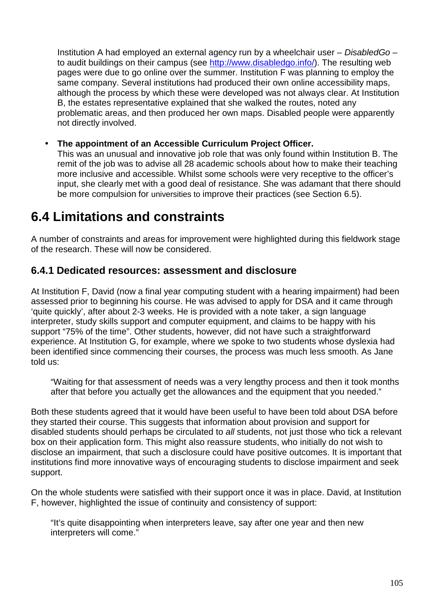Institution A had employed an external agency run by a wheelchair user  $-$  DisabledGo  $$ to audit buildings on their campus (see http://www.disabledgo.info/). The resulting web pages were due to go online over the summer. Institution F was planning to employ the same company. Several institutions had produced their own online accessibility maps, although the process by which these were developed was not always clear. At Institution B, the estates representative explained that she walked the routes, noted any problematic areas, and then produced her own maps. Disabled people were apparently not directly involved.

#### • **The appointment of an Accessible Curriculum Project Officer.**

This was an unusual and innovative job role that was only found within Institution B. The remit of the job was to advise all 28 academic schools about how to make their teaching more inclusive and accessible. Whilst some schools were very receptive to the officer's input, she clearly met with a good deal of resistance. She was adamant that there should be more compulsion for universities to improve their practices (see Section 6.5).

# **6.4 Limitations and constraints**

A number of constraints and areas for improvement were highlighted during this fieldwork stage of the research. These will now be considered.

### **6.4.1 Dedicated resources: assessment and disclosure**

At Institution F, David (now a final year computing student with a hearing impairment) had been assessed prior to beginning his course. He was advised to apply for DSA and it came through 'quite quickly', after about 2-3 weeks. He is provided with a note taker, a sign language interpreter, study skills support and computer equipment, and claims to be happy with his support "75% of the time". Other students, however, did not have such a straightforward experience. At Institution G, for example, where we spoke to two students whose dyslexia had been identified since commencing their courses, the process was much less smooth. As Jane told us:

"Waiting for that assessment of needs was a very lengthy process and then it took months after that before you actually get the allowances and the equipment that you needed."

Both these students agreed that it would have been useful to have been told about DSA before they started their course. This suggests that information about provision and support for disabled students should perhaps be circulated to all students, not just those who tick a relevant box on their application form. This might also reassure students, who initially do not wish to disclose an impairment, that such a disclosure could have positive outcomes. It is important that institutions find more innovative ways of encouraging students to disclose impairment and seek support.

On the whole students were satisfied with their support once it was in place. David, at Institution F, however, highlighted the issue of continuity and consistency of support:

"It's quite disappointing when interpreters leave, say after one year and then new interpreters will come."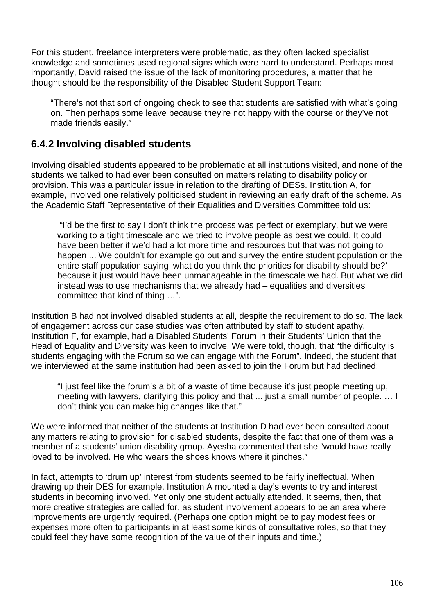For this student, freelance interpreters were problematic, as they often lacked specialist knowledge and sometimes used regional signs which were hard to understand. Perhaps most importantly, David raised the issue of the lack of monitoring procedures, a matter that he thought should be the responsibility of the Disabled Student Support Team:

"There's not that sort of ongoing check to see that students are satisfied with what's going on. Then perhaps some leave because they're not happy with the course or they've not made friends easily."

## **6.4.2 Involving disabled students**

Involving disabled students appeared to be problematic at all institutions visited, and none of the students we talked to had ever been consulted on matters relating to disability policy or provision. This was a particular issue in relation to the drafting of DESs. Institution A, for example, involved one relatively politicised student in reviewing an early draft of the scheme. As the Academic Staff Representative of their Equalities and Diversities Committee told us:

 "I'd be the first to say I don't think the process was perfect or exemplary, but we were working to a tight timescale and we tried to involve people as best we could. It could have been better if we'd had a lot more time and resources but that was not going to happen ... We couldn't for example go out and survey the entire student population or the entire staff population saying 'what do you think the priorities for disability should be?' because it just would have been unmanageable in the timescale we had. But what we did instead was to use mechanisms that we already had – equalities and diversities committee that kind of thing …".

Institution B had not involved disabled students at all, despite the requirement to do so. The lack of engagement across our case studies was often attributed by staff to student apathy. Institution F, for example, had a Disabled Students' Forum in their Students' Union that the Head of Equality and Diversity was keen to involve. We were told, though, that "the difficulty is students engaging with the Forum so we can engage with the Forum". Indeed, the student that we interviewed at the same institution had been asked to join the Forum but had declined:

"I just feel like the forum's a bit of a waste of time because it's just people meeting up, meeting with lawyers, clarifying this policy and that ... just a small number of people. … I don't think you can make big changes like that."

We were informed that neither of the students at Institution D had ever been consulted about any matters relating to provision for disabled students, despite the fact that one of them was a member of a students' union disability group. Ayesha commented that she "would have really loved to be involved. He who wears the shoes knows where it pinches."

In fact, attempts to 'drum up' interest from students seemed to be fairly ineffectual. When drawing up their DES for example, Institution A mounted a day's events to try and interest students in becoming involved. Yet only one student actually attended. It seems, then, that more creative strategies are called for, as student involvement appears to be an area where improvements are urgently required. (Perhaps one option might be to pay modest fees or expenses more often to participants in at least some kinds of consultative roles, so that they could feel they have some recognition of the value of their inputs and time.)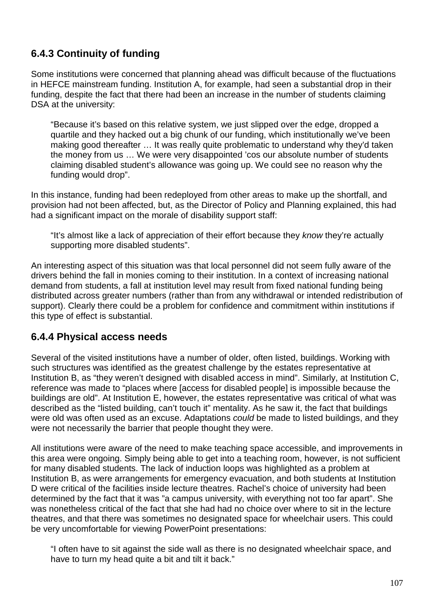# **6.4.3 Continuity of funding**

Some institutions were concerned that planning ahead was difficult because of the fluctuations in HEFCE mainstream funding. Institution A, for example, had seen a substantial drop in their funding, despite the fact that there had been an increase in the number of students claiming DSA at the university:

"Because it's based on this relative system, we just slipped over the edge, dropped a quartile and they hacked out a big chunk of our funding, which institutionally we've been making good thereafter … It was really quite problematic to understand why they'd taken the money from us … We were very disappointed 'cos our absolute number of students claiming disabled student's allowance was going up. We could see no reason why the funding would drop".

In this instance, funding had been redeployed from other areas to make up the shortfall, and provision had not been affected, but, as the Director of Policy and Planning explained, this had had a significant impact on the morale of disability support staff:

"It's almost like a lack of appreciation of their effort because they know they're actually supporting more disabled students".

An interesting aspect of this situation was that local personnel did not seem fully aware of the drivers behind the fall in monies coming to their institution. In a context of increasing national demand from students, a fall at institution level may result from fixed national funding being distributed across greater numbers (rather than from any withdrawal or intended redistribution of support). Clearly there could be a problem for confidence and commitment within institutions if this type of effect is substantial.

## **6.4.4 Physical access needs**

Several of the visited institutions have a number of older, often listed, buildings. Working with such structures was identified as the greatest challenge by the estates representative at Institution B, as "they weren't designed with disabled access in mind". Similarly, at Institution C, reference was made to "places where [access for disabled people] is impossible because the buildings are old". At Institution E, however, the estates representative was critical of what was described as the "listed building, can't touch it" mentality. As he saw it, the fact that buildings were old was often used as an excuse. Adaptations *could* be made to listed buildings, and they were not necessarily the barrier that people thought they were.

All institutions were aware of the need to make teaching space accessible, and improvements in this area were ongoing. Simply being able to get into a teaching room, however, is not sufficient for many disabled students. The lack of induction loops was highlighted as a problem at Institution B, as were arrangements for emergency evacuation, and both students at Institution D were critical of the facilities inside lecture theatres. Rachel's choice of university had been determined by the fact that it was "a campus university, with everything not too far apart". She was nonetheless critical of the fact that she had had no choice over where to sit in the lecture theatres, and that there was sometimes no designated space for wheelchair users. This could be very uncomfortable for viewing PowerPoint presentations:

"I often have to sit against the side wall as there is no designated wheelchair space, and have to turn my head quite a bit and tilt it back."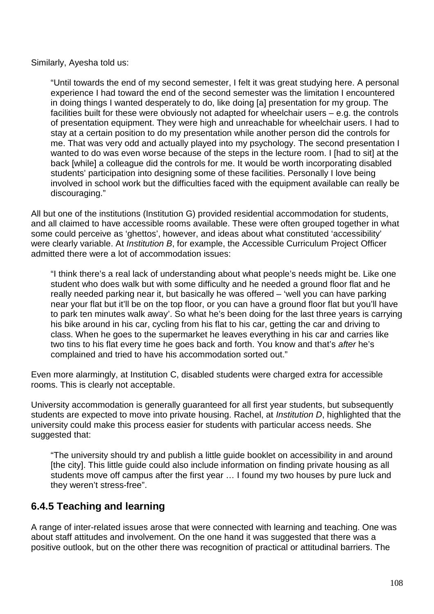Similarly, Ayesha told us:

"Until towards the end of my second semester, I felt it was great studying here. A personal experience I had toward the end of the second semester was the limitation I encountered in doing things I wanted desperately to do, like doing [a] presentation for my group. The facilities built for these were obviously not adapted for wheelchair users – e.g. the controls of presentation equipment. They were high and unreachable for wheelchair users. I had to stay at a certain position to do my presentation while another person did the controls for me. That was very odd and actually played into my psychology. The second presentation I wanted to do was even worse because of the steps in the lecture room. I [had to sit] at the back [while] a colleague did the controls for me. It would be worth incorporating disabled students' participation into designing some of these facilities. Personally I love being involved in school work but the difficulties faced with the equipment available can really be discouraging."

All but one of the institutions (Institution G) provided residential accommodation for students, and all claimed to have accessible rooms available. These were often grouped together in what some could perceive as 'ghettos', however, and ideas about what constituted 'accessibility' were clearly variable. At *Institution B*, for example, the Accessible Curriculum Project Officer admitted there were a lot of accommodation issues:

"I think there's a real lack of understanding about what people's needs might be. Like one student who does walk but with some difficulty and he needed a ground floor flat and he really needed parking near it, but basically he was offered – 'well you can have parking near your flat but it'll be on the top floor, or you can have a ground floor flat but you'll have to park ten minutes walk away'. So what he's been doing for the last three years is carrying his bike around in his car, cycling from his flat to his car, getting the car and driving to class. When he goes to the supermarket he leaves everything in his car and carries like two tins to his flat every time he goes back and forth. You know and that's after he's complained and tried to have his accommodation sorted out."

Even more alarmingly, at Institution C, disabled students were charged extra for accessible rooms. This is clearly not acceptable.

University accommodation is generally guaranteed for all first year students, but subsequently students are expected to move into private housing. Rachel, at *Institution D*, highlighted that the university could make this process easier for students with particular access needs. She suggested that:

"The university should try and publish a little guide booklet on accessibility in and around [the city]. This little guide could also include information on finding private housing as all students move off campus after the first year … I found my two houses by pure luck and they weren't stress-free".

## **6.4.5 Teaching and learning**

A range of inter-related issues arose that were connected with learning and teaching. One was about staff attitudes and involvement. On the one hand it was suggested that there was a positive outlook, but on the other there was recognition of practical or attitudinal barriers. The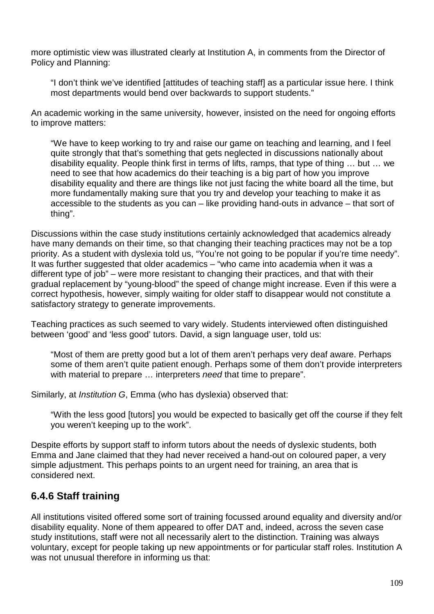more optimistic view was illustrated clearly at Institution A, in comments from the Director of Policy and Planning:

"I don't think we've identified [attitudes of teaching staff] as a particular issue here. I think most departments would bend over backwards to support students."

An academic working in the same university, however, insisted on the need for ongoing efforts to improve matters:

"We have to keep working to try and raise our game on teaching and learning, and I feel quite strongly that that's something that gets neglected in discussions nationally about disability equality. People think first in terms of lifts, ramps, that type of thing … but … we need to see that how academics do their teaching is a big part of how you improve disability equality and there are things like not just facing the white board all the time, but more fundamentally making sure that you try and develop your teaching to make it as accessible to the students as you can – like providing hand-outs in advance – that sort of thing".

Discussions within the case study institutions certainly acknowledged that academics already have many demands on their time, so that changing their teaching practices may not be a top priority. As a student with dyslexia told us, "You're not going to be popular if you're time needy". It was further suggested that older academics – "who came into academia when it was a different type of job" – were more resistant to changing their practices, and that with their gradual replacement by "young-blood" the speed of change might increase. Even if this were a correct hypothesis, however, simply waiting for older staff to disappear would not constitute a satisfactory strategy to generate improvements.

Teaching practices as such seemed to vary widely. Students interviewed often distinguished between 'good' and 'less good' tutors. David, a sign language user, told us:

"Most of them are pretty good but a lot of them aren't perhaps very deaf aware. Perhaps some of them aren't quite patient enough. Perhaps some of them don't provide interpreters with material to prepare ... interpreters need that time to prepare".

Similarly, at Institution G, Emma (who has dyslexia) observed that:

"With the less good [tutors] you would be expected to basically get off the course if they felt you weren't keeping up to the work".

Despite efforts by support staff to inform tutors about the needs of dyslexic students, both Emma and Jane claimed that they had never received a hand-out on coloured paper, a very simple adjustment. This perhaps points to an urgent need for training, an area that is considered next.

# **6.4.6 Staff training**

All institutions visited offered some sort of training focussed around equality and diversity and/or disability equality. None of them appeared to offer DAT and, indeed, across the seven case study institutions, staff were not all necessarily alert to the distinction. Training was always voluntary, except for people taking up new appointments or for particular staff roles. Institution A was not unusual therefore in informing us that: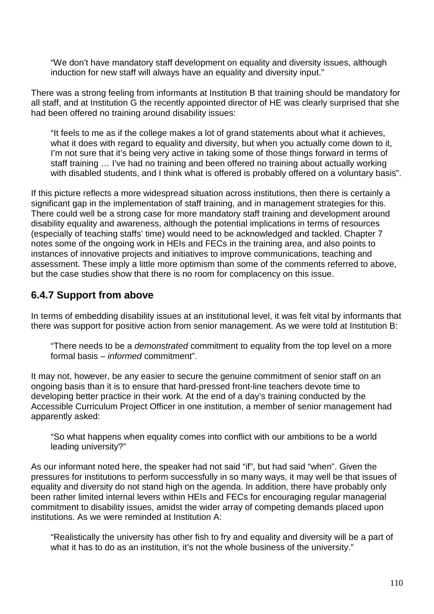"We don't have mandatory staff development on equality and diversity issues, although induction for new staff will always have an equality and diversity input."

There was a strong feeling from informants at Institution B that training should be mandatory for all staff, and at Institution G the recently appointed director of HE was clearly surprised that she had been offered no training around disability issues:

"It feels to me as if the college makes a lot of grand statements about what it achieves, what it does with regard to equality and diversity, but when you actually come down to it, I'm not sure that it's being very active in taking some of those things forward in terms of staff training … I've had no training and been offered no training about actually working with disabled students, and I think what is offered is probably offered on a voluntary basis".

If this picture reflects a more widespread situation across institutions, then there is certainly a significant gap in the implementation of staff training, and in management strategies for this. There could well be a strong case for more mandatory staff training and development around disability equality and awareness, although the potential implications in terms of resources (especially of teaching staffs' time) would need to be acknowledged and tackled. Chapter 7 notes some of the ongoing work in HEIs and FECs in the training area, and also points to instances of innovative projects and initiatives to improve communications, teaching and assessment. These imply a little more optimism than some of the comments referred to above, but the case studies show that there is no room for complacency on this issue.

### **6.4.7 Support from above**

In terms of embedding disability issues at an institutional level, it was felt vital by informants that there was support for positive action from senior management. As we were told at Institution B:

"There needs to be a demonstrated commitment to equality from the top level on a more formal basis – informed commitment".

It may not, however, be any easier to secure the genuine commitment of senior staff on an ongoing basis than it is to ensure that hard-pressed front-line teachers devote time to developing better practice in their work. At the end of a day's training conducted by the Accessible Curriculum Project Officer in one institution, a member of senior management had apparently asked:

"So what happens when equality comes into conflict with our ambitions to be a world leading university?"

As our informant noted here, the speaker had not said "if", but had said "when". Given the pressures for institutions to perform successfully in so many ways, it may well be that issues of equality and diversity do not stand high on the agenda. In addition, there have probably only been rather limited internal levers within HEIs and FECs for encouraging regular managerial commitment to disability issues, amidst the wider array of competing demands placed upon institutions. As we were reminded at Institution A:

"Realistically the university has other fish to fry and equality and diversity will be a part of what it has to do as an institution, it's not the whole business of the university."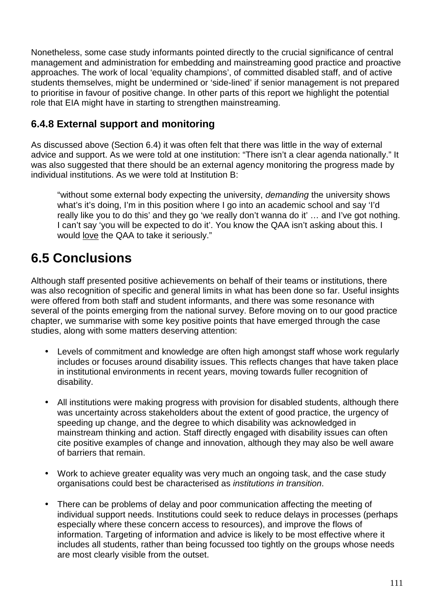Nonetheless, some case study informants pointed directly to the crucial significance of central management and administration for embedding and mainstreaming good practice and proactive approaches. The work of local 'equality champions', of committed disabled staff, and of active students themselves, might be undermined or 'side-lined' if senior management is not prepared to prioritise in favour of positive change. In other parts of this report we highlight the potential role that EIA might have in starting to strengthen mainstreaming.

## **6.4.8 External support and monitoring**

As discussed above (Section 6.4) it was often felt that there was little in the way of external advice and support. As we were told at one institution: "There isn't a clear agenda nationally." It was also suggested that there should be an external agency monitoring the progress made by individual institutions. As we were told at Institution B:

"without some external body expecting the university, demanding the university shows what's it's doing, I'm in this position where I go into an academic school and say 'I'd really like you to do this' and they go 'we really don't wanna do it' … and I've got nothing. I can't say 'you will be expected to do it'. You know the QAA isn't asking about this. I would love the QAA to take it seriously."

# **6.5 Conclusions**

Although staff presented positive achievements on behalf of their teams or institutions, there was also recognition of specific and general limits in what has been done so far. Useful insights were offered from both staff and student informants, and there was some resonance with several of the points emerging from the national survey. Before moving on to our good practice chapter, we summarise with some key positive points that have emerged through the case studies, along with some matters deserving attention:

- Levels of commitment and knowledge are often high amongst staff whose work regularly includes or focuses around disability issues. This reflects changes that have taken place in institutional environments in recent years, moving towards fuller recognition of disability.
- All institutions were making progress with provision for disabled students, although there was uncertainty across stakeholders about the extent of good practice, the urgency of speeding up change, and the degree to which disability was acknowledged in mainstream thinking and action. Staff directly engaged with disability issues can often cite positive examples of change and innovation, although they may also be well aware of barriers that remain.
- Work to achieve greater equality was very much an ongoing task, and the case study organisations could best be characterised as institutions in transition.
- There can be problems of delay and poor communication affecting the meeting of individual support needs. Institutions could seek to reduce delays in processes (perhaps especially where these concern access to resources), and improve the flows of information. Targeting of information and advice is likely to be most effective where it includes all students, rather than being focussed too tightly on the groups whose needs are most clearly visible from the outset.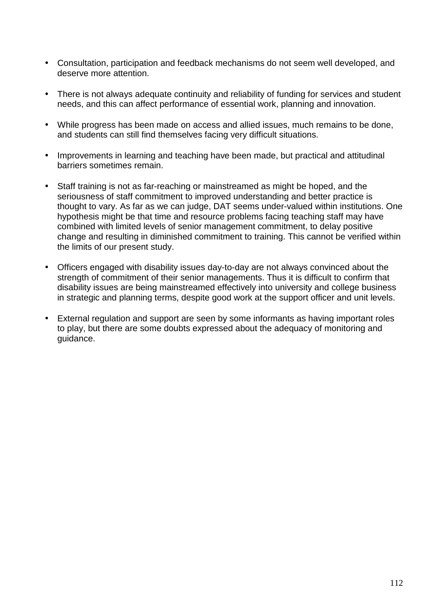- Consultation, participation and feedback mechanisms do not seem well developed, and deserve more attention.
- There is not always adequate continuity and reliability of funding for services and student needs, and this can affect performance of essential work, planning and innovation.
- While progress has been made on access and allied issues, much remains to be done, and students can still find themselves facing very difficult situations.
- Improvements in learning and teaching have been made, but practical and attitudinal barriers sometimes remain.
- Staff training is not as far-reaching or mainstreamed as might be hoped, and the seriousness of staff commitment to improved understanding and better practice is thought to vary. As far as we can judge, DAT seems under-valued within institutions. One hypothesis might be that time and resource problems facing teaching staff may have combined with limited levels of senior management commitment, to delay positive change and resulting in diminished commitment to training. This cannot be verified within the limits of our present study.
- Officers engaged with disability issues day-to-day are not always convinced about the strength of commitment of their senior managements. Thus it is difficult to confirm that disability issues are being mainstreamed effectively into university and college business in strategic and planning terms, despite good work at the support officer and unit levels.
- External regulation and support are seen by some informants as having important roles to play, but there are some doubts expressed about the adequacy of monitoring and guidance.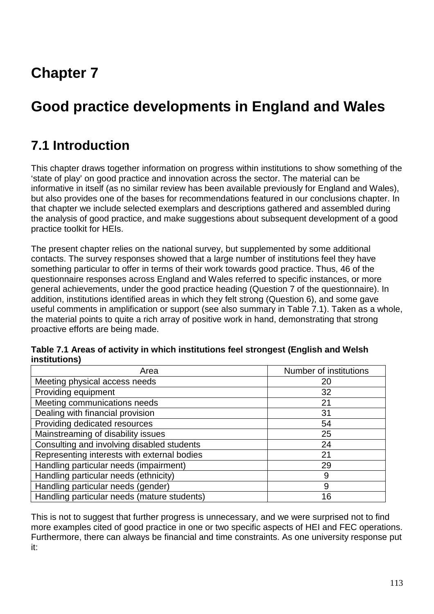# **Chapter 7**

# **Good practice developments in England and Wales**

# **7.1 Introduction**

This chapter draws together information on progress within institutions to show something of the 'state of play' on good practice and innovation across the sector. The material can be informative in itself (as no similar review has been available previously for England and Wales), but also provides one of the bases for recommendations featured in our conclusions chapter. In that chapter we include selected exemplars and descriptions gathered and assembled during the analysis of good practice, and make suggestions about subsequent development of a good practice toolkit for HEIs.

The present chapter relies on the national survey, but supplemented by some additional contacts. The survey responses showed that a large number of institutions feel they have something particular to offer in terms of their work towards good practice. Thus, 46 of the questionnaire responses across England and Wales referred to specific instances, or more general achievements, under the good practice heading (Question 7 of the questionnaire). In addition, institutions identified areas in which they felt strong (Question 6), and some gave useful comments in amplification or support (see also summary in Table 7.1). Taken as a whole, the material points to quite a rich array of positive work in hand, demonstrating that strong proactive efforts are being made.

| Area                                        | Number of institutions |  |
|---------------------------------------------|------------------------|--|
| Meeting physical access needs               | 20                     |  |
| Providing equipment                         | 32                     |  |
| Meeting communications needs                | 21                     |  |
| Dealing with financial provision            | 31                     |  |
| Providing dedicated resources               | 54                     |  |
| Mainstreaming of disability issues          | 25                     |  |
| Consulting and involving disabled students  | 24                     |  |
| Representing interests with external bodies | 21                     |  |
| Handling particular needs (impairment)      | 29                     |  |
| Handling particular needs (ethnicity)       | 9                      |  |
| Handling particular needs (gender)          | 9                      |  |
| Handling particular needs (mature students) | 16                     |  |

| Table 7.1 Areas of activity in which institutions feel strongest (English and Welsh |  |  |
|-------------------------------------------------------------------------------------|--|--|
| institutions)                                                                       |  |  |

This is not to suggest that further progress is unnecessary, and we were surprised not to find more examples cited of good practice in one or two specific aspects of HEI and FEC operations. Furthermore, there can always be financial and time constraints. As one university response put it: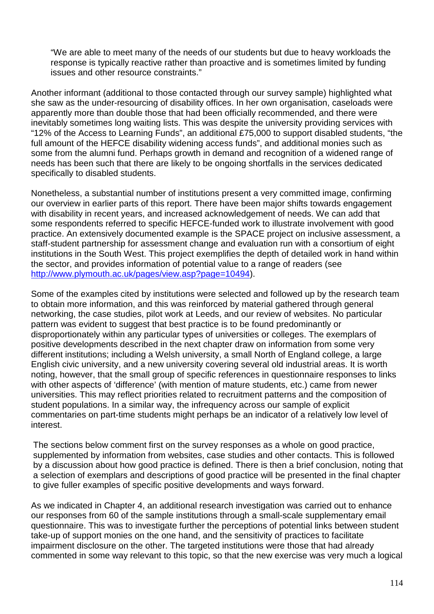"We are able to meet many of the needs of our students but due to heavy workloads the response is typically reactive rather than proactive and is sometimes limited by funding issues and other resource constraints."

Another informant (additional to those contacted through our survey sample) highlighted what she saw as the under-resourcing of disability offices. In her own organisation, caseloads were apparently more than double those that had been officially recommended, and there were inevitably sometimes long waiting lists. This was despite the university providing services with "12% of the Access to Learning Funds", an additional £75,000 to support disabled students, "the full amount of the HEFCE disability widening access funds", and additional monies such as some from the alumni fund. Perhaps growth in demand and recognition of a widened range of needs has been such that there are likely to be ongoing shortfalls in the services dedicated specifically to disabled students.

Nonetheless, a substantial number of institutions present a very committed image, confirming our overview in earlier parts of this report. There have been major shifts towards engagement with disability in recent years, and increased acknowledgement of needs. We can add that some respondents referred to specific HEFCE-funded work to illustrate involvement with good practice. An extensively documented example is the SPACE project on inclusive assessment, a staff-student partnership for assessment change and evaluation run with a consortium of eight institutions in the South West. This project exemplifies the depth of detailed work in hand within the sector, and provides information of potential value to a range of readers (see http://www.plymouth.ac.uk/pages/view.asp?page=10494).

Some of the examples cited by institutions were selected and followed up by the research team to obtain more information, and this was reinforced by material gathered through general networking, the case studies, pilot work at Leeds, and our review of websites. No particular pattern was evident to suggest that best practice is to be found predominantly or disproportionately within any particular types of universities or colleges. The exemplars of positive developments described in the next chapter draw on information from some very different institutions; including a Welsh university, a small North of England college, a large English civic university, and a new university covering several old industrial areas. It is worth noting, however, that the small group of specific references in questionnaire responses to links with other aspects of 'difference' (with mention of mature students, etc.) came from newer universities. This may reflect priorities related to recruitment patterns and the composition of student populations. In a similar way, the infrequency across our sample of explicit commentaries on part-time students might perhaps be an indicator of a relatively low level of interest.

The sections below comment first on the survey responses as a whole on good practice, supplemented by information from websites, case studies and other contacts. This is followed by a discussion about how good practice is defined. There is then a brief conclusion, noting that a selection of exemplars and descriptions of good practice will be presented in the final chapter to give fuller examples of specific positive developments and ways forward.

As we indicated in Chapter 4, an additional research investigation was carried out to enhance our responses from 60 of the sample institutions through a small-scale supplementary email questionnaire. This was to investigate further the perceptions of potential links between student take-up of support monies on the one hand, and the sensitivity of practices to facilitate impairment disclosure on the other. The targeted institutions were those that had already commented in some way relevant to this topic, so that the new exercise was very much a logical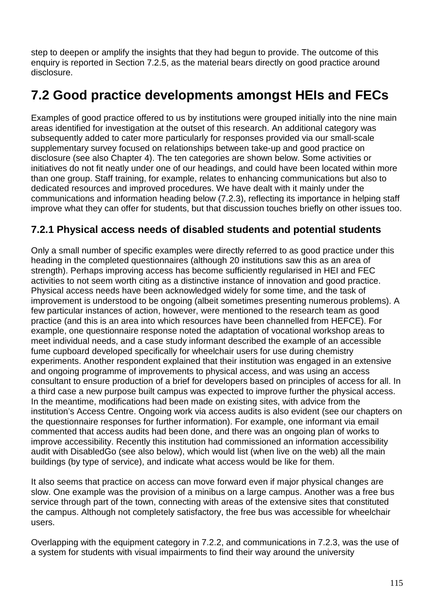step to deepen or amplify the insights that they had begun to provide. The outcome of this enquiry is reported in Section 7.2.5, as the material bears directly on good practice around disclosure.

# **7.2 Good practice developments amongst HEIs and FECs**

Examples of good practice offered to us by institutions were grouped initially into the nine main areas identified for investigation at the outset of this research. An additional category was subsequently added to cater more particularly for responses provided via our small-scale supplementary survey focused on relationships between take-up and good practice on disclosure (see also Chapter 4). The ten categories are shown below. Some activities or initiatives do not fit neatly under one of our headings, and could have been located within more than one group. Staff training, for example, relates to enhancing communications but also to dedicated resources and improved procedures. We have dealt with it mainly under the communications and information heading below (7.2.3), reflecting its importance in helping staff improve what they can offer for students, but that discussion touches briefly on other issues too.

## **7.2.1 Physical access needs of disabled students and potential students**

Only a small number of specific examples were directly referred to as good practice under this heading in the completed questionnaires (although 20 institutions saw this as an area of strength). Perhaps improving access has become sufficiently regularised in HEI and FEC activities to not seem worth citing as a distinctive instance of innovation and good practice. Physical access needs have been acknowledged widely for some time, and the task of improvement is understood to be ongoing (albeit sometimes presenting numerous problems). A few particular instances of action, however, were mentioned to the research team as good practice (and this is an area into which resources have been channelled from HEFCE). For example, one questionnaire response noted the adaptation of vocational workshop areas to meet individual needs, and a case study informant described the example of an accessible fume cupboard developed specifically for wheelchair users for use during chemistry experiments. Another respondent explained that their institution was engaged in an extensive and ongoing programme of improvements to physical access, and was using an access consultant to ensure production of a brief for developers based on principles of access for all. In a third case a new purpose built campus was expected to improve further the physical access. In the meantime, modifications had been made on existing sites, with advice from the institution's Access Centre. Ongoing work via access audits is also evident (see our chapters on the questionnaire responses for further information). For example, one informant via email commented that access audits had been done, and there was an ongoing plan of works to improve accessibility. Recently this institution had commissioned an information accessibility audit with DisabledGo (see also below), which would list (when live on the web) all the main buildings (by type of service), and indicate what access would be like for them.

It also seems that practice on access can move forward even if major physical changes are slow. One example was the provision of a minibus on a large campus. Another was a free bus service through part of the town, connecting with areas of the extensive sites that constituted the campus. Although not completely satisfactory, the free bus was accessible for wheelchair users.

Overlapping with the equipment category in 7.2.2, and communications in 7.2.3, was the use of a system for students with visual impairments to find their way around the university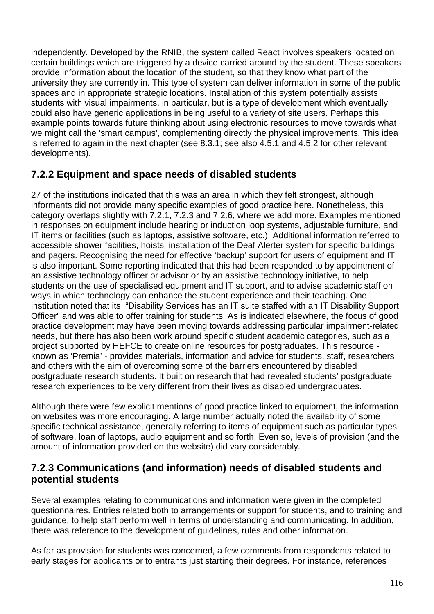independently. Developed by the RNIB, the system called React involves speakers located on certain buildings which are triggered by a device carried around by the student. These speakers provide information about the location of the student, so that they know what part of the university they are currently in. This type of system can deliver information in some of the public spaces and in appropriate strategic locations. Installation of this system potentially assists students with visual impairments, in particular, but is a type of development which eventually could also have generic applications in being useful to a variety of site users. Perhaps this example points towards future thinking about using electronic resources to move towards what we might call the 'smart campus', complementing directly the physical improvements. This idea is referred to again in the next chapter (see 8.3.1; see also 4.5.1 and 4.5.2 for other relevant developments).

## **7.2.2 Equipment and space needs of disabled students**

27 of the institutions indicated that this was an area in which they felt strongest, although informants did not provide many specific examples of good practice here. Nonetheless, this category overlaps slightly with 7.2.1, 7.2.3 and 7.2.6, where we add more. Examples mentioned in responses on equipment include hearing or induction loop systems, adjustable furniture, and IT items or facilities (such as laptops, assistive software, etc.). Additional information referred to accessible shower facilities, hoists, installation of the Deaf Alerter system for specific buildings, and pagers. Recognising the need for effective 'backup' support for users of equipment and IT is also important. Some reporting indicated that this had been responded to by appointment of an assistive technology officer or advisor or by an assistive technology initiative, to help students on the use of specialised equipment and IT support, and to advise academic staff on ways in which technology can enhance the student experience and their teaching. One institution noted that its "Disability Services has an IT suite staffed with an IT Disability Support Officer" and was able to offer training for students. As is indicated elsewhere, the focus of good practice development may have been moving towards addressing particular impairment-related needs, but there has also been work around specific student academic categories, such as a project supported by HEFCE to create online resources for postgraduates. This resource known as 'Premia' - provides materials, information and advice for students, staff, researchers and others with the aim of overcoming some of the barriers encountered by disabled postgraduate research students. It built on research that had revealed students' postgraduate research experiences to be very different from their lives as disabled undergraduates.

Although there were few explicit mentions of good practice linked to equipment, the information on websites was more encouraging. A large number actually noted the availability of some specific technical assistance, generally referring to items of equipment such as particular types of software, loan of laptops, audio equipment and so forth. Even so, levels of provision (and the amount of information provided on the website) did vary considerably.

### **7.2.3 Communications (and information) needs of disabled students and potential students**

Several examples relating to communications and information were given in the completed questionnaires. Entries related both to arrangements or support for students, and to training and guidance, to help staff perform well in terms of understanding and communicating. In addition, there was reference to the development of guidelines, rules and other information.

As far as provision for students was concerned, a few comments from respondents related to early stages for applicants or to entrants just starting their degrees. For instance, references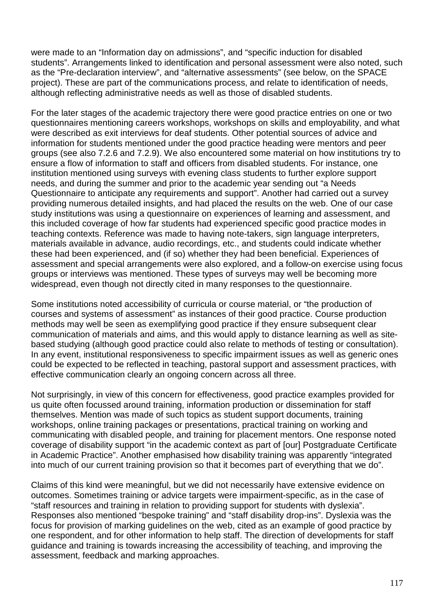were made to an "Information day on admissions", and "specific induction for disabled students". Arrangements linked to identification and personal assessment were also noted, such as the "Pre-declaration interview", and "alternative assessments" (see below, on the SPACE project). These are part of the communications process, and relate to identification of needs, although reflecting administrative needs as well as those of disabled students.

For the later stages of the academic trajectory there were good practice entries on one or two questionnaires mentioning careers workshops, workshops on skills and employability, and what were described as exit interviews for deaf students. Other potential sources of advice and information for students mentioned under the good practice heading were mentors and peer groups (see also 7.2.6 and 7.2.9). We also encountered some material on how institutions try to ensure a flow of information to staff and officers from disabled students. For instance, one institution mentioned using surveys with evening class students to further explore support needs, and during the summer and prior to the academic year sending out "a Needs Questionnaire to anticipate any requirements and support". Another had carried out a survey providing numerous detailed insights, and had placed the results on the web. One of our case study institutions was using a questionnaire on experiences of learning and assessment, and this included coverage of how far students had experienced specific good practice modes in teaching contexts. Reference was made to having note-takers, sign language interpreters, materials available in advance, audio recordings, etc., and students could indicate whether these had been experienced, and (if so) whether they had been beneficial. Experiences of assessment and special arrangements were also explored, and a follow-on exercise using focus groups or interviews was mentioned. These types of surveys may well be becoming more widespread, even though not directly cited in many responses to the questionnaire.

Some institutions noted accessibility of curricula or course material, or "the production of courses and systems of assessment" as instances of their good practice. Course production methods may well be seen as exemplifying good practice if they ensure subsequent clear communication of materials and aims, and this would apply to distance learning as well as sitebased studying (although good practice could also relate to methods of testing or consultation). In any event, institutional responsiveness to specific impairment issues as well as generic ones could be expected to be reflected in teaching, pastoral support and assessment practices, with effective communication clearly an ongoing concern across all three.

Not surprisingly, in view of this concern for effectiveness, good practice examples provided for us quite often focussed around training, information production or dissemination for staff themselves. Mention was made of such topics as student support documents, training workshops, online training packages or presentations, practical training on working and communicating with disabled people, and training for placement mentors. One response noted coverage of disability support "in the academic context as part of [our] Postgraduate Certificate in Academic Practice". Another emphasised how disability training was apparently "integrated into much of our current training provision so that it becomes part of everything that we do".

Claims of this kind were meaningful, but we did not necessarily have extensive evidence on outcomes. Sometimes training or advice targets were impairment-specific, as in the case of "staff resources and training in relation to providing support for students with dyslexia". Responses also mentioned "bespoke training" and "staff disability drop-ins". Dyslexia was the focus for provision of marking guidelines on the web, cited as an example of good practice by one respondent, and for other information to help staff. The direction of developments for staff guidance and training is towards increasing the accessibility of teaching, and improving the assessment, feedback and marking approaches.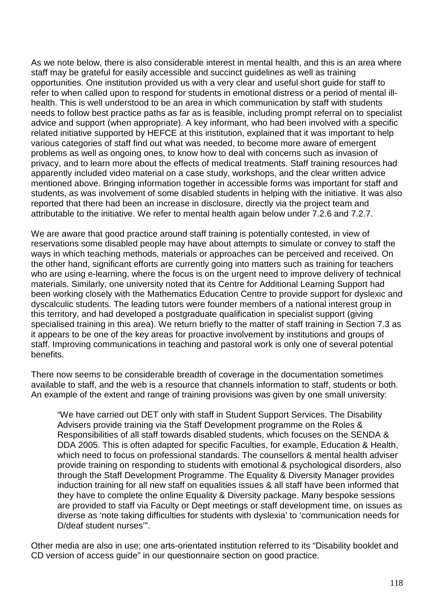As we note below, there is also considerable interest in mental health, and this is an area where staff may be grateful for easily accessible and succinct guidelines as well as training opportunities. One institution provided us with a very clear and useful short guide for staff to refer to when called upon to respond for students in emotional distress or a period of mental illhealth. This is well understood to be an area in which communication by staff with students needs to follow best practice paths as far as is feasible, including prompt referral on to specialist advice and support (when appropriate). A key informant, who had been involved with a specific related initiative supported by HEFCE at this institution, explained that it was important to help various categories of staff find out what was needed, to become more aware of emergent problems as well as ongoing ones, to know how to deal with concerns such as invasion of privacy, and to learn more about the effects of medical treatments. Staff training resources had apparently included video material on a case study, workshops, and the clear written advice mentioned above. Bringing information together in accessible forms was important for staff and students, as was involvement of some disabled students in helping with the initiative. It was also reported that there had been an increase in disclosure, directly via the project team and attributable to the initiative. We refer to mental health again below under 7.2.6 and 7.2.7.

We are aware that good practice around staff training is potentially contested, in view of reservations some disabled people may have about attempts to simulate or convey to staff the ways in which teaching methods, materials or approaches can be perceived and received. On the other hand, significant efforts are currently going into matters such as training for teachers who are using e-learning, where the focus is on the urgent need to improve delivery of technical materials. Similarly, one university noted that its Centre for Additional Learning Support had been working closely with the Mathematics Education Centre to provide support for dyslexic and dyscalculic students. The leading tutors were founder members of a national interest group in this territory, and had developed a postgraduate qualification in specialist support (giving specialised training in this area). We return briefly to the matter of staff training in Section 7.3 as it appears to be one of the key areas for proactive involvement by institutions and groups of staff. Improving communications in teaching and pastoral work is only one of several potential benefits.

There now seems to be considerable breadth of coverage in the documentation sometimes available to staff, and the web is a resource that channels information to staff, students or both. An example of the extent and range of training provisions was given by one small university:

"We have carried out DET only with staff in Student Support Services. The Disability Advisers provide training via the Staff Development programme on the Roles & Responsibilities of all staff towards disabled students, which focuses on the SENDA & DDA 2005. This is often adapted for specific Faculties, for example, Education & Health, which need to focus on professional standards. The counsellors & mental health adviser provide training on responding to students with emotional & psychological disorders, also through the Staff Development Programme. The Equality & Diversity Manager provides induction training for all new staff on equalities issues & all staff have been informed that they have to complete the online Equality & Diversity package. Many bespoke sessions are provided to staff via Faculty or Dept meetings or staff development time, on issues as diverse as 'note taking difficulties for students with dyslexia' to 'communication needs for D/deaf student nurses'".

Other media are also in use; one arts-orientated institution referred to its "Disability booklet and CD version of access guide" in our questionnaire section on good practice.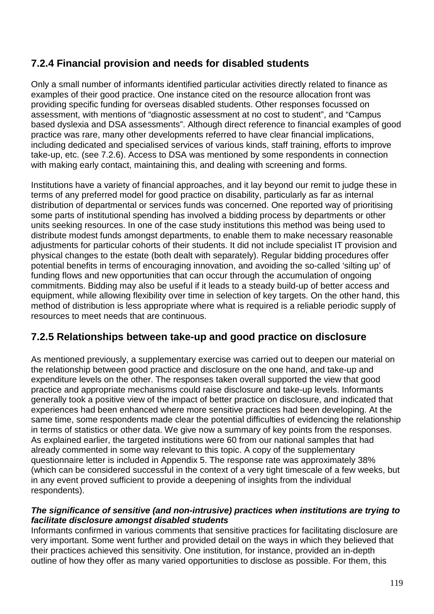# **7.2.4 Financial provision and needs for disabled students**

Only a small number of informants identified particular activities directly related to finance as examples of their good practice. One instance cited on the resource allocation front was providing specific funding for overseas disabled students. Other responses focussed on assessment, with mentions of "diagnostic assessment at no cost to student", and "Campus based dyslexia and DSA assessments". Although direct reference to financial examples of good practice was rare, many other developments referred to have clear financial implications, including dedicated and specialised services of various kinds, staff training, efforts to improve take-up, etc. (see 7.2.6). Access to DSA was mentioned by some respondents in connection with making early contact, maintaining this, and dealing with screening and forms.

Institutions have a variety of financial approaches, and it lay beyond our remit to judge these in terms of any preferred model for good practice on disability, particularly as far as internal distribution of departmental or services funds was concerned. One reported way of prioritising some parts of institutional spending has involved a bidding process by departments or other units seeking resources. In one of the case study institutions this method was being used to distribute modest funds amongst departments, to enable them to make necessary reasonable adjustments for particular cohorts of their students. It did not include specialist IT provision and physical changes to the estate (both dealt with separately). Regular bidding procedures offer potential benefits in terms of encouraging innovation, and avoiding the so-called 'silting up' of funding flows and new opportunities that can occur through the accumulation of ongoing commitments. Bidding may also be useful if it leads to a steady build-up of better access and equipment, while allowing flexibility over time in selection of key targets. On the other hand, this method of distribution is less appropriate where what is required is a reliable periodic supply of resources to meet needs that are continuous.

## **7.2.5 Relationships between take-up and good practice on disclosure**

As mentioned previously, a supplementary exercise was carried out to deepen our material on the relationship between good practice and disclosure on the one hand, and take-up and expenditure levels on the other. The responses taken overall supported the view that good practice and appropriate mechanisms could raise disclosure and take-up levels. Informants generally took a positive view of the impact of better practice on disclosure, and indicated that experiences had been enhanced where more sensitive practices had been developing. At the same time, some respondents made clear the potential difficulties of evidencing the relationship in terms of statistics or other data. We give now a summary of key points from the responses. As explained earlier, the targeted institutions were 60 from our national samples that had already commented in some way relevant to this topic. A copy of the supplementary questionnaire letter is included in Appendix 5. The response rate was approximately 38% (which can be considered successful in the context of a very tight timescale of a few weeks, but in any event proved sufficient to provide a deepening of insights from the individual respondents).

#### **The significance of sensitive (and non-intrusive) practices when institutions are trying to facilitate disclosure amongst disabled students**

Informants confirmed in various comments that sensitive practices for facilitating disclosure are very important. Some went further and provided detail on the ways in which they believed that their practices achieved this sensitivity. One institution, for instance, provided an in-depth outline of how they offer as many varied opportunities to disclose as possible. For them, this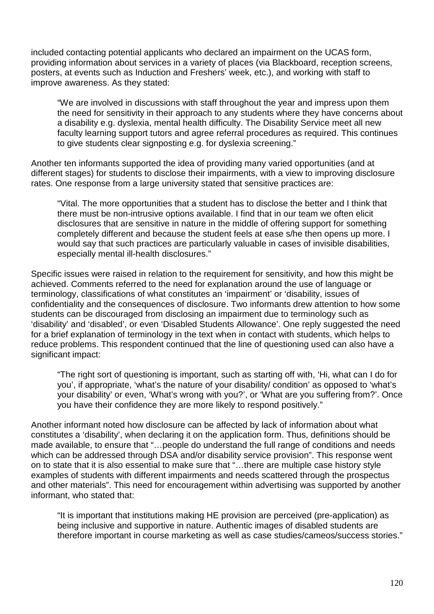included contacting potential applicants who declared an impairment on the UCAS form, providing information about services in a variety of places (via Blackboard, reception screens, posters, at events such as Induction and Freshers' week, etc.), and working with staff to improve awareness. As they stated:

"We are involved in discussions with staff throughout the year and impress upon them the need for sensitivity in their approach to any students where they have concerns about a disability e.g. dyslexia, mental health difficulty. The Disability Service meet all new faculty learning support tutors and agree referral procedures as required. This continues to give students clear signposting e.g. for dyslexia screening."

Another ten informants supported the idea of providing many varied opportunities (and at different stages) for students to disclose their impairments, with a view to improving disclosure rates. One response from a large university stated that sensitive practices are:

"Vital. The more opportunities that a student has to disclose the better and I think that there must be non-intrusive options available. I find that in our team we often elicit disclosures that are sensitive in nature in the middle of offering support for something completely different and because the student feels at ease s/he then opens up more. I would say that such practices are particularly valuable in cases of invisible disabilities, especially mental ill-health disclosures."

Specific issues were raised in relation to the requirement for sensitivity, and how this might be achieved. Comments referred to the need for explanation around the use of language or terminology, classifications of what constitutes an 'impairment' or 'disability, issues of confidentiality and the consequences of disclosure. Two informants drew attention to how some students can be discouraged from disclosing an impairment due to terminology such as 'disability' and 'disabled', or even 'Disabled Students Allowance'. One reply suggested the need for a brief explanation of terminology in the text when in contact with students, which helps to reduce problems. This respondent continued that the line of questioning used can also have a significant impact:

"The right sort of questioning is important, such as starting off with, 'Hi, what can I do for you', if appropriate, 'what's the nature of your disability/ condition' as opposed to 'what's your disability' or even, 'What's wrong with you?', or 'What are you suffering from?'. Once you have their confidence they are more likely to respond positively."

Another informant noted how disclosure can be affected by lack of information about what constitutes a 'disability', when declaring it on the application form. Thus, definitions should be made available, to ensure that "…people do understand the full range of conditions and needs which can be addressed through DSA and/or disability service provision". This response went on to state that it is also essential to make sure that "…there are multiple case history style examples of students with different impairments and needs scattered through the prospectus and other materials". This need for encouragement within advertising was supported by another informant, who stated that:

"It is important that institutions making HE provision are perceived (pre-application) as being inclusive and supportive in nature. Authentic images of disabled students are therefore important in course marketing as well as case studies/cameos/success stories."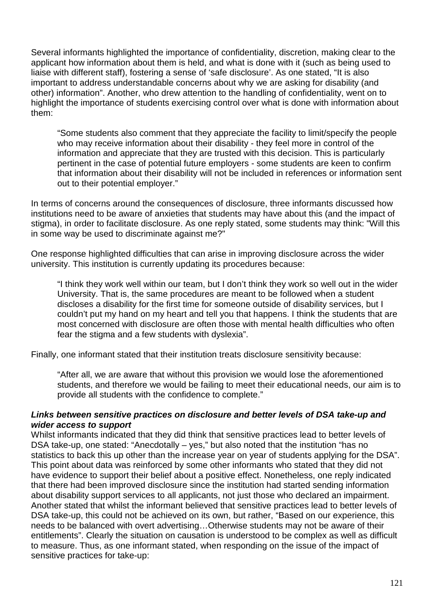Several informants highlighted the importance of confidentiality, discretion, making clear to the applicant how information about them is held, and what is done with it (such as being used to liaise with different staff), fostering a sense of 'safe disclosure'. As one stated, "It is also important to address understandable concerns about why we are asking for disability (and other) information". Another, who drew attention to the handling of confidentiality, went on to highlight the importance of students exercising control over what is done with information about them:

"Some students also comment that they appreciate the facility to limit/specify the people who may receive information about their disability - they feel more in control of the information and appreciate that they are trusted with this decision. This is particularly pertinent in the case of potential future employers - some students are keen to confirm that information about their disability will not be included in references or information sent out to their potential employer."

In terms of concerns around the consequences of disclosure, three informants discussed how institutions need to be aware of anxieties that students may have about this (and the impact of stigma), in order to facilitate disclosure. As one reply stated, some students may think: "Will this in some way be used to discriminate against me?"

One response highlighted difficulties that can arise in improving disclosure across the wider university. This institution is currently updating its procedures because:

"I think they work well within our team, but I don't think they work so well out in the wider University. That is, the same procedures are meant to be followed when a student discloses a disability for the first time for someone outside of disability services, but I couldn't put my hand on my heart and tell you that happens. I think the students that are most concerned with disclosure are often those with mental health difficulties who often fear the stigma and a few students with dyslexia".

Finally, one informant stated that their institution treats disclosure sensitivity because:

"After all, we are aware that without this provision we would lose the aforementioned students, and therefore we would be failing to meet their educational needs, our aim is to provide all students with the confidence to complete."

#### **Links between sensitive practices on disclosure and better levels of DSA take-up and wider access to support**

Whilst informants indicated that they did think that sensitive practices lead to better levels of DSA take-up, one stated: "Anecdotally – yes," but also noted that the institution "has no statistics to back this up other than the increase year on year of students applying for the DSA". This point about data was reinforced by some other informants who stated that they did not have evidence to support their belief about a positive effect. Nonetheless, one reply indicated that there had been improved disclosure since the institution had started sending information about disability support services to all applicants, not just those who declared an impairment. Another stated that whilst the informant believed that sensitive practices lead to better levels of DSA take-up, this could not be achieved on its own, but rather, "Based on our experience, this needs to be balanced with overt advertising…Otherwise students may not be aware of their entitlements". Clearly the situation on causation is understood to be complex as well as difficult to measure. Thus, as one informant stated, when responding on the issue of the impact of sensitive practices for take-up: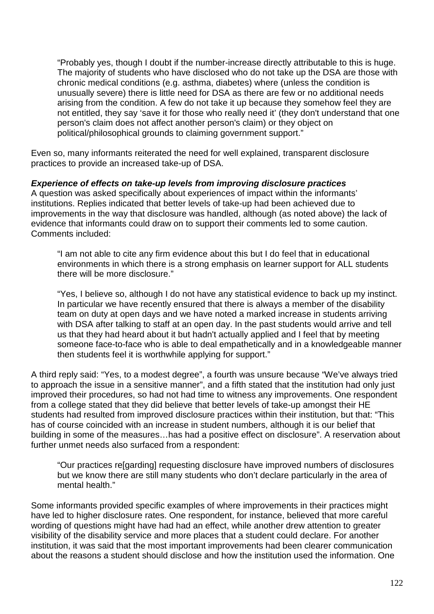"Probably yes, though I doubt if the number-increase directly attributable to this is huge. The majority of students who have disclosed who do not take up the DSA are those with chronic medical conditions (e.g. asthma, diabetes) where (unless the condition is unusually severe) there is little need for DSA as there are few or no additional needs arising from the condition. A few do not take it up because they somehow feel they are not entitled, they say 'save it for those who really need it' (they don't understand that one person's claim does not affect another person's claim) or they object on political/philosophical grounds to claiming government support."

Even so, many informants reiterated the need for well explained, transparent disclosure practices to provide an increased take-up of DSA.

**Experience of effects on take-up levels from improving disclosure practices** 

A question was asked specifically about experiences of impact within the informants' institutions. Replies indicated that better levels of take-up had been achieved due to improvements in the way that disclosure was handled, although (as noted above) the lack of evidence that informants could draw on to support their comments led to some caution. Comments included:

"I am not able to cite any firm evidence about this but I do feel that in educational environments in which there is a strong emphasis on learner support for ALL students there will be more disclosure."

"Yes, I believe so, although I do not have any statistical evidence to back up my instinct. In particular we have recently ensured that there is always a member of the disability team on duty at open days and we have noted a marked increase in students arriving with DSA after talking to staff at an open day. In the past students would arrive and tell us that they had heard about it but hadn't actually applied and I feel that by meeting someone face-to-face who is able to deal empathetically and in a knowledgeable manner then students feel it is worthwhile applying for support."

A third reply said: "Yes, to a modest degree", a fourth was unsure because "We've always tried to approach the issue in a sensitive manner", and a fifth stated that the institution had only just improved their procedures, so had not had time to witness any improvements. One respondent from a college stated that they did believe that better levels of take-up amongst their HE students had resulted from improved disclosure practices within their institution, but that: "This has of course coincided with an increase in student numbers, although it is our belief that building in some of the measures…has had a positive effect on disclosure". A reservation about further unmet needs also surfaced from a respondent:

"Our practices re[garding] requesting disclosure have improved numbers of disclosures but we know there are still many students who don't declare particularly in the area of mental health."

Some informants provided specific examples of where improvements in their practices might have led to higher disclosure rates. One respondent, for instance, believed that more careful wording of questions might have had had an effect, while another drew attention to greater visibility of the disability service and more places that a student could declare. For another institution, it was said that the most important improvements had been clearer communication about the reasons a student should disclose and how the institution used the information. One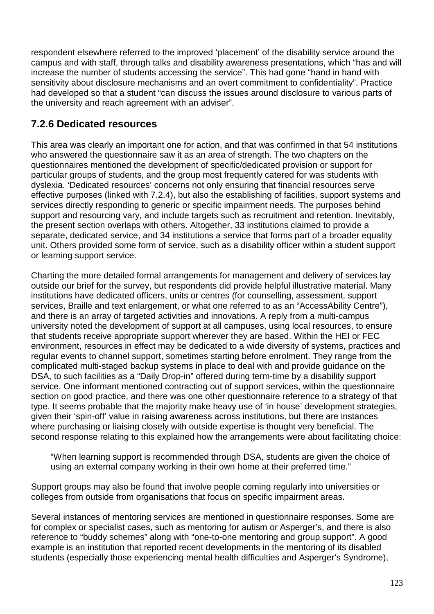respondent elsewhere referred to the improved 'placement' of the disability service around the campus and with staff, through talks and disability awareness presentations, which "has and will increase the number of students accessing the service". This had gone "hand in hand with sensitivity about disclosure mechanisms and an overt commitment to confidentiality". Practice had developed so that a student "can discuss the issues around disclosure to various parts of the university and reach agreement with an adviser".

## **7.2.6 Dedicated resources**

This area was clearly an important one for action, and that was confirmed in that 54 institutions who answered the questionnaire saw it as an area of strength. The two chapters on the questionnaires mentioned the development of specific/dedicated provision or support for particular groups of students, and the group most frequently catered for was students with dyslexia. 'Dedicated resources' concerns not only ensuring that financial resources serve effective purposes (linked with 7.2.4), but also the establishing of facilities, support systems and services directly responding to generic or specific impairment needs. The purposes behind support and resourcing vary, and include targets such as recruitment and retention. Inevitably, the present section overlaps with others. Altogether, 33 institutions claimed to provide a separate, dedicated service, and 34 institutions a service that forms part of a broader equality unit. Others provided some form of service, such as a disability officer within a student support or learning support service.

Charting the more detailed formal arrangements for management and delivery of services lay outside our brief for the survey, but respondents did provide helpful illustrative material. Many institutions have dedicated officers, units or centres (for counselling, assessment, support services, Braille and text enlargement, or what one referred to as an "AccessAbility Centre"), and there is an array of targeted activities and innovations. A reply from a multi-campus university noted the development of support at all campuses, using local resources, to ensure that students receive appropriate support wherever they are based. Within the HEI or FEC environment, resources in effect may be dedicated to a wide diversity of systems, practices and regular events to channel support, sometimes starting before enrolment. They range from the complicated multi-staged backup systems in place to deal with and provide guidance on the DSA, to such facilities as a "Daily Drop-in" offered during term-time by a disability support service. One informant mentioned contracting out of support services, within the questionnaire section on good practice, and there was one other questionnaire reference to a strategy of that type. It seems probable that the majority make heavy use of 'in house' development strategies, given their 'spin-off' value in raising awareness across institutions, but there are instances where purchasing or liaising closely with outside expertise is thought very beneficial. The second response relating to this explained how the arrangements were about facilitating choice:

"When learning support is recommended through DSA, students are given the choice of using an external company working in their own home at their preferred time."

Support groups may also be found that involve people coming regularly into universities or colleges from outside from organisations that focus on specific impairment areas.

Several instances of mentoring services are mentioned in questionnaire responses. Some are for complex or specialist cases, such as mentoring for autism or Asperger's, and there is also reference to "buddy schemes" along with "one-to-one mentoring and group support". A good example is an institution that reported recent developments in the mentoring of its disabled students (especially those experiencing mental health difficulties and Asperger's Syndrome),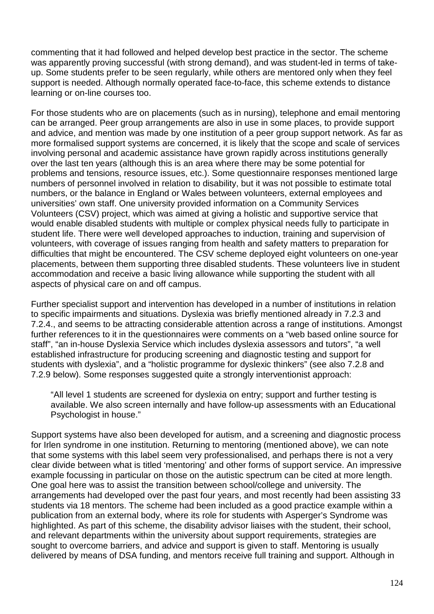commenting that it had followed and helped develop best practice in the sector. The scheme was apparently proving successful (with strong demand), and was student-led in terms of takeup. Some students prefer to be seen regularly, while others are mentored only when they feel support is needed. Although normally operated face-to-face, this scheme extends to distance learning or on-line courses too.

For those students who are on placements (such as in nursing), telephone and email mentoring can be arranged. Peer group arrangements are also in use in some places, to provide support and advice, and mention was made by one institution of a peer group support network. As far as more formalised support systems are concerned, it is likely that the scope and scale of services involving personal and academic assistance have grown rapidly across institutions generally over the last ten years (although this is an area where there may be some potential for problems and tensions, resource issues, etc.). Some questionnaire responses mentioned large numbers of personnel involved in relation to disability, but it was not possible to estimate total numbers, or the balance in England or Wales between volunteers, external employees and universities' own staff. One university provided information on a Community Services Volunteers (CSV) project, which was aimed at giving a holistic and supportive service that would enable disabled students with multiple or complex physical needs fully to participate in student life. There were well developed approaches to induction, training and supervision of volunteers, with coverage of issues ranging from health and safety matters to preparation for difficulties that might be encountered. The CSV scheme deployed eight volunteers on one-year placements, between them supporting three disabled students. These volunteers live in student accommodation and receive a basic living allowance while supporting the student with all aspects of physical care on and off campus.

Further specialist support and intervention has developed in a number of institutions in relation to specific impairments and situations. Dyslexia was briefly mentioned already in 7.2.3 and 7.2.4., and seems to be attracting considerable attention across a range of institutions. Amongst further references to it in the questionnaires were comments on a "web based online source for staff", "an in-house Dyslexia Service which includes dyslexia assessors and tutors", "a well established infrastructure for producing screening and diagnostic testing and support for students with dyslexia", and a "holistic programme for dyslexic thinkers" (see also 7.2.8 and 7.2.9 below). Some responses suggested quite a strongly interventionist approach:

"All level 1 students are screened for dyslexia on entry; support and further testing is available. We also screen internally and have follow-up assessments with an Educational Psychologist in house."

Support systems have also been developed for autism, and a screening and diagnostic process for Irlen syndrome in one institution. Returning to mentoring (mentioned above), we can note that some systems with this label seem very professionalised, and perhaps there is not a very clear divide between what is titled 'mentoring' and other forms of support service. An impressive example focussing in particular on those on the autistic spectrum can be cited at more length. One goal here was to assist the transition between school/college and university. The arrangements had developed over the past four years, and most recently had been assisting 33 students via 18 mentors. The scheme had been included as a good practice example within a publication from an external body, where its role for students with Asperger's Syndrome was highlighted. As part of this scheme, the disability advisor liaises with the student, their school, and relevant departments within the university about support requirements, strategies are sought to overcome barriers, and advice and support is given to staff. Mentoring is usually delivered by means of DSA funding, and mentors receive full training and support. Although in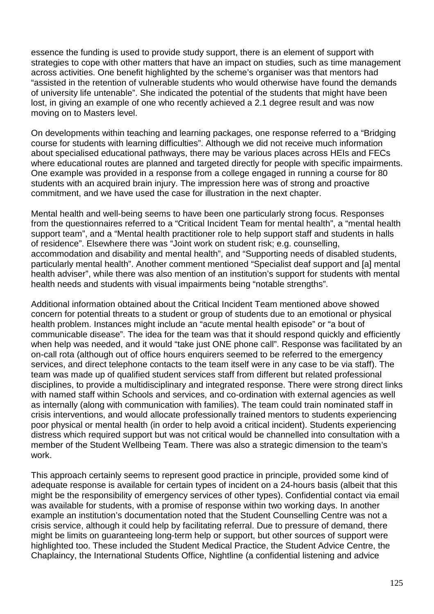essence the funding is used to provide study support, there is an element of support with strategies to cope with other matters that have an impact on studies, such as time management across activities. One benefit highlighted by the scheme's organiser was that mentors had "assisted in the retention of vulnerable students who would otherwise have found the demands of university life untenable". She indicated the potential of the students that might have been lost, in giving an example of one who recently achieved a 2.1 degree result and was now moving on to Masters level.

On developments within teaching and learning packages, one response referred to a "Bridging course for students with learning difficulties". Although we did not receive much information about specialised educational pathways, there may be various places across HEIs and FECs where educational routes are planned and targeted directly for people with specific impairments. One example was provided in a response from a college engaged in running a course for 80 students with an acquired brain injury. The impression here was of strong and proactive commitment, and we have used the case for illustration in the next chapter.

Mental health and well-being seems to have been one particularly strong focus. Responses from the questionnaires referred to a "Critical Incident Team for mental health", a "mental health support team", and a "Mental health practitioner role to help support staff and students in halls of residence". Elsewhere there was "Joint work on student risk; e.g. counselling, accommodation and disability and mental health", and "Supporting needs of disabled students, particularly mental health". Another comment mentioned "Specialist deaf support and [a] mental health adviser", while there was also mention of an institution's support for students with mental health needs and students with visual impairments being "notable strengths".

Additional information obtained about the Critical Incident Team mentioned above showed concern for potential threats to a student or group of students due to an emotional or physical health problem. Instances might include an "acute mental health episode" or "a bout of communicable disease". The idea for the team was that it should respond quickly and efficiently when help was needed, and it would "take just ONE phone call". Response was facilitated by an on-call rota (although out of office hours enquirers seemed to be referred to the emergency services, and direct telephone contacts to the team itself were in any case to be via staff). The team was made up of qualified student services staff from different but related professional disciplines, to provide a multidisciplinary and integrated response. There were strong direct links with named staff within Schools and services, and co-ordination with external agencies as well as internally (along with communication with families). The team could train nominated staff in crisis interventions, and would allocate professionally trained mentors to students experiencing poor physical or mental health (in order to help avoid a critical incident). Students experiencing distress which required support but was not critical would be channelled into consultation with a member of the Student Wellbeing Team. There was also a strategic dimension to the team's work.

This approach certainly seems to represent good practice in principle, provided some kind of adequate response is available for certain types of incident on a 24-hours basis (albeit that this might be the responsibility of emergency services of other types). Confidential contact via email was available for students, with a promise of response within two working days. In another example an institution's documentation noted that the Student Counselling Centre was not a crisis service, although it could help by facilitating referral. Due to pressure of demand, there might be limits on guaranteeing long-term help or support, but other sources of support were highlighted too. These included the Student Medical Practice, the Student Advice Centre, the Chaplaincy, the International Students Office, Nightline (a confidential listening and advice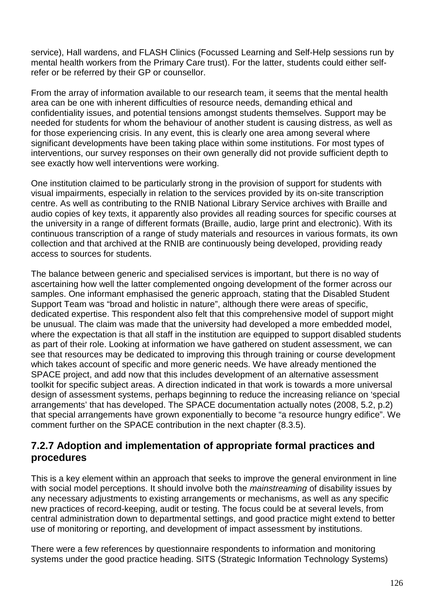service), Hall wardens, and FLASH Clinics (Focussed Learning and Self-Help sessions run by mental health workers from the Primary Care trust). For the latter, students could either selfrefer or be referred by their GP or counsellor.

From the array of information available to our research team, it seems that the mental health area can be one with inherent difficulties of resource needs, demanding ethical and confidentiality issues, and potential tensions amongst students themselves. Support may be needed for students for whom the behaviour of another student is causing distress, as well as for those experiencing crisis. In any event, this is clearly one area among several where significant developments have been taking place within some institutions. For most types of interventions, our survey responses on their own generally did not provide sufficient depth to see exactly how well interventions were working.

One institution claimed to be particularly strong in the provision of support for students with visual impairments, especially in relation to the services provided by its on-site transcription centre. As well as contributing to the RNIB National Library Service archives with Braille and audio copies of key texts, it apparently also provides all reading sources for specific courses at the university in a range of different formats (Braille, audio, large print and electronic). With its continuous transcription of a range of study materials and resources in various formats, its own collection and that archived at the RNIB are continuously being developed, providing ready access to sources for students.

The balance between generic and specialised services is important, but there is no way of ascertaining how well the latter complemented ongoing development of the former across our samples. One informant emphasised the generic approach, stating that the Disabled Student Support Team was "broad and holistic in nature", although there were areas of specific, dedicated expertise. This respondent also felt that this comprehensive model of support might be unusual. The claim was made that the university had developed a more embedded model, where the expectation is that all staff in the institution are equipped to support disabled students as part of their role. Looking at information we have gathered on student assessment, we can see that resources may be dedicated to improving this through training or course development which takes account of specific and more generic needs. We have already mentioned the SPACE project, and add now that this includes development of an alternative assessment toolkit for specific subject areas. A direction indicated in that work is towards a more universal design of assessment systems, perhaps beginning to reduce the increasing reliance on 'special arrangements' that has developed. The SPACE documentation actually notes (2008, 5.2, p.2) that special arrangements have grown exponentially to become "a resource hungry edifice". We comment further on the SPACE contribution in the next chapter (8.3.5).

### **7.2.7 Adoption and implementation of appropriate formal practices and procedures**

This is a key element within an approach that seeks to improve the general environment in line with social model perceptions. It should involve both the mainstreaming of disability issues by any necessary adjustments to existing arrangements or mechanisms, as well as any specific new practices of record-keeping, audit or testing. The focus could be at several levels, from central administration down to departmental settings, and good practice might extend to better use of monitoring or reporting, and development of impact assessment by institutions.

There were a few references by questionnaire respondents to information and monitoring systems under the good practice heading. SITS (Strategic Information Technology Systems)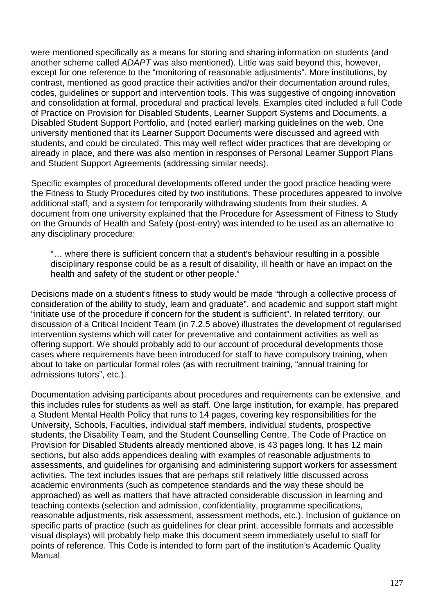were mentioned specifically as a means for storing and sharing information on students (and another scheme called ADAPT was also mentioned). Little was said beyond this, however, except for one reference to the "monitoring of reasonable adjustments". More institutions, by contrast, mentioned as good practice their activities and/or their documentation around rules, codes, guidelines or support and intervention tools. This was suggestive of ongoing innovation and consolidation at formal, procedural and practical levels. Examples cited included a full Code of Practice on Provision for Disabled Students, Learner Support Systems and Documents, a Disabled Student Support Portfolio, and (noted earlier) marking guidelines on the web. One university mentioned that its Learner Support Documents were discussed and agreed with students, and could be circulated. This may well reflect wider practices that are developing or already in place, and there was also mention in responses of Personal Learner Support Plans and Student Support Agreements (addressing similar needs).

Specific examples of procedural developments offered under the good practice heading were the Fitness to Study Procedures cited by two institutions. These procedures appeared to involve additional staff, and a system for temporarily withdrawing students from their studies. A document from one university explained that the Procedure for Assessment of Fitness to Study on the Grounds of Health and Safety (post-entry) was intended to be used as an alternative to any disciplinary procedure:

"… where there is sufficient concern that a student's behaviour resulting in a possible disciplinary response could be as a result of disability, ill health or have an impact on the health and safety of the student or other people."

Decisions made on a student's fitness to study would be made "through a collective process of consideration of the ability to study, learn and graduate", and academic and support staff might "initiate use of the procedure if concern for the student is sufficient". In related territory, our discussion of a Critical Incident Team (in 7.2.5 above) illustrates the development of regularised intervention systems which will cater for preventative and containment activities as well as offering support. We should probably add to our account of procedural developments those cases where requirements have been introduced for staff to have compulsory training, when about to take on particular formal roles (as with recruitment training, "annual training for admissions tutors", etc.).

Documentation advising participants about procedures and requirements can be extensive, and this includes rules for students as well as staff. One large institution, for example, has prepared a Student Mental Health Policy that runs to 14 pages, covering key responsibilities for the University, Schools, Faculties, individual staff members, individual students, prospective students, the Disability Team, and the Student Counselling Centre. The Code of Practice on Provision for Disabled Students already mentioned above, is 43 pages long. It has 12 main sections, but also adds appendices dealing with examples of reasonable adjustments to assessments, and guidelines for organising and administering support workers for assessment activities. The text includes issues that are perhaps still relatively little discussed across academic environments (such as competence standards and the way these should be approached) as well as matters that have attracted considerable discussion in learning and teaching contexts (selection and admission, confidentiality, programme specifications, reasonable adjustments, risk assessment, assessment methods, etc.). Inclusion of guidance on specific parts of practice (such as guidelines for clear print, accessible formats and accessible visual displays) will probably help make this document seem immediately useful to staff for points of reference. This Code is intended to form part of the institution's Academic Quality Manual.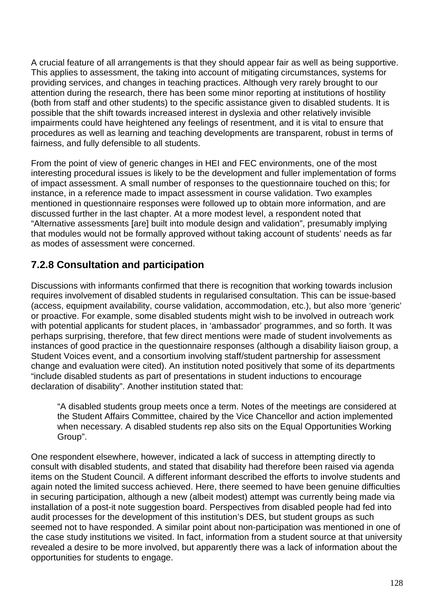A crucial feature of all arrangements is that they should appear fair as well as being supportive. This applies to assessment, the taking into account of mitigating circumstances, systems for providing services, and changes in teaching practices. Although very rarely brought to our attention during the research, there has been some minor reporting at institutions of hostility (both from staff and other students) to the specific assistance given to disabled students. It is possible that the shift towards increased interest in dyslexia and other relatively invisible impairments could have heightened any feelings of resentment, and it is vital to ensure that procedures as well as learning and teaching developments are transparent, robust in terms of fairness, and fully defensible to all students.

From the point of view of generic changes in HEI and FEC environments, one of the most interesting procedural issues is likely to be the development and fuller implementation of forms of impact assessment. A small number of responses to the questionnaire touched on this; for instance, in a reference made to impact assessment in course validation. Two examples mentioned in questionnaire responses were followed up to obtain more information, and are discussed further in the last chapter. At a more modest level, a respondent noted that "Alternative assessments [are] built into module design and validation", presumably implying that modules would not be formally approved without taking account of students' needs as far as modes of assessment were concerned.

### **7.2.8 Consultation and participation**

Discussions with informants confirmed that there is recognition that working towards inclusion requires involvement of disabled students in regularised consultation. This can be issue-based (access, equipment availability, course validation, accommodation, etc.), but also more 'generic' or proactive. For example, some disabled students might wish to be involved in outreach work with potential applicants for student places, in 'ambassador' programmes, and so forth. It was perhaps surprising, therefore, that few direct mentions were made of student involvements as instances of good practice in the questionnaire responses (although a disability liaison group, a Student Voices event, and a consortium involving staff/student partnership for assessment change and evaluation were cited). An institution noted positively that some of its departments "include disabled students as part of presentations in student inductions to encourage declaration of disability". Another institution stated that:

"A disabled students group meets once a term. Notes of the meetings are considered at the Student Affairs Committee, chaired by the Vice Chancellor and action implemented when necessary. A disabled students rep also sits on the Equal Opportunities Working Group".

One respondent elsewhere, however, indicated a lack of success in attempting directly to consult with disabled students, and stated that disability had therefore been raised via agenda items on the Student Council. A different informant described the efforts to involve students and again noted the limited success achieved. Here, there seemed to have been genuine difficulties in securing participation, although a new (albeit modest) attempt was currently being made via installation of a post-it note suggestion board. Perspectives from disabled people had fed into audit processes for the development of this institution's DES, but student groups as such seemed not to have responded. A similar point about non-participation was mentioned in one of the case study institutions we visited. In fact, information from a student source at that university revealed a desire to be more involved, but apparently there was a lack of information about the opportunities for students to engage.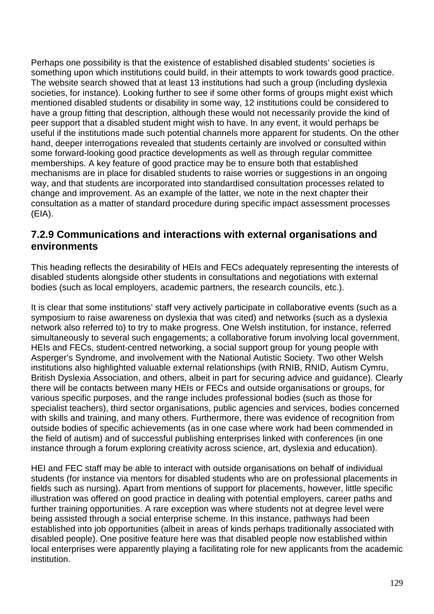Perhaps one possibility is that the existence of established disabled students' societies is something upon which institutions could build, in their attempts to work towards good practice. The website search showed that at least 13 institutions had such a group (including dyslexia societies, for instance). Looking further to see if some other forms of groups might exist which mentioned disabled students or disability in some way, 12 institutions could be considered to have a group fitting that description, although these would not necessarily provide the kind of peer support that a disabled student might wish to have. In any event, it would perhaps be useful if the institutions made such potential channels more apparent for students. On the other hand, deeper interrogations revealed that students certainly are involved or consulted within some forward-looking good practice developments as well as through regular committee memberships. A key feature of good practice may be to ensure both that established mechanisms are in place for disabled students to raise worries or suggestions in an ongoing way, and that students are incorporated into standardised consultation processes related to change and improvement. As an example of the latter, we note in the next chapter their consultation as a matter of standard procedure during specific impact assessment processes (EIA).

### **7.2.9 Communications and interactions with external organisations and environments**

This heading reflects the desirability of HEIs and FECs adequately representing the interests of disabled students alongside other students in consultations and negotiations with external bodies (such as local employers, academic partners, the research councils, etc.).

It is clear that some institutions' staff very actively participate in collaborative events (such as a symposium to raise awareness on dyslexia that was cited) and networks (such as a dyslexia network also referred to) to try to make progress. One Welsh institution, for instance, referred simultaneously to several such engagements; a collaborative forum involving local government, HEIs and FECs, student-centred networking, a social support group for young people with Asperger's Syndrome, and involvement with the National Autistic Society. Two other Welsh institutions also highlighted valuable external relationships (with RNIB, RNID, Autism Cymru, British Dyslexia Association, and others, albeit in part for securing advice and guidance). Clearly there will be contacts between many HEIs or FECs and outside organisations or groups, for various specific purposes, and the range includes professional bodies (such as those for specialist teachers), third sector organisations, public agencies and services, bodies concerned with skills and training, and many others. Furthermore, there was evidence of recognition from outside bodies of specific achievements (as in one case where work had been commended in the field of autism) and of successful publishing enterprises linked with conferences (in one instance through a forum exploring creativity across science, art, dyslexia and education).

HEI and FEC staff may be able to interact with outside organisations on behalf of individual students (for instance via mentors for disabled students who are on professional placements in fields such as nursing). Apart from mentions of support for placements, however, little specific illustration was offered on good practice in dealing with potential employers, career paths and further training opportunities. A rare exception was where students not at degree level were being assisted through a social enterprise scheme. In this instance, pathways had been established into job opportunities (albeit in areas of kinds perhaps traditionally associated with disabled people). One positive feature here was that disabled people now established within local enterprises were apparently playing a facilitating role for new applicants from the academic institution.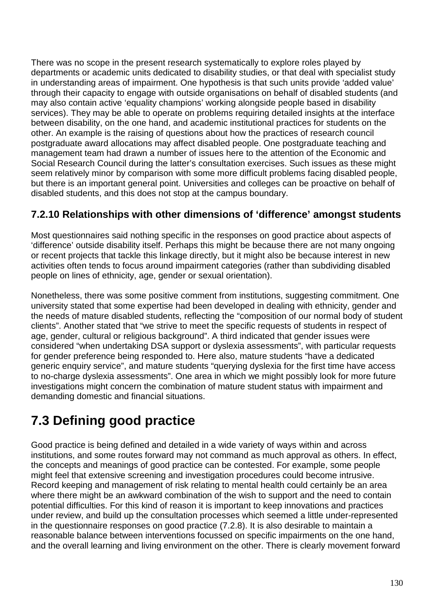There was no scope in the present research systematically to explore roles played by departments or academic units dedicated to disability studies, or that deal with specialist study in understanding areas of impairment. One hypothesis is that such units provide 'added value' through their capacity to engage with outside organisations on behalf of disabled students (and may also contain active 'equality champions' working alongside people based in disability services). They may be able to operate on problems requiring detailed insights at the interface between disability, on the one hand, and academic institutional practices for students on the other. An example is the raising of questions about how the practices of research council postgraduate award allocations may affect disabled people. One postgraduate teaching and management team had drawn a number of issues here to the attention of the Economic and Social Research Council during the latter's consultation exercises. Such issues as these might seem relatively minor by comparison with some more difficult problems facing disabled people. but there is an important general point. Universities and colleges can be proactive on behalf of disabled students, and this does not stop at the campus boundary.

### **7.2.10 Relationships with other dimensions of 'difference' amongst students**

Most questionnaires said nothing specific in the responses on good practice about aspects of 'difference' outside disability itself. Perhaps this might be because there are not many ongoing or recent projects that tackle this linkage directly, but it might also be because interest in new activities often tends to focus around impairment categories (rather than subdividing disabled people on lines of ethnicity, age, gender or sexual orientation).

Nonetheless, there was some positive comment from institutions, suggesting commitment. One university stated that some expertise had been developed in dealing with ethnicity, gender and the needs of mature disabled students, reflecting the "composition of our normal body of student clients". Another stated that "we strive to meet the specific requests of students in respect of age, gender, cultural or religious background". A third indicated that gender issues were considered "when undertaking DSA support or dyslexia assessments", with particular requests for gender preference being responded to. Here also, mature students "have a dedicated generic enquiry service", and mature students "querying dyslexia for the first time have access to no-charge dyslexia assessments". One area in which we might possibly look for more future investigations might concern the combination of mature student status with impairment and demanding domestic and financial situations.

# **7.3 Defining good practice**

Good practice is being defined and detailed in a wide variety of ways within and across institutions, and some routes forward may not command as much approval as others. In effect, the concepts and meanings of good practice can be contested. For example, some people might feel that extensive screening and investigation procedures could become intrusive. Record keeping and management of risk relating to mental health could certainly be an area where there might be an awkward combination of the wish to support and the need to contain potential difficulties. For this kind of reason it is important to keep innovations and practices under review, and build up the consultation processes which seemed a little under-represented in the questionnaire responses on good practice (7.2.8). It is also desirable to maintain a reasonable balance between interventions focussed on specific impairments on the one hand, and the overall learning and living environment on the other. There is clearly movement forward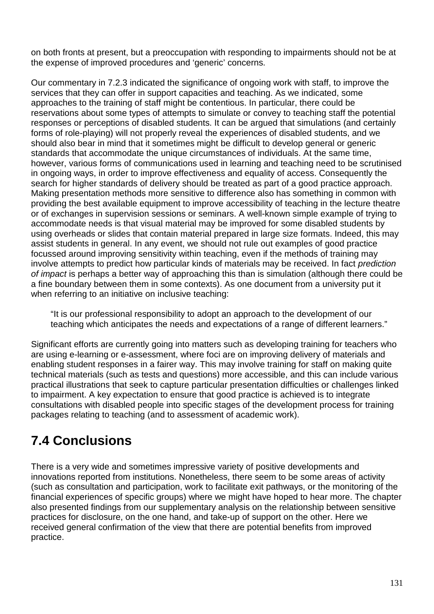on both fronts at present, but a preoccupation with responding to impairments should not be at the expense of improved procedures and 'generic' concerns.

Our commentary in 7.2.3 indicated the significance of ongoing work with staff, to improve the services that they can offer in support capacities and teaching. As we indicated, some approaches to the training of staff might be contentious. In particular, there could be reservations about some types of attempts to simulate or convey to teaching staff the potential responses or perceptions of disabled students. It can be argued that simulations (and certainly forms of role-playing) will not properly reveal the experiences of disabled students, and we should also bear in mind that it sometimes might be difficult to develop general or generic standards that accommodate the unique circumstances of individuals. At the same time, however, various forms of communications used in learning and teaching need to be scrutinised in ongoing ways, in order to improve effectiveness and equality of access. Consequently the search for higher standards of delivery should be treated as part of a good practice approach. Making presentation methods more sensitive to difference also has something in common with providing the best available equipment to improve accessibility of teaching in the lecture theatre or of exchanges in supervision sessions or seminars. A well-known simple example of trying to accommodate needs is that visual material may be improved for some disabled students by using overheads or slides that contain material prepared in large size formats. Indeed, this may assist students in general. In any event, we should not rule out examples of good practice focussed around improving sensitivity within teaching, even if the methods of training may involve attempts to predict how particular kinds of materials may be received. In fact prediction of impact is perhaps a better way of approaching this than is simulation (although there could be a fine boundary between them in some contexts). As one document from a university put it when referring to an initiative on inclusive teaching:

"It is our professional responsibility to adopt an approach to the development of our teaching which anticipates the needs and expectations of a range of different learners."

Significant efforts are currently going into matters such as developing training for teachers who are using e-learning or e-assessment, where foci are on improving delivery of materials and enabling student responses in a fairer way. This may involve training for staff on making quite technical materials (such as tests and questions) more accessible, and this can include various practical illustrations that seek to capture particular presentation difficulties or challenges linked to impairment. A key expectation to ensure that good practice is achieved is to integrate consultations with disabled people into specific stages of the development process for training packages relating to teaching (and to assessment of academic work).

## **7.4 Conclusions**

There is a very wide and sometimes impressive variety of positive developments and innovations reported from institutions. Nonetheless, there seem to be some areas of activity (such as consultation and participation, work to facilitate exit pathways, or the monitoring of the financial experiences of specific groups) where we might have hoped to hear more. The chapter also presented findings from our supplementary analysis on the relationship between sensitive practices for disclosure, on the one hand, and take-up of support on the other. Here we received general confirmation of the view that there are potential benefits from improved practice.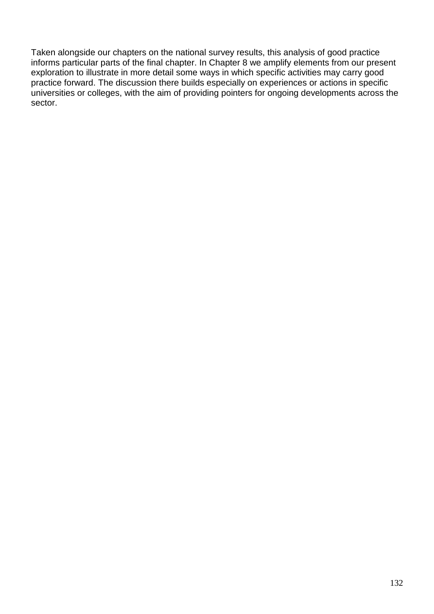Taken alongside our chapters on the national survey results, this analysis of good practice informs particular parts of the final chapter. In Chapter 8 we amplify elements from our present exploration to illustrate in more detail some ways in which specific activities may carry good practice forward. The discussion there builds especially on experiences or actions in specific universities or colleges, with the aim of providing pointers for ongoing developments across the sector.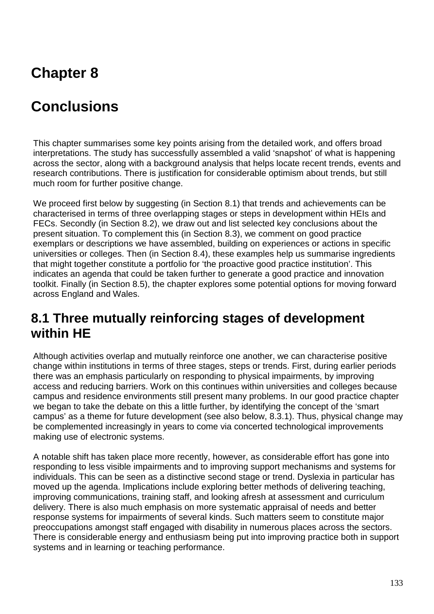# **Chapter 8**

# **Conclusions**

This chapter summarises some key points arising from the detailed work, and offers broad interpretations. The study has successfully assembled a valid 'snapshot' of what is happening across the sector, along with a background analysis that helps locate recent trends, events and research contributions. There is justification for considerable optimism about trends, but still much room for further positive change.

We proceed first below by suggesting (in Section 8.1) that trends and achievements can be characterised in terms of three overlapping stages or steps in development within HEIs and FECs. Secondly (in Section 8.2), we draw out and list selected key conclusions about the present situation. To complement this (in Section 8.3), we comment on good practice exemplars or descriptions we have assembled, building on experiences or actions in specific universities or colleges. Then (in Section 8.4), these examples help us summarise ingredients that might together constitute a portfolio for 'the proactive good practice institution'. This indicates an agenda that could be taken further to generate a good practice and innovation toolkit. Finally (in Section 8.5), the chapter explores some potential options for moving forward across England and Wales.

### **8.1 Three mutually reinforcing stages of development within HE**

Although activities overlap and mutually reinforce one another, we can characterise positive change within institutions in terms of three stages, steps or trends. First, during earlier periods there was an emphasis particularly on responding to physical impairments, by improving access and reducing barriers. Work on this continues within universities and colleges because campus and residence environments still present many problems. In our good practice chapter we began to take the debate on this a little further, by identifying the concept of the 'smart campus' as a theme for future development (see also below, 8.3.1). Thus, physical change may be complemented increasingly in years to come via concerted technological improvements making use of electronic systems.

A notable shift has taken place more recently, however, as considerable effort has gone into responding to less visible impairments and to improving support mechanisms and systems for individuals. This can be seen as a distinctive second stage or trend. Dyslexia in particular has moved up the agenda. Implications include exploring better methods of delivering teaching, improving communications, training staff, and looking afresh at assessment and curriculum delivery. There is also much emphasis on more systematic appraisal of needs and better response systems for impairments of several kinds. Such matters seem to constitute major preoccupations amongst staff engaged with disability in numerous places across the sectors. There is considerable energy and enthusiasm being put into improving practice both in support systems and in learning or teaching performance.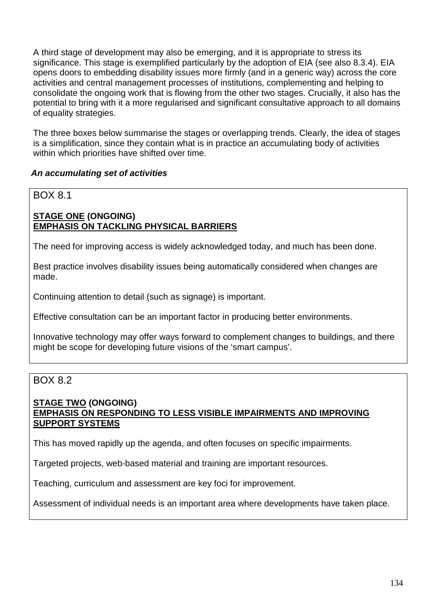A third stage of development may also be emerging, and it is appropriate to stress its significance. This stage is exemplified particularly by the adoption of EIA (see also 8.3.4). EIA opens doors to embedding disability issues more firmly (and in a generic way) across the core activities and central management processes of institutions, complementing and helping to consolidate the ongoing work that is flowing from the other two stages. Crucially, it also has the potential to bring with it a more regularised and significant consultative approach to all domains of equality strategies.

The three boxes below summarise the stages or overlapping trends. Clearly, the idea of stages is a simplification, since they contain what is in practice an accumulating body of activities within which priorities have shifted over time.

#### **An accumulating set of activities**

### BOX 8.1

### **STAGE ONE (ONGOING) EMPHASIS ON TACKLING PHYSICAL BARRIERS**

The need for improving access is widely acknowledged today, and much has been done.

Best practice involves disability issues being automatically considered when changes are made.

Continuing attention to detail (such as signage) is important.

Effective consultation can be an important factor in producing better environments.

Innovative technology may offer ways forward to complement changes to buildings, and there might be scope for developing future visions of the 'smart campus'.

### BOX 8.2

#### **STAGE TWO (ONGOING) EMPHASIS ON RESPONDING TO LESS VISIBLE IMPAIRMENTS AND IMPROVING SUPPORT SYSTEMS**

This has moved rapidly up the agenda, and often focuses on specific impairments.

Targeted projects, web-based material and training are important resources.

Teaching, curriculum and assessment are key foci for improvement.

Assessment of individual needs is an important area where developments have taken place.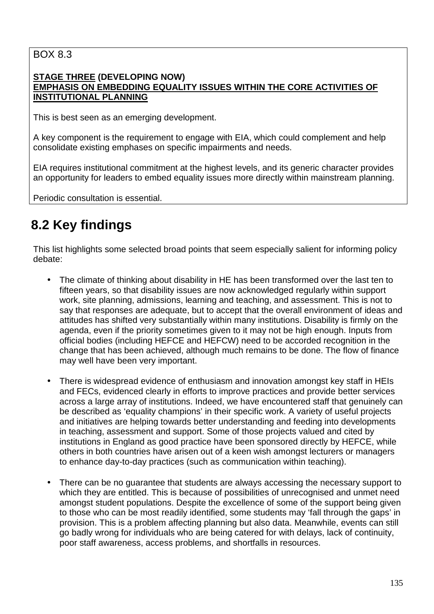### BOX 8.3

#### **STAGE THREE (DEVELOPING NOW) EMPHASIS ON EMBEDDING EQUALITY ISSUES WITHIN THE CORE ACTIVITIES OF INSTITUTIONAL PLANNING**

This is best seen as an emerging development.

A key component is the requirement to engage with EIA, which could complement and help consolidate existing emphases on specific impairments and needs.

EIA requires institutional commitment at the highest levels, and its generic character provides an opportunity for leaders to embed equality issues more directly within mainstream planning.

Periodic consultation is essential.

## **8.2 Key findings**

This list highlights some selected broad points that seem especially salient for informing policy debate:

- The climate of thinking about disability in HE has been transformed over the last ten to fifteen years, so that disability issues are now acknowledged regularly within support work, site planning, admissions, learning and teaching, and assessment. This is not to say that responses are adequate, but to accept that the overall environment of ideas and attitudes has shifted very substantially within many institutions. Disability is firmly on the agenda, even if the priority sometimes given to it may not be high enough. Inputs from official bodies (including HEFCE and HEFCW) need to be accorded recognition in the change that has been achieved, although much remains to be done. The flow of finance may well have been very important.
- There is widespread evidence of enthusiasm and innovation amongst key staff in HEIs and FECs, evidenced clearly in efforts to improve practices and provide better services across a large array of institutions. Indeed, we have encountered staff that genuinely can be described as 'equality champions' in their specific work. A variety of useful projects and initiatives are helping towards better understanding and feeding into developments in teaching, assessment and support. Some of those projects valued and cited by institutions in England as good practice have been sponsored directly by HEFCE, while others in both countries have arisen out of a keen wish amongst lecturers or managers to enhance day-to-day practices (such as communication within teaching).
- There can be no guarantee that students are always accessing the necessary support to which they are entitled. This is because of possibilities of unrecognised and unmet need amongst student populations. Despite the excellence of some of the support being given to those who can be most readily identified, some students may 'fall through the gaps' in provision. This is a problem affecting planning but also data. Meanwhile, events can still go badly wrong for individuals who are being catered for with delays, lack of continuity, poor staff awareness, access problems, and shortfalls in resources.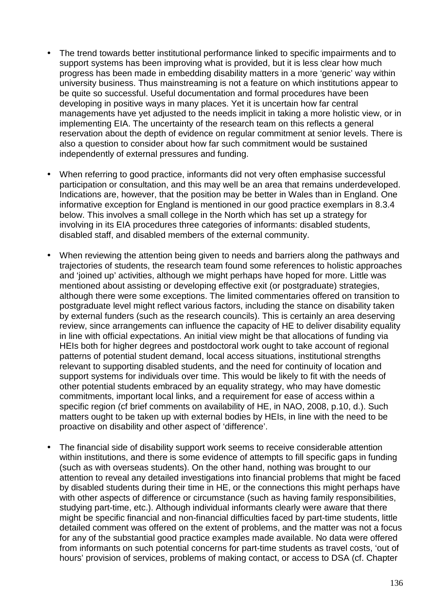- The trend towards better institutional performance linked to specific impairments and to support systems has been improving what is provided, but it is less clear how much progress has been made in embedding disability matters in a more 'generic' way within university business. Thus mainstreaming is not a feature on which institutions appear to be quite so successful. Useful documentation and formal procedures have been developing in positive ways in many places. Yet it is uncertain how far central managements have yet adjusted to the needs implicit in taking a more holistic view, or in implementing EIA. The uncertainty of the research team on this reflects a general reservation about the depth of evidence on regular commitment at senior levels. There is also a question to consider about how far such commitment would be sustained independently of external pressures and funding.
- When referring to good practice, informants did not very often emphasise successful participation or consultation, and this may well be an area that remains underdeveloped. Indications are, however, that the position may be better in Wales than in England. One informative exception for England is mentioned in our good practice exemplars in 8.3.4 below. This involves a small college in the North which has set up a strategy for involving in its EIA procedures three categories of informants: disabled students, disabled staff, and disabled members of the external community.
- When reviewing the attention being given to needs and barriers along the pathways and trajectories of students, the research team found some references to holistic approaches and 'joined up' activities, although we might perhaps have hoped for more. Little was mentioned about assisting or developing effective exit (or postgraduate) strategies, although there were some exceptions. The limited commentaries offered on transition to postgraduate level might reflect various factors, including the stance on disability taken by external funders (such as the research councils). This is certainly an area deserving review, since arrangements can influence the capacity of HE to deliver disability equality in line with official expectations. An initial view might be that allocations of funding via HEIs both for higher degrees and postdoctoral work ought to take account of regional patterns of potential student demand, local access situations, institutional strengths relevant to supporting disabled students, and the need for continuity of location and support systems for individuals over time. This would be likely to fit with the needs of other potential students embraced by an equality strategy, who may have domestic commitments, important local links, and a requirement for ease of access within a specific region (cf brief comments on availability of HE, in NAO, 2008, p.10, d.). Such matters ought to be taken up with external bodies by HEIs, in line with the need to be proactive on disability and other aspect of 'difference'.
- The financial side of disability support work seems to receive considerable attention within institutions, and there is some evidence of attempts to fill specific gaps in funding (such as with overseas students). On the other hand, nothing was brought to our attention to reveal any detailed investigations into financial problems that might be faced by disabled students during their time in HE, or the connections this might perhaps have with other aspects of difference or circumstance (such as having family responsibilities, studying part-time, etc.). Although individual informants clearly were aware that there might be specific financial and non-financial difficulties faced by part-time students, little detailed comment was offered on the extent of problems, and the matter was not a focus for any of the substantial good practice examples made available. No data were offered from informants on such potential concerns for part-time students as travel costs, 'out of hours' provision of services, problems of making contact, or access to DSA (cf. Chapter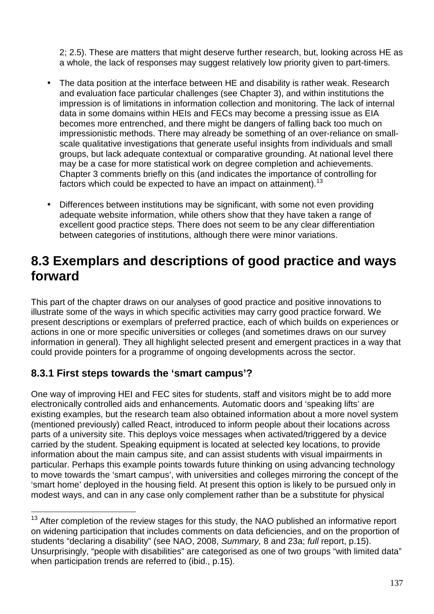2; 2.5). These are matters that might deserve further research, but, looking across HE as a whole, the lack of responses may suggest relatively low priority given to part-timers.

- The data position at the interface between HE and disability is rather weak. Research and evaluation face particular challenges (see Chapter 3), and within institutions the impression is of limitations in information collection and monitoring. The lack of internal data in some domains within HEIs and FECs may become a pressing issue as EIA becomes more entrenched, and there might be dangers of falling back too much on impressionistic methods. There may already be something of an over-reliance on smallscale qualitative investigations that generate useful insights from individuals and small groups, but lack adequate contextual or comparative grounding. At national level there may be a case for more statistical work on degree completion and achievements. Chapter 3 comments briefly on this (and indicates the importance of controlling for factors which could be expected to have an impact on attainment).  $^{13}$
- Differences between institutions may be significant, with some not even providing adequate website information, while others show that they have taken a range of excellent good practice steps. There does not seem to be any clear differentiation between categories of institutions, although there were minor variations.

### **8.3 Exemplars and descriptions of good practice and ways forward**

This part of the chapter draws on our analyses of good practice and positive innovations to illustrate some of the ways in which specific activities may carry good practice forward. We present descriptions or exemplars of preferred practice, each of which builds on experiences or actions in one or more specific universities or colleges (and sometimes draws on our survey information in general). They all highlight selected present and emergent practices in a way that could provide pointers for a programme of ongoing developments across the sector.

### **8.3.1 First steps towards the 'smart campus'?**

 $\overline{a}$ 

One way of improving HEI and FEC sites for students, staff and visitors might be to add more electronically controlled aids and enhancements. Automatic doors and 'speaking lifts' are existing examples, but the research team also obtained information about a more novel system (mentioned previously) called React, introduced to inform people about their locations across parts of a university site. This deploys voice messages when activated/triggered by a device carried by the student. Speaking equipment is located at selected key locations, to provide information about the main campus site, and can assist students with visual impairments in particular. Perhaps this example points towards future thinking on using advancing technology to move towards the 'smart campus', with universities and colleges mirroring the concept of the 'smart home' deployed in the housing field. At present this option is likely to be pursued only in modest ways, and can in any case only complement rather than be a substitute for physical

 $13$  After completion of the review stages for this study, the NAO published an informative report on widening participation that includes comments on data deficiencies, and on the proportion of students "declaring a disability" (see NAO, 2008, Summary, 8 and 23a; full report, p.15). Unsurprisingly, "people with disabilities" are categorised as one of two groups "with limited data" when participation trends are referred to (ibid., p.15).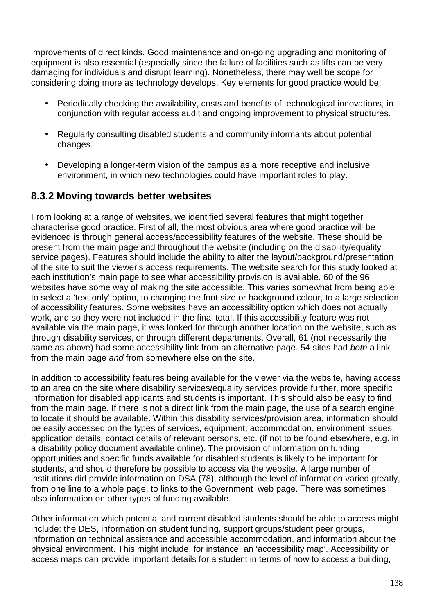improvements of direct kinds. Good maintenance and on-going upgrading and monitoring of equipment is also essential (especially since the failure of facilities such as lifts can be very damaging for individuals and disrupt learning). Nonetheless, there may well be scope for considering doing more as technology develops. Key elements for good practice would be:

- Periodically checking the availability, costs and benefits of technological innovations, in conjunction with regular access audit and ongoing improvement to physical structures.
- Regularly consulting disabled students and community informants about potential changes.
- Developing a longer-term vision of the campus as a more receptive and inclusive environment, in which new technologies could have important roles to play.

### **8.3.2 Moving towards better websites**

From looking at a range of websites, we identified several features that might together characterise good practice. First of all, the most obvious area where good practice will be evidenced is through general access/accessibility features of the website. These should be present from the main page and throughout the website (including on the disability/equality service pages). Features should include the ability to alter the layout/background/presentation of the site to suit the viewer's access requirements. The website search for this study looked at each institution's main page to see what accessibility provision is available. 60 of the 96 websites have some way of making the site accessible. This varies somewhat from being able to select a 'text only' option, to changing the font size or background colour, to a large selection of accessibility features. Some websites have an accessibility option which does not actually work, and so they were not included in the final total. If this accessibility feature was not available via the main page, it was looked for through another location on the website, such as through disability services, or through different departments. Overall, 61 (not necessarily the same as above) had some accessibility link from an alternative page. 54 sites had both a link from the main page and from somewhere else on the site.

In addition to accessibility features being available for the viewer via the website, having access to an area on the site where disability services/equality services provide further, more specific information for disabled applicants and students is important. This should also be easy to find from the main page. If there is not a direct link from the main page, the use of a search engine to locate it should be available. Within this disability services/provision area, information should be easily accessed on the types of services, equipment, accommodation, environment issues, application details, contact details of relevant persons, etc. (if not to be found elsewhere, e.g. in a disability policy document available online). The provision of information on funding opportunities and specific funds available for disabled students is likely to be important for students, and should therefore be possible to access via the website. A large number of institutions did provide information on DSA (78), although the level of information varied greatly, from one line to a whole page, to links to the Government web page. There was sometimes also information on other types of funding available.

Other information which potential and current disabled students should be able to access might include: the DES, information on student funding, support groups/student peer groups, information on technical assistance and accessible accommodation, and information about the physical environment. This might include, for instance, an 'accessibility map'. Accessibility or access maps can provide important details for a student in terms of how to access a building,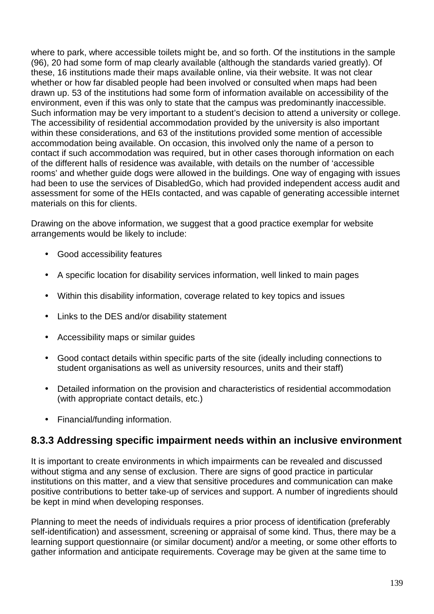where to park, where accessible toilets might be, and so forth. Of the institutions in the sample (96), 20 had some form of map clearly available (although the standards varied greatly). Of these, 16 institutions made their maps available online, via their website. It was not clear whether or how far disabled people had been involved or consulted when maps had been drawn up. 53 of the institutions had some form of information available on accessibility of the environment, even if this was only to state that the campus was predominantly inaccessible. Such information may be very important to a student's decision to attend a university or college. The accessibility of residential accommodation provided by the university is also important within these considerations, and 63 of the institutions provided some mention of accessible accommodation being available. On occasion, this involved only the name of a person to contact if such accommodation was required, but in other cases thorough information on each of the different halls of residence was available, with details on the number of 'accessible rooms' and whether guide dogs were allowed in the buildings. One way of engaging with issues had been to use the services of DisabledGo, which had provided independent access audit and assessment for some of the HEIs contacted, and was capable of generating accessible internet materials on this for clients.

Drawing on the above information, we suggest that a good practice exemplar for website arrangements would be likely to include:

- Good accessibility features
- A specific location for disability services information, well linked to main pages
- Within this disability information, coverage related to key topics and issues
- Links to the DES and/or disability statement
- Accessibility maps or similar guides
- Good contact details within specific parts of the site (ideally including connections to student organisations as well as university resources, units and their staff)
- Detailed information on the provision and characteristics of residential accommodation (with appropriate contact details, etc.)
- Financial/funding information.

### **8.3.3 Addressing specific impairment needs within an inclusive environment**

It is important to create environments in which impairments can be revealed and discussed without stigma and any sense of exclusion. There are signs of good practice in particular institutions on this matter, and a view that sensitive procedures and communication can make positive contributions to better take-up of services and support. A number of ingredients should be kept in mind when developing responses.

Planning to meet the needs of individuals requires a prior process of identification (preferably self-identification) and assessment, screening or appraisal of some kind. Thus, there may be a learning support questionnaire (or similar document) and/or a meeting, or some other efforts to gather information and anticipate requirements. Coverage may be given at the same time to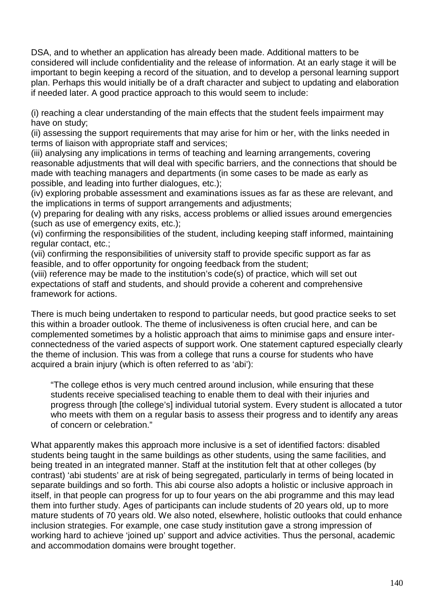DSA, and to whether an application has already been made. Additional matters to be considered will include confidentiality and the release of information. At an early stage it will be important to begin keeping a record of the situation, and to develop a personal learning support plan. Perhaps this would initially be of a draft character and subject to updating and elaboration if needed later. A good practice approach to this would seem to include:

(i) reaching a clear understanding of the main effects that the student feels impairment may have on study;

(ii) assessing the support requirements that may arise for him or her, with the links needed in terms of liaison with appropriate staff and services;

(iii) analysing any implications in terms of teaching and learning arrangements, covering reasonable adjustments that will deal with specific barriers, and the connections that should be made with teaching managers and departments (in some cases to be made as early as possible, and leading into further dialogues, etc.);

(iv) exploring probable assessment and examinations issues as far as these are relevant, and the implications in terms of support arrangements and adjustments;

(v) preparing for dealing with any risks, access problems or allied issues around emergencies (such as use of emergency exits, etc.);

(vi) confirming the responsibilities of the student, including keeping staff informed, maintaining regular contact, etc.;

(vii) confirming the responsibilities of university staff to provide specific support as far as feasible, and to offer opportunity for ongoing feedback from the student;

(viii) reference may be made to the institution's code(s) of practice, which will set out expectations of staff and students, and should provide a coherent and comprehensive framework for actions.

There is much being undertaken to respond to particular needs, but good practice seeks to set this within a broader outlook. The theme of inclusiveness is often crucial here, and can be complemented sometimes by a holistic approach that aims to minimise gaps and ensure interconnectedness of the varied aspects of support work. One statement captured especially clearly the theme of inclusion. This was from a college that runs a course for students who have acquired a brain injury (which is often referred to as 'abi'):

"The college ethos is very much centred around inclusion, while ensuring that these students receive specialised teaching to enable them to deal with their injuries and progress through [the college's] individual tutorial system. Every student is allocated a tutor who meets with them on a regular basis to assess their progress and to identify any areas of concern or celebration."

What apparently makes this approach more inclusive is a set of identified factors: disabled students being taught in the same buildings as other students, using the same facilities, and being treated in an integrated manner. Staff at the institution felt that at other colleges (by contrast) 'abi students' are at risk of being segregated, particularly in terms of being located in separate buildings and so forth. This abi course also adopts a holistic or inclusive approach in itself, in that people can progress for up to four years on the abi programme and this may lead them into further study. Ages of participants can include students of 20 years old, up to more mature students of 70 years old. We also noted, elsewhere, holistic outlooks that could enhance inclusion strategies. For example, one case study institution gave a strong impression of working hard to achieve 'joined up' support and advice activities. Thus the personal, academic and accommodation domains were brought together.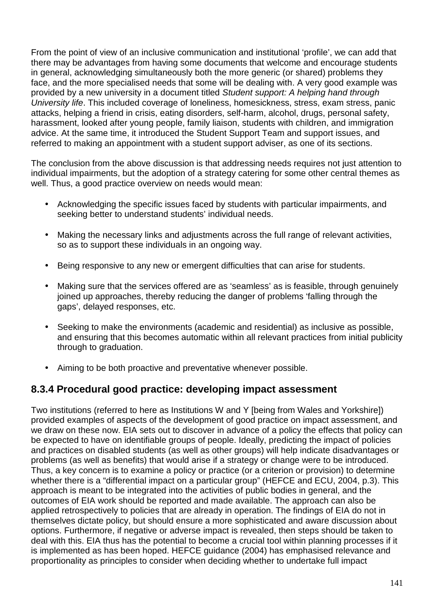From the point of view of an inclusive communication and institutional 'profile', we can add that there may be advantages from having some documents that welcome and encourage students in general, acknowledging simultaneously both the more generic (or shared) problems they face, and the more specialised needs that some will be dealing with. A very good example was provided by a new university in a document titled Student support: A helping hand through University life. This included coverage of loneliness, homesickness, stress, exam stress, panic attacks, helping a friend in crisis, eating disorders, self-harm, alcohol, drugs, personal safety, harassment, looked after young people, family liaison, students with children, and immigration advice. At the same time, it introduced the Student Support Team and support issues, and referred to making an appointment with a student support adviser, as one of its sections.

The conclusion from the above discussion is that addressing needs requires not just attention to individual impairments, but the adoption of a strategy catering for some other central themes as well. Thus, a good practice overview on needs would mean:

- Acknowledging the specific issues faced by students with particular impairments, and seeking better to understand students' individual needs.
- Making the necessary links and adjustments across the full range of relevant activities, so as to support these individuals in an ongoing way.
- Being responsive to any new or emergent difficulties that can arise for students.
- Making sure that the services offered are as 'seamless' as is feasible, through genuinely joined up approaches, thereby reducing the danger of problems 'falling through the gaps', delayed responses, etc.
- Seeking to make the environments (academic and residential) as inclusive as possible, and ensuring that this becomes automatic within all relevant practices from initial publicity through to graduation.
- Aiming to be both proactive and preventative whenever possible.

### **8.3.4 Procedural good practice: developing impact assessment**

Two institutions (referred to here as Institutions W and Y [being from Wales and Yorkshire]) provided examples of aspects of the development of good practice on impact assessment, and we draw on these now. EIA sets out to discover in advance of a policy the effects that policy can be expected to have on identifiable groups of people. Ideally, predicting the impact of policies and practices on disabled students (as well as other groups) will help indicate disadvantages or problems (as well as benefits) that would arise if a strategy or change were to be introduced. Thus, a key concern is to examine a policy or practice (or a criterion or provision) to determine whether there is a "differential impact on a particular group" (HEFCE and ECU, 2004, p.3). This approach is meant to be integrated into the activities of public bodies in general, and the outcomes of EIA work should be reported and made available. The approach can also be applied retrospectively to policies that are already in operation. The findings of EIA do not in themselves dictate policy, but should ensure a more sophisticated and aware discussion about options. Furthermore, if negative or adverse impact is revealed, then steps should be taken to deal with this. EIA thus has the potential to become a crucial tool within planning processes if it is implemented as has been hoped. HEFCE guidance (2004) has emphasised relevance and proportionality as principles to consider when deciding whether to undertake full impact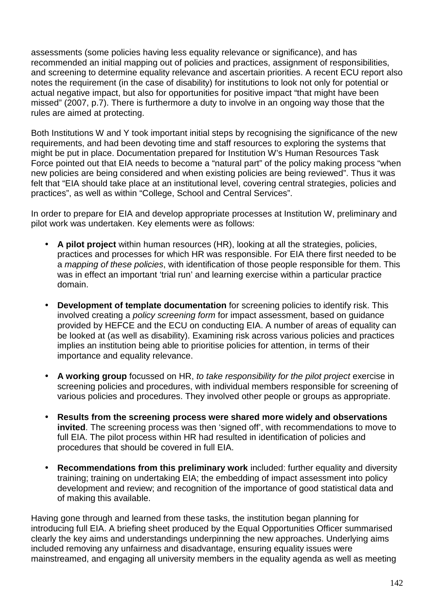assessments (some policies having less equality relevance or significance), and has recommended an initial mapping out of policies and practices, assignment of responsibilities, and screening to determine equality relevance and ascertain priorities. A recent ECU report also notes the requirement (in the case of disability) for institutions to look not only for potential or actual negative impact, but also for opportunities for positive impact "that might have been missed" (2007, p.7). There is furthermore a duty to involve in an ongoing way those that the rules are aimed at protecting.

Both Institutions W and Y took important initial steps by recognising the significance of the new requirements, and had been devoting time and staff resources to exploring the systems that might be put in place. Documentation prepared for Institution W's Human Resources Task Force pointed out that EIA needs to become a "natural part" of the policy making process "when new policies are being considered and when existing policies are being reviewed". Thus it was felt that "EIA should take place at an institutional level, covering central strategies, policies and practices", as well as within "College, School and Central Services".

In order to prepare for EIA and develop appropriate processes at Institution W, preliminary and pilot work was undertaken. Key elements were as follows:

- **A pilot project** within human resources (HR), looking at all the strategies, policies, practices and processes for which HR was responsible. For EIA there first needed to be a mapping of these policies, with identification of those people responsible for them. This was in effect an important 'trial run' and learning exercise within a particular practice domain.
- **Development of template documentation** for screening policies to identify risk. This involved creating a policy screening form for impact assessment, based on guidance provided by HEFCE and the ECU on conducting EIA. A number of areas of equality can be looked at (as well as disability). Examining risk across various policies and practices implies an institution being able to prioritise policies for attention, in terms of their importance and equality relevance.
- **A working group** focussed on HR, to take responsibility for the pilot project exercise in screening policies and procedures, with individual members responsible for screening of various policies and procedures. They involved other people or groups as appropriate.
- **Results from the screening process were shared more widely and observations invited**. The screening process was then 'signed off', with recommendations to move to full EIA. The pilot process within HR had resulted in identification of policies and procedures that should be covered in full EIA.
- **Recommendations from this preliminary work** included: further equality and diversity training; training on undertaking EIA; the embedding of impact assessment into policy development and review; and recognition of the importance of good statistical data and of making this available.

Having gone through and learned from these tasks, the institution began planning for introducing full EIA. A briefing sheet produced by the Equal Opportunities Officer summarised clearly the key aims and understandings underpinning the new approaches. Underlying aims included removing any unfairness and disadvantage, ensuring equality issues were mainstreamed, and engaging all university members in the equality agenda as well as meeting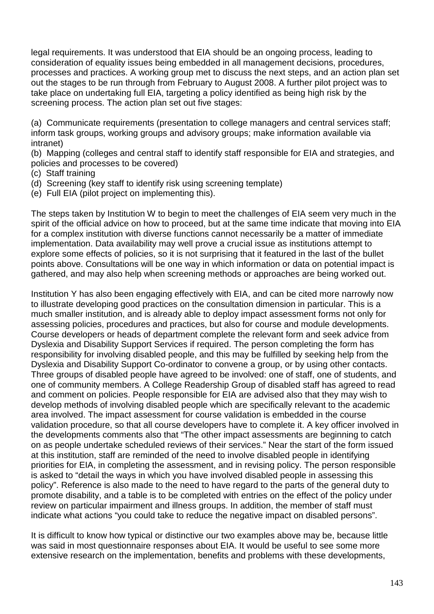legal requirements. It was understood that EIA should be an ongoing process, leading to consideration of equality issues being embedded in all management decisions, procedures, processes and practices. A working group met to discuss the next steps, and an action plan set out the stages to be run through from February to August 2008. A further pilot project was to take place on undertaking full EIA, targeting a policy identified as being high risk by the screening process. The action plan set out five stages:

(a) Communicate requirements (presentation to college managers and central services staff; inform task groups, working groups and advisory groups; make information available via intranet)

(b) Mapping (colleges and central staff to identify staff responsible for EIA and strategies, and policies and processes to be covered)

- (c) Staff training
- (d) Screening (key staff to identify risk using screening template)
- (e) Full EIA (pilot project on implementing this).

The steps taken by Institution W to begin to meet the challenges of EIA seem very much in the spirit of the official advice on how to proceed, but at the same time indicate that moving into EIA for a complex institution with diverse functions cannot necessarily be a matter of immediate implementation. Data availability may well prove a crucial issue as institutions attempt to explore some effects of policies, so it is not surprising that it featured in the last of the bullet points above. Consultations will be one way in which information or data on potential impact is gathered, and may also help when screening methods or approaches are being worked out.

Institution Y has also been engaging effectively with EIA, and can be cited more narrowly now to illustrate developing good practices on the consultation dimension in particular. This is a much smaller institution, and is already able to deploy impact assessment forms not only for assessing policies, procedures and practices, but also for course and module developments. Course developers or heads of department complete the relevant form and seek advice from Dyslexia and Disability Support Services if required. The person completing the form has responsibility for involving disabled people, and this may be fulfilled by seeking help from the Dyslexia and Disability Support Co-ordinator to convene a group, or by using other contacts. Three groups of disabled people have agreed to be involved: one of staff, one of students, and one of community members. A College Readership Group of disabled staff has agreed to read and comment on policies. People responsible for EIA are advised also that they may wish to develop methods of involving disabled people which are specifically relevant to the academic area involved. The impact assessment for course validation is embedded in the course validation procedure, so that all course developers have to complete it. A key officer involved in the developments comments also that "The other impact assessments are beginning to catch on as people undertake scheduled reviews of their services." Near the start of the form issued at this institution, staff are reminded of the need to involve disabled people in identifying priorities for EIA, in completing the assessment, and in revising policy. The person responsible is asked to "detail the ways in which you have involved disabled people in assessing this policy". Reference is also made to the need to have regard to the parts of the general duty to promote disability, and a table is to be completed with entries on the effect of the policy under review on particular impairment and illness groups. In addition, the member of staff must indicate what actions "you could take to reduce the negative impact on disabled persons".

It is difficult to know how typical or distinctive our two examples above may be, because little was said in most questionnaire responses about EIA. It would be useful to see some more extensive research on the implementation, benefits and problems with these developments,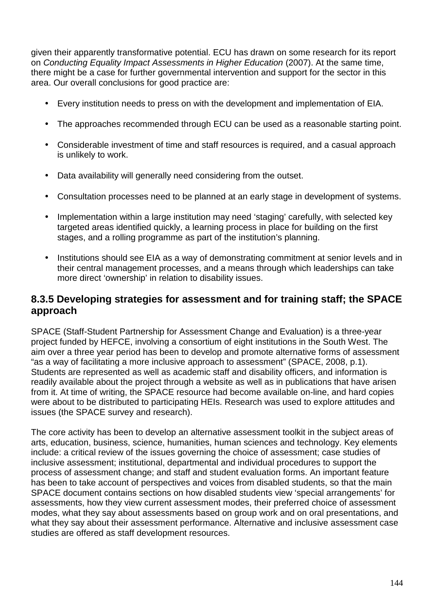given their apparently transformative potential. ECU has drawn on some research for its report on Conducting Equality Impact Assessments in Higher Education (2007). At the same time, there might be a case for further governmental intervention and support for the sector in this area. Our overall conclusions for good practice are:

- Every institution needs to press on with the development and implementation of EIA.
- The approaches recommended through ECU can be used as a reasonable starting point.
- Considerable investment of time and staff resources is required, and a casual approach is unlikely to work.
- Data availability will generally need considering from the outset.
- Consultation processes need to be planned at an early stage in development of systems.
- Implementation within a large institution may need 'staging' carefully, with selected key targeted areas identified quickly, a learning process in place for building on the first stages, and a rolling programme as part of the institution's planning.
- Institutions should see EIA as a way of demonstrating commitment at senior levels and in their central management processes, and a means through which leaderships can take more direct 'ownership' in relation to disability issues.

### **8.3.5 Developing strategies for assessment and for training staff; the SPACE approach**

SPACE (Staff-Student Partnership for Assessment Change and Evaluation) is a three-year project funded by HEFCE, involving a consortium of eight institutions in the South West. The aim over a three year period has been to develop and promote alternative forms of assessment "as a way of facilitating a more inclusive approach to assessment" (SPACE, 2008, p.1). Students are represented as well as academic staff and disability officers, and information is readily available about the project through a website as well as in publications that have arisen from it. At time of writing, the SPACE resource had become available on-line, and hard copies were about to be distributed to participating HEIs. Research was used to explore attitudes and issues (the SPACE survey and research).

The core activity has been to develop an alternative assessment toolkit in the subject areas of arts, education, business, science, humanities, human sciences and technology. Key elements include: a critical review of the issues governing the choice of assessment; case studies of inclusive assessment; institutional, departmental and individual procedures to support the process of assessment change; and staff and student evaluation forms. An important feature has been to take account of perspectives and voices from disabled students, so that the main SPACE document contains sections on how disabled students view 'special arrangements' for assessments, how they view current assessment modes, their preferred choice of assessment modes, what they say about assessments based on group work and on oral presentations, and what they say about their assessment performance. Alternative and inclusive assessment case studies are offered as staff development resources.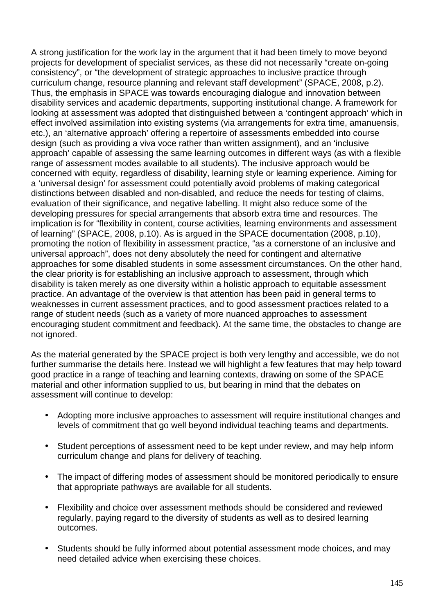A strong justification for the work lay in the argument that it had been timely to move beyond projects for development of specialist services, as these did not necessarily "create on-going consistency", or "the development of strategic approaches to inclusive practice through curriculum change, resource planning and relevant staff development" (SPACE, 2008, p.2). Thus, the emphasis in SPACE was towards encouraging dialogue and innovation between disability services and academic departments, supporting institutional change. A framework for looking at assessment was adopted that distinguished between a 'contingent approach' which in effect involved assimilation into existing systems (via arrangements for extra time, amanuensis, etc.), an 'alternative approach' offering a repertoire of assessments embedded into course design (such as providing a viva voce rather than written assignment), and an 'inclusive approach' capable of assessing the same learning outcomes in different ways (as with a flexible range of assessment modes available to all students). The inclusive approach would be concerned with equity, regardless of disability, learning style or learning experience. Aiming for a 'universal design' for assessment could potentially avoid problems of making categorical distinctions between disabled and non-disabled, and reduce the needs for testing of claims, evaluation of their significance, and negative labelling. It might also reduce some of the developing pressures for special arrangements that absorb extra time and resources. The implication is for "flexibility in content, course activities, learning environments and assessment of learning" (SPACE, 2008, p.10). As is argued in the SPACE documentation (2008, p.10), promoting the notion of flexibility in assessment practice, "as a cornerstone of an inclusive and universal approach", does not deny absolutely the need for contingent and alternative approaches for some disabled students in some assessment circumstances. On the other hand, the clear priority is for establishing an inclusive approach to assessment, through which disability is taken merely as one diversity within a holistic approach to equitable assessment practice. An advantage of the overview is that attention has been paid in general terms to weaknesses in current assessment practices, and to good assessment practices related to a range of student needs (such as a variety of more nuanced approaches to assessment encouraging student commitment and feedback). At the same time, the obstacles to change are not ignored.

As the material generated by the SPACE project is both very lengthy and accessible, we do not further summarise the details here. Instead we will highlight a few features that may help toward good practice in a range of teaching and learning contexts, drawing on some of the SPACE material and other information supplied to us, but bearing in mind that the debates on assessment will continue to develop:

- Adopting more inclusive approaches to assessment will require institutional changes and levels of commitment that go well beyond individual teaching teams and departments.
- Student perceptions of assessment need to be kept under review, and may help inform curriculum change and plans for delivery of teaching.
- The impact of differing modes of assessment should be monitored periodically to ensure that appropriate pathways are available for all students.
- Flexibility and choice over assessment methods should be considered and reviewed regularly, paying regard to the diversity of students as well as to desired learning outcomes.
- Students should be fully informed about potential assessment mode choices, and may need detailed advice when exercising these choices.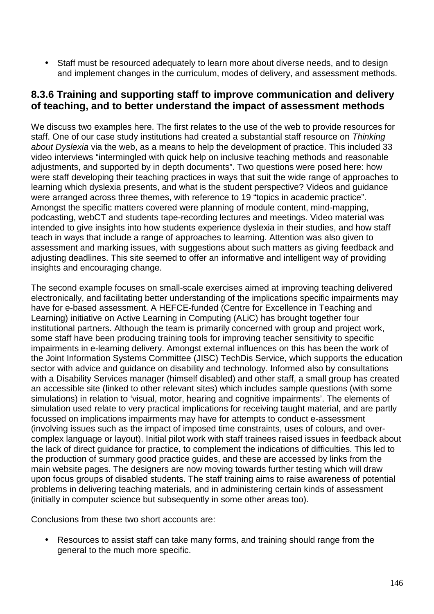• Staff must be resourced adequately to learn more about diverse needs, and to design and implement changes in the curriculum, modes of delivery, and assessment methods.

### **8.3.6 Training and supporting staff to improve communication and delivery of teaching, and to better understand the impact of assessment methods**

We discuss two examples here. The first relates to the use of the web to provide resources for staff. One of our case study institutions had created a substantial staff resource on Thinking about Dyslexia via the web, as a means to help the development of practice. This included 33 video interviews "intermingled with quick help on inclusive teaching methods and reasonable adjustments, and supported by in depth documents". Two questions were posed here: how were staff developing their teaching practices in ways that suit the wide range of approaches to learning which dyslexia presents, and what is the student perspective? Videos and guidance were arranged across three themes, with reference to 19 "topics in academic practice". Amongst the specific matters covered were planning of module content, mind-mapping, podcasting, webCT and students tape-recording lectures and meetings. Video material was intended to give insights into how students experience dyslexia in their studies, and how staff teach in ways that include a range of approaches to learning. Attention was also given to assessment and marking issues, with suggestions about such matters as giving feedback and adjusting deadlines. This site seemed to offer an informative and intelligent way of providing insights and encouraging change.

The second example focuses on small-scale exercises aimed at improving teaching delivered electronically, and facilitating better understanding of the implications specific impairments may have for e-based assessment. A HEFCE-funded (Centre for Excellence in Teaching and Learning) initiative on Active Learning in Computing (ALiC) has brought together four institutional partners. Although the team is primarily concerned with group and project work, some staff have been producing training tools for improving teacher sensitivity to specific impairments in e-learning delivery. Amongst external influences on this has been the work of the Joint Information Systems Committee (JISC) TechDis Service, which supports the education sector with advice and guidance on disability and technology. Informed also by consultations with a Disability Services manager (himself disabled) and other staff, a small group has created an accessible site (linked to other relevant sites) which includes sample questions (with some simulations) in relation to 'visual, motor, hearing and cognitive impairments'. The elements of simulation used relate to very practical implications for receiving taught material, and are partly focussed on implications impairments may have for attempts to conduct e-assessment (involving issues such as the impact of imposed time constraints, uses of colours, and overcomplex language or layout). Initial pilot work with staff trainees raised issues in feedback about the lack of direct guidance for practice, to complement the indications of difficulties. This led to the production of summary good practice guides, and these are accessed by links from the main website pages. The designers are now moving towards further testing which will draw upon focus groups of disabled students. The staff training aims to raise awareness of potential problems in delivering teaching materials, and in administering certain kinds of assessment (initially in computer science but subsequently in some other areas too).

Conclusions from these two short accounts are:

• Resources to assist staff can take many forms, and training should range from the general to the much more specific.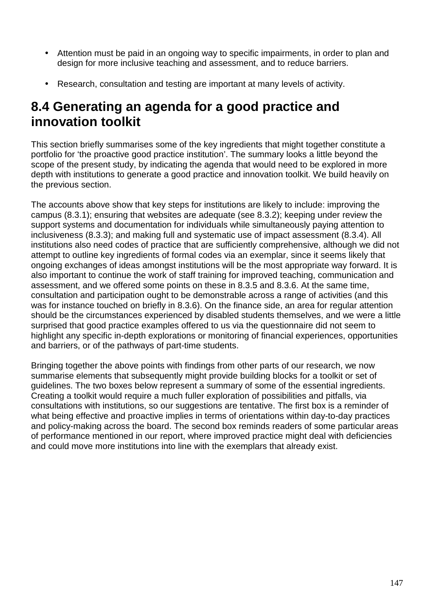- Attention must be paid in an ongoing way to specific impairments, in order to plan and design for more inclusive teaching and assessment, and to reduce barriers.
- Research, consultation and testing are important at many levels of activity.

### **8.4 Generating an agenda for a good practice and innovation toolkit**

This section briefly summarises some of the key ingredients that might together constitute a portfolio for 'the proactive good practice institution'. The summary looks a little beyond the scope of the present study, by indicating the agenda that would need to be explored in more depth with institutions to generate a good practice and innovation toolkit. We build heavily on the previous section.

The accounts above show that key steps for institutions are likely to include: improving the campus (8.3.1); ensuring that websites are adequate (see 8.3.2); keeping under review the support systems and documentation for individuals while simultaneously paying attention to inclusiveness (8.3.3); and making full and systematic use of impact assessment (8.3.4). All institutions also need codes of practice that are sufficiently comprehensive, although we did not attempt to outline key ingredients of formal codes via an exemplar, since it seems likely that ongoing exchanges of ideas amongst institutions will be the most appropriate way forward. It is also important to continue the work of staff training for improved teaching, communication and assessment, and we offered some points on these in 8.3.5 and 8.3.6. At the same time, consultation and participation ought to be demonstrable across a range of activities (and this was for instance touched on briefly in 8.3.6). On the finance side, an area for regular attention should be the circumstances experienced by disabled students themselves, and we were a little surprised that good practice examples offered to us via the questionnaire did not seem to highlight any specific in-depth explorations or monitoring of financial experiences, opportunities and barriers, or of the pathways of part-time students.

Bringing together the above points with findings from other parts of our research, we now summarise elements that subsequently might provide building blocks for a toolkit or set of guidelines. The two boxes below represent a summary of some of the essential ingredients. Creating a toolkit would require a much fuller exploration of possibilities and pitfalls, via consultations with institutions, so our suggestions are tentative. The first box is a reminder of what being effective and proactive implies in terms of orientations within day-to-day practices and policy-making across the board. The second box reminds readers of some particular areas of performance mentioned in our report, where improved practice might deal with deficiencies and could move more institutions into line with the exemplars that already exist.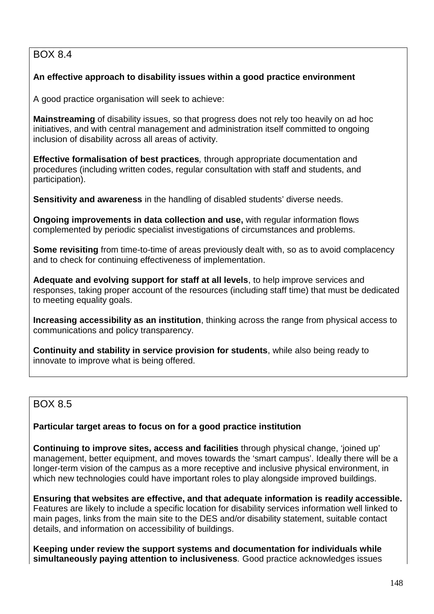### BOX 8.4

### **An effective approach to disability issues within a good practice environment**

A good practice organisation will seek to achieve:

**Mainstreaming** of disability issues, so that progress does not rely too heavily on ad hoc initiatives, and with central management and administration itself committed to ongoing inclusion of disability across all areas of activity.

**Effective formalisation of best practices**, through appropriate documentation and procedures (including written codes, regular consultation with staff and students, and participation).

**Sensitivity and awareness** in the handling of disabled students' diverse needs.

**Ongoing improvements in data collection and use,** with regular information flows complemented by periodic specialist investigations of circumstances and problems.

**Some revisiting** from time-to-time of areas previously dealt with, so as to avoid complacency and to check for continuing effectiveness of implementation.

**Adequate and evolving support for staff at all levels**, to help improve services and responses, taking proper account of the resources (including staff time) that must be dedicated to meeting equality goals.

**Increasing accessibility as an institution**, thinking across the range from physical access to communications and policy transparency.

**Continuity and stability in service provision for students**, while also being ready to innovate to improve what is being offered.

### BOX 8.5

### **Particular target areas to focus on for a good practice institution**

**Continuing to improve sites, access and facilities** through physical change, 'joined up' management, better equipment, and moves towards the 'smart campus'. Ideally there will be a longer-term vision of the campus as a more receptive and inclusive physical environment, in which new technologies could have important roles to play alongside improved buildings.

**Ensuring that websites are effective, and that adequate information is readily accessible.**  Features are likely to include a specific location for disability services information well linked to main pages, links from the main site to the DES and/or disability statement, suitable contact details, and information on accessibility of buildings.

**Keeping under review the support systems and documentation for individuals while simultaneously paying attention to inclusiveness**. Good practice acknowledges issues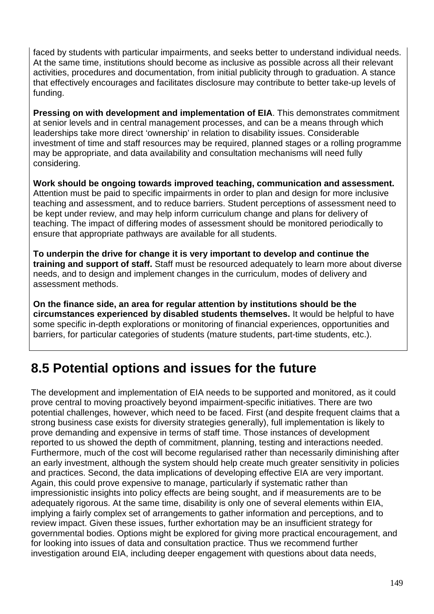faced by students with particular impairments, and seeks better to understand individual needs. At the same time, institutions should become as inclusive as possible across all their relevant activities, procedures and documentation, from initial publicity through to graduation. A stance that effectively encourages and facilitates disclosure may contribute to better take-up levels of funding.

**Pressing on with development and implementation of EIA**. This demonstrates commitment at senior levels and in central management processes, and can be a means through which leaderships take more direct 'ownership' in relation to disability issues. Considerable investment of time and staff resources may be required, planned stages or a rolling programme may be appropriate, and data availability and consultation mechanisms will need fully considering.

**Work should be ongoing towards improved teaching, communication and assessment.** Attention must be paid to specific impairments in order to plan and design for more inclusive teaching and assessment, and to reduce barriers. Student perceptions of assessment need to be kept under review, and may help inform curriculum change and plans for delivery of teaching. The impact of differing modes of assessment should be monitored periodically to ensure that appropriate pathways are available for all students.

**To underpin the drive for change it is very important to develop and continue the training and support of staff.** Staff must be resourced adequately to learn more about diverse needs, and to design and implement changes in the curriculum, modes of delivery and assessment methods.

**On the finance side, an area for regular attention by institutions should be the circumstances experienced by disabled students themselves.** It would be helpful to have some specific in-depth explorations or monitoring of financial experiences, opportunities and barriers, for particular categories of students (mature students, part-time students, etc.).

## **8.5 Potential options and issues for the future**

The development and implementation of EIA needs to be supported and monitored, as it could prove central to moving proactively beyond impairment-specific initiatives. There are two potential challenges, however, which need to be faced. First (and despite frequent claims that a strong business case exists for diversity strategies generally), full implementation is likely to prove demanding and expensive in terms of staff time. Those instances of development reported to us showed the depth of commitment, planning, testing and interactions needed. Furthermore, much of the cost will become regularised rather than necessarily diminishing after an early investment, although the system should help create much greater sensitivity in policies and practices. Second, the data implications of developing effective EIA are very important. Again, this could prove expensive to manage, particularly if systematic rather than impressionistic insights into policy effects are being sought, and if measurements are to be adequately rigorous. At the same time, disability is only one of several elements within EIA, implying a fairly complex set of arrangements to gather information and perceptions, and to review impact. Given these issues, further exhortation may be an insufficient strategy for governmental bodies. Options might be explored for giving more practical encouragement, and for looking into issues of data and consultation practice. Thus we recommend further investigation around EIA, including deeper engagement with questions about data needs,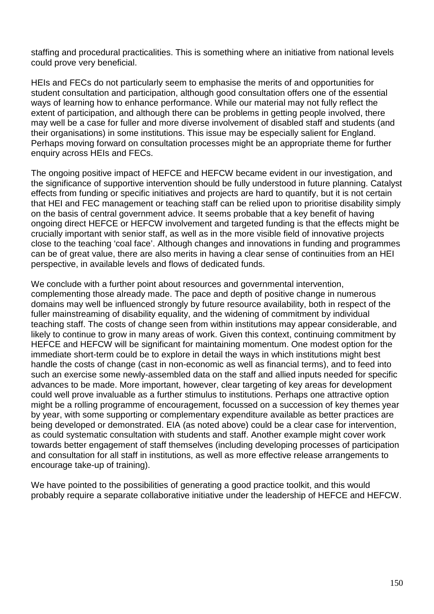staffing and procedural practicalities. This is something where an initiative from national levels could prove very beneficial.

HEIs and FECs do not particularly seem to emphasise the merits of and opportunities for student consultation and participation, although good consultation offers one of the essential ways of learning how to enhance performance. While our material may not fully reflect the extent of participation, and although there can be problems in getting people involved, there may well be a case for fuller and more diverse involvement of disabled staff and students (and their organisations) in some institutions. This issue may be especially salient for England. Perhaps moving forward on consultation processes might be an appropriate theme for further enquiry across HEIs and FECs.

The ongoing positive impact of HEFCE and HEFCW became evident in our investigation, and the significance of supportive intervention should be fully understood in future planning. Catalyst effects from funding or specific initiatives and projects are hard to quantify, but it is not certain that HEI and FEC management or teaching staff can be relied upon to prioritise disability simply on the basis of central government advice. It seems probable that a key benefit of having ongoing direct HEFCE or HEFCW involvement and targeted funding is that the effects might be crucially important with senior staff, as well as in the more visible field of innovative projects close to the teaching 'coal face'. Although changes and innovations in funding and programmes can be of great value, there are also merits in having a clear sense of continuities from an HEI perspective, in available levels and flows of dedicated funds.

We conclude with a further point about resources and governmental intervention, complementing those already made. The pace and depth of positive change in numerous domains may well be influenced strongly by future resource availability, both in respect of the fuller mainstreaming of disability equality, and the widening of commitment by individual teaching staff. The costs of change seen from within institutions may appear considerable, and likely to continue to grow in many areas of work. Given this context, continuing commitment by HEFCE and HEFCW will be significant for maintaining momentum. One modest option for the immediate short-term could be to explore in detail the ways in which institutions might best handle the costs of change (cast in non-economic as well as financial terms), and to feed into such an exercise some newly-assembled data on the staff and allied inputs needed for specific advances to be made. More important, however, clear targeting of key areas for development could well prove invaluable as a further stimulus to institutions. Perhaps one attractive option might be a rolling programme of encouragement, focussed on a succession of key themes year by year, with some supporting or complementary expenditure available as better practices are being developed or demonstrated. EIA (as noted above) could be a clear case for intervention, as could systematic consultation with students and staff. Another example might cover work towards better engagement of staff themselves (including developing processes of participation and consultation for all staff in institutions, as well as more effective release arrangements to encourage take-up of training).

We have pointed to the possibilities of generating a good practice toolkit, and this would probably require a separate collaborative initiative under the leadership of HEFCE and HEFCW.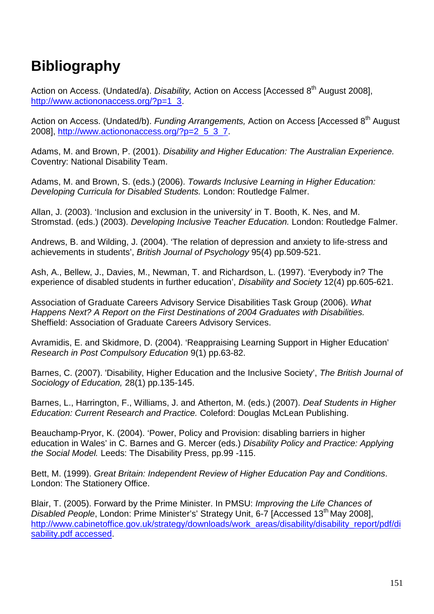# **Bibliography**

Action on Access. (Undated/a). Disability, Action on Access [Accessed  $8<sup>th</sup>$  August 2008], http://www.actiononaccess.org/?p=1\_3.

Action on Access. (Undated/b). Funding Arrangements, Action on Access [Accessed 8<sup>th</sup> August 2008], http://www.actiononaccess.org/?p=2\_5\_3\_7.

Adams, M. and Brown, P. (2001). Disability and Higher Education: The Australian Experience. Coventry: National Disability Team.

Adams, M. and Brown, S. (eds.) (2006). Towards Inclusive Learning in Higher Education: Developing Curricula for Disabled Students. London: Routledge Falmer.

Allan, J. (2003). 'Inclusion and exclusion in the university' in T. Booth, K. Nes, and M. Stromstad. (eds.) (2003). Developing Inclusive Teacher Education. London: Routledge Falmer.

Andrews, B. and Wilding, J. (2004). 'The relation of depression and anxiety to life-stress and achievements in students', British Journal of Psychology 95(4) pp.509-521.

Ash, A., Bellew, J., Davies, M., Newman, T. and Richardson, L. (1997). 'Everybody in? The experience of disabled students in further education', Disability and Society 12(4) pp.605-621.

Association of Graduate Careers Advisory Service Disabilities Task Group (2006). What Happens Next? A Report on the First Destinations of 2004 Graduates with Disabilities. Sheffield: Association of Graduate Careers Advisory Services.

Avramidis, E. and Skidmore, D. (2004). 'Reappraising Learning Support in Higher Education' Research in Post Compulsory Education 9(1) pp.63-82.

Barnes, C. (2007). 'Disability, Higher Education and the Inclusive Society', The British Journal of Sociology of Education, 28(1) pp.135-145.

Barnes, L., Harrington, F., Williams, J. and Atherton, M. (eds.) (2007). Deaf Students in Higher Education: Current Research and Practice. Coleford: Douglas McLean Publishing.

Beauchamp-Pryor, K. (2004). 'Power, Policy and Provision: disabling barriers in higher education in Wales' in C. Barnes and G. Mercer (eds.) Disability Policy and Practice: Applying the Social Model. Leeds: The Disability Press, pp.99 -115.

Bett, M. (1999). Great Britain: Independent Review of Higher Education Pay and Conditions. London: The Stationery Office.

Blair, T. (2005). Forward by the Prime Minister. In PMSU: Improving the Life Chances of Disabled People, London: Prime Minister's' Strategy Unit, 6-7 [Accessed 13<sup>th</sup> May 2008], http://www.cabinetoffice.gov.uk/strategy/downloads/work\_areas/disability/disability\_report/pdf/di sability.pdf accessed.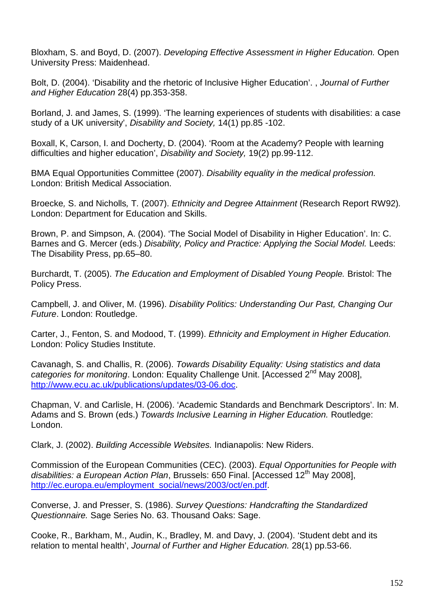Bloxham, S. and Boyd, D. (2007). Developing Effective Assessment in Higher Education. Open University Press: Maidenhead.

Bolt, D. (2004). 'Disability and the rhetoric of Inclusive Higher Education'. , Journal of Further and Higher Education 28(4) pp.353-358.

Borland, J. and James, S. (1999). 'The learning experiences of students with disabilities: a case study of a UK university', Disability and Society, 14(1) pp.85 -102.

Boxall, K, Carson, I. and Docherty, D. (2004). 'Room at the Academy? People with learning difficulties and higher education', Disability and Society, 19(2) pp.99-112.

BMA Equal Opportunities Committee (2007). Disability equality in the medical profession. London: British Medical Association.

Broecke, S. and Nicholls, T. (2007). Ethnicity and Degree Attainment (Research Report RW92). London: Department for Education and Skills.

Brown, P. and Simpson, A. (2004). 'The Social Model of Disability in Higher Education'. In: C. Barnes and G. Mercer (eds.) Disability, Policy and Practice: Applying the Social Model. Leeds: The Disability Press, pp.65–80.

Burchardt, T. (2005). The Education and Employment of Disabled Young People. Bristol: The Policy Press.

Campbell, J. and Oliver, M. (1996). Disability Politics: Understanding Our Past, Changing Our Future. London: Routledge.

Carter, J., Fenton, S. and Modood, T. (1999). Ethnicity and Employment in Higher Education. London: Policy Studies Institute.

Cavanagh, S. and Challis, R. (2006). Towards Disability Equality: Using statistics and data categories for monitoring. London: Equality Challenge Unit. [Accessed 2<sup>nd</sup> May 2008]. http://www.ecu.ac.uk/publications/updates/03-06.doc.

Chapman, V. and Carlisle, H. (2006). 'Academic Standards and Benchmark Descriptors'. In: M. Adams and S. Brown (eds.) Towards Inclusive Learning in Higher Education. Routledge: London.

Clark, J. (2002). Building Accessible Websites. Indianapolis: New Riders.

Commission of the European Communities (CEC). (2003). Equal Opportunities for People with disabilities: a European Action Plan, Brussels: 650 Final. [Accessed 12<sup>th</sup> May 2008]. http://ec.europa.eu/employment\_social/news/2003/oct/en.pdf.

Converse, J. and Presser, S. (1986). Survey Questions: Handcrafting the Standardized Questionnaire. Sage Series No. 63. Thousand Oaks: Sage.

Cooke, R., Barkham, M., Audin, K., Bradley, M. and Davy, J. (2004). 'Student debt and its relation to mental health', Journal of Further and Higher Education. 28(1) pp.53-66.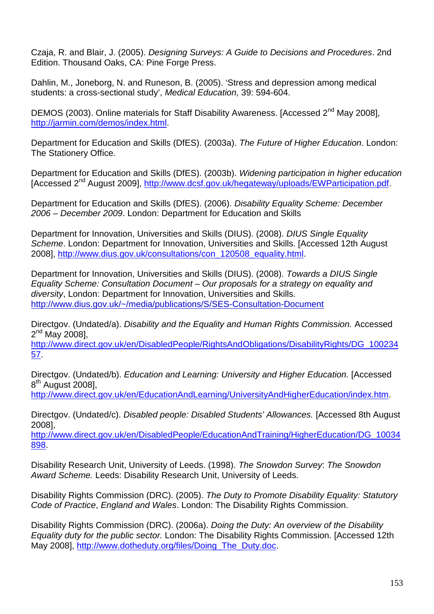Czaja, R. and Blair, J. (2005). Designing Surveys: A Guide to Decisions and Procedures. 2nd Edition. Thousand Oaks, CA: Pine Forge Press.

Dahlin, M., Joneborg, N. and Runeson, B. (2005). 'Stress and depression among medical students: a cross-sectional study', Medical Education, 39: 594-604.

DEMOS (2003). Online materials for Staff Disability Awareness. [Accessed 2<sup>nd</sup> May 2008], http://jarmin.com/demos/index.html.

Department for Education and Skills (DfES). (2003a). The Future of Higher Education. London: The Stationery Office.

Department for Education and Skills (DfES). (2003b). Widening participation in higher education [Accessed 2nd August 2009], http://www.dcsf.gov.uk/hegateway/uploads/EWParticipation.pdf.

Department for Education and Skills (DfES). (2006). Disability Equality Scheme: December 2006 – December 2009. London: Department for Education and Skills

Department for Innovation, Universities and Skills (DIUS). (2008). DIUS Single Equality Scheme. London: Department for Innovation, Universities and Skills. [Accessed 12th August 2008], http://www.dius.gov.uk/consultations/con\_120508\_equality.html.

Department for Innovation, Universities and Skills (DIUS). (2008). Towards a DIUS Single Equality Scheme: Consultation Document – Our proposals for a strategy on equality and diversity, London: Department for Innovation, Universities and Skills. http://www.dius.gov.uk/~/media/publications/S/SES-Consultation-Document

Directgov. (Undated/a). Disability and the Equality and Human Rights Commission. Accessed 2<sup>nd</sup> May 2008],

http://www.direct.gov.uk/en/DisabledPeople/RightsAndObligations/DisabilityRights/DG\_100234 57.

Directgov. (Undated/b). Education and Learning: University and Higher Education. [Accessed] 8<sup>th</sup> August 2008],

http://www.direct.gov.uk/en/EducationAndLearning/UniversityAndHigherEducation/index.htm.

Directgov. (Undated/c). Disabled people: Disabled Students' Allowances. [Accessed 8th August 2008],

http://www.direct.gov.uk/en/DisabledPeople/EducationAndTraining/HigherEducation/DG\_10034 898.

Disability Research Unit, University of Leeds. (1998). The Snowdon Survey: The Snowdon Award Scheme. Leeds: Disability Research Unit, University of Leeds.

Disability Rights Commission (DRC). (2005). The Duty to Promote Disability Equality: Statutory Code of Practice, England and Wales. London: The Disability Rights Commission.

Disability Rights Commission (DRC). (2006a). Doing the Duty: An overview of the Disability Equality duty for the public sector. London: The Disability Rights Commission. [Accessed 12th May 2008], http://www.dotheduty.org/files/Doing\_The\_Duty.doc.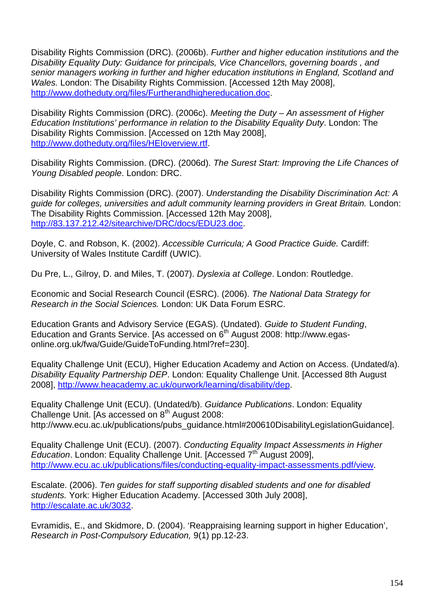Disability Rights Commission (DRC). (2006b). Further and higher education institutions and the Disability Equality Duty: Guidance for principals, Vice Chancellors, governing boards , and senior managers working in further and higher education institutions in England, Scotland and Wales. London: The Disability Rights Commission. [Accessed 12th May 2008], http://www.dotheduty.org/files/Furtherandhighereducation.doc.

Disability Rights Commission (DRC). (2006c). Meeting the Duty – An assessment of Higher Education Institutions' performance in relation to the Disability Equality Duty. London: The Disability Rights Commission. [Accessed on 12th May 2008], http://www.dotheduty.org/files/HEIoverview.rtf.

Disability Rights Commission. (DRC). (2006d). The Surest Start: Improving the Life Chances of Young Disabled people. London: DRC.

Disability Rights Commission (DRC). (2007). Understanding the Disability Discrimination Act: A guide for colleges, universities and adult community learning providers in Great Britain. London: The Disability Rights Commission. [Accessed 12th May 2008], http://83.137.212.42/sitearchive/DRC/docs/EDU23.doc.

Doyle, C. and Robson, K. (2002). Accessible Curricula; A Good Practice Guide. Cardiff: University of Wales Institute Cardiff (UWIC).

Du Pre, L., Gilroy, D. and Miles, T. (2007). Dyslexia at College. London: Routledge.

Economic and Social Research Council (ESRC). (2006). The National Data Strategy for Research in the Social Sciences. London: UK Data Forum ESRC.

Education Grants and Advisory Service (EGAS). (Undated). Guide to Student Funding, Education and Grants Service. [As accessed on  $6<sup>th</sup>$  August 2008: http://www.egasonline.org.uk/fwa/Guide/GuideToFunding.html?ref=230].

Equality Challenge Unit (ECU), Higher Education Academy and Action on Access. (Undated/a). Disability Equality Partnership DEP. London: Equality Challenge Unit. [Accessed 8th August] 2008], http://www.heacademy.ac.uk/ourwork/learning/disability/dep.

Equality Challenge Unit (ECU). (Undated/b). Guidance Publications. London: Equality Challenge Unit. [As accessed on 8<sup>th</sup> August 2008: http://www.ecu.ac.uk/publications/pubs\_guidance.html#200610DisabilityLegislationGuidance].

Equality Challenge Unit (ECU). (2007). Conducting Equality Impact Assessments in Higher Education. London: Equality Challenge Unit. [Accessed  $7<sup>th</sup>$  August 2009], http://www.ecu.ac.uk/publications/files/conducting-equality-impact-assessments.pdf/view.

Escalate. (2006). Ten guides for staff supporting disabled students and one for disabled students. York: Higher Education Academy. [Accessed 30th July 2008], http://escalate.ac.uk/3032.

Evramidis, E., and Skidmore, D. (2004). 'Reappraising learning support in higher Education', Research in Post-Compulsory Education, 9(1) pp.12-23.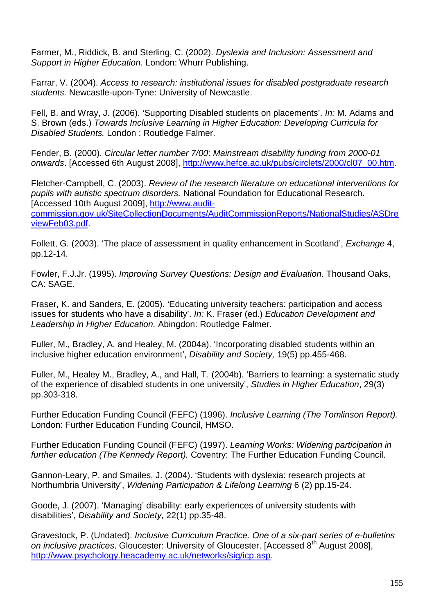Farmer, M., Riddick, B. and Sterling, C. (2002). Dyslexia and Inclusion: Assessment and Support in Higher Education. London: Whurr Publishing.

Farrar, V. (2004). Access to research: institutional issues for disabled postgraduate research students. Newcastle-upon-Tyne: University of Newcastle.

Fell, B. and Wray, J. (2006). 'Supporting Disabled students on placements'. In: M. Adams and S. Brown (eds.) Towards Inclusive Learning in Higher Education: Developing Curricula for Disabled Students. London : Routledge Falmer.

Fender, B. (2000). Circular letter number 7/00: Mainstream disability funding from 2000-01 onwards. [Accessed 6th August 2008], http://www.hefce.ac.uk/pubs/circlets/2000/cl07\_00.htm.

Fletcher-Campbell, C. (2003). Review of the research literature on educational interventions for pupils with autistic spectrum disorders. National Foundation for Educational Research. [Accessed 10th August 2009], http://www.auditcommission.gov.uk/SiteCollectionDocuments/AuditCommissionReports/NationalStudies/ASDre viewFeb03.pdf.

Follett, G. (2003). 'The place of assessment in quality enhancement in Scotland', *Exchange* 4, pp.12-14.

Fowler, F.J.Jr. (1995). Improving Survey Questions: Design and Evaluation. Thousand Oaks, CA: SAGE.

Fraser, K. and Sanders, E. (2005). 'Educating university teachers: participation and access issues for students who have a disability'. In: K. Fraser (ed.) Education Development and Leadership in Higher Education. Abingdon: Routledge Falmer.

Fuller, M., Bradley, A. and Healey, M. (2004a). 'Incorporating disabled students within an inclusive higher education environment', Disability and Society, 19(5) pp.455-468.

Fuller, M., Healey M., Bradley, A., and Hall, T. (2004b). 'Barriers to learning: a systematic study of the experience of disabled students in one university', Studies in Higher Education, 29(3) pp.303-318.

Further Education Funding Council (FEFC) (1996). Inclusive Learning (The Tomlinson Report). London: Further Education Funding Council, HMSO.

Further Education Funding Council (FEFC) (1997). Learning Works: Widening participation in further education (The Kennedy Report). Coventry: The Further Education Funding Council.

Gannon-Leary, P. and Smailes, J. (2004). 'Students with dyslexia: research projects at Northumbria University', Widening Participation & Lifelong Learning 6 (2) pp.15-24.

Goode, J. (2007). 'Managing' disability: early experiences of university students with disabilities', Disability and Society, 22(1) pp.35-48.

Gravestock, P. (Undated). Inclusive Curriculum Practice. One of a six-part series of e-bulletins on inclusive practices. Gloucester: University of Gloucester. [Accessed 8<sup>th</sup> August 2008], http://www.psychology.heacademy.ac.uk/networks/sig/icp.asp.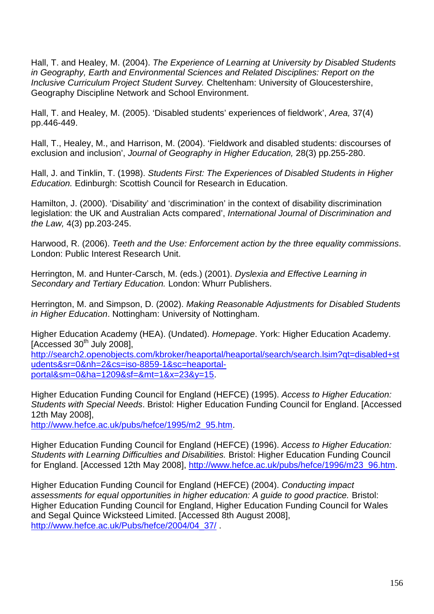Hall, T. and Healey, M. (2004). The Experience of Learning at University by Disabled Students in Geography, Earth and Environmental Sciences and Related Disciplines: Report on the Inclusive Curriculum Project Student Survey. Cheltenham: University of Gloucestershire, Geography Discipline Network and School Environment.

Hall, T. and Healey, M. (2005). 'Disabled students' experiences of fieldwork', Area, 37(4) pp.446-449.

Hall, T., Healey, M., and Harrison, M. (2004). 'Fieldwork and disabled students: discourses of exclusion and inclusion', Journal of Geography in Higher Education, 28(3) pp.255-280.

Hall, J. and Tinklin, T. (1998). Students First: The Experiences of Disabled Students in Higher Education. Edinburgh: Scottish Council for Research in Education.

Hamilton, J. (2000). 'Disability' and 'discrimination' in the context of disability discrimination legislation: the UK and Australian Acts compared', International Journal of Discrimination and the Law, 4(3) pp.203-245.

Harwood, R. (2006). Teeth and the Use: Enforcement action by the three equality commissions. London: Public Interest Research Unit.

Herrington, M. and Hunter-Carsch, M. (eds.) (2001). Dyslexia and Effective Learning in Secondary and Tertiary Education. London: Whurr Publishers.

Herrington, M. and Simpson, D. (2002). Making Reasonable Adjustments for Disabled Students in Higher Education. Nottingham: University of Nottingham.

Higher Education Academy (HEA). (Undated). Homepage. York: Higher Education Academy.  $[Accessed 30<sup>th</sup>$  July 2008],

http://search2.openobjects.com/kbroker/heaportal/heaportal/search/search.lsim?qt=disabled+st udents&sr=0&nh=2&cs=iso-8859-1&sc=heaportalportal&sm=0&ha=1209&sf=&mt=1&x=23&y=15.

Higher Education Funding Council for England (HEFCE) (1995). Access to Higher Education: Students with Special Needs. Bristol: Higher Education Funding Council for England. [Accessed 12th May 2008],

http://www.hefce.ac.uk/pubs/hefce/1995/m2\_95.htm.

Higher Education Funding Council for England (HEFCE) (1996). Access to Higher Education: Students with Learning Difficulties and Disabilities. Bristol: Higher Education Funding Council for England. [Accessed 12th May 2008], http://www.hefce.ac.uk/pubs/hefce/1996/m23\_96.htm.

Higher Education Funding Council for England (HEFCE) (2004). Conducting impact assessments for equal opportunities in higher education: A guide to good practice. Bristol: Higher Education Funding Council for England, Higher Education Funding Council for Wales and Segal Quince Wicksteed Limited. [Accessed 8th August 2008], http://www.hefce.ac.uk/Pubs/hefce/2004/04\_37/.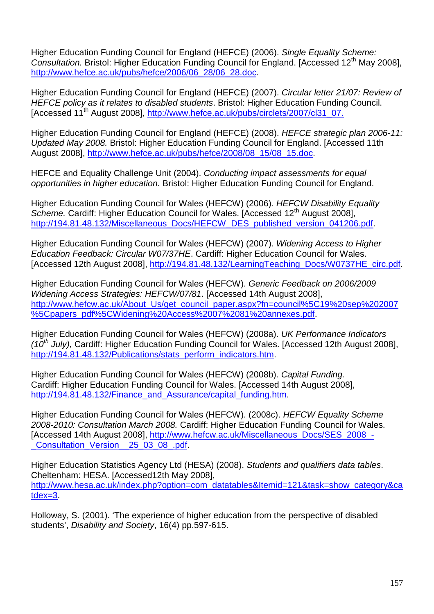Higher Education Funding Council for England (HEFCE) (2006). Single Equality Scheme: Consultation. Bristol: Higher Education Funding Council for England. [Accessed 12<sup>th</sup> May 2008]. http://www.hefce.ac.uk/pubs/hefce/2006/06\_28/06\_28.doc.

Higher Education Funding Council for England (HEFCE) (2007). Circular letter 21/07: Review of HEFCE policy as it relates to disabled students. Bristol: Higher Education Funding Council. [Accessed 11<sup>th</sup> August 2008], http://www.hefce.ac.uk/pubs/circlets/2007/cl31\_07.

Higher Education Funding Council for England (HEFCE) (2008). HEFCE strategic plan 2006-11: Updated May 2008. Bristol: Higher Education Funding Council for England. [Accessed 11th August 2008], http://www.hefce.ac.uk/pubs/hefce/2008/08\_15/08\_15.doc.

HEFCE and Equality Challenge Unit (2004). Conducting impact assessments for equal opportunities in higher education. Bristol: Higher Education Funding Council for England.

Higher Education Funding Council for Wales (HEFCW) (2006). HEFCW Disability Equality Scheme. Cardiff: Higher Education Council for Wales. [Accessed 12<sup>th</sup> August 2008], http://194.81.48.132/Miscellaneous\_Docs/HEFCW\_DES\_published\_version\_041206.pdf.

Higher Education Funding Council for Wales (HEFCW) (2007). Widening Access to Higher Education Feedback: Circular W07/37HE. Cardiff: Higher Education Council for Wales. [Accessed 12th August 2008], http://194.81.48.132/LearningTeaching\_Docs/W0737HE\_circ.pdf.

Higher Education Funding Council for Wales (HEFCW). Generic Feedback on 2006/2009 Widening Access Strategies: HEFCW/07/81. [Accessed 14th August 2008], http://www.hefcw.ac.uk/About\_Us/get\_council\_paper.aspx?fn=council%5C19%20sep%202007 %5Cpapers\_pdf%5CWidening%20Access%2007%2081%20annexes.pdf.

Higher Education Funding Council for Wales (HEFCW) (2008a). UK Performance Indicators (10<sup>th</sup> July), Cardiff: Higher Education Funding Council for Wales. [Accessed 12th August 2008], http://194.81.48.132/Publications/stats\_perform\_indicators.htm.

Higher Education Funding Council for Wales (HEFCW) (2008b). Capital Funding. Cardiff: Higher Education Funding Council for Wales. [Accessed 14th August 2008], http://194.81.48.132/Finance\_and\_Assurance/capital\_funding.htm.

Higher Education Funding Council for Wales (HEFCW). (2008c). HEFCW Equality Scheme 2008-2010: Consultation March 2008. Cardiff: Higher Education Funding Council for Wales. [Accessed 14th August 2008], http://www.hefcw.ac.uk/Miscellaneous\_Docs/SES\_2008\_- \_Consultation\_Version\_\_25\_03\_08\_.pdf.

Higher Education Statistics Agency Ltd (HESA) (2008). Students and qualifiers data tables. Cheltenham: HESA. [Accessed12th May 2008], http://www.hesa.ac.uk/index.php?option=com\_datatables&Itemid=121&task=show\_category&ca tdex=3.

Holloway, S. (2001). 'The experience of higher education from the perspective of disabled students', Disability and Society, 16(4) pp.597-615.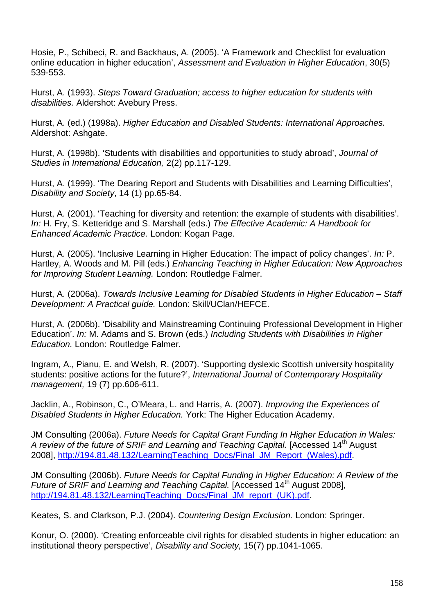Hosie, P., Schibeci, R. and Backhaus, A. (2005). 'A Framework and Checklist for evaluation online education in higher education', Assessment and Evaluation in Higher Education, 30(5) 539-553.

Hurst, A. (1993). Steps Toward Graduation; access to higher education for students with disabilities. Aldershot: Avebury Press.

Hurst, A. (ed.) (1998a). Higher Education and Disabled Students: International Approaches. Aldershot: Ashgate.

Hurst, A. (1998b). 'Students with disabilities and opportunities to study abroad', Journal of Studies in International Education, 2(2) pp.117-129.

Hurst, A. (1999). 'The Dearing Report and Students with Disabilities and Learning Difficulties', Disability and Society, 14 (1) pp.65-84.

Hurst, A. (2001). 'Teaching for diversity and retention: the example of students with disabilities'. In: H. Fry, S. Ketteridge and S. Marshall (eds.) The Effective Academic: A Handbook for Enhanced Academic Practice. London: Kogan Page.

Hurst, A. (2005). 'Inclusive Learning in Higher Education: The impact of policy changes'. In: P. Hartley, A. Woods and M. Pill (eds.) Enhancing Teaching in Higher Education: New Approaches for Improving Student Learning. London: Routledge Falmer.

Hurst, A. (2006a). Towards Inclusive Learning for Disabled Students in Higher Education – Staff Development: A Practical guide. London: Skill/UClan/HEFCE.

Hurst, A. (2006b). 'Disability and Mainstreaming Continuing Professional Development in Higher Education'. In: M. Adams and S. Brown (eds.) Including Students with Disabilities in Higher Education. London: Routledge Falmer.

Ingram, A., Pianu, E. and Welsh, R. (2007). 'Supporting dyslexic Scottish university hospitality students: positive actions for the future?', International Journal of Contemporary Hospitality management, 19 (7) pp.606-611.

Jacklin, A., Robinson, C., O'Meara, L. and Harris, A. (2007). Improving the Experiences of Disabled Students in Higher Education. York: The Higher Education Academy.

JM Consulting (2006a). Future Needs for Capital Grant Funding In Higher Education in Wales: A review of the future of SRIF and Learning and Teaching Capital. [Accessed 14<sup>th</sup> August 2008], http://194.81.48.132/LearningTeaching\_Docs/Final\_JM\_Report\_(Wales).pdf.

JM Consulting (2006b). Future Needs for Capital Funding in Higher Education: A Review of the Future of SRIF and Learning and Teaching Capital. [Accessed 14<sup>th</sup> August 2008], http://194.81.48.132/LearningTeaching\_Docs/Final\_JM\_report\_(UK).pdf.

Keates, S. and Clarkson, P.J. (2004). Countering Design Exclusion. London: Springer.

Konur, O. (2000). 'Creating enforceable civil rights for disabled students in higher education: an institutional theory perspective', Disability and Society, 15(7) pp.1041-1065.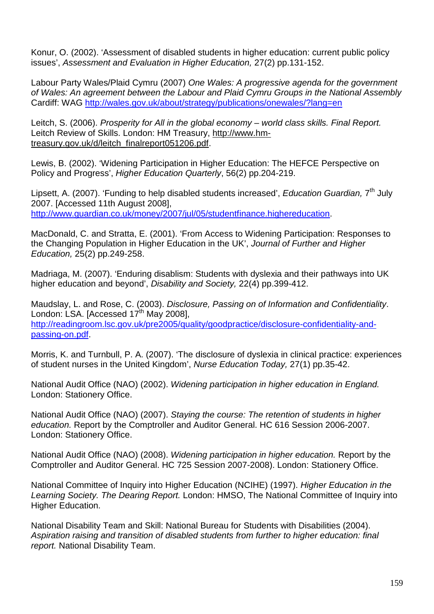Konur, O. (2002). 'Assessment of disabled students in higher education: current public policy issues', Assessment and Evaluation in Higher Education, 27(2) pp.131-152.

Labour Party Wales/Plaid Cymru (2007) One Wales: A progressive agenda for the government of Wales: An agreement between the Labour and Plaid Cymru Groups in the National Assembly Cardiff: WAG http://wales.gov.uk/about/strategy/publications/onewales/?lang=en

Leitch, S. (2006). Prosperity for All in the global economy – world class skills. Final Report. Leitch Review of Skills. London: HM Treasury, http://www.hmtreasury.gov.uk/d/leitch\_finalreport051206.pdf.

Lewis, B. (2002). 'Widening Participation in Higher Education: The HEFCE Perspective on Policy and Progress', Higher Education Quarterly, 56(2) pp.204-219.

Lipsett, A. (2007). 'Funding to help disabled students increased', Education Guardian. 7<sup>th</sup> Julv 2007. [Accessed 11th August 2008], http://www.guardian.co.uk/money/2007/jul/05/studentfinance.highereducation.

MacDonald, C. and Stratta, E. (2001). 'From Access to Widening Participation: Responses to the Changing Population in Higher Education in the UK', Journal of Further and Higher Education, 25(2) pp.249-258.

Madriaga, M. (2007). 'Enduring disablism: Students with dyslexia and their pathways into UK higher education and beyond', Disability and Society, 22(4) pp.399-412.

Maudslay, L. and Rose, C. (2003). Disclosure, Passing on of Information and Confidentiality. London: LSA. [Accessed  $17<sup>th</sup>$  May 2008], http://readingroom.lsc.gov.uk/pre2005/quality/goodpractice/disclosure-confidentiality-andpassing-on.pdf.

Morris, K. and Turnbull, P. A. (2007). 'The disclosure of dyslexia in clinical practice: experiences of student nurses in the United Kingdom', Nurse Education Today, 27(1) pp.35-42.

National Audit Office (NAO) (2002). Widening participation in higher education in England. London: Stationery Office.

National Audit Office (NAO) (2007). Staying the course: The retention of students in higher education. Report by the Comptroller and Auditor General. HC 616 Session 2006-2007. London: Stationery Office.

National Audit Office (NAO) (2008). Widening participation in higher education. Report by the Comptroller and Auditor General. HC 725 Session 2007-2008). London: Stationery Office.

National Committee of Inquiry into Higher Education (NCIHE) (1997). Higher Education in the Learning Society. The Dearing Report. London: HMSO, The National Committee of Inquiry into Higher Education.

National Disability Team and Skill: National Bureau for Students with Disabilities (2004). Aspiration raising and transition of disabled students from further to higher education: final report. National Disability Team.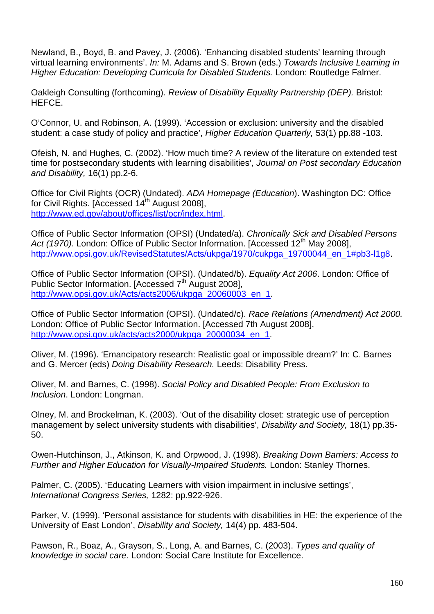Newland, B., Boyd, B. and Pavey, J. (2006). 'Enhancing disabled students' learning through virtual learning environments'. In: M. Adams and S. Brown (eds.) Towards Inclusive Learning in Higher Education: Developing Curricula for Disabled Students. London: Routledge Falmer.

Oakleigh Consulting (forthcoming). Review of Disability Equality Partnership (DEP). Bristol: HEFCE.

O'Connor, U. and Robinson, A. (1999). 'Accession or exclusion: university and the disabled student: a case study of policy and practice', Higher Education Quarterly, 53(1) pp.88 -103.

Ofeish, N. and Hughes, C. (2002). 'How much time? A review of the literature on extended test time for postsecondary students with learning disabilities', Journal on Post secondary Education and Disability, 16(1) pp.2-6.

Office for Civil Rights (OCR) (Undated). ADA Homepage (Education). Washington DC: Office for Civil Rights. [Accessed  $14<sup>th</sup>$  August 2008], http://www.ed.gov/about/offices/list/ocr/index.html.

Office of Public Sector Information (OPSI) (Undated/a). Chronically Sick and Disabled Persons Act (1970). London: Office of Public Sector Information. [Accessed 12<sup>th</sup> May 2008], http://www.opsi.gov.uk/RevisedStatutes/Acts/ukpga/1970/cukpga\_19700044\_en\_1#pb3-l1g8.

Office of Public Sector Information (OPSI). (Undated/b). Equality Act 2006. London: Office of Public Sector Information. [Accessed 7<sup>th</sup> August 2008]. http://www.opsi.gov.uk/Acts/acts2006/ukpga\_20060003\_en\_1.

Office of Public Sector Information (OPSI). (Undated/c). Race Relations (Amendment) Act 2000. London: Office of Public Sector Information. [Accessed 7th August 2008], http://www.opsi.gov.uk/acts/acts2000/ukpga\_20000034\_en\_1.

Oliver, M. (1996). 'Emancipatory research: Realistic goal or impossible dream?' In: C. Barnes and G. Mercer (eds) Doing Disability Research. Leeds: Disability Press.

Oliver, M. and Barnes, C. (1998). Social Policy and Disabled People: From Exclusion to Inclusion. London: Longman.

Olney, M. and Brockelman, K. (2003). 'Out of the disability closet: strategic use of perception management by select university students with disabilities', Disability and Society, 18(1) pp.35-50.

Owen-Hutchinson, J., Atkinson, K. and Orpwood, J. (1998). Breaking Down Barriers: Access to Further and Higher Education for Visually-Impaired Students. London: Stanley Thornes.

Palmer, C. (2005). 'Educating Learners with vision impairment in inclusive settings', International Congress Series, 1282: pp.922-926.

Parker, V. (1999). 'Personal assistance for students with disabilities in HE: the experience of the University of East London', Disability and Society, 14(4) pp. 483-504.

Pawson, R., Boaz, A., Grayson, S., Long, A. and Barnes, C. (2003). Types and quality of knowledge in social care. London: Social Care Institute for Excellence.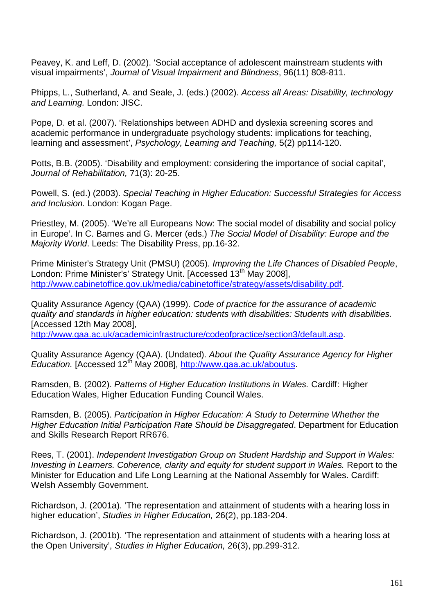Peavey, K. and Leff, D. (2002). 'Social acceptance of adolescent mainstream students with visual impairments', Journal of Visual Impairment and Blindness, 96(11) 808-811.

Phipps, L., Sutherland, A. and Seale, J. (eds.) (2002). Access all Areas: Disability, technology and Learning. London: JISC.

Pope, D. et al. (2007). 'Relationships between ADHD and dyslexia screening scores and academic performance in undergraduate psychology students: implications for teaching, learning and assessment', Psychology, Learning and Teaching, 5(2) pp114-120.

Potts, B.B. (2005). 'Disability and employment: considering the importance of social capital', Journal of Rehabilitation, 71(3): 20-25.

Powell, S. (ed.) (2003). Special Teaching in Higher Education: Successful Strategies for Access and Inclusion. London: Kogan Page.

Priestley, M. (2005). 'We're all Europeans Now: The social model of disability and social policy in Europe'. In C. Barnes and G. Mercer (eds.) The Social Model of Disability: Europe and the Majority World. Leeds: The Disability Press, pp.16-32.

Prime Minister's Strategy Unit (PMSU) (2005). Improving the Life Chances of Disabled People, London: Prime Minister's' Strategy Unit. [Accessed 13<sup>th</sup> May 2008], http://www.cabinetoffice.gov.uk/media/cabinetoffice/strategy/assets/disability.pdf.

Quality Assurance Agency (QAA) (1999). Code of practice for the assurance of academic quality and standards in higher education: students with disabilities: Students with disabilities. [Accessed 12th May 2008], http://www.qaa.ac.uk/academicinfrastructure/codeofpractice/section3/default.asp.

Quality Assurance Agency (QAA). (Undated). About the Quality Assurance Agency for Higher Education. [Accessed 12<sup>th</sup> May 2008], http://www.qaa.ac.uk/aboutus.

Ramsden, B. (2002). Patterns of Higher Education Institutions in Wales. Cardiff: Higher Education Wales, Higher Education Funding Council Wales.

Ramsden, B. (2005). Participation in Higher Education: A Study to Determine Whether the Higher Education Initial Participation Rate Should be Disaggregated. Department for Education and Skills Research Report RR676.

Rees, T. (2001). Independent Investigation Group on Student Hardship and Support in Wales: Investing in Learners. Coherence, clarity and equity for student support in Wales. Report to the Minister for Education and Life Long Learning at the National Assembly for Wales. Cardiff: Welsh Assembly Government.

Richardson, J. (2001a). 'The representation and attainment of students with a hearing loss in higher education', Studies in Higher Education, 26(2), pp.183-204.

Richardson, J. (2001b). 'The representation and attainment of students with a hearing loss at the Open University', Studies in Higher Education, 26(3), pp.299-312.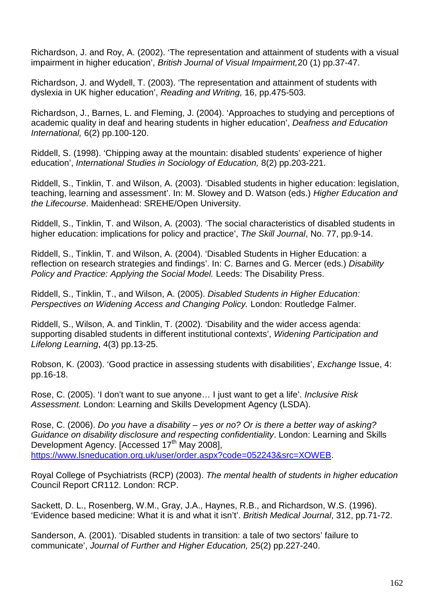Richardson, J. and Roy, A. (2002). 'The representation and attainment of students with a visual impairment in higher education', British Journal of Visual Impairment,20 (1) pp.37-47.

Richardson, J. and Wydell, T. (2003). 'The representation and attainment of students with dyslexia in UK higher education', Reading and Writing, 16, pp.475-503.

Richardson, J., Barnes, L. and Fleming, J. (2004). 'Approaches to studying and perceptions of academic quality in deaf and hearing students in higher education', Deafness and Education International, 6(2) pp.100-120.

Riddell, S. (1998). 'Chipping away at the mountain: disabled students' experience of higher education', International Studies in Sociology of Education, 8(2) pp.203-221.

Riddell, S., Tinklin, T. and Wilson, A. (2003). 'Disabled students in higher education: legislation, teaching, learning and assessment'. In: M. Slowey and D. Watson (eds.) Higher Education and the Lifecourse. Maidenhead: SREHE/Open University.

Riddell, S., Tinklin, T. and Wilson, A. (2003). 'The social characteristics of disabled students in higher education: implications for policy and practice', The Skill Journal, No. 77, pp.9-14.

Riddell, S., Tinklin, T. and Wilson, A. (2004). 'Disabled Students in Higher Education: a reflection on research strategies and findings'. In: C. Barnes and G. Mercer (eds.) Disability Policy and Practice: Applying the Social Model. Leeds: The Disability Press.

Riddell, S., Tinklin, T., and Wilson, A. (2005). Disabled Students in Higher Education: Perspectives on Widening Access and Changing Policy. London: Routledge Falmer.

Riddell, S., Wilson, A. and Tinklin, T. (2002). 'Disability and the wider access agenda: supporting disabled students in different institutional contexts', Widening Participation and Lifelong Learning, 4(3) pp.13-25.

Robson, K. (2003). 'Good practice in assessing students with disabilities', Exchange Issue, 4: pp.16-18.

Rose, C. (2005). 'I don't want to sue anyone… I just want to get a life'. Inclusive Risk Assessment. London: Learning and Skills Development Agency (LSDA).

Rose, C. (2006). Do you have a disability – yes or no? Or is there a better way of asking? Guidance on disability disclosure and respecting confidentiality. London: Learning and Skills Development Agency, [Accessed 17<sup>th</sup> May 2008], https://www.lsneducation.org.uk/user/order.aspx?code=052243&src=XOWEB.

Royal College of Psychiatrists (RCP) (2003). The mental health of students in higher education Council Report CR112. London: RCP.

Sackett, D. L., Rosenberg, W.M., Gray, J.A., Haynes, R.B., and Richardson, W.S. (1996). 'Evidence based medicine: What it is and what it isn't'. British Medical Journal, 312, pp.71-72.

Sanderson, A. (2001). 'Disabled students in transition: a tale of two sectors' failure to communicate', Journal of Further and Higher Education, 25(2) pp.227-240.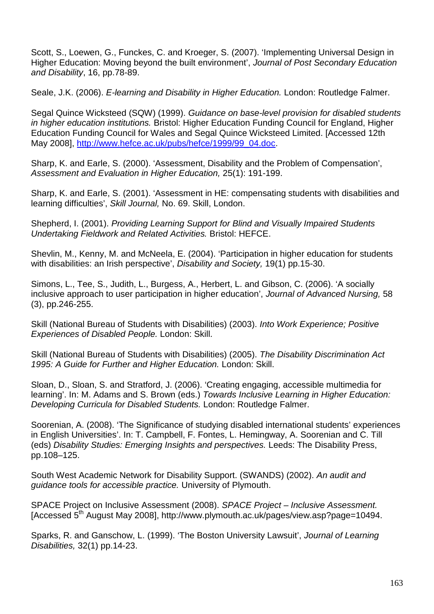Scott, S., Loewen, G., Funckes, C. and Kroeger, S. (2007). 'Implementing Universal Design in Higher Education: Moving beyond the built environment', Journal of Post Secondary Education and Disability, 16, pp.78-89.

Seale, J.K. (2006). E-learning and Disability in Higher Education. London: Routledge Falmer.

Segal Quince Wicksteed (SQW) (1999). Guidance on base-level provision for disabled students in higher education institutions. Bristol: Higher Education Funding Council for England, Higher Education Funding Council for Wales and Segal Quince Wicksteed Limited. [Accessed 12th May 2008], http://www.hefce.ac.uk/pubs/hefce/1999/99\_04.doc.

Sharp, K. and Earle, S. (2000). 'Assessment, Disability and the Problem of Compensation', Assessment and Evaluation in Higher Education, 25(1): 191-199.

Sharp, K. and Earle, S. (2001). 'Assessment in HE: compensating students with disabilities and learning difficulties', Skill Journal, No. 69. Skill, London.

Shepherd, I. (2001). Providing Learning Support for Blind and Visually Impaired Students Undertaking Fieldwork and Related Activities. Bristol: HEFCE.

Shevlin, M., Kenny, M. and McNeela, E. (2004). 'Participation in higher education for students with disabilities: an Irish perspective', Disability and Society, 19(1) pp.15-30.

Simons, L., Tee, S., Judith, L., Burgess, A., Herbert, L. and Gibson, C. (2006). 'A socially inclusive approach to user participation in higher education', Journal of Advanced Nursing, 58 (3), pp.246-255.

Skill (National Bureau of Students with Disabilities) (2003). Into Work Experience: Positive Experiences of Disabled People. London: Skill.

Skill (National Bureau of Students with Disabilities) (2005). The Disability Discrimination Act 1995: A Guide for Further and Higher Education. London: Skill.

Sloan, D., Sloan, S. and Stratford, J. (2006). 'Creating engaging, accessible multimedia for learning'. In: M. Adams and S. Brown (eds.) Towards Inclusive Learning in Higher Education: Developing Curricula for Disabled Students. London: Routledge Falmer.

Soorenian, A. (2008). 'The Significance of studying disabled international students' experiences in English Universities'. In: T. Campbell, F. Fontes, L. Hemingway, A. Soorenian and C. Till (eds) Disability Studies: Emerging Insights and perspectives. Leeds: The Disability Press, pp.108–125.

South West Academic Network for Disability Support. (SWANDS) (2002). An audit and guidance tools for accessible practice. University of Plymouth.

SPACE Project on Inclusive Assessment (2008). SPACE Project – Inclusive Assessment. [Accessed 5th August May 2008], http://www.plymouth.ac.uk/pages/view.asp?page=10494.

Sparks, R. and Ganschow, L. (1999). 'The Boston University Lawsuit', Journal of Learning Disabilities, 32(1) pp.14-23.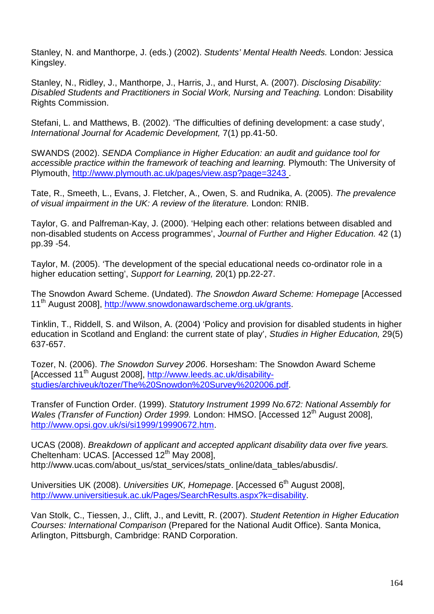Stanley, N. and Manthorpe, J. (eds.) (2002). Students' Mental Health Needs. London: Jessica Kingsley.

Stanley, N., Ridley, J., Manthorpe, J., Harris, J., and Hurst, A. (2007). Disclosing Disability: Disabled Students and Practitioners in Social Work, Nursing and Teaching. London: Disability Rights Commission.

Stefani, L. and Matthews, B. (2002). 'The difficulties of defining development: a case study', International Journal for Academic Development, 7(1) pp.41-50.

SWANDS (2002). SENDA Compliance in Higher Education: an audit and guidance tool for accessible practice within the framework of teaching and learning. Plymouth: The University of Plymouth, http://www.plymouth.ac.uk/pages/view.asp?page=3243 .

Tate, R., Smeeth, L., Evans, J. Fletcher, A., Owen, S. and Rudnika, A. (2005). The prevalence of visual impairment in the UK: A review of the literature. London: RNIB.

Taylor, G. and Palfreman-Kay, J. (2000). 'Helping each other: relations between disabled and non-disabled students on Access programmes', Journal of Further and Higher Education. 42 (1) pp.39 -54.

Taylor, M. (2005). 'The development of the special educational needs co-ordinator role in a higher education setting', Support for Learning, 20(1) pp.22-27.

The Snowdon Award Scheme. (Undated). The Snowdon Award Scheme: Homepage [Accessed 11<sup>th</sup> August 2008], http://www.snowdonawardscheme.org.uk/grants.

Tinklin, T., Riddell, S. and Wilson, A. (2004) 'Policy and provision for disabled students in higher education in Scotland and England: the current state of play', Studies in Higher Education, 29(5) 637-657.

Tozer, N. (2006). The Snowdon Survey 2006. Horsesham: The Snowdon Award Scheme [Accessed 11th August 2008], http://www.leeds.ac.uk/disabilitystudies/archiveuk/tozer/The%20Snowdon%20Survey%202006.pdf.

Transfer of Function Order. (1999). Statutory Instrument 1999 No.672: National Assembly for Wales (Transfer of Function) Order 1999. London: HMSO. [Accessed 12<sup>th</sup> August 2008]. http://www.opsi.gov.uk/si/si1999/19990672.htm.

UCAS (2008). Breakdown of applicant and accepted applicant disability data over five years. Cheltenham: UCAS. [Accessed 12<sup>th</sup> May 2008], http://www.ucas.com/about\_us/stat\_services/stats\_online/data\_tables/abusdis/.

Universities UK (2008). Universities UK, Homepage. [Accessed 6<sup>th</sup> August 2008]. http://www.universitiesuk.ac.uk/Pages/SearchResults.aspx?k=disability.

Van Stolk, C., Tiessen, J., Clift, J., and Levitt, R. (2007). Student Retention in Higher Education Courses: International Comparison (Prepared for the National Audit Office). Santa Monica, Arlington, Pittsburgh, Cambridge: RAND Corporation.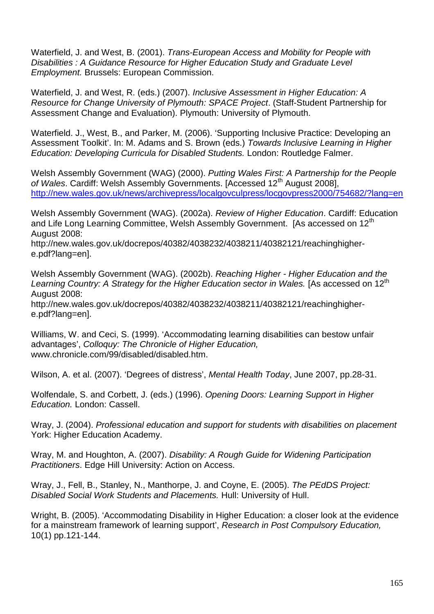Waterfield, J. and West, B. (2001). Trans-European Access and Mobility for People with Disabilities : A Guidance Resource for Higher Education Study and Graduate Level Employment. Brussels: European Commission.

Waterfield, J. and West, R. (eds.) (2007). Inclusive Assessment in Higher Education: A Resource for Change University of Plymouth: SPACE Project. (Staff-Student Partnership for Assessment Change and Evaluation). Plymouth: University of Plymouth.

Waterfield. J., West, B., and Parker, M. (2006). 'Supporting Inclusive Practice: Developing an Assessment Toolkit'. In: M. Adams and S. Brown (eds.) Towards Inclusive Learning in Higher Education: Developing Curricula for Disabled Students. London: Routledge Falmer.

Welsh Assembly Government (WAG) (2000). Putting Wales First: A Partnership for the People of Wales. Cardiff: Welsh Assembly Governments. [Accessed 12<sup>th</sup> August 2008], http://new.wales.gov.uk/news/archivepress/localgovculpress/locgovpress2000/754682/?lang=en

Welsh Assembly Government (WAG). (2002a). Review of Higher Education. Cardiff: Education and Life Long Learning Committee, Welsh Assembly Government. [As accessed on 12<sup>th</sup> August 2008:

http://new.wales.gov.uk/docrepos/40382/4038232/4038211/40382121/reachinghighere.pdf?lang=en].

Welsh Assembly Government (WAG). (2002b). Reaching Higher - Higher Education and the Learning Country: A Strategy for the Higher Education sector in Wales. [As accessed on  $12<sup>th</sup>$ August 2008:

http://new.wales.gov.uk/docrepos/40382/4038232/4038211/40382121/reachinghighere.pdf?lang=en].

Williams, W. and Ceci, S. (1999). 'Accommodating learning disabilities can bestow unfair advantages', Colloquy: The Chronicle of Higher Education, www.chronicle.com/99/disabled/disabled.htm.

Wilson, A. et al. (2007). 'Degrees of distress', Mental Health Today, June 2007, pp.28-31.

Wolfendale, S. and Corbett, J. (eds.) (1996). Opening Doors: Learning Support in Higher Education. London: Cassell.

Wray, J. (2004). Professional education and support for students with disabilities on placement York: Higher Education Academy.

Wray, M. and Houghton, A. (2007). Disability: A Rough Guide for Widening Participation Practitioners. Edge Hill University: Action on Access.

Wray, J., Fell, B., Stanley, N., Manthorpe, J. and Coyne, E. (2005). The PEdDS Project: Disabled Social Work Students and Placements. Hull: University of Hull.

Wright, B. (2005). 'Accommodating Disability in Higher Education: a closer look at the evidence for a mainstream framework of learning support', Research in Post Compulsory Education, 10(1) pp.121-144.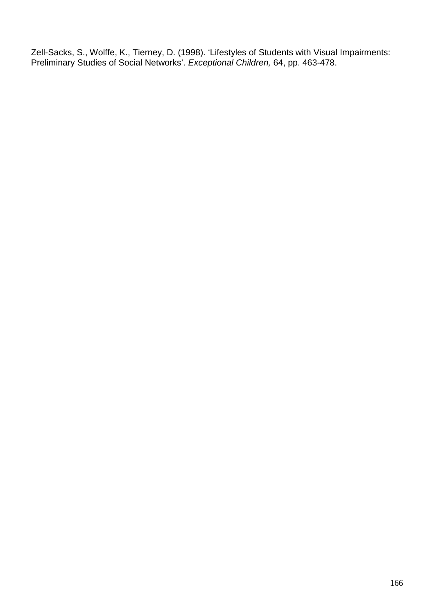Zell-Sacks, S., Wolffe, K., Tierney, D. (1998). 'Lifestyles of Students with Visual Impairments: Preliminary Studies of Social Networks'. Exceptional Children, 64, pp. 463-478.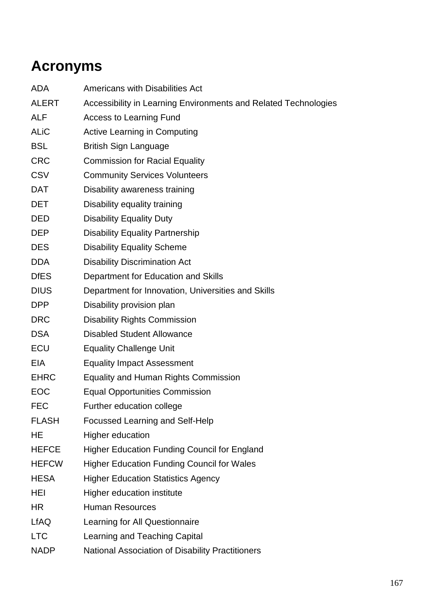## **Acronyms**

- ADA Americans with Disabilities Act
- ALERT Accessibility in Learning Environments and Related Technologies
- ALF Access to Learning Fund
- ALiC Active Learning in Computing
- BSL British Sign Language
- CRC Commission for Racial Equality
- CSV Community Services Volunteers
- DAT Disability awareness training
- DET Disability equality training
- DED Disability Equality Duty
- DEP Disability Equality Partnership
- DES Disability Equality Scheme
- DDA Disability Discrimination Act
- DfES Department for Education and Skills
- DIUS Department for Innovation, Universities and Skills
- DPP Disability provision plan
- DRC Disability Rights Commission
- DSA Disabled Student Allowance
- ECU Equality Challenge Unit
- EIA Equality Impact Assessment
- EHRC Equality and Human Rights Commission
- EOC Equal Opportunities Commission
- FEC Further education college
- FLASH Focussed Learning and Self-Help
- HE Higher education
- HEFCE Higher Education Funding Council for England
- HEFCW Higher Education Funding Council for Wales
- HESA Higher Education Statistics Agency
- HEI Higher education institute
- HR Human Resources
- LfAQ Learning for All Questionnaire
- LTC Learning and Teaching Capital
- NADP National Association of Disability Practitioners